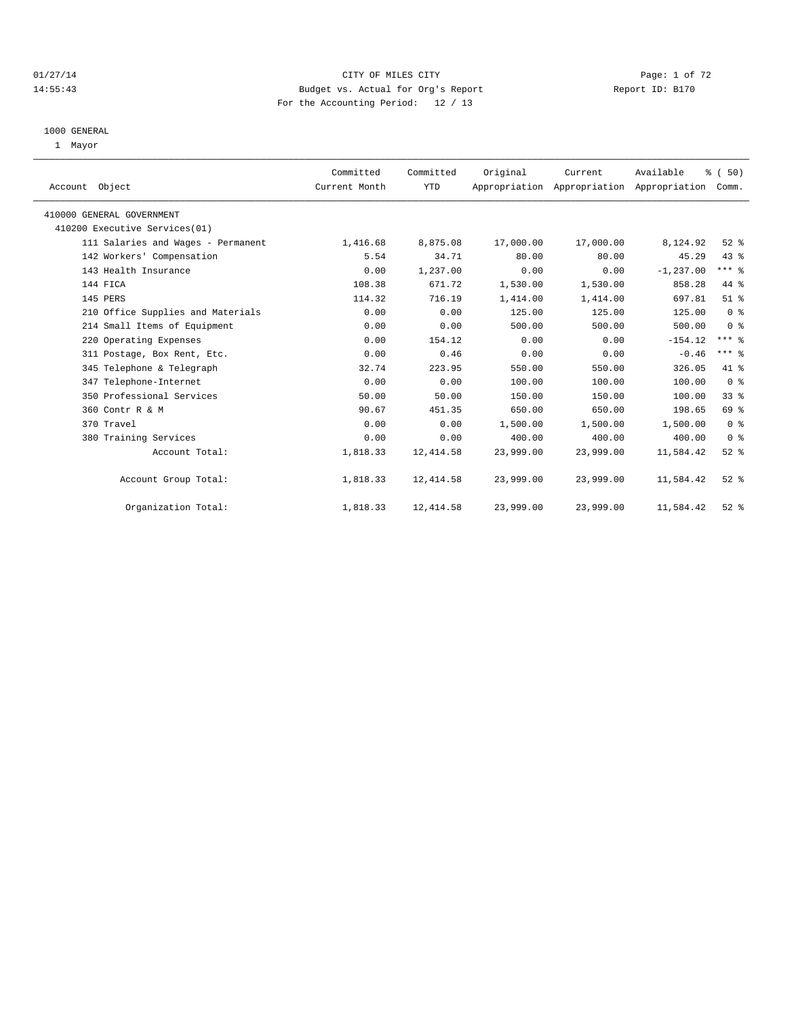## 01/27/14 Page: 1 of 72 14:55:43 Budget vs. Actual for Org's Report Report ID: B170 For the Accounting Period: 12 / 13

#### 1000 GENERAL

1 Mayor

| Account Object                     | Committed<br>Current Month | Committed<br><b>YTD</b> | Original  | Current   | Available<br>Appropriation Appropriation Appropriation | % (50)<br>Comm. |  |
|------------------------------------|----------------------------|-------------------------|-----------|-----------|--------------------------------------------------------|-----------------|--|
| 410000 GENERAL GOVERNMENT          |                            |                         |           |           |                                                        |                 |  |
| 410200 Executive Services(01)      |                            |                         |           |           |                                                        |                 |  |
| 111 Salaries and Wages - Permanent | 1,416.68                   | 8,875.08                | 17,000.00 | 17,000.00 | 8,124.92                                               | $52$ $%$        |  |
| 142 Workers' Compensation          | 5.54                       | 34.71                   | 80.00     | 80.00     | 45.29                                                  | 43 %            |  |
| 143 Health Insurance               | 0.00                       | 1,237.00                | 0.00      | 0.00      | $-1, 237.00$                                           | $***$ $_{8}$    |  |
| 144 FICA                           | 108.38                     | 671.72                  | 1,530.00  | 1,530.00  | 858.28                                                 | 44 %            |  |
| 145 PERS                           | 114.32                     | 716.19                  | 1,414.00  | 1,414.00  | 697.81                                                 | $51$ %          |  |
| 210 Office Supplies and Materials  | 0.00                       | 0.00                    | 125.00    | 125.00    | 125.00                                                 | 0 <sup>8</sup>  |  |
| 214 Small Items of Equipment       | 0.00                       | 0.00                    | 500.00    | 500.00    | 500.00                                                 | 0 <sup>8</sup>  |  |
| 220 Operating Expenses             | 0.00                       | 154.12                  | 0.00      | 0.00      | $-154.12$                                              | $***$ $%$       |  |
| 311 Postage, Box Rent, Etc.        | 0.00                       | 0.46                    | 0.00      | 0.00      | $-0.46$                                                | $***$ $%$       |  |
| 345 Telephone & Telegraph          | 32.74                      | 223.95                  | 550.00    | 550.00    | 326.05                                                 | 41 %            |  |
| 347 Telephone-Internet             | 0.00                       | 0.00                    | 100.00    | 100.00    | 100.00                                                 | 0 <sup>8</sup>  |  |
| 350 Professional Services          | 50.00                      | 50.00                   | 150.00    | 150.00    | 100.00                                                 | 33%             |  |
| 360 Contr R & M                    | 90.67                      | 451.35                  | 650.00    | 650.00    | 198.65                                                 | 69 %            |  |
| 370 Travel                         | 0.00                       | 0.00                    | 1,500.00  | 1,500.00  | 1,500.00                                               | 0 <sup>8</sup>  |  |
| 380 Training Services              | 0.00                       | 0.00                    | 400.00    | 400.00    | 400.00                                                 | 0 <sup>8</sup>  |  |
| Account Total:                     | 1,818.33                   | 12,414.58               | 23,999.00 | 23,999.00 | 11,584.42                                              | $52$ $%$        |  |
| Account Group Total:               | 1,818.33                   | 12,414.58               | 23,999.00 | 23,999.00 | 11,584.42                                              | $52$ $%$        |  |
| Organization Total:                | 1,818.33                   | 12,414.58               | 23,999.00 | 23,999.00 | 11,584.42                                              | $52$ $%$        |  |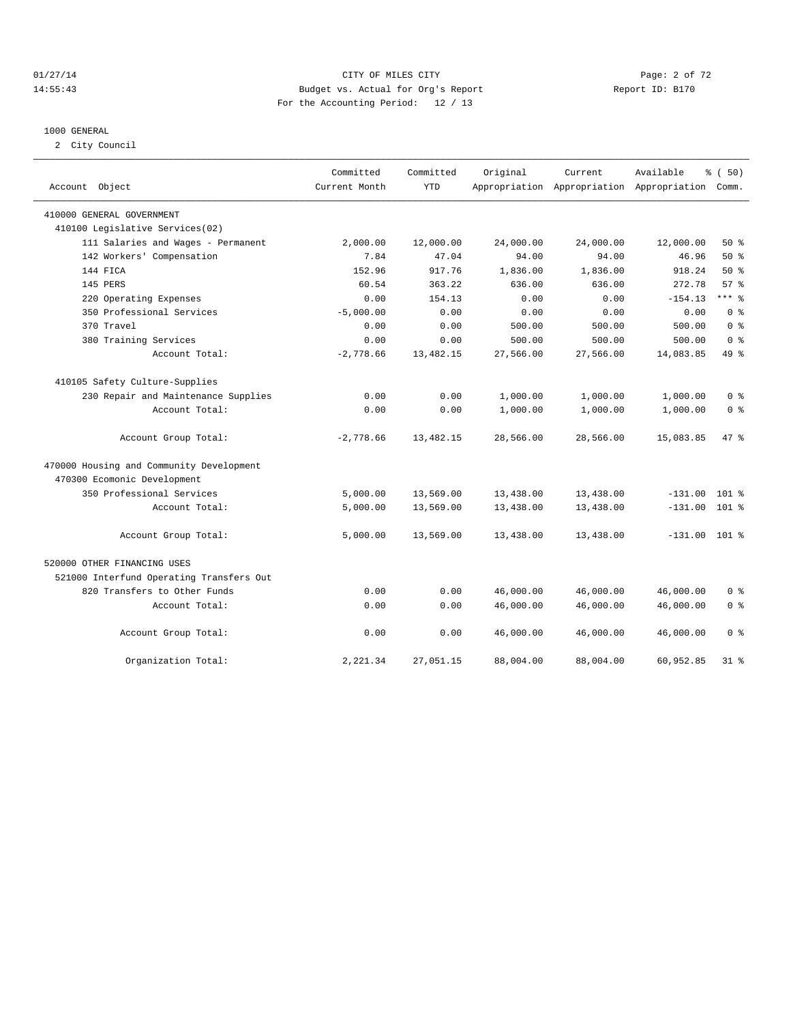## 01/27/14 Page: 2 of 72 14:55:43 Budget vs. Actual for Org's Report Report ID: B170 For the Accounting Period: 12 / 13

#### 1000 GENERAL

2 City Council

| Account Object                                                          | Committed<br>Current Month | Committed<br><b>YTD</b> | Original  | Current<br>Appropriation Appropriation Appropriation | Available       | % (50)<br>Comm. |
|-------------------------------------------------------------------------|----------------------------|-------------------------|-----------|------------------------------------------------------|-----------------|-----------------|
| 410000 GENERAL GOVERNMENT                                               |                            |                         |           |                                                      |                 |                 |
| 410100 Legislative Services(02)                                         |                            |                         |           |                                                      |                 |                 |
| 111 Salaries and Wages - Permanent                                      | 2,000.00                   | 12,000.00               | 24,000.00 | 24,000.00                                            | 12,000.00       | 50%             |
| 142 Workers' Compensation                                               | 7.84                       | 47.04                   | 94.00     | 94.00                                                | 46.96           | 50%             |
| 144 FICA                                                                | 152.96                     | 917.76                  | 1,836.00  | 1,836.00                                             | 918.24          | $50*$           |
| <b>145 PERS</b>                                                         | 60.54                      | 363.22                  | 636.00    | 636.00                                               | 272.78          | 57%             |
| 220 Operating Expenses                                                  | 0.00                       | 154.13                  | 0.00      | 0.00                                                 | $-154.13$       | $***$ $_{8}$    |
| 350 Professional Services                                               | $-5,000.00$                | 0.00                    | 0.00      | 0.00                                                 | 0.00            | 0 <sup>8</sup>  |
| 370 Travel                                                              | 0.00                       | 0.00                    | 500.00    | 500.00                                               | 500.00          | 0 <sup>8</sup>  |
| 380 Training Services                                                   | 0.00                       | 0.00                    | 500.00    | 500.00                                               | 500.00          | 0 <sup>8</sup>  |
| Account Total:                                                          | $-2,778.66$                | 13,482.15               | 27,566.00 | 27,566.00                                            | 14,083.85       | 49 %            |
| 410105 Safety Culture-Supplies                                          |                            |                         |           |                                                      |                 |                 |
| 230 Repair and Maintenance Supplies                                     | 0.00                       | 0.00                    | 1,000.00  | 1,000.00                                             | 1,000.00        | 0 <sup>8</sup>  |
| Account Total:                                                          | 0.00                       | 0.00                    | 1,000.00  | 1,000.00                                             | 1,000.00        | 0 <sup>8</sup>  |
| Account Group Total:                                                    | $-2,778.66$                | 13,482.15               | 28,566.00 | 28,566.00                                            | 15,083.85       | 47.8            |
| 470000 Housing and Community Development<br>470300 Ecomonic Development |                            |                         |           |                                                      |                 |                 |
| 350 Professional Services                                               | 5,000.00                   | 13,569.00               | 13,438.00 | 13,438.00                                            | $-131.00$       | $101$ %         |
| Account Total:                                                          | 5,000.00                   | 13,569.00               | 13,438.00 | 13,438.00                                            | $-131.00$       | $101$ %         |
| Account Group Total:                                                    | 5,000.00                   | 13,569.00               | 13,438.00 | 13,438.00                                            | $-131.00$ 101 % |                 |
| 520000 OTHER FINANCING USES                                             |                            |                         |           |                                                      |                 |                 |
| 521000 Interfund Operating Transfers Out                                |                            |                         |           |                                                      |                 |                 |
| 820 Transfers to Other Funds                                            | 0.00                       | 0.00                    | 46,000.00 | 46,000.00                                            | 46,000.00       | 0 <sup>8</sup>  |
| Account Total:                                                          | 0.00                       | 0.00                    | 46,000.00 | 46,000.00                                            | 46,000.00       | 0 <sup>8</sup>  |
| Account Group Total:                                                    | 0.00                       | 0.00                    | 46,000.00 | 46,000.00                                            | 46,000.00       | 0 <sup>8</sup>  |
| Organization Total:                                                     | 2,221.34                   | 27,051.15               | 88,004.00 | 88,004.00                                            | 60,952.85       | $31$ $%$        |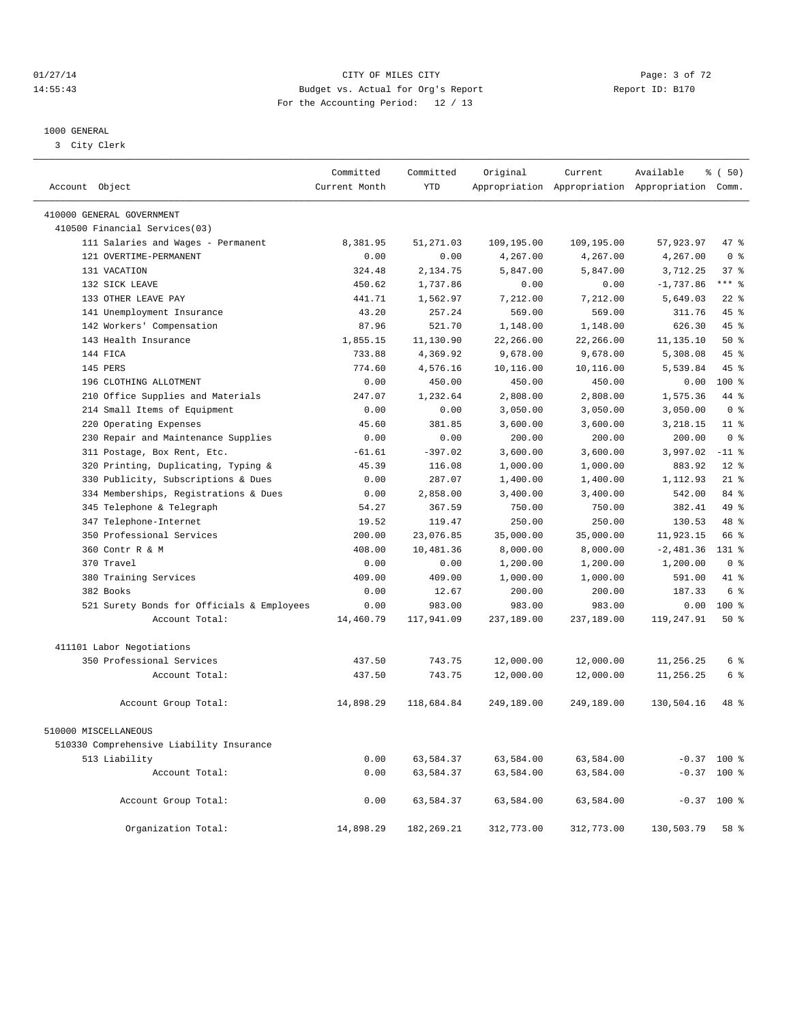## 01/27/14 Page: 3 of 72 14:55:43 Budget vs. Actual for Org's Report Report ID: B170 For the Accounting Period: 12 / 13

————————————————————————————————————————————————————————————————————————————————————————————————————————————————————————————————————

#### 1000 GENERAL

3 City Clerk

|                                            | Committed     | Committed    | Original   | Current    | Available                                       | % ( 50 )       |
|--------------------------------------------|---------------|--------------|------------|------------|-------------------------------------------------|----------------|
| Account Object                             | Current Month | <b>YTD</b>   |            |            | Appropriation Appropriation Appropriation Comm. |                |
| 410000 GENERAL GOVERNMENT                  |               |              |            |            |                                                 |                |
| 410500 Financial Services(03)              |               |              |            |            |                                                 |                |
| 111 Salaries and Wages - Permanent         | 8,381.95      | 51,271.03    | 109,195.00 | 109,195.00 | 57,923.97                                       | 47 %           |
| 121 OVERTIME-PERMANENT                     | 0.00          | 0.00         | 4,267.00   | 4,267.00   | 4,267.00                                        | 0 <sup>8</sup> |
| 131 VACATION                               | 324.48        | 2,134.75     | 5,847.00   | 5,847.00   | 3,712.25                                        | 37%            |
| 132 SICK LEAVE                             | 450.62        | 1,737.86     | 0.00       | 0.00       | $-1,737.86$                                     | $***$ 2        |
| 133 OTHER LEAVE PAY                        | 441.71        | 1,562.97     | 7,212.00   | 7,212.00   | 5,649.03                                        | $22$ $%$       |
| 141 Unemployment Insurance                 | 43.20         | 257.24       | 569.00     | 569.00     | 311.76                                          | 45%            |
| 142 Workers' Compensation                  | 87.96         | 521.70       | 1,148.00   | 1,148.00   | 626.30                                          | 45%            |
| 143 Health Insurance                       | 1,855.15      | 11,130.90    | 22,266.00  | 22,266.00  | 11, 135.10                                      | $50*$          |
| 144 FICA                                   | 733.88        | 4,369.92     | 9,678.00   | 9,678.00   | 5,308.08                                        | 45 %           |
| 145 PERS                                   | 774.60        | 4,576.16     | 10,116.00  | 10,116.00  | 5,539.84                                        | 45 %           |
| 196 CLOTHING ALLOTMENT                     | 0.00          | 450.00       | 450.00     | 450.00     | 0.00                                            | $100*$         |
| 210 Office Supplies and Materials          | 247.07        | 1,232.64     | 2,808.00   | 2,808.00   | 1,575.36                                        | 44 %           |
| 214 Small Items of Equipment               | 0.00          | 0.00         | 3,050.00   | 3,050.00   | 3,050.00                                        | 0 <sup>8</sup> |
| 220 Operating Expenses                     | 45.60         | 381.85       | 3,600.00   | 3,600.00   | 3,218.15                                        | $11$ %         |
| 230 Repair and Maintenance Supplies        | 0.00          | 0.00         | 200.00     | 200.00     | 200.00                                          | 0 <sup>8</sup> |
| 311 Postage, Box Rent, Etc.                | $-61.61$      | $-397.02$    | 3,600.00   | 3,600.00   | 3,997.02                                        | $-11$ %        |
| 320 Printing, Duplicating, Typing &        | 45.39         | 116.08       | 1,000.00   | 1,000.00   | 883.92                                          | $12*$          |
| 330 Publicity, Subscriptions & Dues        | 0.00          | 287.07       | 1,400.00   | 1,400.00   | 1,112.93                                        | $21$ %         |
| 334 Memberships, Registrations & Dues      | 0.00          | 2,858.00     | 3,400.00   | 3,400.00   | 542.00                                          | 84 %           |
| 345 Telephone & Telegraph                  | 54.27         | 367.59       | 750.00     | 750.00     | 382.41                                          | 49 %           |
| 347 Telephone-Internet                     | 19.52         | 119.47       | 250.00     | 250.00     | 130.53                                          | 48 %           |
| 350 Professional Services                  | 200.00        | 23,076.85    | 35,000.00  | 35,000.00  | 11,923.15                                       | 66 %           |
| 360 Contr R & M                            | 408.00        | 10,481.36    | 8,000.00   | 8,000.00   | $-2,481.36$                                     | $131$ $%$      |
| 370 Travel                                 | 0.00          | 0.00         | 1,200.00   | 1,200.00   | 1,200.00                                        | 0 <sup>8</sup> |
| 380 Training Services                      | 409.00        | 409.00       | 1,000.00   | 1,000.00   | 591.00                                          | 41 %           |
| 382 Books                                  | 0.00          | 12.67        | 200.00     | 200.00     | 187.33                                          | 6 %            |
| 521 Surety Bonds for Officials & Employees | 0.00          | 983.00       | 983.00     | 983.00     | 0.00                                            | $100*$         |
| Account Total:                             | 14,460.79     | 117,941.09   | 237,189.00 | 237,189.00 | 119,247.91                                      | 50%            |
|                                            |               |              |            |            |                                                 |                |
| 411101 Labor Negotiations                  |               |              |            |            |                                                 |                |
| 350 Professional Services                  | 437.50        | 743.75       | 12,000.00  | 12,000.00  | 11,256.25                                       | 6 %            |
| Account Total:                             | 437.50        | 743.75       | 12,000.00  | 12,000.00  | 11,256.25                                       | 6 %            |
| Account Group Total:                       | 14,898.29     | 118,684.84   | 249,189.00 | 249,189.00 | 130,504.16                                      | 48 %           |
| 510000 MISCELLANEOUS                       |               |              |            |            |                                                 |                |
| 510330 Comprehensive Liability Insurance   |               |              |            |            |                                                 |                |
| 513 Liability                              | 0.00          | 63,584.37    | 63,584.00  | 63,584.00  |                                                 | $-0.37$ 100 %  |
| Account Total:                             | 0.00          | 63,584.37    | 63,584.00  | 63,584.00  |                                                 | $-0.37$ 100 %  |
|                                            |               |              |            |            |                                                 |                |
| Account Group Total:                       | 0.00          | 63,584.37    | 63,584.00  | 63,584.00  |                                                 | $-0.37$ 100 %  |
| Organization Total:                        | 14,898.29     | 182, 269. 21 | 312,773.00 | 312,773.00 | 130,503.79                                      | 58 %           |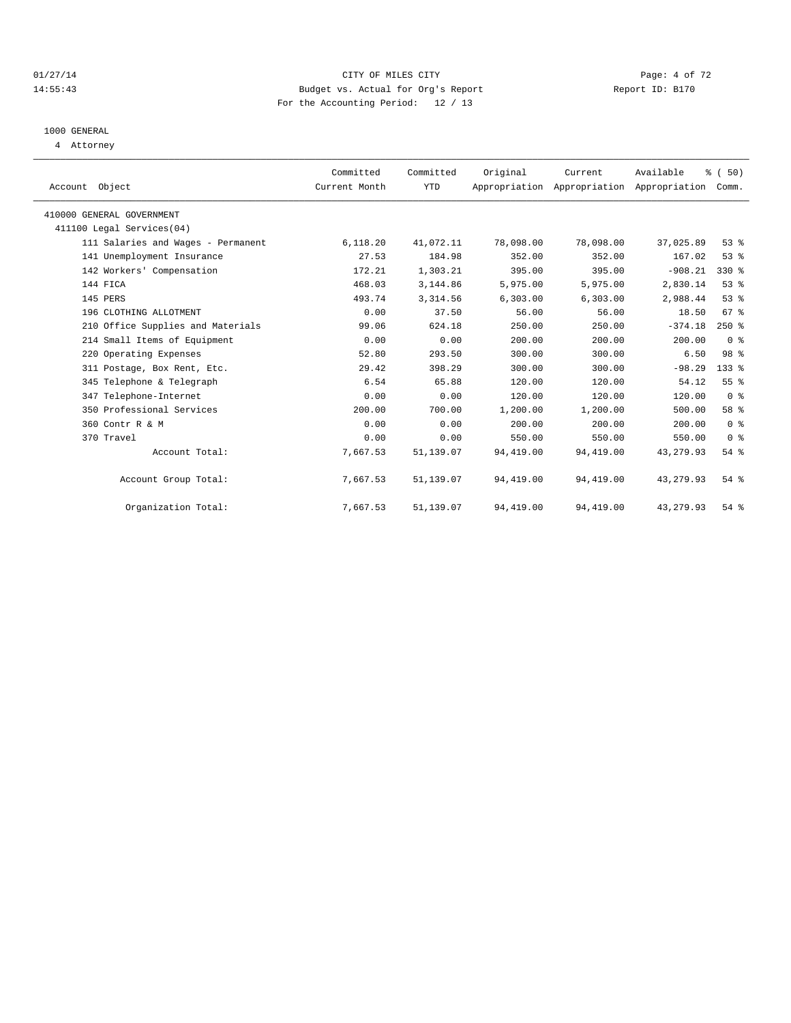#### 01/27/14 Page: 4 of 72 14:55:43 Budget vs. Actual for Org's Report Report ID: B170 For the Accounting Period: 12 / 13

# 1000 GENERAL

4 Attorney

| Account Object             |                                    | Committed<br>Current Month | Committed<br>YTD | Original   | Current<br>Appropriation Appropriation Appropriation | Available  | % (50)<br>Comm. |  |
|----------------------------|------------------------------------|----------------------------|------------------|------------|------------------------------------------------------|------------|-----------------|--|
|                            |                                    |                            |                  |            |                                                      |            |                 |  |
| 410000 GENERAL GOVERNMENT  |                                    |                            |                  |            |                                                      |            |                 |  |
| 411100 Legal Services (04) |                                    |                            |                  |            |                                                      |            |                 |  |
|                            | 111 Salaries and Wages - Permanent | 6,118.20                   | 41,072.11        | 78,098.00  | 78,098.00                                            | 37,025.89  | 53%             |  |
|                            | 141 Unemployment Insurance         | 27.53                      | 184.98           | 352.00     | 352.00                                               | 167.02     | 53%             |  |
|                            | 142 Workers' Compensation          | 172.21                     | 1,303.21         | 395.00     | 395.00                                               | $-908.21$  | 330 %           |  |
| 144 FICA                   |                                    | 468.03                     | 3,144.86         | 5,975.00   | 5,975.00                                             | 2,830.14   | 53%             |  |
| 145 PERS                   |                                    | 493.74                     | 3,314.56         | 6,303.00   | 6,303.00                                             | 2,988.44   | 53%             |  |
|                            | 196 CLOTHING ALLOTMENT             | 0.00                       | 37.50            | 56.00      | 56.00                                                | 18.50      | 67 <sup>8</sup> |  |
|                            | 210 Office Supplies and Materials  | 99.06                      | 624.18           | 250.00     | 250.00                                               | $-374.18$  | $250*$          |  |
|                            | 214 Small Items of Equipment       | 0.00                       | 0.00             | 200.00     | 200.00                                               | 200.00     | 0 <sup>8</sup>  |  |
|                            | 220 Operating Expenses             | 52.80                      | 293.50           | 300.00     | 300.00                                               | 6.50       | 98 %            |  |
|                            | 311 Postage, Box Rent, Etc.        | 29.42                      | 398.29           | 300.00     | 300.00                                               | $-98.29$   | 133 %           |  |
|                            | 345 Telephone & Telegraph          | 6.54                       | 65.88            | 120.00     | 120.00                                               | 54.12      | 55 %            |  |
|                            | 347 Telephone-Internet             | 0.00                       | 0.00             | 120.00     | 120.00                                               | 120.00     | 0 <sup>8</sup>  |  |
|                            | 350 Professional Services          | 200.00                     | 700.00           | 1,200.00   | 1,200.00                                             | 500.00     | 58 %            |  |
| 360 Contr R & M            |                                    | 0.00                       | 0.00             | 200.00     | 200.00                                               | 200.00     | 0 <sup>8</sup>  |  |
| 370 Travel                 |                                    | 0.00                       | 0.00             | 550.00     | 550.00                                               | 550.00     | 0 <sup>8</sup>  |  |
|                            | Account Total:                     | 7,667.53                   | 51,139.07        | 94,419.00  | 94,419.00                                            | 43, 279.93 | $54$ %          |  |
|                            | Account Group Total:               | 7,667.53                   | 51,139.07        | 94,419.00  | 94,419.00                                            | 43, 279.93 | $54$ $%$        |  |
|                            | Organization Total:                | 7,667.53                   | 51,139.07        | 94, 419.00 | 94, 419.00                                           | 43, 279.93 | 54 %            |  |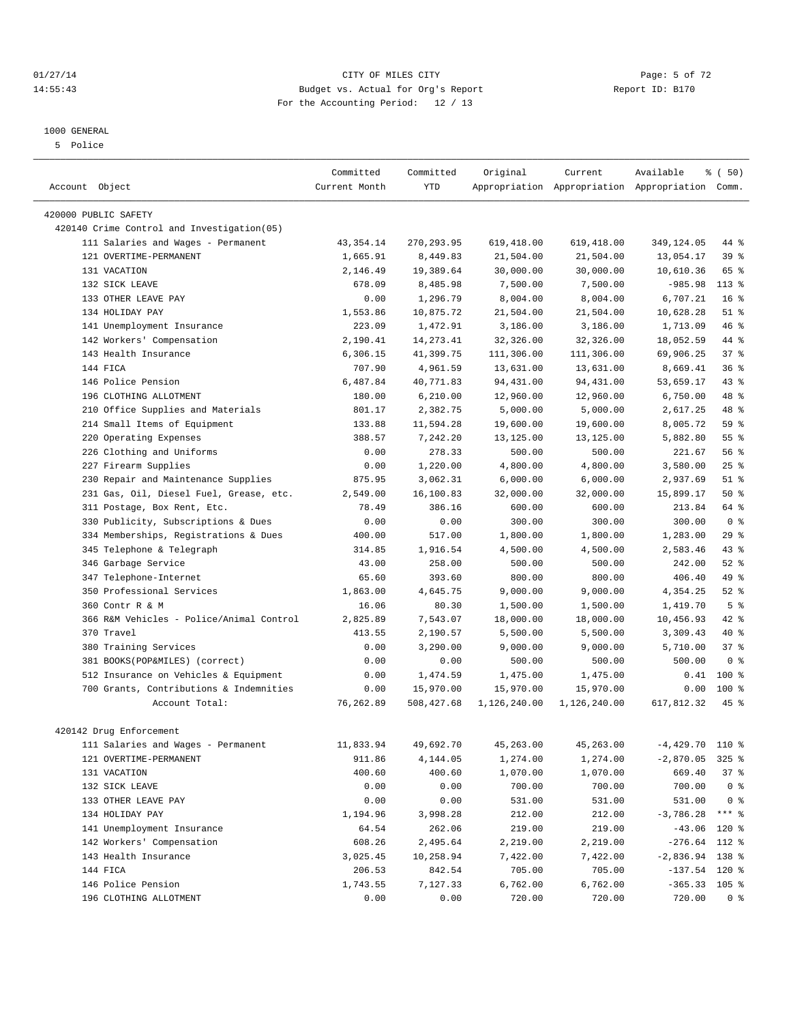#### 01/27/14 Page: 5 of 72 14:55:43 Budget vs. Actual for Org's Report Report ID: B170 For the Accounting Period: 12 / 13

————————————————————————————————————————————————————————————————————————————————————————————————————————————————————————————————————

#### 1000 GENERAL

5 Police

|                                            | Committed     | Committed   | Original     | Current      | Available                                       | $\frac{1}{6}$ (50) |
|--------------------------------------------|---------------|-------------|--------------|--------------|-------------------------------------------------|--------------------|
| Account Object                             | Current Month | <b>YTD</b>  |              |              | Appropriation Appropriation Appropriation Comm. |                    |
| 420000 PUBLIC SAFETY                       |               |             |              |              |                                                 |                    |
| 420140 Crime Control and Investigation(05) |               |             |              |              |                                                 |                    |
| 111 Salaries and Wages - Permanent         | 43, 354. 14   | 270, 293.95 | 619,418.00   | 619,418.00   | 349,124.05                                      | 44 %               |
| 121 OVERTIME-PERMANENT                     | 1,665.91      | 8,449.83    | 21,504.00    | 21,504.00    | 13,054.17                                       | 39 %               |
| 131 VACATION                               | 2,146.49      | 19,389.64   | 30,000.00    | 30,000.00    | 10,610.36                                       | 65 %               |
| 132 SICK LEAVE                             | 678.09        | 8,485.98    | 7,500.00     | 7,500.00     | $-985.98$                                       | $113*$             |
| 133 OTHER LEAVE PAY                        | 0.00          | 1,296.79    | 8,004.00     | 8,004.00     | 6,707.21                                        | 16 <sup>8</sup>    |
| 134 HOLIDAY PAY                            | 1,553.86      | 10,875.72   | 21,504.00    | 21,504.00    | 10,628.28                                       | $51$ %             |
| 141 Unemployment Insurance                 | 223.09        | 1,472.91    | 3,186.00     | 3,186.00     | 1,713.09                                        | 46 %               |
|                                            | 2,190.41      |             |              | 32,326.00    |                                                 |                    |
| 142 Workers' Compensation                  |               | 14, 273. 41 | 32,326.00    |              | 18,052.59                                       | 44 %               |
| 143 Health Insurance                       | 6,306.15      | 41,399.75   | 111,306.00   | 111,306.00   | 69,906.25                                       | 37%                |
| 144 FICA                                   | 707.90        | 4,961.59    | 13,631.00    | 13,631.00    | 8,669.41                                        | 36%                |
| 146 Police Pension                         | 6,487.84      | 40,771.83   | 94, 431.00   | 94,431.00    | 53,659.17                                       | 43 %               |
| 196 CLOTHING ALLOTMENT                     | 180.00        | 6, 210.00   | 12,960.00    | 12,960.00    | 6,750.00                                        | 48 %               |
| 210 Office Supplies and Materials          | 801.17        | 2,382.75    | 5,000.00     | 5,000.00     | 2,617.25                                        | 48 %               |
| 214 Small Items of Equipment               | 133.88        | 11,594.28   | 19,600.00    | 19,600.00    | 8,005.72                                        | 59 %               |
| 220 Operating Expenses                     | 388.57        | 7,242.20    | 13,125.00    | 13,125.00    | 5,882.80                                        | $55$ $%$           |
| 226 Clothing and Uniforms                  | 0.00          | 278.33      | 500.00       | 500.00       | 221.67                                          | 56 %               |
| 227 Firearm Supplies                       | 0.00          | 1,220.00    | 4,800.00     | 4,800.00     | 3,580.00                                        | $25$ $%$           |
| 230 Repair and Maintenance Supplies        | 875.95        | 3,062.31    | 6,000.00     | 6,000.00     | 2,937.69                                        | $51$ %             |
| 231 Gas, Oil, Diesel Fuel, Grease, etc.    | 2,549.00      | 16,100.83   | 32,000.00    | 32,000.00    | 15,899.17                                       | 50%                |
| 311 Postage, Box Rent, Etc.                | 78.49         | 386.16      | 600.00       | 600.00       | 213.84                                          | 64 %               |
| 330 Publicity, Subscriptions & Dues        | 0.00          | 0.00        | 300.00       | 300.00       | 300.00                                          | 0 <sup>8</sup>     |
| 334 Memberships, Registrations & Dues      | 400.00        | 517.00      | 1,800.00     | 1,800.00     | 1,283.00                                        | 29%                |
| 345 Telephone & Telegraph                  | 314.85        | 1,916.54    | 4,500.00     | 4,500.00     | 2,583.46                                        | $43$ $%$           |
| 346 Garbage Service                        | 43.00         | 258.00      | 500.00       | 500.00       | 242.00                                          | $52$ $%$           |
| 347 Telephone-Internet                     | 65.60         | 393.60      | 800.00       | 800.00       | 406.40                                          | 49 %               |
| 350 Professional Services                  | 1,863.00      | 4,645.75    | 9,000.00     | 9,000.00     | 4,354.25                                        | $52$ $%$           |
| 360 Contr R & M                            | 16.06         | 80.30       | 1,500.00     | 1,500.00     | 1,419.70                                        | 5 <sup>°</sup>     |
| 366 R&M Vehicles - Police/Animal Control   | 2,825.89      | 7,543.07    | 18,000.00    | 18,000.00    | 10,456.93                                       | 42 %               |
| 370 Travel                                 | 413.55        | 2,190.57    | 5,500.00     | 5,500.00     | 3,309.43                                        | 40 %               |
| 380 Training Services                      | 0.00          | 3,290.00    | 9,000.00     | 9,000.00     | 5,710.00                                        | 37%                |
| 381 BOOKS(POP&MILES) (correct)             | 0.00          | 0.00        | 500.00       | 500.00       | 500.00                                          | 0 <sup>8</sup>     |
| 512 Insurance on Vehicles & Equipment      | 0.00          | 1,474.59    | 1,475.00     | 1,475.00     | 0.41                                            | $100*$             |
| 700 Grants, Contributions & Indemnities    | 0.00          | 15,970.00   | 15,970.00    | 15,970.00    | 0.00                                            | $100$ %            |
| Account Total:                             | 76,262.89     | 508,427.68  | 1,126,240.00 | 1,126,240.00 | 617,812.32                                      | $45$ %             |
| 420142 Drug Enforcement                    |               |             |              |              |                                                 |                    |
| 111 Salaries and Wages - Permanent         | 11,833.94     | 49,692.70   | 45,263.00    | 45,263.00    | $-4,429.70$ 110 %                               |                    |
| 121 OVERTIME-PERMANENT                     | 911.86        | 4,144.05    | 1,274.00     | 1,274.00     | $-2,870.05$ 325 %                               |                    |
| 131 VACATION                               | 400.60        | 400.60      | 1,070.00     | 1,070.00     | 669.40                                          | 37%                |
| 132 SICK LEAVE                             | 0.00          | 0.00        | 700.00       | 700.00       | 700.00                                          | 0 <sup>8</sup>     |
| 133 OTHER LEAVE PAY                        | 0.00          | 0.00        | 531.00       | 531.00       | 531.00                                          | 0 <sup>8</sup>     |
| 134 HOLIDAY PAY                            | 1,194.96      | 3,998.28    | 212.00       | 212.00       | $-3,786.28$                                     | $***$ $_{8}$       |
| 141 Unemployment Insurance                 | 64.54         | 262.06      | 219.00       | 219.00       | $-43.06$ 120 %                                  |                    |
| 142 Workers' Compensation                  | 608.26        | 2,495.64    | 2,219.00     | 2,219.00     | $-276.64$ 112 %                                 |                    |
| 143 Health Insurance                       | 3,025.45      | 10,258.94   | 7,422.00     | 7,422.00     | $-2,836.94$ 138 %                               |                    |
| 144 FICA                                   | 206.53        | 842.54      | 705.00       | 705.00       | $-137.54$ 120 %                                 |                    |
| 146 Police Pension                         | 1,743.55      | 7,127.33    | 6,762.00     | 6,762.00     | $-365.33$ 105 %                                 |                    |
| 196 CLOTHING ALLOTMENT                     | 0.00          | 0.00        | 720.00       | 720.00       | 720.00                                          | 0 <sup>8</sup>     |
|                                            |               |             |              |              |                                                 |                    |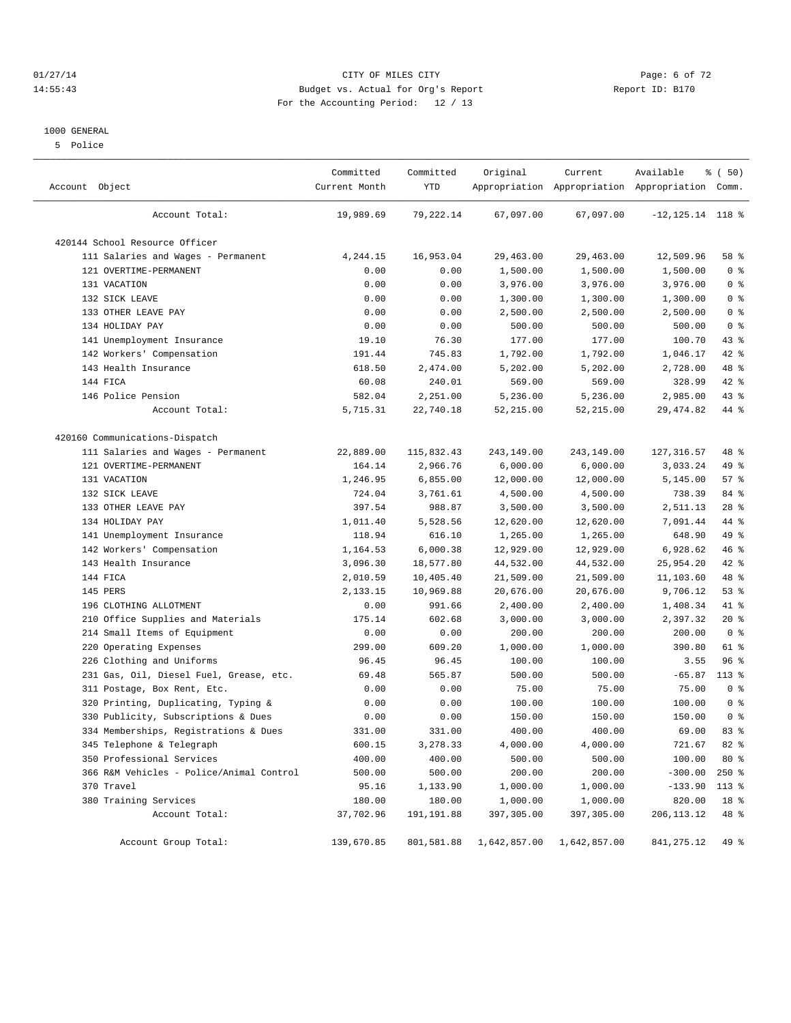#### 01/27/14 Page: 6 of 72 14:55:43 Budget vs. Actual for Org's Report Report ID: B170 For the Accounting Period: 12 / 13

#### 1000 GENERAL

5 Police

| Account Object                           | Committed<br>Current Month | Committed<br>YTD | Original     | Current      | Available<br>Appropriation Appropriation Appropriation Comm. | % ( 50)        |
|------------------------------------------|----------------------------|------------------|--------------|--------------|--------------------------------------------------------------|----------------|
| Account Total:                           | 19,989.69                  | 79,222.14        | 67,097.00    | 67,097.00    | $-12, 125.14$ 118 %                                          |                |
| 420144 School Resource Officer           |                            |                  |              |              |                                                              |                |
| 111 Salaries and Wages - Permanent       | 4,244.15                   | 16,953.04        | 29,463.00    | 29,463.00    | 12,509.96                                                    | 58 %           |
| 121 OVERTIME-PERMANENT                   | 0.00                       | 0.00             | 1,500.00     | 1,500.00     | 1,500.00                                                     | 0 <sup>8</sup> |
| 131 VACATION                             | 0.00                       | 0.00             | 3,976.00     | 3,976.00     | 3,976.00                                                     | 0 <sup>8</sup> |
| 132 SICK LEAVE                           | 0.00                       | 0.00             | 1,300.00     | 1,300.00     | 1,300.00                                                     | 0 <sup>8</sup> |
| 133 OTHER LEAVE PAY                      | 0.00                       | 0.00             | 2,500.00     | 2,500.00     | 2,500.00                                                     | 0 <sup>8</sup> |
| 134 HOLIDAY PAY                          | 0.00                       | 0.00             | 500.00       | 500.00       | 500.00                                                       | 0 <sup>8</sup> |
| 141 Unemployment Insurance               | 19.10                      | 76.30            | 177.00       | 177.00       | 100.70                                                       | 43 %           |
| 142 Workers' Compensation                | 191.44                     | 745.83           | 1,792.00     | 1,792.00     | 1,046.17                                                     | 42 %           |
| 143 Health Insurance                     | 618.50                     | 2,474.00         | 5,202.00     | 5,202.00     | 2,728.00                                                     | 48 %           |
| 144 FICA                                 | 60.08                      | 240.01           | 569.00       | 569.00       | 328.99                                                       | 42 %           |
| 146 Police Pension                       | 582.04                     | 2,251.00         | 5,236.00     | 5,236.00     | 2,985.00                                                     | 43 %           |
| Account Total:                           | 5,715.31                   | 22,740.18        | 52, 215.00   | 52, 215.00   | 29, 474.82                                                   | 44 %           |
| 420160 Communications-Dispatch           |                            |                  |              |              |                                                              |                |
| 111 Salaries and Wages - Permanent       | 22,889.00                  | 115,832.43       | 243,149.00   | 243,149.00   | 127, 316.57                                                  | 48 %           |
| 121 OVERTIME-PERMANENT                   | 164.14                     | 2,966.76         | 6,000.00     | 6,000.00     | 3,033.24                                                     | 49 %           |
| 131 VACATION                             | 1,246.95                   | 6,855.00         | 12,000.00    | 12,000.00    | 5,145.00                                                     | 57%            |
| 132 SICK LEAVE                           | 724.04                     | 3,761.61         | 4,500.00     | 4,500.00     | 738.39                                                       | 84 %           |
| 133 OTHER LEAVE PAY                      | 397.54                     | 988.87           | 3,500.00     | 3,500.00     | 2,511.13                                                     | $28$ %         |
| 134 HOLIDAY PAY                          | 1,011.40                   | 5,528.56         | 12,620.00    | 12,620.00    | 7,091.44                                                     | 44 %           |
| 141 Unemployment Insurance               | 118.94                     | 616.10           | 1,265.00     | 1,265.00     | 648.90                                                       | 49 %           |
| 142 Workers' Compensation                | 1,164.53                   | 6,000.38         | 12,929.00    | 12,929.00    | 6,928.62                                                     | 46 %           |
| 143 Health Insurance                     | 3,096.30                   | 18,577.80        | 44,532.00    | 44,532.00    | 25,954.20                                                    | 42 %           |
| 144 FICA                                 | 2,010.59                   | 10,405.40        | 21,509.00    | 21,509.00    | 11,103.60                                                    | 48 %           |
| 145 PERS                                 | 2,133.15                   | 10,969.88        | 20,676.00    | 20,676.00    | 9,706.12                                                     | 53%            |
| 196 CLOTHING ALLOTMENT                   | 0.00                       | 991.66           | 2,400.00     | 2,400.00     | 1,408.34                                                     | 41 %           |
| Office Supplies and Materials<br>210     | 175.14                     | 602.68           | 3,000.00     | 3,000.00     | 2,397.32                                                     | $20*$          |
| 214 Small Items of Equipment             | 0.00                       | 0.00             | 200.00       | 200.00       | 200.00                                                       | 0 <sup>8</sup> |
| 220 Operating Expenses                   | 299.00                     | 609.20           | 1,000.00     | 1,000.00     | 390.80                                                       | 61 %           |
| 226 Clothing and Uniforms                | 96.45                      | 96.45            | 100.00       | 100.00       | 3.55                                                         | 96%            |
| 231 Gas, Oil, Diesel Fuel, Grease, etc.  | 69.48                      | 565.87           | 500.00       | 500.00       | $-65.87$                                                     | $113$ %        |
| 311 Postage, Box Rent, Etc.              | 0.00                       | 0.00             | 75.00        | 75.00        | 75.00                                                        | 0 <sup>8</sup> |
| 320 Printing, Duplicating, Typing &      | 0.00                       | 0.00             | 100.00       | 100.00       | 100.00                                                       | 0 <sup>8</sup> |
| 330 Publicity, Subscriptions & Dues      | 0.00                       | 0.00             | 150.00       | 150.00       | 150.00                                                       | 0 <sup>8</sup> |
| 334 Memberships, Registrations & Dues    | 331.00                     | 331.00           | 400.00       | 400.00       | 69.00                                                        | 83%            |
| 345 Telephone & Telegraph                | 600.15                     | 3,278.33         | 4,000.00     | 4,000.00     | 721.67                                                       | 82 %           |
| 350 Professional Services                | 400.00                     | 400.00           | 500.00       | 500.00       | 100.00                                                       | 80 %           |
| 366 R&M Vehicles - Police/Animal Control | 500.00                     | 500.00           | 200.00       | 200.00       | $-300.00$                                                    | $250*$         |
| 370 Travel                               | 95.16                      | 1,133.90         | 1,000.00     | 1,000.00     | $-133.90$                                                    | $113*$         |
| 380 Training Services                    | 180.00                     | 180.00           | 1,000.00     | 1,000.00     | 820.00                                                       | 18 %           |
| Account Total:                           | 37,702.96                  | 191, 191.88      | 397,305.00   | 397,305.00   | 206, 113. 12                                                 | 48 %           |
| Account Group Total:                     | 139,670.85                 | 801,581.88       | 1,642,857.00 | 1,642,857.00 | 841, 275.12                                                  | 49 %           |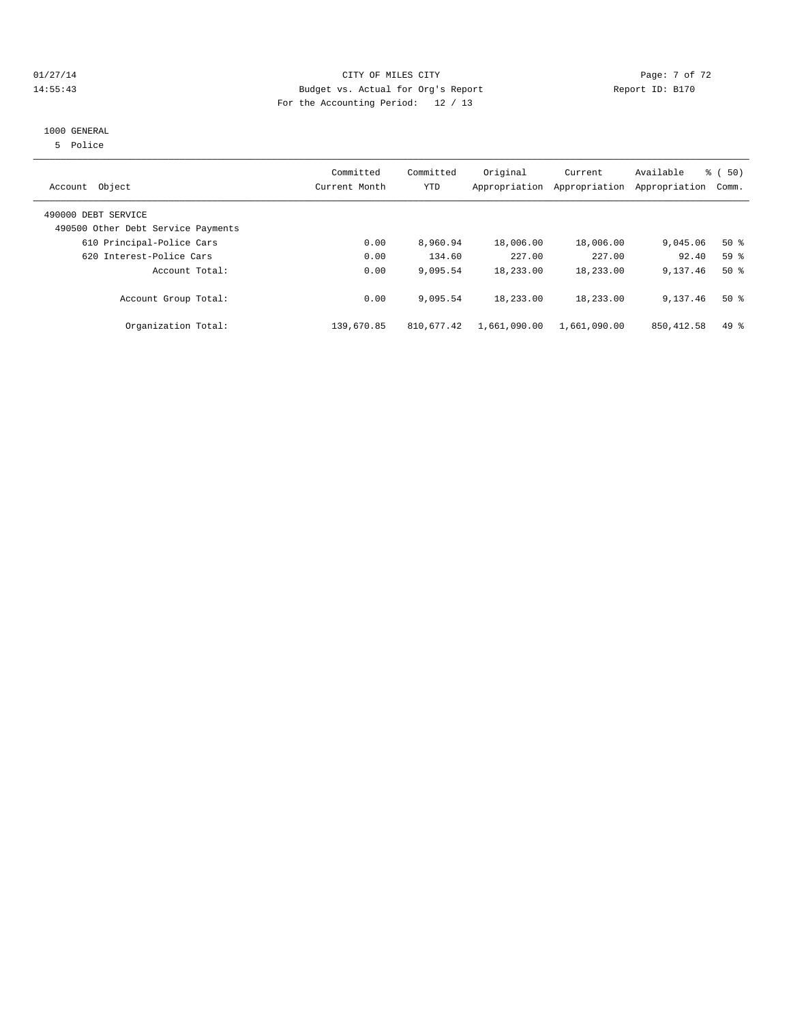## 01/27/14 Page: 7 of 72 14:55:43 Budget vs. Actual for Org's Report Report ID: B170 For the Accounting Period: 12 / 13

#### 1000 GENERAL

5 Police

| Object<br>Account                                         | Committed<br>Current Month | Committed<br>YTD | Original     | Current<br>Appropriation Appropriation | Available<br>Appropriation | % (50)<br>Comm. |
|-----------------------------------------------------------|----------------------------|------------------|--------------|----------------------------------------|----------------------------|-----------------|
| 490000 DEBT SERVICE<br>490500 Other Debt Service Payments |                            |                  |              |                                        |                            |                 |
| 610 Principal-Police Cars                                 | 0.00                       | 8,960.94         | 18,006.00    | 18,006.00                              | 9,045.06                   | $50*$           |
| 620 Interest-Police Cars                                  | 0.00                       | 134.60           | 227.00       | 227.00                                 | 92.40                      | 59 <sup>8</sup> |
| Account Total:                                            | 0.00                       | 9,095.54         | 18,233.00    | 18,233.00                              | 9,137.46                   | $50*$           |
| Account Group Total:                                      | 0.00                       | 9,095.54         | 18,233.00    | 18,233.00                              | 9,137.46                   | $50*$           |
| Organization Total:                                       | 139,670.85                 | 810,677.42       | 1,661,090.00 | 1,661,090.00                           | 850, 412.58                | $49*$           |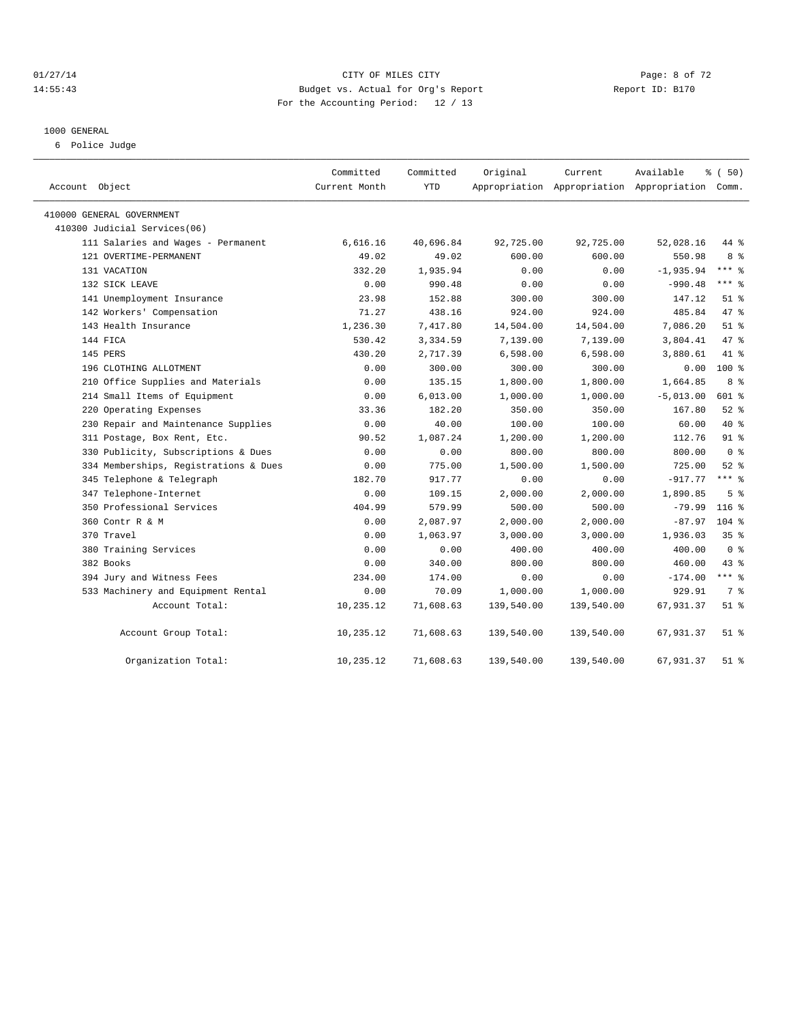#### 01/27/14 Page: 8 of 72 14:55:43 Budget vs. Actual for Org's Report Report ID: B170 For the Accounting Period: 12 / 13

#### 1000 GENERAL

6 Police Judge

| Account Object                        | Committed<br>Current Month | Committed<br><b>YTD</b> | Original   | Current<br>Appropriation Appropriation Appropriation Comm. | Available   | % (50)          |
|---------------------------------------|----------------------------|-------------------------|------------|------------------------------------------------------------|-------------|-----------------|
| 410000 GENERAL GOVERNMENT             |                            |                         |            |                                                            |             |                 |
| 410300 Judicial Services(06)          |                            |                         |            |                                                            |             |                 |
| 111 Salaries and Wages - Permanent    | 6,616.16                   | 40,696.84               | 92,725.00  | 92,725.00                                                  | 52,028.16   | 44 %            |
| 121 OVERTIME-PERMANENT                | 49.02                      | 49.02                   | 600.00     | 600.00                                                     | 550.98      | 8 %             |
| 131 VACATION                          | 332.20                     | 1,935.94                | 0.00       | 0.00                                                       | $-1,935.94$ | $***$ $-$       |
| 132 SICK LEAVE                        | 0.00                       | 990.48                  | 0.00       | 0.00                                                       | $-990.48$   | $***$ 8         |
| 141 Unemployment Insurance            | 23.98                      | 152.88                  | 300.00     | 300.00                                                     | 147.12      | $51$ $%$        |
| 142 Workers' Compensation             | 71.27                      | 438.16                  | 924.00     | 924.00                                                     | 485.84      | 47.8            |
| 143 Health Insurance                  | 1,236.30                   | 7,417.80                | 14,504.00  | 14,504.00                                                  | 7,086.20    | $51$ $%$        |
| 144 FICA                              | 530.42                     | 3,334.59                | 7,139.00   | 7,139.00                                                   | 3,804.41    | 47.8            |
| 145 PERS                              | 430.20                     | 2,717.39                | 6,598.00   | 6,598.00                                                   | 3,880.61    | 41 %            |
| 196 CLOTHING ALLOTMENT                | 0.00                       | 300.00                  | 300.00     | 300.00                                                     | 0.00        | $100*$          |
| 210 Office Supplies and Materials     | 0.00                       | 135.15                  | 1,800.00   | 1,800.00                                                   | 1,664.85    | 8 %             |
| 214 Small Items of Equipment          | 0.00                       | 6,013.00                | 1,000.00   | 1,000.00                                                   | $-5,013.00$ | 601 %           |
| 220 Operating Expenses                | 33.36                      | 182.20                  | 350.00     | 350.00                                                     | 167.80      | $52$ $%$        |
| 230 Repair and Maintenance Supplies   | 0.00                       | 40.00                   | 100.00     | 100.00                                                     | 60.00       | $40*$           |
| 311 Postage, Box Rent, Etc.           | 90.52                      | 1,087.24                | 1,200.00   | 1,200.00                                                   | 112.76      | $91$ $%$        |
| 330 Publicity, Subscriptions & Dues   | 0.00                       | 0.00                    | 800.00     | 800.00                                                     | 800.00      | 0 <sup>8</sup>  |
| 334 Memberships, Registrations & Dues | 0.00                       | 775.00                  | 1,500.00   | 1,500.00                                                   | 725.00      | $52$ $%$        |
| 345 Telephone & Telegraph             | 182.70                     | 917.77                  | 0.00       | 0.00                                                       | $-917.77$   | $***$ 2         |
| 347 Telephone-Internet                | 0.00                       | 109.15                  | 2,000.00   | 2,000.00                                                   | 1,890.85    | 5 <sup>8</sup>  |
| 350 Professional Services             | 404.99                     | 579.99                  | 500.00     | 500.00                                                     | $-79.99$    | $116$ %         |
| 360 Contr R & M                       | 0.00                       | 2,087.97                | 2,000.00   | 2,000.00                                                   | $-87.97$    | $104$ %         |
| 370 Travel                            | 0.00                       | 1,063.97                | 3,000.00   | 3,000.00                                                   | 1,936.03    | 35 <sup>8</sup> |
| 380 Training Services                 | 0.00                       | 0.00                    | 400.00     | 400.00                                                     | 400.00      | 0 <sup>8</sup>  |
| 382 Books                             | 0.00                       | 340.00                  | 800.00     | 800.00                                                     | 460.00      | $43$ %          |
| 394 Jury and Witness Fees             | 234.00                     | 174.00                  | 0.00       | 0.00                                                       | $-174.00$   | $***$ $_{8}$    |
| 533 Machinery and Equipment Rental    | 0.00                       | 70.09                   | 1,000.00   | 1,000.00                                                   | 929.91      | 7 <sup>°</sup>  |
| Account Total:                        | 10,235.12                  | 71,608.63               | 139,540.00 | 139,540.00                                                 | 67,931.37   | $51$ %          |
| Account Group Total:                  | 10,235.12                  | 71,608.63               | 139,540.00 | 139,540.00                                                 | 67,931.37   | $51$ $%$        |
| Organization Total:                   | 10,235.12                  | 71,608.63               | 139,540.00 | 139,540.00                                                 | 67,931.37   | 51 %            |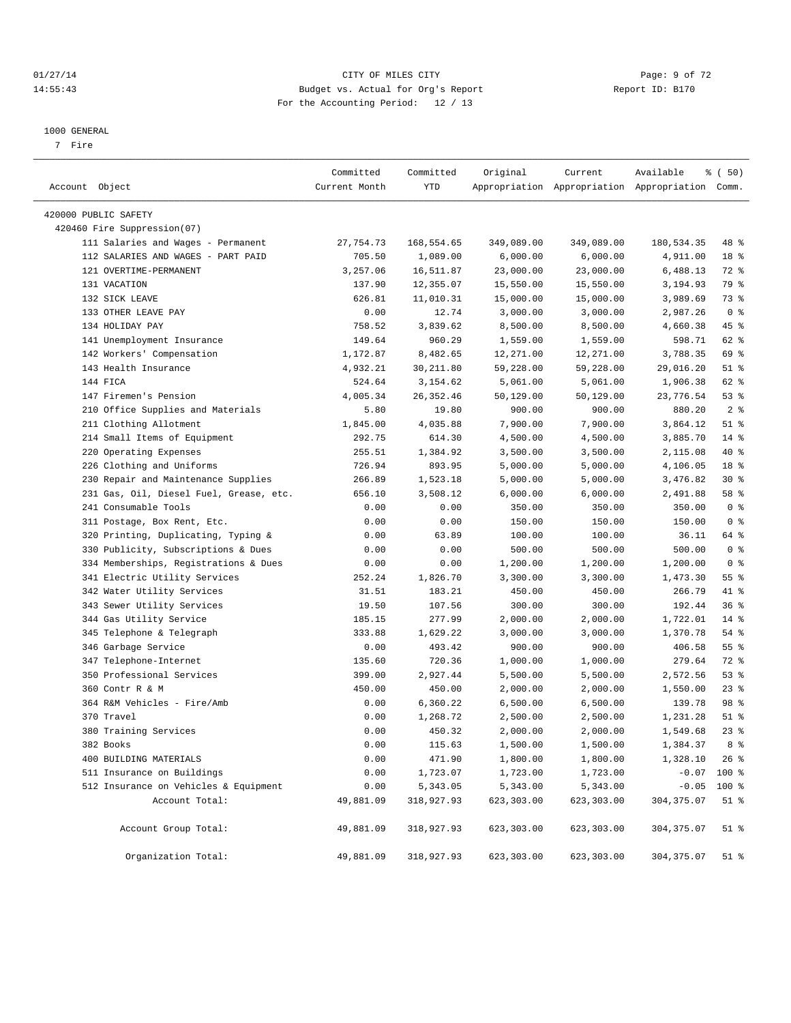#### 01/27/14 Page: 9 of 72 14:55:43 Budget vs. Actual for Org's Report Report ID: B170 For the Accounting Period: 12 / 13

————————————————————————————————————————————————————————————————————————————————————————————————————————————————————————————————————

#### 1000 GENERAL

7 Fire

|                                         | Committed     | Committed  | Original   | Current    | Available                                       | % (50)          |  |
|-----------------------------------------|---------------|------------|------------|------------|-------------------------------------------------|-----------------|--|
| Account Object                          | Current Month | YTD        |            |            | Appropriation Appropriation Appropriation Comm. |                 |  |
| 420000 PUBLIC SAFETY                    |               |            |            |            |                                                 |                 |  |
| 420460 Fire Suppression(07)             |               |            |            |            |                                                 |                 |  |
| 111 Salaries and Wages - Permanent      | 27,754.73     | 168,554.65 | 349,089.00 | 349,089.00 | 180,534.35                                      | 48 %            |  |
| 112 SALARIES AND WAGES - PART PAID      | 705.50        | 1,089.00   | 6,000.00   | 6,000.00   | 4,911.00                                        | 18 %            |  |
| 121 OVERTIME-PERMANENT                  | 3,257.06      | 16,511.87  | 23,000.00  | 23,000.00  | 6,488.13                                        | 72 %            |  |
| 131 VACATION                            | 137.90        | 12,355.07  | 15,550.00  | 15,550.00  | 3,194.93                                        | 79 %            |  |
| 132 SICK LEAVE                          | 626.81        | 11,010.31  | 15,000.00  | 15,000.00  | 3,989.69                                        | 73 %            |  |
| 133 OTHER LEAVE PAY                     | 0.00          | 12.74      | 3,000.00   | 3,000.00   | 2,987.26                                        | 0 <sup>8</sup>  |  |
| 134 HOLIDAY PAY                         | 758.52        | 3,839.62   | 8,500.00   | 8,500.00   | 4,660.38                                        | 45 %            |  |
| 141 Unemployment Insurance              | 149.64        | 960.29     | 1,559.00   | 1,559.00   | 598.71                                          | 62 %            |  |
| 142 Workers' Compensation               | 1,172.87      | 8,482.65   | 12,271.00  | 12,271.00  | 3,788.35                                        | 69 %            |  |
| 143 Health Insurance                    | 4,932.21      | 30,211.80  | 59,228.00  | 59,228.00  | 29,016.20                                       | $51$ %          |  |
| 144 FICA                                | 524.64        | 3,154.62   | 5,061.00   | 5,061.00   | 1,906.38                                        | 62 %            |  |
| 147 Firemen's Pension                   | 4,005.34      | 26, 352.46 | 50,129.00  | 50,129.00  | 23,776.54                                       | 53%             |  |
| 210 Office Supplies and Materials       | 5.80          | 19.80      | 900.00     | 900.00     | 880.20                                          | 2 <sup>8</sup>  |  |
| 211 Clothing Allotment                  | 1,845.00      | 4,035.88   | 7,900.00   | 7,900.00   | 3,864.12                                        | $51$ %          |  |
| 214 Small Items of Equipment            | 292.75        | 614.30     | 4,500.00   | 4,500.00   | 3,885.70                                        | $14*$           |  |
| 220 Operating Expenses                  | 255.51        | 1,384.92   | 3,500.00   | 3,500.00   | 2,115.08                                        | 40 %            |  |
| 226 Clothing and Uniforms               | 726.94        | 893.95     | 5,000.00   | 5,000.00   | 4,106.05                                        | 18 <sup>8</sup> |  |
| 230 Repair and Maintenance Supplies     | 266.89        | 1,523.18   | 5,000.00   | 5,000.00   | 3,476.82                                        | $30*$           |  |
| 231 Gas, Oil, Diesel Fuel, Grease, etc. | 656.10        | 3,508.12   | 6,000.00   | 6,000.00   | 2,491.88                                        | 58 %            |  |
| 241 Consumable Tools                    | 0.00          | 0.00       | 350.00     | 350.00     | 350.00                                          | 0 <sup>8</sup>  |  |
| 311 Postage, Box Rent, Etc.             | 0.00          | 0.00       | 150.00     | 150.00     | 150.00                                          | 0 <sup>8</sup>  |  |
| 320 Printing, Duplicating, Typing &     | 0.00          | 63.89      | 100.00     | 100.00     | 36.11                                           | 64 %            |  |
| 330 Publicity, Subscriptions & Dues     | 0.00          | 0.00       | 500.00     | 500.00     | 500.00                                          | 0 <sup>8</sup>  |  |
| 334 Memberships, Registrations & Dues   | 0.00          | 0.00       | 1,200.00   | 1,200.00   | 1,200.00                                        | 0 <sup>8</sup>  |  |
| 341 Electric Utility Services           | 252.24        | 1,826.70   | 3,300.00   | 3,300.00   | 1,473.30                                        | 55 %            |  |
| 342 Water Utility Services              | 31.51         | 183.21     | 450.00     | 450.00     | 266.79                                          | 41 %            |  |
| 343 Sewer Utility Services              | 19.50         | 107.56     | 300.00     | 300.00     | 192.44                                          | 36%             |  |
| 344 Gas Utility Service                 | 185.15        | 277.99     | 2,000.00   | 2,000.00   | 1,722.01                                        | $14*$           |  |
| 345 Telephone & Telegraph               | 333.88        | 1,629.22   | 3,000.00   | 3,000.00   | 1,370.78                                        | 54 %            |  |
| 346 Garbage Service                     | 0.00          | 493.42     | 900.00     | 900.00     | 406.58                                          | 55 %            |  |
| 347 Telephone-Internet                  | 135.60        | 720.36     | 1,000.00   | 1,000.00   | 279.64                                          | 72 %            |  |
| 350 Professional Services               | 399.00        | 2,927.44   | 5,500.00   | 5,500.00   | 2,572.56                                        | 53%             |  |
| 360 Contr R & M                         | 450.00        | 450.00     | 2,000.00   | 2,000.00   | 1,550.00                                        | $23$ $%$        |  |
| 364 R&M Vehicles - Fire/Amb             | 0.00          | 6,360.22   | 6,500.00   | 6,500.00   | 139.78                                          | 98 %            |  |
| 370 Travel                              | 0.00          | 1,268.72   | 2,500.00   | 2,500.00   | 1,231.28                                        | $51$ %          |  |
| 380 Training Services                   | 0.00          | 450.32     | 2,000.00   | 2,000.00   | 1,549.68                                        | $23$ $%$        |  |
| 382 Books                               | 0.00          | 115.63     | 1,500.00   | 1,500.00   | 1,384.37                                        | 8 <sup>8</sup>  |  |
| 400 BUILDING MATERIALS                  | 0.00          | 471.90     | 1,800.00   | 1,800.00   | 1,328.10                                        | $26$ %          |  |
| 511 Insurance on Buildings              | 0.00          | 1,723.07   | 1,723.00   | 1,723.00   |                                                 | $-0.07$ 100 %   |  |
| 512 Insurance on Vehicles & Equipment   | 0.00          | 5,343.05   | 5,343.00   | 5,343.00   |                                                 | $-0.05$ 100 %   |  |
| Account Total:                          | 49,881.09     | 318,927.93 | 623,303.00 | 623,303.00 | 304, 375.07                                     | $51$ %          |  |
|                                         |               |            |            |            |                                                 |                 |  |
| Account Group Total:                    | 49,881.09     | 318,927.93 | 623,303.00 | 623,303.00 | 304, 375.07                                     | $51$ %          |  |
| Organization Total:                     | 49,881.09     | 318,927.93 | 623,303.00 | 623,303.00 | 304, 375.07                                     | $51$ %          |  |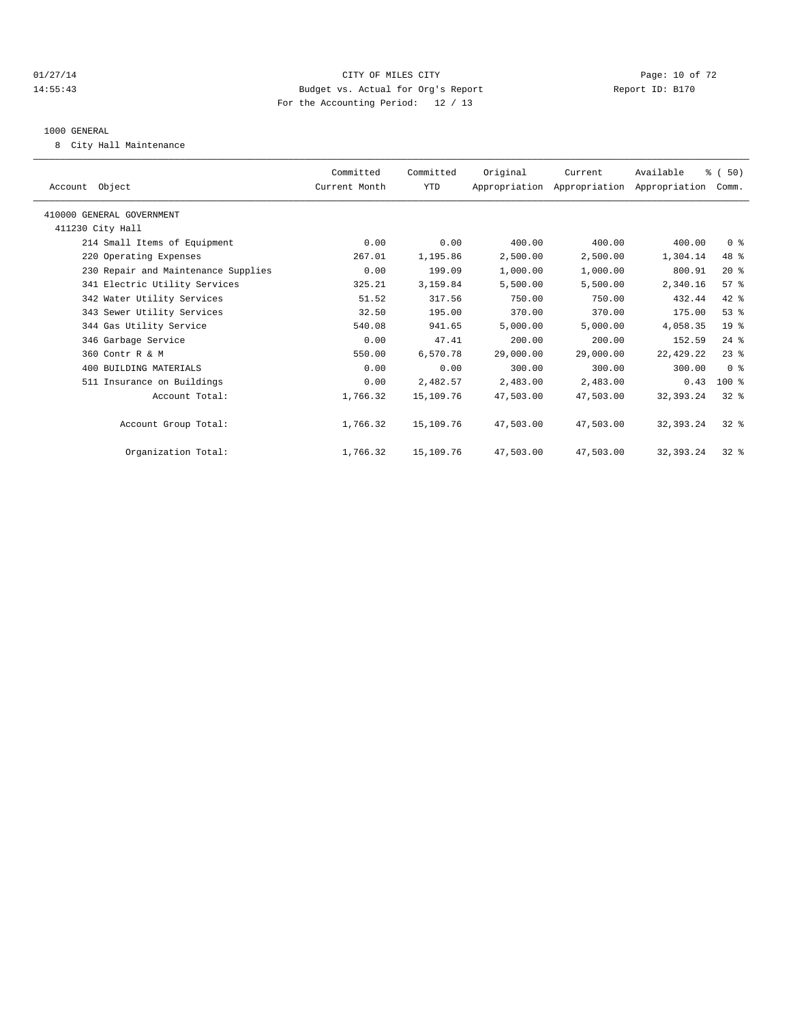## $CITY$  OF MILES CITY CHANNEL CITY CHANNEL CITY Page: 10 of 72 14:55:43 Budget vs. Actual for Org's Report Report ID: B170 For the Accounting Period: 12 / 13

#### 1000 GENERAL

8 City Hall Maintenance

| Account Object                      | Committed<br>Current Month | Committed<br>YTD | Original  | Current<br>Appropriation Appropriation Appropriation Comm. | Available   | % (50)          |  |
|-------------------------------------|----------------------------|------------------|-----------|------------------------------------------------------------|-------------|-----------------|--|
| 410000 GENERAL GOVERNMENT           |                            |                  |           |                                                            |             |                 |  |
| 411230 City Hall                    |                            |                  |           |                                                            |             |                 |  |
| 214 Small Items of Equipment        | 0.00                       | 0.00             | 400.00    | 400.00                                                     | 400.00      | 0 <sup>8</sup>  |  |
| 220 Operating Expenses              | 267.01                     | 1,195.86         | 2,500.00  | 2,500.00                                                   | 1,304.14    | 48 %            |  |
| 230 Repair and Maintenance Supplies | 0.00                       | 199.09           | 1,000.00  | 1,000.00                                                   | 800.91      | $20*$           |  |
| 341 Electric Utility Services       | 325.21                     | 3,159.84         | 5,500.00  | 5,500.00                                                   | 2,340.16    | 57 <sup>8</sup> |  |
| 342 Water Utility Services          | 51.52                      | 317.56           | 750.00    | 750.00                                                     | 432.44      | 42 %            |  |
| 343 Sewer Utility Services          | 32.50                      | 195.00           | 370.00    | 370.00                                                     | 175.00      | 53%             |  |
| 344 Gas Utility Service             | 540.08                     | 941.65           | 5,000.00  | 5,000.00                                                   | 4,058.35    | 19 <sup>°</sup> |  |
| 346 Garbage Service                 | 0.00                       | 47.41            | 200.00    | 200.00                                                     | 152.59      | $24$ $%$        |  |
| 360 Contr R & M                     | 550.00                     | 6,570.78         | 29,000.00 | 29,000.00                                                  | 22, 429.22  | $23$ $%$        |  |
| 400 BUILDING MATERIALS              | 0.00                       | 0.00             | 300.00    | 300.00                                                     | 300.00      | 0 <sup>8</sup>  |  |
| 511 Insurance on Buildings          | 0.00                       | 2,482.57         | 2,483.00  | 2,483.00                                                   | 0.43        | $100*$          |  |
| Account Total:                      | 1,766.32                   | 15,109.76        | 47,503.00 | 47,503.00                                                  | 32, 393. 24 | $32*$           |  |
| Account Group Total:                | 1,766.32                   | 15,109.76        | 47,503.00 | 47,503.00                                                  | 32,393.24   | $32*$           |  |
| Organization Total:                 | 1,766.32                   | 15,109.76        | 47,503.00 | 47,503.00                                                  | 32,393.24   | $32*$           |  |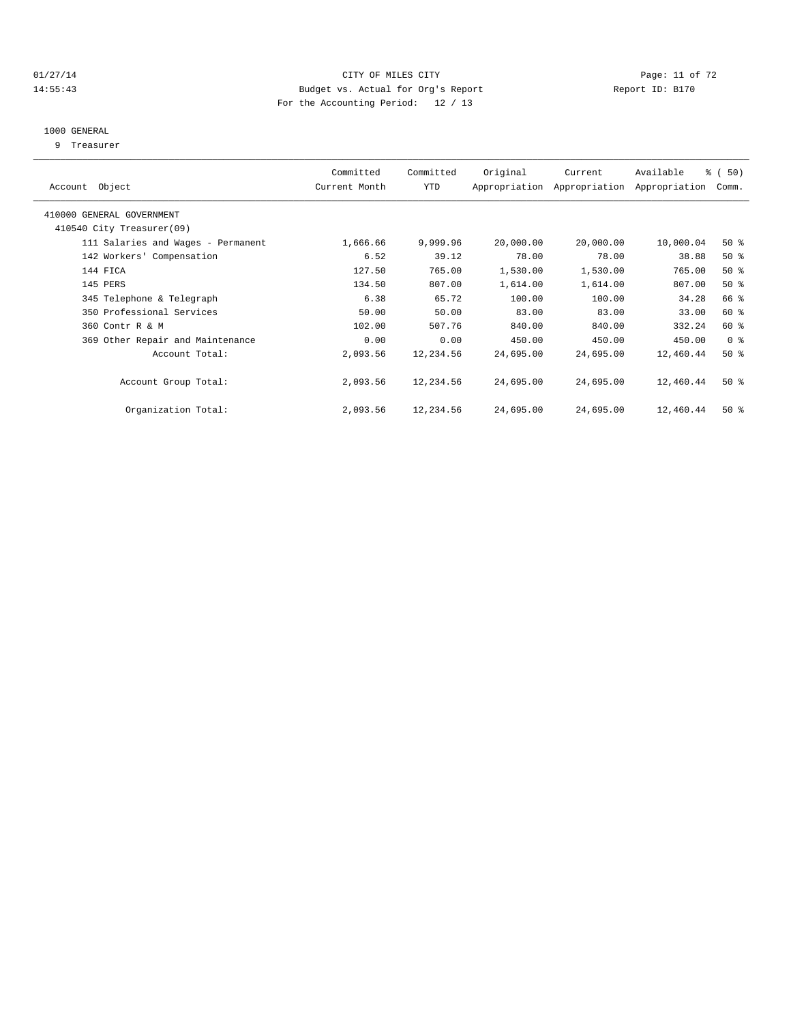#### $CITY$  of  $CITY$  and  $CITY$  of  $T2$   $Page: 11 of 72$ 14:55:43 Budget vs. Actual for Org's Report Report ID: B170 For the Accounting Period: 12 / 13

## 1000 GENERAL

9 Treasurer

|                                    | Committed     | Committed | Original  | Current                     | Available     | % (50)         |  |
|------------------------------------|---------------|-----------|-----------|-----------------------------|---------------|----------------|--|
| Account Object                     | Current Month | YTD       |           | Appropriation Appropriation | Appropriation | Comm.          |  |
|                                    |               |           |           |                             |               |                |  |
| 410000 GENERAL GOVERNMENT          |               |           |           |                             |               |                |  |
| 410540 City Treasurer(09)          |               |           |           |                             |               |                |  |
| 111 Salaries and Wages - Permanent | 1,666.66      | 9,999.96  | 20,000.00 | 20,000.00                   | 10,000.04     | $50*$          |  |
| 142 Workers' Compensation          | 6.52          | 39.12     | 78.00     | 78.00                       | 38.88         | $50*$          |  |
| 144 FICA                           | 127.50        | 765.00    | 1,530.00  | 1,530.00                    | 765.00        | $50*$          |  |
| 145 PERS                           | 134.50        | 807.00    | 1,614.00  | 1,614.00                    | 807.00        | $50*$          |  |
| 345 Telephone & Telegraph          | 6.38          | 65.72     | 100.00    | 100.00                      | 34.28         | 66 %           |  |
| 350 Professional Services          | 50.00         | 50.00     | 83.00     | 83.00                       | 33.00         | 60 %           |  |
| 360 Contr R & M                    | 102.00        | 507.76    | 840.00    | 840.00                      | 332.24        | 60 %           |  |
| 369 Other Repair and Maintenance   | 0.00          | 0.00      | 450.00    | 450.00                      | 450.00        | 0 <sup>8</sup> |  |
| Account Total:                     | 2,093.56      | 12,234.56 | 24,695.00 | 24,695.00                   | 12,460.44     | $50*$          |  |
|                                    |               |           |           |                             |               |                |  |
| Account Group Total:               | 2,093.56      | 12,234.56 | 24,695.00 | 24,695.00                   | 12,460.44     | $50*$          |  |
|                                    |               |           |           |                             |               |                |  |
| Organization Total:                | 2,093.56      | 12,234.56 | 24,695.00 | 24,695.00                   | 12,460.44     | $50*$          |  |
|                                    |               |           |           |                             |               |                |  |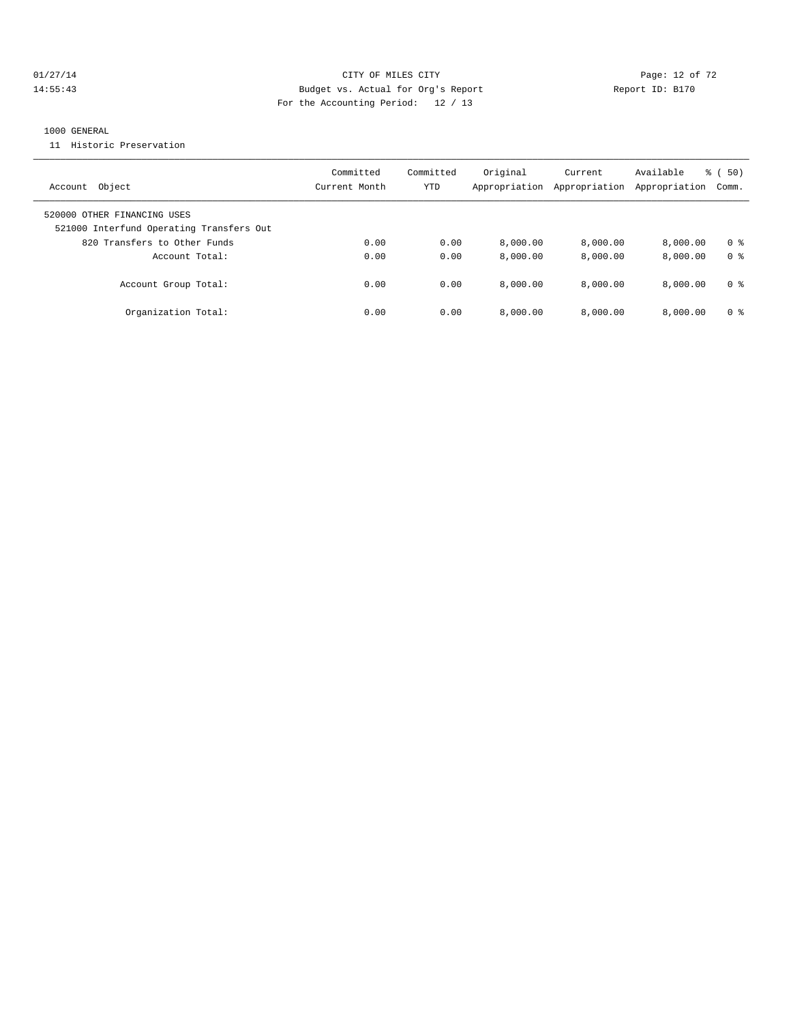## 01/27/14 Page: 12 of 72 14:55:43 Budget vs. Actual for Org's Report Report ID: B170 For the Accounting Period: 12 / 13

#### 1000 GENERAL

11 Historic Preservation

| Object<br>Account                                                       | Committed<br>Current Month | Committed<br>YTD | Original<br>Appropriation | Current<br>Appropriation | Available<br>Appropriation | % (50)<br>Comm. |
|-------------------------------------------------------------------------|----------------------------|------------------|---------------------------|--------------------------|----------------------------|-----------------|
| 520000 OTHER FINANCING USES<br>521000 Interfund Operating Transfers Out |                            |                  |                           |                          |                            |                 |
| 820 Transfers to Other Funds                                            | 0.00                       | 0.00             | 8.000.00                  | 8.000.00                 | 8.000.00                   | 0 <sup>8</sup>  |
| Account Total:                                                          | 0.00                       | 0.00             | 8.000.00                  | 8.000.00                 | 8.000.00                   | 0 <sup>8</sup>  |
| Account Group Total:                                                    | 0.00                       | 0.00             | 8.000.00                  | 8.000.00                 | 8.000.00                   | 0 <sup>8</sup>  |
| Organization Total:                                                     | 0.00                       | 0.00             | 8.000.00                  | 8.000.00                 | 8.000.00                   | 0 <sup>8</sup>  |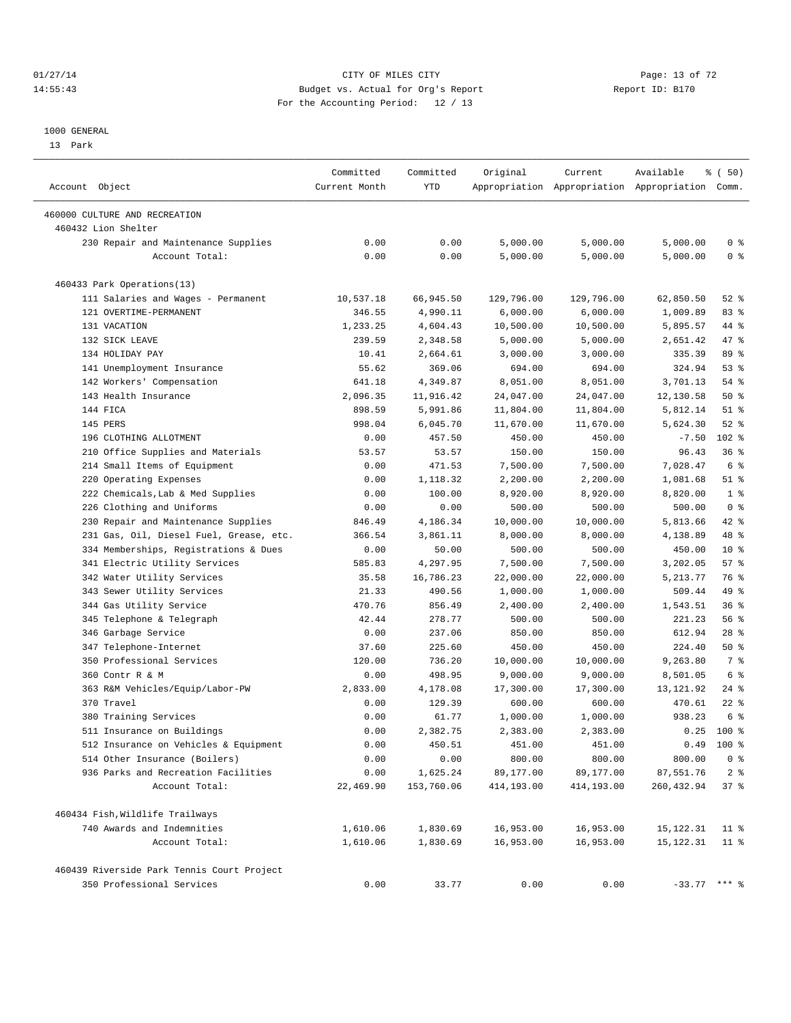#### $O1/27/14$  Page: 13 of 72 14:55:43 Budget vs. Actual for Org's Report Report ID: B170 For the Accounting Period: 12 / 13

————————————————————————————————————————————————————————————————————————————————————————————————————————————————————————————————————

#### 1000 GENERAL

13 Park

|                                            | Committed         | Committed        | Original                | Current                 | Available                                       | $\frac{1}{6}$ (50)    |
|--------------------------------------------|-------------------|------------------|-------------------------|-------------------------|-------------------------------------------------|-----------------------|
| Account Object                             | Current Month     | YTD              |                         |                         | Appropriation Appropriation Appropriation Comm. |                       |
| 460000 CULTURE AND RECREATION              |                   |                  |                         |                         |                                                 |                       |
| 460432 Lion Shelter                        |                   |                  |                         |                         |                                                 |                       |
| 230 Repair and Maintenance Supplies        | 0.00              | 0.00             | 5,000.00                | 5,000.00                | 5,000.00                                        | 0 <sup>8</sup>        |
| Account Total:                             | 0.00              | 0.00             | 5,000.00                | 5,000.00                | 5,000.00                                        | 0 <sup>8</sup>        |
| 460433 Park Operations(13)                 |                   |                  |                         |                         |                                                 |                       |
| 111 Salaries and Wages - Permanent         | 10,537.18         | 66,945.50        | 129,796.00              | 129,796.00              | 62,850.50                                       | $52$ $%$              |
| 121 OVERTIME-PERMANENT                     | 346.55            | 4,990.11         | 6,000.00                | 6,000.00                | 1,009.89                                        | 83%                   |
| 131 VACATION                               | 1,233.25          | 4,604.43         | 10,500.00               | 10,500.00               | 5,895.57                                        | 44 %                  |
| 132 SICK LEAVE                             | 239.59            | 2,348.58         | 5,000.00                | 5,000.00                | 2,651.42                                        | 47 %                  |
| 134 HOLIDAY PAY                            | 10.41             | 2,664.61         | 3,000.00                | 3,000.00                | 335.39                                          | 89 %                  |
| 141 Unemployment Insurance                 | 55.62             | 369.06           | 694.00                  | 694.00                  | 324.94                                          | 53%                   |
| 142 Workers' Compensation                  | 641.18            | 4,349.87         | 8,051.00                | 8,051.00                | 3,701.13                                        | 54 %                  |
| 143 Health Insurance                       | 2,096.35          | 11,916.42        | 24,047.00               | 24,047.00               | 12,130.58                                       | $50*$                 |
| 144 FICA                                   | 898.59            | 5,991.86         | 11,804.00               | 11,804.00               | 5,812.14                                        | $51$ %                |
| 145 PERS                                   | 998.04            | 6,045.70         | 11,670.00               | 11,670.00               | 5,624.30                                        | $52$ $%$              |
| 196 CLOTHING ALLOTMENT                     | 0.00              | 457.50           | 450.00                  | 450.00                  | $-7.50$                                         | 102 %                 |
| 210 Office Supplies and Materials          | 53.57             | 53.57            | 150.00                  | 150.00                  | 96.43                                           | 36%                   |
| 214 Small Items of Equipment               | 0.00              | 471.53           | 7,500.00                | 7,500.00                | 7,028.47                                        | $6\degree$            |
| 220 Operating Expenses                     | 0.00              | 1,118.32         | 2,200.00                | 2,200.00                | 1,081.68                                        | $51$ %                |
| 222 Chemicals, Lab & Med Supplies          | 0.00              | 100.00           | 8,920.00                | 8,920.00                | 8,820.00                                        | 1 <sup>°</sup>        |
| 226 Clothing and Uniforms                  | 0.00              | 0.00             | 500.00                  | 500.00                  | 500.00                                          | 0 <sup>8</sup>        |
| 230 Repair and Maintenance Supplies        | 846.49            | 4,186.34         | 10,000.00               | 10,000.00               | 5,813.66                                        | 42 %                  |
| 231 Gas, Oil, Diesel Fuel, Grease, etc.    | 366.54            | 3,861.11         | 8,000.00                | 8,000.00                | 4,138.89                                        | 48 %                  |
| 334 Memberships, Registrations & Dues      | 0.00              | 50.00            | 500.00                  | 500.00                  | 450.00                                          | $10*$                 |
| 341 Electric Utility Services              | 585.83            | 4,297.95         | 7,500.00                | 7,500.00                | 3,202.05                                        | 57%                   |
| 342 Water Utility Services                 | 35.58             | 16,786.23        | 22,000.00               | 22,000.00               | 5,213.77                                        | 76 %                  |
| 343 Sewer Utility Services                 | 21.33             | 490.56           | 1,000.00                | 1,000.00                | 509.44                                          | 49 %                  |
| 344 Gas Utility Service                    | 470.76            | 856.49           | 2,400.00                | 2,400.00                | 1,543.51                                        | 36%                   |
| 345 Telephone & Telegraph                  | 42.44             | 278.77           | 500.00                  | 500.00                  | 221.23                                          | 56%                   |
| 346 Garbage Service                        | 0.00              | 237.06           | 850.00                  | 850.00                  | 612.94                                          | $28$ %                |
| 347 Telephone-Internet                     | 37.60             | 225.60           | 450.00                  | 450.00                  | 224.40                                          | 50%                   |
| 350 Professional Services                  | 120.00            | 736.20           | 10,000.00               | 10,000.00               | 9,263.80                                        | 7 %                   |
| 360 Contr R & M                            | 0.00              | 498.95           | 9,000.00                | 9,000.00                | 8,501.05                                        | 6 %                   |
| 363 R&M Vehicles/Equip/Labor-PW            | 2,833.00          | 4,178.08         | 17,300.00               | 17,300.00               | 13,121.92                                       | $24$ %                |
| 370 Travel                                 | 0.00              | 129.39           | 600.00                  | 600.00                  | 470.61                                          | $22$ %                |
| 380 Training Services                      | 0.00              | 61.77            | 1,000.00                | 1,000.00                | 938.23                                          | 6 %                   |
| 511 Insurance on Buildings                 | 0.00              | 2,382.75         | 2,383.00                | 2,383.00                |                                                 | $0.25$ 100 %          |
| 512 Insurance on Vehicles & Equipment      | 0.00              | 450.51           | 451.00                  | 451.00                  |                                                 | $0.49$ 100 %          |
| 514 Other Insurance (Boilers)              |                   |                  |                         |                         | 800.00                                          |                       |
| 936 Parks and Recreation Facilities        | 0.00              | 0.00<br>1,625.24 | 800.00                  | 800.00                  |                                                 | 0 <sup>8</sup>        |
| Account Total:                             | 0.00<br>22,469.90 | 153,760.06       | 89,177.00<br>414,193.00 | 89,177.00<br>414,193.00 | 87,551.76<br>260, 432.94                        | 2 <sub>8</sub><br>37% |
| 460434 Fish, Wildlife Trailways            |                   |                  |                         |                         |                                                 |                       |
| 740 Awards and Indemnities                 | 1,610.06          | 1,830.69         | 16,953.00               | 16,953.00               | 15,122.31                                       | 11 <sup>8</sup>       |
| Account Total:                             | 1,610.06          | 1,830.69         | 16,953.00               | 16,953.00               | 15,122.31                                       | $11$ %                |
| 460439 Riverside Park Tennis Court Project |                   |                  |                         |                         |                                                 |                       |
| 350 Professional Services                  | 0.00              | 33.77            | 0.00                    | 0.00                    | $-33.77$ *** %                                  |                       |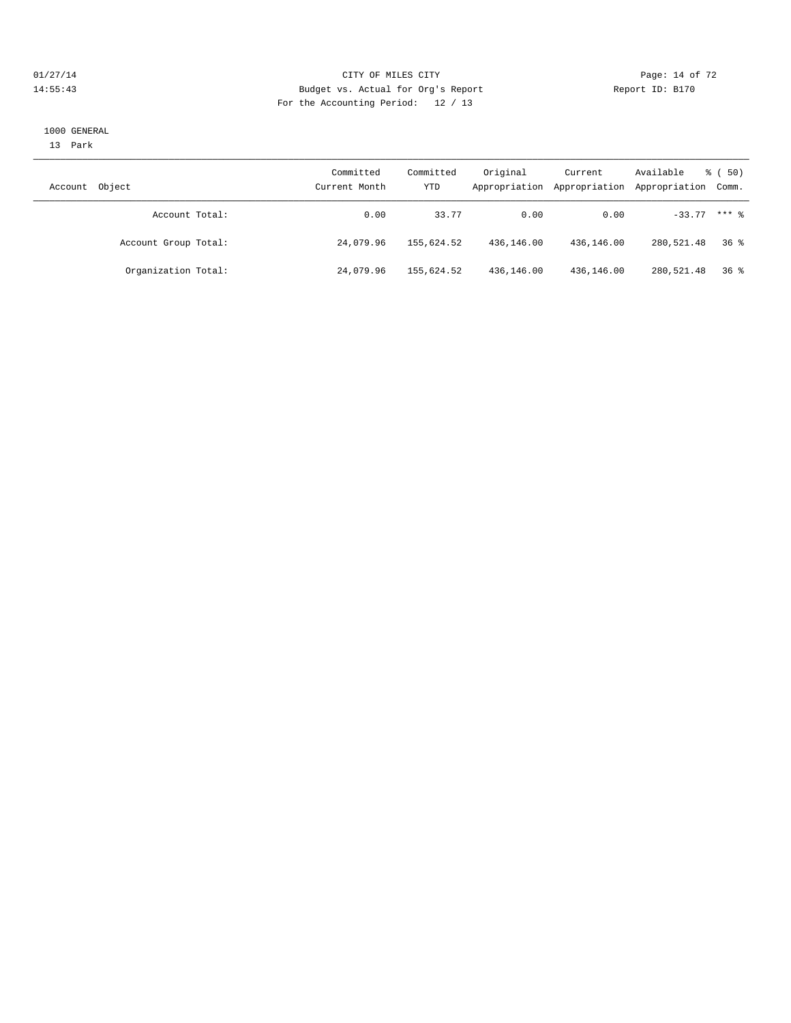#### $CITY$  OF MILES CITY CHANNEL CITY CHANNEL CITY CHANNEL CITY CHANNEL CITY CHANNEL CITY CHANNEL CONTROLLER PAGE: 14 Of 72 14:55:43 Budget vs. Actual for Org's Report Report ID: B170 For the Accounting Period: 12 / 13

#### 1000 GENERAL

13 Park

| Object<br>Account    | Committed<br>Current Month | Committed<br>YTD | Original   | Current<br>Appropriation Appropriation | Available<br>Appropriation Comm. | <sub>ර</sub> ි (50) |
|----------------------|----------------------------|------------------|------------|----------------------------------------|----------------------------------|---------------------|
| Account Total:       | 0.00                       | 33.77            | 0.00       | 0.00                                   | $-33.77$ *** $%$                 |                     |
| Account Group Total: | 24,079.96                  | 155,624.52       | 436,146.00 | 436,146.00                             | 280,521.48                       | 36 <sup>8</sup>     |
| Organization Total:  | 24,079.96                  | 155,624.52       | 436,146.00 | 436,146.00                             | 280,521.48                       | 36 %                |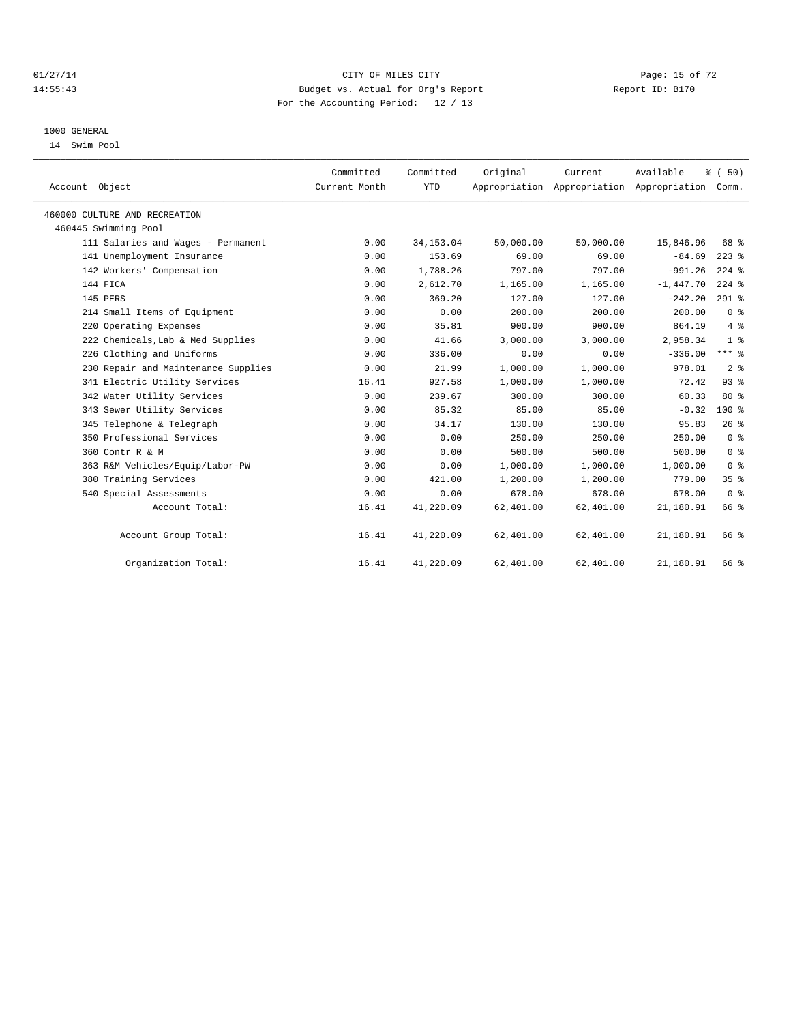#### $01/27/14$  Page: 15 of 72 14:55:43 Budget vs. Actual for Org's Report Report ID: B170 For the Accounting Period: 12 / 13

#### 1000 GENERAL

14 Swim Pool

| Account Object                      | Committed<br>Current Month | Committed<br><b>YTD</b> | Original  | Current   | Available<br>Appropriation Appropriation Appropriation Comm. | % (50)          |  |
|-------------------------------------|----------------------------|-------------------------|-----------|-----------|--------------------------------------------------------------|-----------------|--|
| 460000 CULTURE AND RECREATION       |                            |                         |           |           |                                                              |                 |  |
| 460445 Swimming Pool                |                            |                         |           |           |                                                              |                 |  |
| 111 Salaries and Wages - Permanent  | 0.00                       | 34, 153.04              | 50,000.00 | 50,000.00 | 15,846.96                                                    | 68 %            |  |
| 141 Unemployment Insurance          | 0.00                       | 153.69                  | 69.00     | 69.00     | $-84.69$                                                     | $223$ $%$       |  |
| 142 Workers' Compensation           | 0.00                       | 1,788.26                | 797.00    | 797.00    | $-991.26$                                                    | $224$ %         |  |
| 144 FICA                            | 0.00                       | 2,612.70                | 1,165.00  | 1,165.00  | $-1,447.70$                                                  | $224$ %         |  |
| 145 PERS                            | 0.00                       | 369.20                  | 127.00    | 127.00    | $-242.20$                                                    | $291$ %         |  |
| 214 Small Items of Equipment        | 0.00                       | 0.00                    | 200.00    | 200.00    | 200.00                                                       | 0 <sup>8</sup>  |  |
| 220 Operating Expenses              | 0.00                       | 35.81                   | 900.00    | 900.00    | 864.19                                                       | $4\degree$      |  |
| 222 Chemicals, Lab & Med Supplies   | 0.00                       | 41.66                   | 3,000.00  | 3,000.00  | 2,958.34                                                     | 1 <sup>8</sup>  |  |
| 226 Clothing and Uniforms           | 0.00                       | 336.00                  | 0.00      | 0.00      | $-336.00$                                                    | $***$ $_{8}$    |  |
| 230 Repair and Maintenance Supplies | 0.00                       | 21.99                   | 1,000.00  | 1,000.00  | 978.01                                                       | 2 <sup>°</sup>  |  |
| 341 Electric Utility Services       | 16.41                      | 927.58                  | 1,000.00  | 1,000.00  | 72.42                                                        | 93%             |  |
| 342 Water Utility Services          | 0.00                       | 239.67                  | 300.00    | 300.00    | 60.33                                                        | 80%             |  |
| 343 Sewer Utility Services          | 0.00                       | 85.32                   | 85.00     | 85.00     | $-0.32$                                                      | $100$ %         |  |
| 345 Telephone & Telegraph           | 0.00                       | 34.17                   | 130.00    | 130.00    | 95.83                                                        | 26%             |  |
| 350 Professional Services           | 0.00                       | 0.00                    | 250.00    | 250.00    | 250.00                                                       | 0 <sup>8</sup>  |  |
| 360 Contr R & M                     | 0.00                       | 0.00                    | 500.00    | 500.00    | 500.00                                                       | 0 <sup>8</sup>  |  |
| 363 R&M Vehicles/Equip/Labor-PW     | 0.00                       | 0.00                    | 1,000.00  | 1,000.00  | 1,000.00                                                     | 0 <sup>8</sup>  |  |
| 380 Training Services               | 0.00                       | 421.00                  | 1,200.00  | 1,200.00  | 779.00                                                       | 35 <sup>8</sup> |  |
| 540 Special Assessments             | 0.00                       | 0.00                    | 678.00    | 678.00    | 678.00                                                       | 0 <sup>8</sup>  |  |
| Account Total:                      | 16.41                      | 41,220.09               | 62,401.00 | 62,401.00 | 21,180.91                                                    | 66 %            |  |
| Account Group Total:                | 16.41                      | 41,220.09               | 62,401.00 | 62,401.00 | 21,180.91                                                    | 66 %            |  |
| Organization Total:                 | 16.41                      | 41,220.09               | 62,401.00 | 62,401.00 | 21,180.91                                                    | 66 %            |  |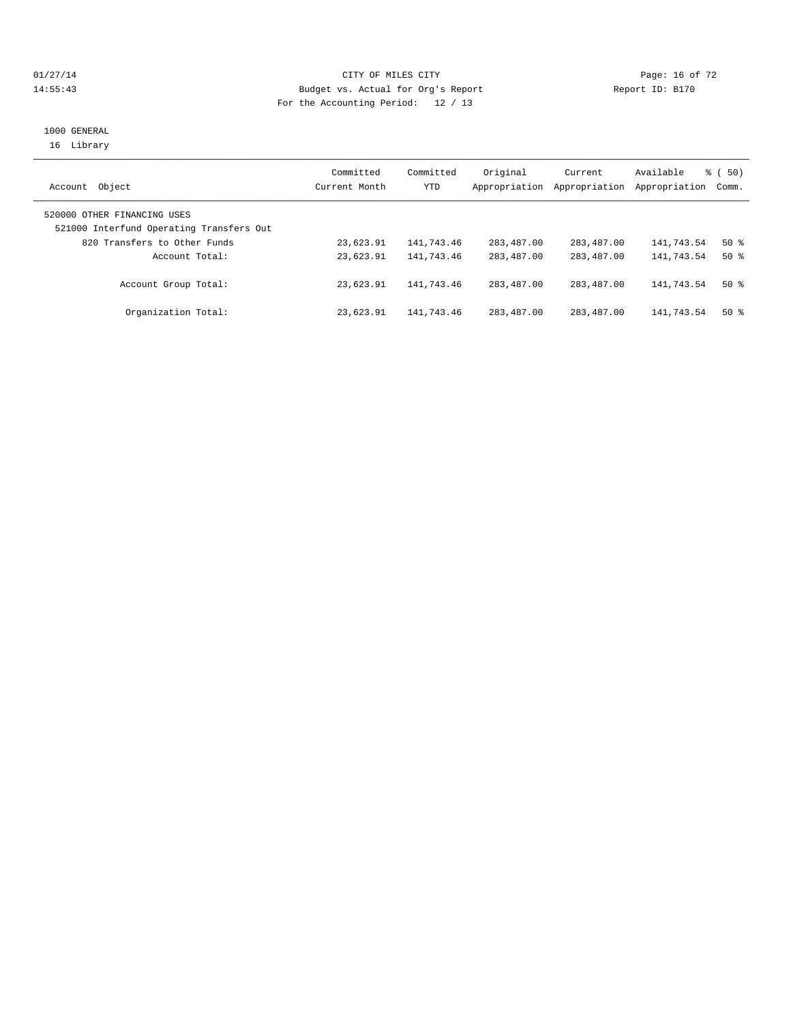## $O1/27/14$  Page: 16 of 72 14:55:43 Budget vs. Actual for Org's Report Report ID: B170 For the Accounting Period: 12 / 13

#### 1000 GENERAL 16 Library

|                                          | Committed     | Committed  | Original      | Current       | Available     | 8 ( 50) |
|------------------------------------------|---------------|------------|---------------|---------------|---------------|---------|
| Object<br>Account                        | Current Month | YTD        | Appropriation | Appropriation | Appropriation | Comm.   |
| 520000 OTHER FINANCING USES              |               |            |               |               |               |         |
| 521000 Interfund Operating Transfers Out |               |            |               |               |               |         |
| 820 Transfers to Other Funds             | 23,623.91     | 141,743.46 | 283,487.00    | 283,487.00    | 141,743.54    | $50*$   |
| Account Total:                           | 23,623.91     | 141,743.46 | 283,487.00    | 283,487.00    | 141,743.54    | $50*$   |
| Account Group Total:                     | 23,623.91     | 141,743.46 | 283,487.00    | 283,487.00    | 141,743.54    | $50*$   |
| Organization Total:                      | 23,623.91     | 141,743.46 | 283,487.00    | 283,487.00    | 141,743.54    | $50*$   |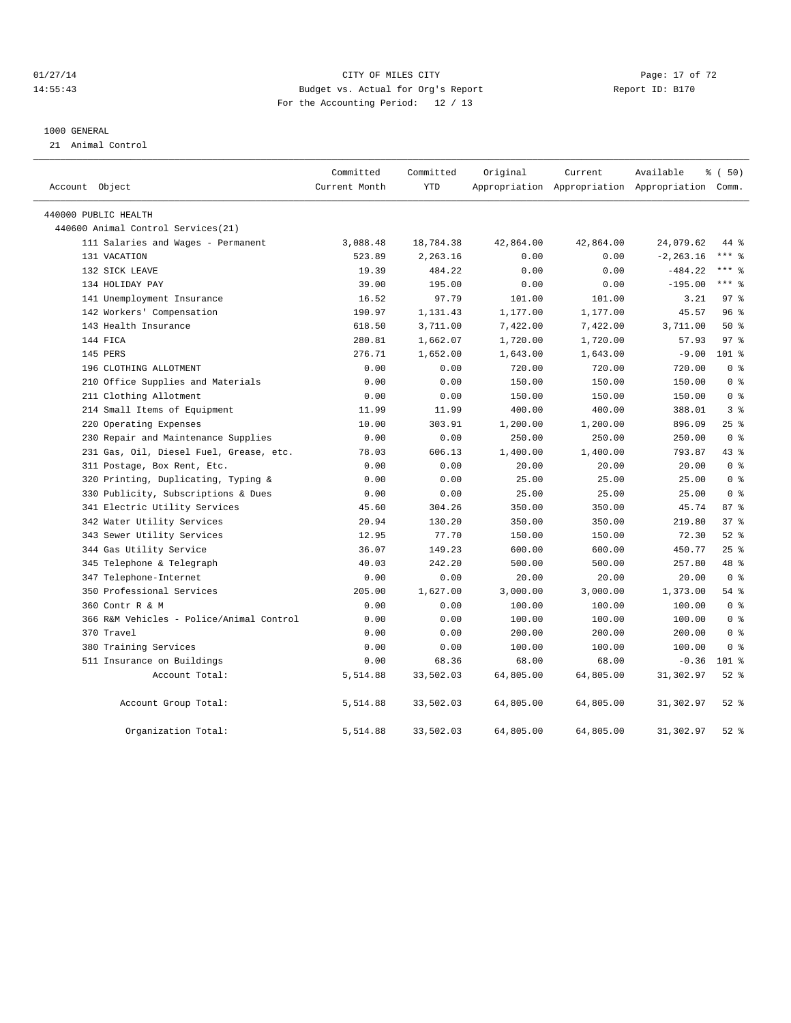## $01/27/14$  Page: 17 of 72 14:55:43 Budget vs. Actual for Org's Report Report ID: B170 For the Accounting Period: 12 / 13

#### 1000 GENERAL

21 Animal Control

| Account Object                           | Committed<br>Current Month | Committed<br><b>YTD</b> | Original  | Current   | Available<br>Appropriation Appropriation Appropriation Comm. | % (50)          |
|------------------------------------------|----------------------------|-------------------------|-----------|-----------|--------------------------------------------------------------|-----------------|
| 440000 PUBLIC HEALTH                     |                            |                         |           |           |                                                              |                 |
| 440600 Animal Control Services (21)      |                            |                         |           |           |                                                              |                 |
| 111 Salaries and Wages - Permanent       | 3,088.48                   | 18,784.38               | 42,864.00 | 42,864.00 | 24,079.62                                                    | 44 %            |
| 131 VACATION                             | 523.89                     | 2,263.16                | 0.00      | 0.00      | $-2, 263.16$                                                 | $***$ 8         |
| 132 SICK LEAVE                           | 19.39                      | 484.22                  | 0.00      | 0.00      | $-484.22$                                                    | $***$ 8         |
| 134 HOLIDAY PAY                          | 39.00                      | 195.00                  | 0.00      | 0.00      | $-195.00$                                                    | $***$ 8         |
| 141 Unemployment Insurance               | 16.52                      | 97.79                   | 101.00    | 101.00    | 3.21                                                         | 97 <sub>8</sub> |
| 142 Workers' Compensation                | 190.97                     | 1,131.43                | 1,177.00  | 1,177.00  | 45.57                                                        | 96 <sup>8</sup> |
| 143 Health Insurance                     | 618.50                     | 3,711.00                | 7,422.00  | 7,422.00  | 3,711.00                                                     | 50%             |
| 144 FICA                                 | 280.81                     | 1,662.07                | 1,720.00  | 1,720.00  | 57.93                                                        | 97 <sub>8</sub> |
| 145 PERS                                 | 276.71                     | 1,652.00                | 1,643.00  | 1,643.00  | $-9.00$                                                      | $101$ %         |
| 196 CLOTHING ALLOTMENT                   | 0.00                       | 0.00                    | 720.00    | 720.00    | 720.00                                                       | 0 <sup>8</sup>  |
| 210 Office Supplies and Materials        | 0.00                       | 0.00                    | 150.00    | 150.00    | 150.00                                                       | 0 <sup>8</sup>  |
| 211 Clothing Allotment                   | 0.00                       | 0.00                    | 150.00    | 150.00    | 150.00                                                       | 0 <sup>8</sup>  |
| 214 Small Items of Equipment             | 11.99                      | 11.99                   | 400.00    | 400.00    | 388.01                                                       | 3 <sup>8</sup>  |
| 220 Operating Expenses                   | 10.00                      | 303.91                  | 1,200.00  | 1,200.00  | 896.09                                                       | 25%             |
| 230 Repair and Maintenance Supplies      | 0.00                       | 0.00                    | 250.00    | 250.00    | 250.00                                                       | 0 <sup>8</sup>  |
| 231 Gas, Oil, Diesel Fuel, Grease, etc.  | 78.03                      | 606.13                  | 1,400.00  | 1,400.00  | 793.87                                                       | 43 %            |
| 311 Postage, Box Rent, Etc.              | 0.00                       | 0.00                    | 20.00     | 20.00     | 20.00                                                        | 0 <sup>8</sup>  |
| Printing, Duplicating, Typing &<br>320   | 0.00                       | 0.00                    | 25.00     | 25.00     | 25.00                                                        | 0 <sup>8</sup>  |
| 330 Publicity, Subscriptions & Dues      | 0.00                       | 0.00                    | 25.00     | 25.00     | 25.00                                                        | 0 <sup>8</sup>  |
| 341 Electric Utility Services            | 45.60                      | 304.26                  | 350.00    | 350.00    | 45.74                                                        | 87%             |
| 342 Water Utility Services               | 20.94                      | 130.20                  | 350.00    | 350.00    | 219.80                                                       | 37%             |
| 343 Sewer Utility Services               | 12.95                      | 77.70                   | 150.00    | 150.00    | 72.30                                                        | $52$ $%$        |
| 344 Gas Utility Service                  | 36.07                      | 149.23                  | 600.00    | 600.00    | 450.77                                                       | 25%             |
| 345 Telephone & Telegraph                | 40.03                      | 242.20                  | 500.00    | 500.00    | 257.80                                                       | 48 %            |
| 347 Telephone-Internet                   | 0.00                       | 0.00                    | 20.00     | 20.00     | 20.00                                                        | 0 <sup>8</sup>  |
| 350 Professional Services                | 205.00                     | 1,627.00                | 3,000.00  | 3,000.00  | 1,373.00                                                     | 54 %            |
| 360 Contr R & M                          | 0.00                       | 0.00                    | 100.00    | 100.00    | 100.00                                                       | 0 <sup>8</sup>  |
| 366 R&M Vehicles - Police/Animal Control | 0.00                       | 0.00                    | 100.00    | 100.00    | 100.00                                                       | 0 <sup>8</sup>  |
| 370 Travel                               | 0.00                       | 0.00                    | 200.00    | 200.00    | 200.00                                                       | 0 <sup>8</sup>  |
| 380 Training Services                    | 0.00                       | 0.00                    | 100.00    | 100.00    | 100.00                                                       | 0 <sup>8</sup>  |
| 511 Insurance on Buildings               | 0.00                       | 68.36                   | 68.00     | 68.00     | $-0.36$                                                      | $101$ %         |
| Account Total:                           | 5,514.88                   | 33,502.03               | 64,805.00 | 64,805.00 | 31,302.97                                                    | $52$ $%$        |
| Account Group Total:                     | 5,514.88                   | 33,502.03               | 64,805.00 | 64,805.00 | 31,302.97                                                    | $52$ $%$        |
| Organization Total:                      | 5,514.88                   | 33,502.03               | 64,805.00 | 64,805.00 | 31,302.97                                                    | $52$ $%$        |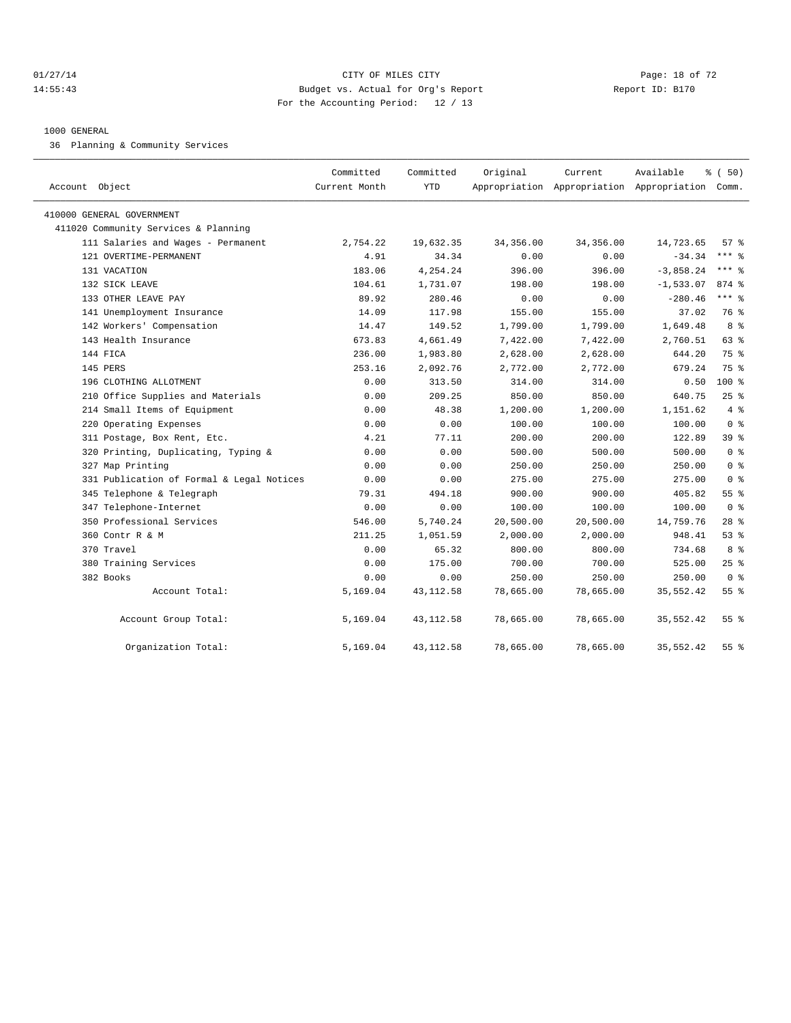#### $CITY$  of  $CITY$  and  $CITY$  of  $T2$   $Page: 18$  of  $72$ 14:55:43 Budget vs. Actual for Org's Report Report ID: B170 For the Accounting Period: 12 / 13

#### 1000 GENERAL

36 Planning & Community Services

| Account Object                            | Committed<br>Current Month | Committed<br>YTD | Original   | Current   | Available<br>Appropriation Appropriation Appropriation Comm. | % (50)          |
|-------------------------------------------|----------------------------|------------------|------------|-----------|--------------------------------------------------------------|-----------------|
|                                           |                            |                  |            |           |                                                              |                 |
| 410000 GENERAL GOVERNMENT                 |                            |                  |            |           |                                                              |                 |
| 411020 Community Services & Planning      |                            |                  |            |           |                                                              |                 |
| 111 Salaries and Wages - Permanent        | 2,754.22                   | 19,632.35        | 34, 356.00 | 34,356.00 | 14,723.65                                                    | 57%             |
| 121 OVERTIME-PERMANENT                    | 4.91                       | 34.34            | 0.00       | 0.00      | $-34.34$                                                     | $***$ $%$       |
| 131 VACATION                              | 183.06                     | 4,254.24         | 396.00     | 396.00    | $-3,858.24$                                                  | $***$ $%$       |
| 132 SICK LEAVE                            | 104.61                     | 1,731.07         | 198.00     | 198.00    | $-1,533.07$                                                  | 874 %           |
| 133 OTHER LEAVE PAY                       | 89.92                      | 280.46           | 0.00       | 0.00      | $-280.46$                                                    | $***$ $=$       |
| 141 Unemployment Insurance                | 14.09                      | 117.98           | 155.00     | 155.00    | 37.02                                                        | 76 %            |
| 142 Workers' Compensation                 | 14.47                      | 149.52           | 1,799.00   | 1,799.00  | 1,649.48                                                     | 8 %             |
| 143 Health Insurance                      | 673.83                     | 4,661.49         | 7,422.00   | 7,422.00  | 2,760.51                                                     | 63 %            |
| 144 FICA                                  | 236.00                     | 1,983.80         | 2,628.00   | 2,628.00  | 644.20                                                       | 75 %            |
| 145 PERS                                  | 253.16                     | 2,092.76         | 2,772.00   | 2,772.00  | 679.24                                                       | 75 %            |
| 196 CLOTHING ALLOTMENT                    | 0.00                       | 313.50           | 314.00     | 314.00    | 0.50                                                         | $100*$          |
| 210 Office Supplies and Materials         | 0.00                       | 209.25           | 850.00     | 850.00    | 640.75                                                       | $25$ %          |
| 214 Small Items of Equipment              | 0.00                       | 48.38            | 1,200.00   | 1,200.00  | 1,151.62                                                     | 4%              |
| 220 Operating Expenses                    | 0.00                       | 0.00             | 100.00     | 100.00    | 100.00                                                       | 0 <sup>8</sup>  |
| 311 Postage, Box Rent, Etc.               | 4.21                       | 77.11            | 200.00     | 200.00    | 122.89                                                       | 39 %            |
| 320 Printing, Duplicating, Typing &       | 0.00                       | 0.00             | 500.00     | 500.00    | 500.00                                                       | 0 <sup>8</sup>  |
| 327 Map Printing                          | 0.00                       | 0.00             | 250.00     | 250.00    | 250.00                                                       | 0 <sup>8</sup>  |
| 331 Publication of Formal & Legal Notices | 0.00                       | 0.00             | 275.00     | 275.00    | 275.00                                                       | 0 <sup>8</sup>  |
| 345 Telephone & Telegraph                 | 79.31                      | 494.18           | 900.00     | 900.00    | 405.82                                                       | 55 <sup>8</sup> |
| 347 Telephone-Internet                    | 0.00                       | 0.00             | 100.00     | 100.00    | 100.00                                                       | 0 <sup>8</sup>  |
| 350 Professional Services                 | 546.00                     | 5,740.24         | 20,500.00  | 20,500.00 | 14,759.76                                                    | $28$ %          |
| 360 Contr R & M                           | 211.25                     | 1,051.59         | 2,000.00   | 2,000.00  | 948.41                                                       | 53%             |
| 370 Travel                                | 0.00                       | 65.32            | 800.00     | 800.00    | 734.68                                                       | 8 %             |
| 380 Training Services                     | 0.00                       | 175.00           | 700.00     | 700.00    | 525.00                                                       | 25%             |
| 382 Books                                 | 0.00                       | 0.00             | 250.00     | 250.00    | 250.00                                                       | 0 <sup>8</sup>  |
| Account Total:                            | 5,169.04                   | 43, 112.58       | 78,665.00  | 78,665.00 | 35,552.42                                                    | 55 <sup>8</sup> |
| Account Group Total:                      | 5,169.04                   | 43, 112.58       | 78,665.00  | 78,665.00 | 35,552.42                                                    | 55 <sup>8</sup> |
| Organization Total:                       | 5,169.04                   | 43, 112.58       | 78,665.00  | 78,665.00 | 35,552.42                                                    | 55 %            |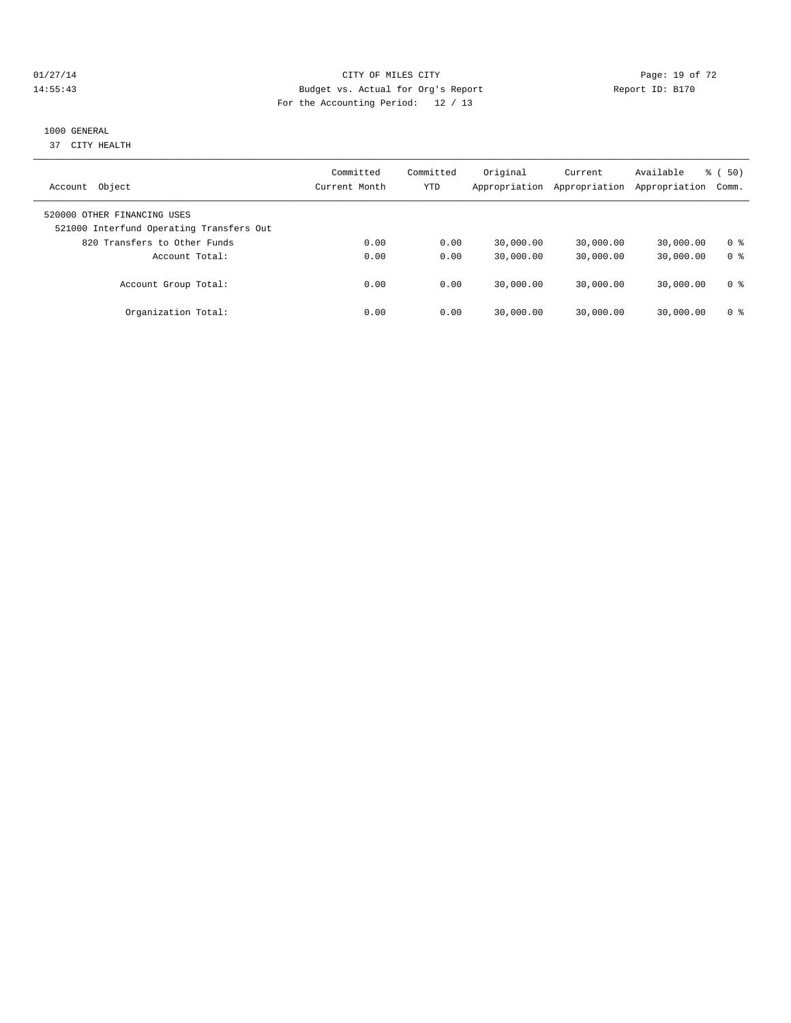## 01/27/14 Page: 19 of 72 14:55:43 Budget vs. Actual for Org's Report Report ID: B170 For the Accounting Period: 12 / 13

#### 1000 GENERAL

37 CITY HEALTH

| Object<br>Account                                                       | Committed<br>Current Month | Committed<br>YTD | Original<br>Appropriation | Current<br>Appropriation | Available<br>Appropriation | $\frac{1}{6}$ (50)<br>Comm. |
|-------------------------------------------------------------------------|----------------------------|------------------|---------------------------|--------------------------|----------------------------|-----------------------------|
| 520000 OTHER FINANCING USES<br>521000 Interfund Operating Transfers Out |                            |                  |                           |                          |                            |                             |
| 820 Transfers to Other Funds                                            | 0.00                       | 0.00             | 30,000.00                 | 30,000.00                | 30,000.00                  | 0 <sup>8</sup>              |
| Account Total:                                                          | 0.00                       | 0.00             | 30,000.00                 | 30,000.00                | 30,000.00                  | 0 <sup>8</sup>              |
| Account Group Total:                                                    | 0.00                       | 0.00             | 30,000.00                 | 30,000.00                | 30,000.00                  | 0 ક                         |
| Organization Total:                                                     | 0.00                       | 0.00             | 30,000.00                 | 30,000.00                | 30,000.00                  | 0 ક                         |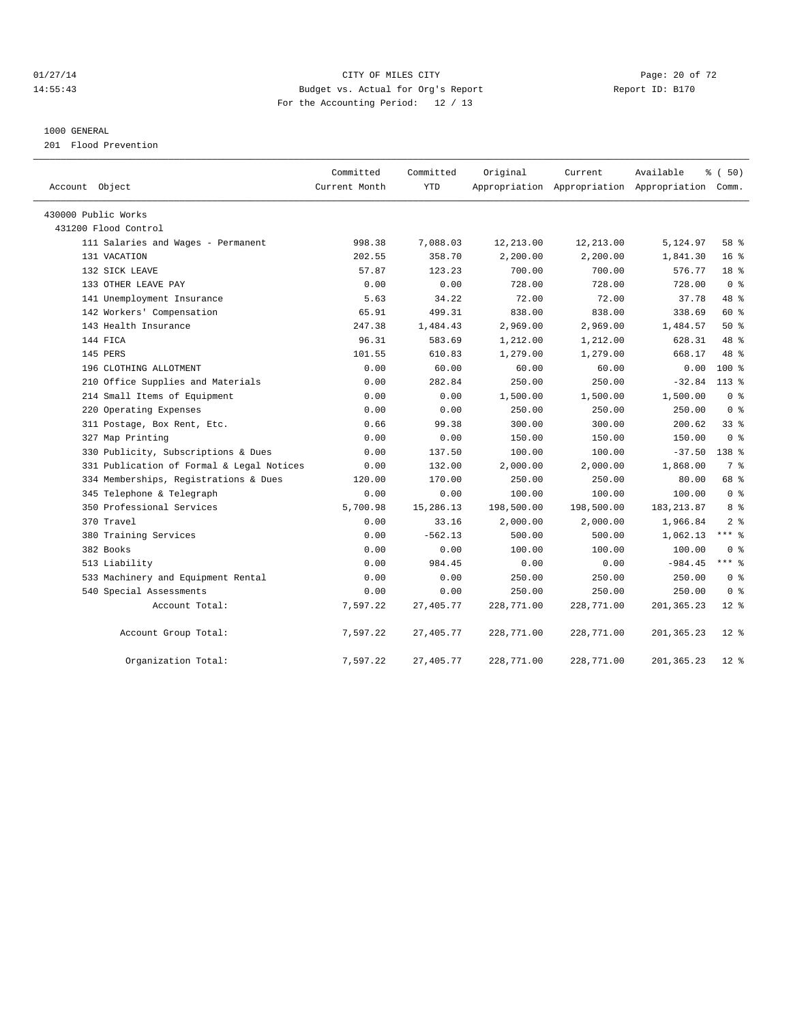## $O1/27/14$  Page: 20 of 72 14:55:43 Budget vs. Actual for Org's Report Report ID: B170 For the Accounting Period: 12 / 13

#### 1000 GENERAL

201 Flood Prevention

| Account Object                            | Committed<br>Current Month | Committed<br><b>YTD</b> | Original   | Current    | Available<br>Appropriation Appropriation Appropriation Comm. | % (50)             |
|-------------------------------------------|----------------------------|-------------------------|------------|------------|--------------------------------------------------------------|--------------------|
| 430000 Public Works                       |                            |                         |            |            |                                                              |                    |
| 431200 Flood Control                      |                            |                         |            |            |                                                              |                    |
| 111 Salaries and Wages - Permanent        | 998.38                     | 7,088.03                | 12,213.00  | 12,213.00  | 5,124.97                                                     | 58 %               |
| 131 VACATION                              | 202.55                     | 358.70                  | 2,200.00   | 2,200.00   | 1,841.30                                                     | 16 <sup>°</sup>    |
| 132 SICK LEAVE                            | 57.87                      | 123.23                  | 700.00     | 700.00     | 576.77                                                       | 18 <sup>8</sup>    |
| 133 OTHER LEAVE PAY                       | 0.00                       | 0.00                    | 728.00     | 728.00     | 728.00                                                       | 0 <sup>8</sup>     |
| 141 Unemployment Insurance                | 5.63                       | 34.22                   | 72.00      | 72.00      | 37.78                                                        | 48 %               |
| 142 Workers' Compensation                 | 65.91                      | 499.31                  | 838.00     | 838.00     | 338.69                                                       | 60 %               |
| 143 Health Insurance                      | 247.38                     | 1,484.43                | 2,969.00   | 2,969.00   | 1,484.57                                                     | $50*$              |
| 144 FICA                                  | 96.31                      | 583.69                  | 1,212.00   | 1,212.00   | 628.31                                                       | 48 %               |
| 145 PERS                                  | 101.55                     | 610.83                  | 1,279.00   | 1,279.00   | 668.17                                                       | 48 %               |
| 196 CLOTHING ALLOTMENT                    | 0.00                       | 60.00                   | 60.00      | 60.00      | 0.00                                                         | $100*$             |
| 210 Office Supplies and Materials         | 0.00                       | 282.84                  | 250.00     | 250.00     | $-32.84$                                                     | $113*$             |
| 214 Small Items of Equipment              | 0.00                       | 0.00                    | 1,500.00   | 1,500.00   | 1,500.00                                                     | 0 <sup>8</sup>     |
| 220 Operating Expenses                    | 0.00                       | 0.00                    | 250.00     | 250.00     | 250.00                                                       | 0 <sup>8</sup>     |
| 311 Postage, Box Rent, Etc.               | 0.66                       | 99.38                   | 300.00     | 300.00     | 200.62                                                       | 338                |
| 327 Map Printing                          | 0.00                       | 0.00                    | 150.00     | 150.00     | 150.00                                                       | 0 <sup>8</sup>     |
| 330 Publicity, Subscriptions & Dues       | 0.00                       | 137.50                  | 100.00     | 100.00     | $-37.50$                                                     | 138 %              |
| 331 Publication of Formal & Legal Notices | 0.00                       | 132.00                  | 2,000.00   | 2,000.00   | 1,868.00                                                     | 7 %                |
| 334 Memberships, Registrations & Dues     | 120.00                     | 170.00                  | 250.00     | 250.00     | 80.00                                                        | 68 %               |
| 345 Telephone & Telegraph                 | 0.00                       | 0.00                    | 100.00     | 100.00     | 100.00                                                       | 0 <sup>8</sup>     |
| 350 Professional Services                 | 5,700.98                   | 15,286.13               | 198,500.00 | 198,500.00 | 183, 213.87                                                  | 8 %                |
| 370 Travel                                | 0.00                       | 33.16                   | 2,000.00   | 2,000.00   | 1,966.84                                                     | 2 <sup>8</sup>     |
| 380 Training Services                     | 0.00                       | $-562.13$               | 500.00     | 500.00     | 1,062.13                                                     | $***$ 8            |
| 382 Books                                 | 0.00                       | 0.00                    | 100.00     | 100.00     | 100.00                                                       | 0 <sup>8</sup>     |
| 513 Liability                             | 0.00                       | 984.45                  | 0.00       | 0.00       | $-984.45$                                                    | $***$ 8            |
| 533 Machinery and Equipment Rental        | 0.00                       | 0.00                    | 250.00     | 250.00     | 250.00                                                       | 0 <sup>8</sup>     |
| 540 Special Assessments                   | 0.00                       | 0.00                    | 250.00     | 250.00     | 250.00                                                       | 0 <sup>8</sup>     |
| Account Total:                            | 7,597.22                   | 27,405.77               | 228,771.00 | 228,771.00 | 201, 365.23                                                  | $12*$              |
| Account Group Total:                      | 7,597.22                   | 27,405.77               | 228,771.00 | 228,771.00 | 201,365.23                                                   | $12*$              |
| Organization Total:                       | 7,597.22                   | 27,405.77               | 228,771.00 | 228,771.00 | 201,365.23                                                   | $12$ $\sqrt[6]{ }$ |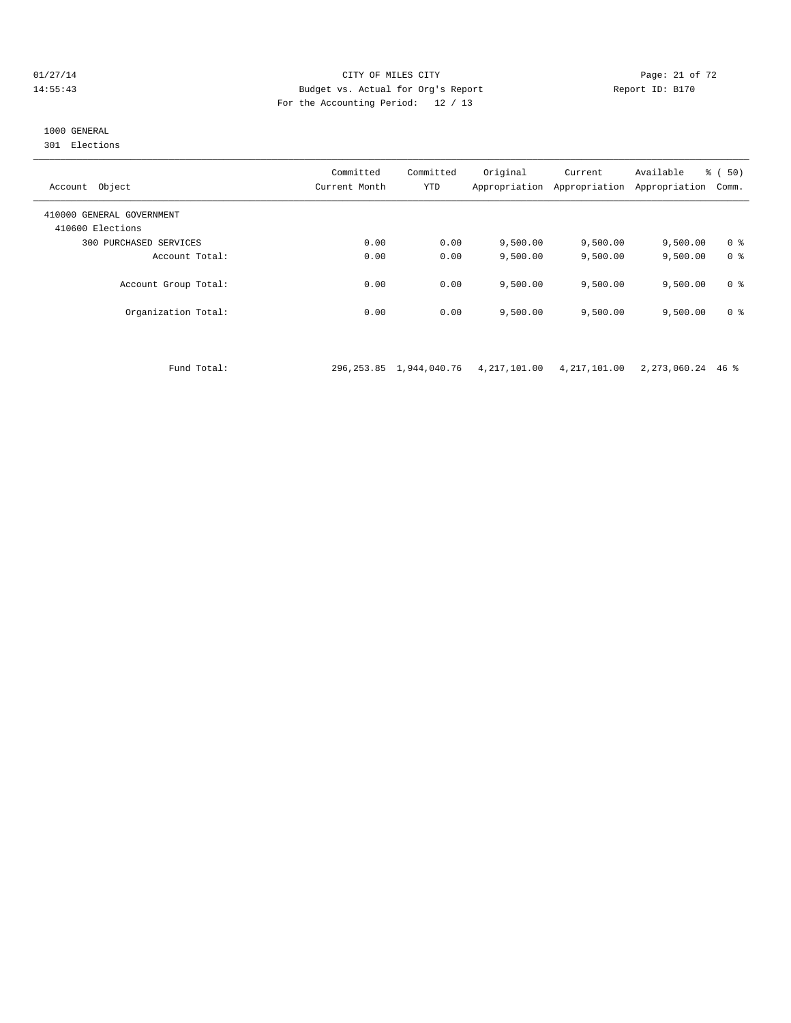#### $O1/27/14$  Page: 21 of 72 14:55:43 Budget vs. Actual for Org's Report Report ID: B170 For the Accounting Period: 12 / 13

# 1000 GENERAL

301 Elections

| Object<br>Account                             | Committed<br>Current Month | Committed<br><b>YTD</b> | Original<br>Appropriation | Current<br>Appropriation | Available<br>Appropriation | $\frac{1}{6}$ (50)<br>Comm. |
|-----------------------------------------------|----------------------------|-------------------------|---------------------------|--------------------------|----------------------------|-----------------------------|
| 410000 GENERAL GOVERNMENT<br>410600 Elections |                            |                         |                           |                          |                            |                             |
| 300 PURCHASED SERVICES                        | 0.00                       | 0.00                    | 9,500.00                  | 9,500.00                 | 9,500.00                   | 0 <sup>8</sup>              |
| Account Total:                                | 0.00                       | 0.00                    | 9,500.00                  | 9,500.00                 | 9,500.00                   | 0 <sup>8</sup>              |
| Account Group Total:                          | 0.00                       | 0.00                    | 9,500.00                  | 9,500.00                 | 9.500.00                   | 0 <sup>8</sup>              |
| Organization Total:                           | 0.00                       | 0.00                    | 9,500.00                  | 9,500.00                 | 9,500.00                   | 0 <sup>8</sup>              |

Fund Total: 296,253.85 1,944,040.76 4,217,101.00 4,217,101.00 2,273,060.24 46 %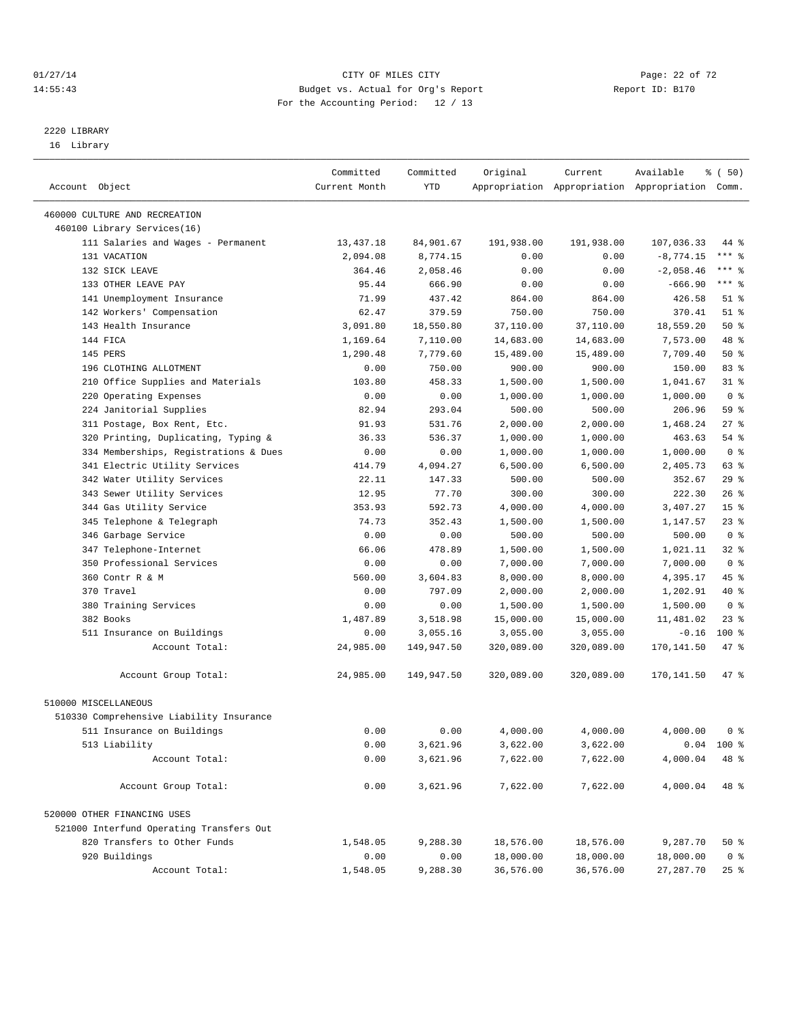#### $CITY$  of  $CITY$  and  $CITY$  of  $T2$   $Page: 22 of 72$ 14:55:43 Budget vs. Actual for Org's Report Report ID: B170 For the Accounting Period: 12 / 13

————————————————————————————————————————————————————————————————————————————————————————————————————————————————————————————————————

# 2220 LIBRARY

16 Library

|                                          | Committed     | Committed  | Original   | Current    | Available                                       | % ( 50)            |
|------------------------------------------|---------------|------------|------------|------------|-------------------------------------------------|--------------------|
| Account Object                           | Current Month | YTD        |            |            | Appropriation Appropriation Appropriation Comm. |                    |
| 460000 CULTURE AND RECREATION            |               |            |            |            |                                                 |                    |
| 460100 Library Services(16)              |               |            |            |            |                                                 |                    |
| 111 Salaries and Wages - Permanent       | 13,437.18     | 84,901.67  | 191,938.00 | 191,938.00 | 107,036.33                                      | 44 %               |
| 131 VACATION                             | 2,094.08      | 8,774.15   | 0.00       | 0.00       | $-8,774.15$                                     | *** %              |
| 132 SICK LEAVE                           | 364.46        | 2,058.46   | 0.00       | 0.00       | $-2,058.46$                                     | $***$ $-$          |
| 133 OTHER LEAVE PAY                      | 95.44         | 666.90     | 0.00       | 0.00       | $-666.90$                                       | $***$ 8            |
| 141 Unemployment Insurance               | 71.99         | 437.42     | 864.00     | 864.00     | 426.58                                          | $51$ %             |
| 142 Workers' Compensation                | 62.47         | 379.59     | 750.00     | 750.00     | 370.41                                          | $51$ %             |
| 143 Health Insurance                     | 3,091.80      | 18,550.80  | 37,110.00  | 37,110.00  | 18,559.20                                       | 50%                |
| 144 FICA                                 |               |            |            |            |                                                 | 48 %               |
| 145 PERS                                 | 1,169.64      | 7,110.00   | 14,683.00  | 14,683.00  | 7,573.00                                        | 50%                |
|                                          | 1,290.48      | 7,779.60   | 15,489.00  | 15,489.00  | 7,709.40                                        | 83%                |
| 196 CLOTHING ALLOTMENT                   | 0.00          | 750.00     | 900.00     | 900.00     | 150.00                                          |                    |
| 210 Office Supplies and Materials        | 103.80        | 458.33     | 1,500.00   | 1,500.00   | 1,041.67                                        | $31$ %             |
| 220 Operating Expenses                   | 0.00          | 0.00       | 1,000.00   | 1,000.00   | 1,000.00                                        | 0 <sup>8</sup>     |
| 224 Janitorial Supplies                  | 82.94         | 293.04     | 500.00     | 500.00     | 206.96                                          | 59 %               |
| 311 Postage, Box Rent, Etc.              | 91.93         | 531.76     | 2,000.00   | 2,000.00   | 1,468.24                                        | $27$ %             |
| 320 Printing, Duplicating, Typing &      | 36.33         | 536.37     | 1,000.00   | 1,000.00   | 463.63                                          | 54 %               |
| 334 Memberships, Registrations & Dues    | 0.00          | 0.00       | 1,000.00   | 1,000.00   | 1,000.00                                        | 0 <sup>8</sup>     |
| 341 Electric Utility Services            | 414.79        | 4,094.27   | 6,500.00   | 6,500.00   | 2,405.73                                        | 63 %               |
| 342 Water Utility Services               | 22.11         | 147.33     | 500.00     | 500.00     | 352.67                                          | 29%                |
| 343 Sewer Utility Services               | 12.95         | 77.70      | 300.00     | 300.00     | 222.30                                          | $26$ %             |
| 344 Gas Utility Service                  | 353.93        | 592.73     | 4,000.00   | 4,000.00   | 3,407.27                                        | 15 <sup>°</sup>    |
| 345 Telephone & Telegraph                | 74.73         | 352.43     | 1,500.00   | 1,500.00   | 1,147.57                                        | $23$ $%$           |
| 346 Garbage Service                      | 0.00          | 0.00       | 500.00     | 500.00     | 500.00                                          | 0 <sup>8</sup>     |
| 347 Telephone-Internet                   | 66.06         | 478.89     | 1,500.00   | 1,500.00   | 1,021.11                                        | $32$ $%$           |
| 350 Professional Services                | 0.00          | 0.00       | 7,000.00   | 7,000.00   | 7,000.00                                        | 0 <sup>8</sup>     |
| 360 Contr R & M                          | 560.00        | 3,604.83   | 8,000.00   | 8,000.00   | 4,395.17                                        | 45 %               |
| 370 Travel                               | 0.00          | 797.09     | 2,000.00   | 2,000.00   | 1,202.91                                        | 40 %               |
| 380 Training Services                    | 0.00          | 0.00       | 1,500.00   | 1,500.00   | 1,500.00                                        | 0 <sup>8</sup>     |
| 382 Books                                | 1,487.89      | 3,518.98   | 15,000.00  | 15,000.00  | 11,481.02                                       | $23$ $%$           |
| 511 Insurance on Buildings               | 0.00          | 3,055.16   | 3,055.00   | 3,055.00   | $-0.16$                                         | $100*$             |
| Account Total:                           | 24,985.00     | 149,947.50 | 320,089.00 | 320,089.00 | 170,141.50                                      | 47 %               |
| Account Group Total:                     | 24,985.00     | 149,947.50 | 320,089.00 | 320,089.00 | 170,141.50                                      | 47 %               |
| 510000 MISCELLANEOUS                     |               |            |            |            |                                                 |                    |
| 510330 Comprehensive Liability Insurance |               |            |            |            |                                                 |                    |
| 511 Insurance on Buildings               | 0.00          | 0.00       | 4,000.00   | 4,000.00   | 4,000.00                                        | 0 <sup>8</sup>     |
| 513 Liability                            | 0.00          | 3,621.96   | 3,622.00   | 3,622.00   |                                                 | $0.04$ 100 %       |
| Account Total:                           | 0.00          | 3,621.96   | 7,622.00   | 7,622.00   | 4,000.04                                        | 48 %               |
|                                          |               |            |            |            |                                                 |                    |
| Account Group Total:                     | 0.00          | 3,621.96   | 7,622.00   | 7,622.00   | 4,000.04                                        | 48 %               |
| 520000 OTHER FINANCING USES              |               |            |            |            |                                                 |                    |
| 521000 Interfund Operating Transfers Out |               |            |            |            |                                                 |                    |
| 820 Transfers to Other Funds             | 1,548.05      | 9,288.30   | 18,576.00  | 18,576.00  | 9,287.70                                        | $50*$              |
| 920 Buildings                            | 0.00          | 0.00       | 18,000.00  | 18,000.00  | 18,000.00                                       | 0 <sup>8</sup>     |
| Account Total:                           | 1,548.05      | 9,288.30   | 36,576.00  | 36,576.00  | 27,287.70                                       | $25$ $\frac{6}{5}$ |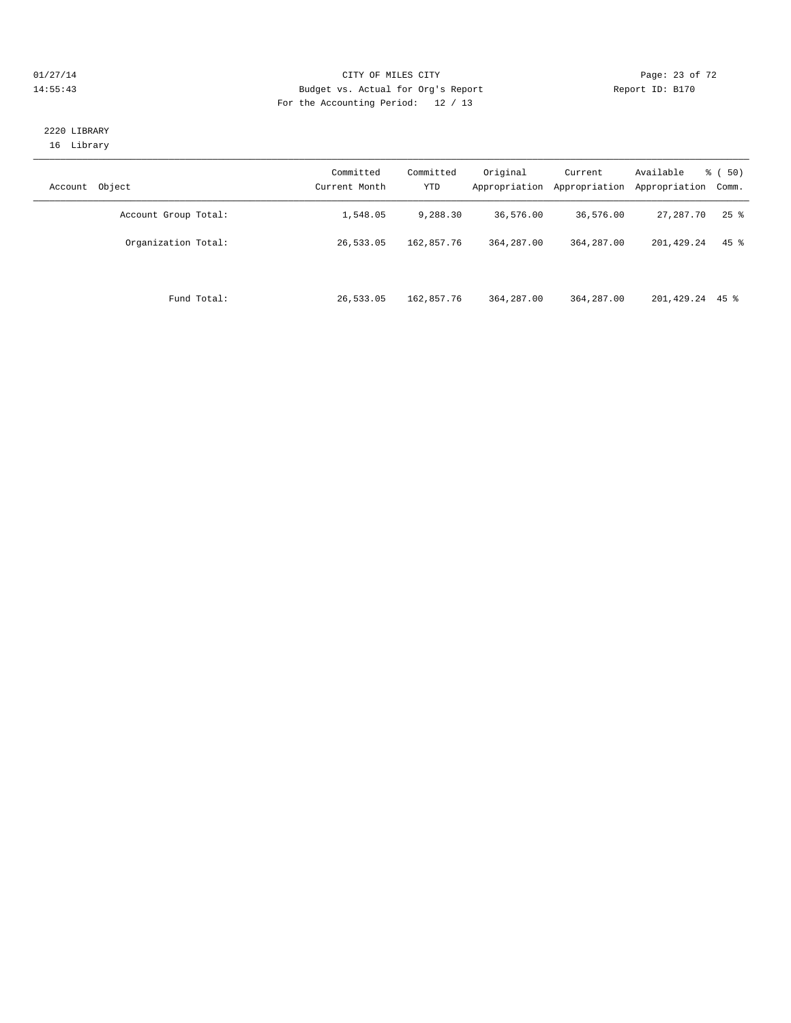#### $CITY$  of  $CITY$  and  $CITY$  of  $CITY$  and  $CITY$  and  $PQ = 23$  of  $72$ 14:55:43 Budget vs. Actual for Org's Report Report ID: B170 For the Accounting Period: 12 / 13

#### 2220 LIBRARY 16 Library

| Object<br>Account    | Committed<br>Current Month | Committed<br><b>YTD</b> | Original<br>Appropriation | Current<br>Appropriation | Available<br>Appropriation | $\frac{1}{6}$ (50)<br>Comm. |
|----------------------|----------------------------|-------------------------|---------------------------|--------------------------|----------------------------|-----------------------------|
| Account Group Total: | 1,548.05                   | 9,288.30                | 36,576.00                 | 36,576.00                | 27,287.70                  | $25$ $\frac{6}{5}$          |
| Organization Total:  | 26,533.05                  | 162,857.76              | 364, 287, 00              | 364, 287, 00             | 201,429.24                 | $45$ %                      |
| Fund Total:          | 26,533.05                  | 162,857.76              | 364, 287, 00              | 364, 287, 00             | 201,429.24 45 %            |                             |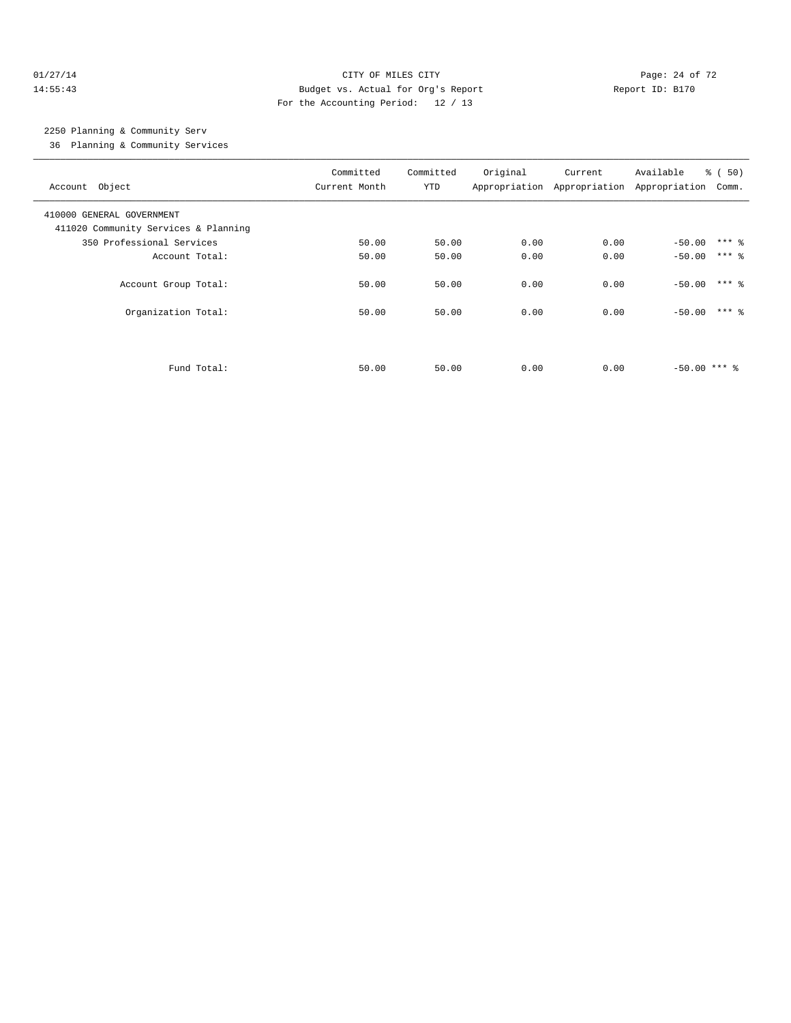#### $O1/27/14$  Page: 24 of 72 14:55:43 Budget vs. Actual for Org's Report Report ID: B170 For the Accounting Period: 12 / 13

# 2250 Planning & Community Serv

36 Planning & Community Services

| Account Object                                                    | Committed<br>Current Month | Committed<br>YTD | Original | Current<br>Appropriation Appropriation Appropriation | Available                  | $\frac{1}{6}$ (50)<br>Comm. |
|-------------------------------------------------------------------|----------------------------|------------------|----------|------------------------------------------------------|----------------------------|-----------------------------|
| 410000 GENERAL GOVERNMENT<br>411020 Community Services & Planning |                            |                  |          |                                                      |                            |                             |
| 350 Professional Services                                         | 50.00                      | 50.00            | 0.00     | 0.00                                                 | $-50.00$ *** $\frac{6}{3}$ |                             |
| Account Total:                                                    | 50.00                      | 50.00            | 0.00     | 0.00                                                 | $-50.00$                   | $***$ 2                     |
| Account Group Total:                                              | 50.00                      | 50.00            | 0.00     | 0.00                                                 | $-50.00$ *** $\frac{1}{8}$ |                             |
| Organization Total:                                               | 50.00                      | 50.00            | 0.00     | 0.00                                                 | $-50.00$ *** $\frac{6}{3}$ |                             |
|                                                                   |                            |                  |          |                                                      |                            |                             |
| Fund Total:                                                       | 50.00                      | 50.00            | 0.00     | 0.00                                                 | $-50.00$ *** &             |                             |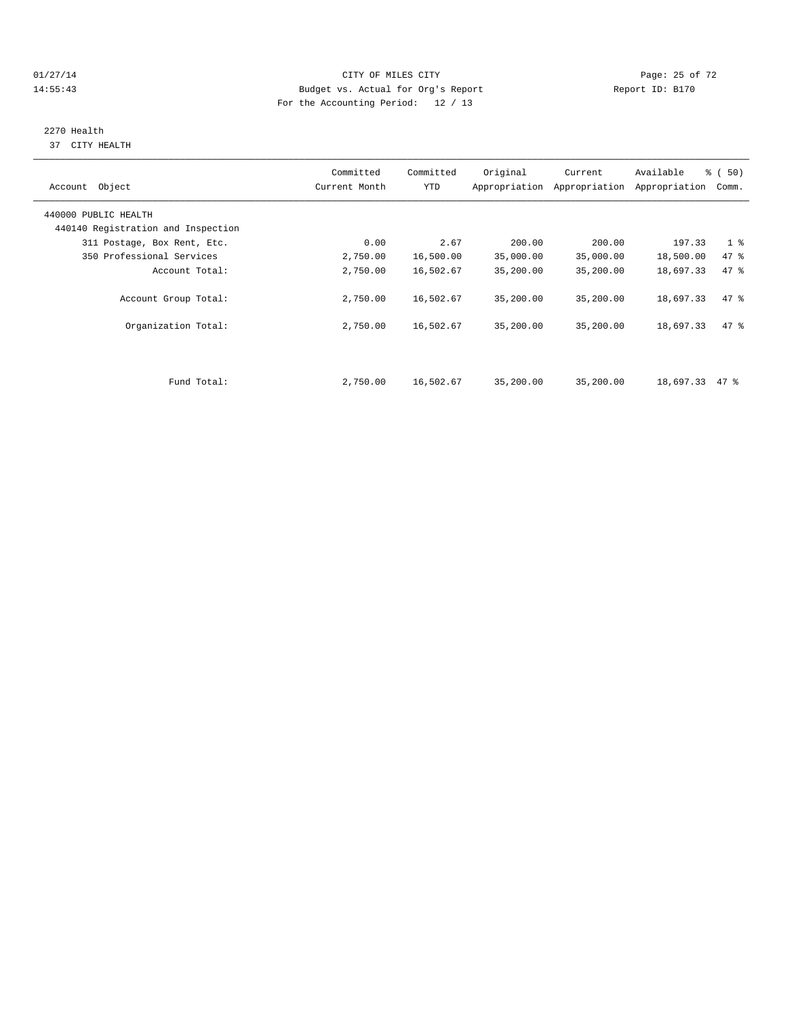#### $CITY$  OF MILES CITY CHANNEL CITY CHANNEL CITY Page: 25 of 72 14:55:43 Budget vs. Actual for Org's Report Report ID: B170 For the Accounting Period: 12 / 13

# 2270 Health

37 CITY HEALTH

| Object<br>Account                  | Committed<br>Current Month | Committed<br><b>YTD</b> | Original  | Current<br>Appropriation Appropriation | Available<br>Appropriation | % (50)<br>Comm. |  |
|------------------------------------|----------------------------|-------------------------|-----------|----------------------------------------|----------------------------|-----------------|--|
| 440000 PUBLIC HEALTH               |                            |                         |           |                                        |                            |                 |  |
| 440140 Registration and Inspection |                            |                         |           |                                        |                            |                 |  |
| 311 Postage, Box Rent, Etc.        | 0.00                       | 2.67                    | 200.00    | 200.00                                 | 197.33                     | 1 <sup>8</sup>  |  |
| 350 Professional Services          | 2,750.00                   | 16,500.00               | 35,000.00 | 35,000.00                              | 18,500.00                  | 47 %            |  |
| Account Total:                     | 2,750.00                   | 16,502.67               | 35,200.00 | 35,200.00                              | 18,697.33                  | 47.8            |  |
| Account Group Total:               | 2,750.00                   | 16,502.67               | 35,200.00 | 35,200.00                              | 18,697.33                  | 47.8            |  |
| Organization Total:                | 2,750.00                   | 16,502.67               | 35,200.00 | 35,200.00                              | 18,697.33                  | 47.8            |  |
|                                    |                            |                         |           |                                        |                            |                 |  |
| Fund Total:                        | 2,750.00                   | 16,502.67               | 35,200.00 | 35,200.00                              | 18,697.33                  | 47 %            |  |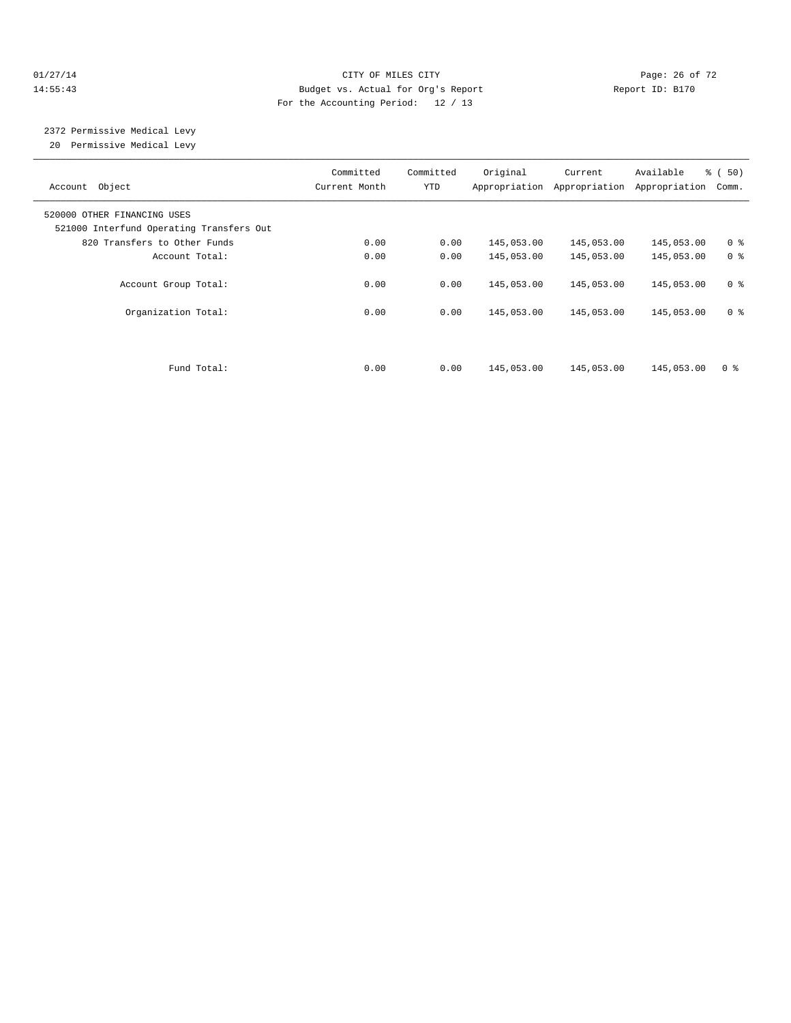#### $O1/27/14$  Page: 26 of 72 14:55:43 Budget vs. Actual for Org's Report Report ID: B170 For the Accounting Period: 12 / 13

 2372 Permissive Medical Levy 20 Permissive Medical Levy

| Account Object                                                          | Committed<br>Current Month | Committed<br>YTD | Original   | Current<br>Appropriation Appropriation | Available<br>Appropriation | % (50)<br>Comm. |
|-------------------------------------------------------------------------|----------------------------|------------------|------------|----------------------------------------|----------------------------|-----------------|
| 520000 OTHER FINANCING USES<br>521000 Interfund Operating Transfers Out |                            |                  |            |                                        |                            |                 |
| 820 Transfers to Other Funds                                            | 0.00                       | 0.00             | 145,053.00 | 145,053.00                             | 145,053.00                 | 0 <sup>8</sup>  |
| Account Total:                                                          | 0.00                       | 0.00             | 145,053.00 | 145,053.00                             | 145,053.00                 | 0 <sup>8</sup>  |
| Account Group Total:                                                    | 0.00                       | 0.00             | 145,053.00 | 145,053.00                             | 145,053.00                 | 0 <sup>8</sup>  |
| Organization Total:                                                     | 0.00                       | 0.00             | 145,053.00 | 145,053.00                             | 145,053.00                 | 0 <sup>8</sup>  |
| Fund Total:                                                             | 0.00                       | 0.00             | 145,053.00 | 145,053.00                             | 145,053.00                 | 0 <sup>8</sup>  |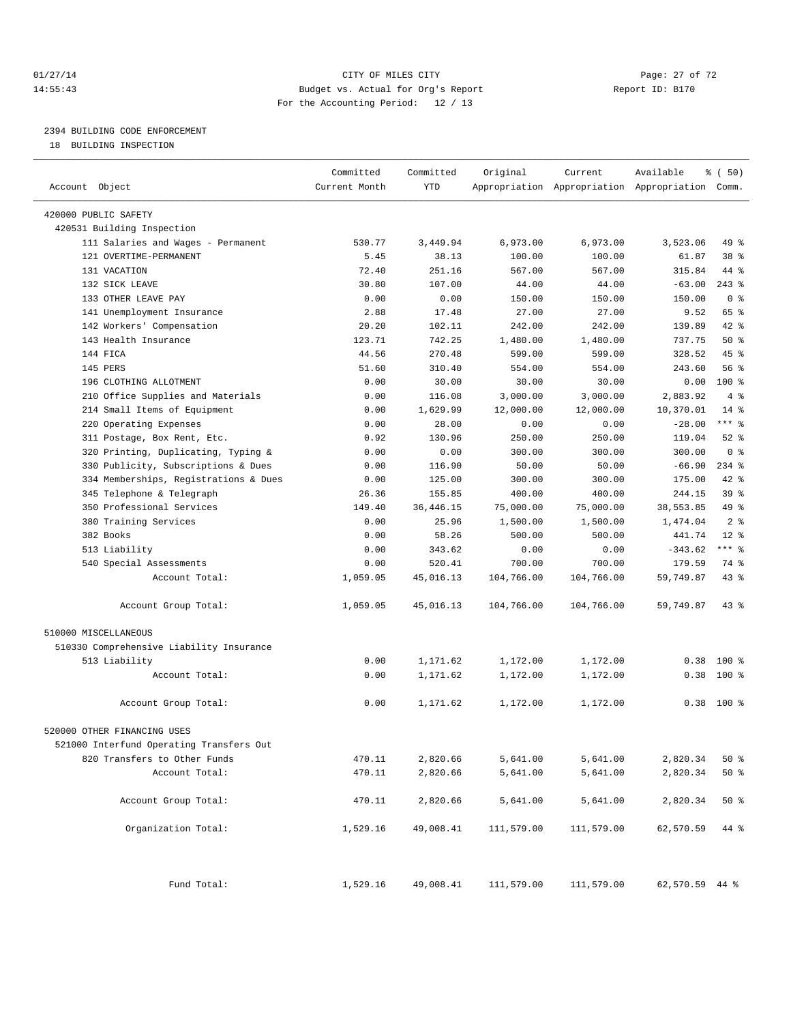#### $O1/27/14$  Page: 27 of 72 14:55:43 Budget vs. Actual for Org's Report Report ID: B170 For the Accounting Period: 12 / 13

————————————————————————————————————————————————————————————————————————————————————————————————————————————————————————————————————

# 2394 BUILDING CODE ENFORCEMENT

18 BUILDING INSPECTION

|                                                                  | Committed     | Committed   | Original   | Current                                         | Available      | % ( 50)        |
|------------------------------------------------------------------|---------------|-------------|------------|-------------------------------------------------|----------------|----------------|
| Account Object                                                   | Current Month | <b>YTD</b>  |            | Appropriation Appropriation Appropriation Comm. |                |                |
|                                                                  |               |             |            |                                                 |                |                |
| 420000 PUBLIC SAFETY                                             |               |             |            |                                                 |                |                |
| 420531 Building Inspection<br>111 Salaries and Wages - Permanent | 530.77        | 3,449.94    | 6,973.00   | 6,973.00                                        | 3,523.06       | 49 %           |
| 121 OVERTIME-PERMANENT                                           | 5.45          | 38.13       | 100.00     | 100.00                                          | 61.87          | 38 %           |
| 131 VACATION                                                     | 72.40         | 251.16      | 567.00     | 567.00                                          | 315.84         | 44 %           |
| 132 SICK LEAVE                                                   | 30.80         | 107.00      | 44.00      | 44.00                                           | $-63.00$       | $243*$         |
| 133 OTHER LEAVE PAY                                              | 0.00          | 0.00        | 150.00     | 150.00                                          | 150.00         | 0 <sup>8</sup> |
| 141 Unemployment Insurance                                       | 2.88          | 17.48       | 27.00      | 27.00                                           | 9.52           | 65 %           |
| 142 Workers' Compensation                                        | 20.20         | 102.11      | 242.00     | 242.00                                          | 139.89         | 42 %           |
| 143 Health Insurance                                             | 123.71        | 742.25      | 1,480.00   | 1,480.00                                        | 737.75         | 50%            |
| 144 FICA                                                         | 44.56         | 270.48      | 599.00     | 599.00                                          | 328.52         | 45 %           |
| 145 PERS                                                         | 51.60         | 310.40      | 554.00     | 554.00                                          | 243.60         | 56%            |
| 196 CLOTHING ALLOTMENT                                           | 0.00          | 30.00       | 30.00      | 30.00                                           | 0.00           | 100 %          |
| 210 Office Supplies and Materials                                | 0.00          | 116.08      | 3,000.00   | 3,000.00                                        | 2,883.92       | 4%             |
| 214 Small Items of Equipment                                     | 0.00          | 1,629.99    | 12,000.00  | 12,000.00                                       | 10,370.01      | $14$ %         |
| 220 Operating Expenses                                           | 0.00          | 28.00       | 0.00       | 0.00                                            | $-28.00$       | $***$ $-$      |
| 311 Postage, Box Rent, Etc.                                      | 0.92          | 130.96      | 250.00     | 250.00                                          | 119.04         | $52$ $%$       |
| 320 Printing, Duplicating, Typing &                              | 0.00          | 0.00        | 300.00     | 300.00                                          | 300.00         | 0 <sup>8</sup> |
| 330 Publicity, Subscriptions & Dues                              | 0.00          | 116.90      | 50.00      | 50.00                                           | $-66.90$       | $234$ $%$      |
| 334 Memberships, Registrations & Dues                            | 0.00          | 125.00      | 300.00     | 300.00                                          | 175.00         | 42 %           |
| 345 Telephone & Telegraph                                        | 26.36         | 155.85      | 400.00     | 400.00                                          | 244.15         | 39 %           |
| 350 Professional Services                                        | 149.40        | 36, 446. 15 | 75,000.00  | 75,000.00                                       | 38,553.85      | 49 %           |
| 380 Training Services                                            | 0.00          | 25.96       | 1,500.00   | 1,500.00                                        | 1,474.04       | 2 <sup>8</sup> |
| 382 Books                                                        | 0.00          | 58.26       | 500.00     | 500.00                                          | 441.74         | $12*$          |
| 513 Liability                                                    | 0.00          | 343.62      | 0.00       | 0.00                                            | $-343.62$      | *** 응          |
| 540 Special Assessments                                          | 0.00          | 520.41      | 700.00     | 700.00                                          | 179.59         | 74 %           |
| Account Total:                                                   | 1,059.05      | 45,016.13   | 104,766.00 | 104,766.00                                      | 59,749.87      | $43$ %         |
|                                                                  |               |             |            |                                                 |                |                |
| Account Group Total:                                             | 1,059.05      | 45,016.13   | 104,766.00 | 104,766.00                                      | 59,749.87      | $43$ %         |
| 510000 MISCELLANEOUS                                             |               |             |            |                                                 |                |                |
| 510330 Comprehensive Liability Insurance                         |               |             |            |                                                 |                |                |
| 513 Liability                                                    | 0.00          | 1,171.62    | 1,172.00   | 1,172.00                                        | 0.38           | $100*$         |
| Account Total:                                                   | 0.00          | 1,171.62    | 1,172.00   | 1,172.00                                        | 0.38           | 100 %          |
|                                                                  |               |             |            |                                                 |                |                |
| Account Group Total:                                             | 0.00          | 1,171.62    | 1,172.00   | 1,172.00                                        |                | $0.38$ 100 %   |
| 520000 OTHER FINANCING USES                                      |               |             |            |                                                 |                |                |
| 521000 Interfund Operating Transfers Out                         |               |             |            |                                                 |                |                |
| 820 Transfers to Other Funds                                     | 470.11        | 2,820.66    | 5,641.00   | 5,641.00                                        | 2,820.34       | 50%            |
| Account Total:                                                   | 470.11        | 2,820.66    | 5,641.00   | 5,641.00                                        | 2,820.34       | $50*$          |
|                                                                  |               |             |            |                                                 |                |                |
| Account Group Total:                                             | 470.11        | 2,820.66    | 5,641.00   | 5,641.00                                        | 2,820.34       | $50*$          |
| Organization Total:                                              | 1,529.16      | 49,008.41   | 111,579.00 | 111,579.00                                      | 62,570.59      | 44 %           |
| Fund Total:                                                      | 1,529.16      | 49,008.41   | 111,579.00 | 111,579.00                                      | 62,570.59 44 % |                |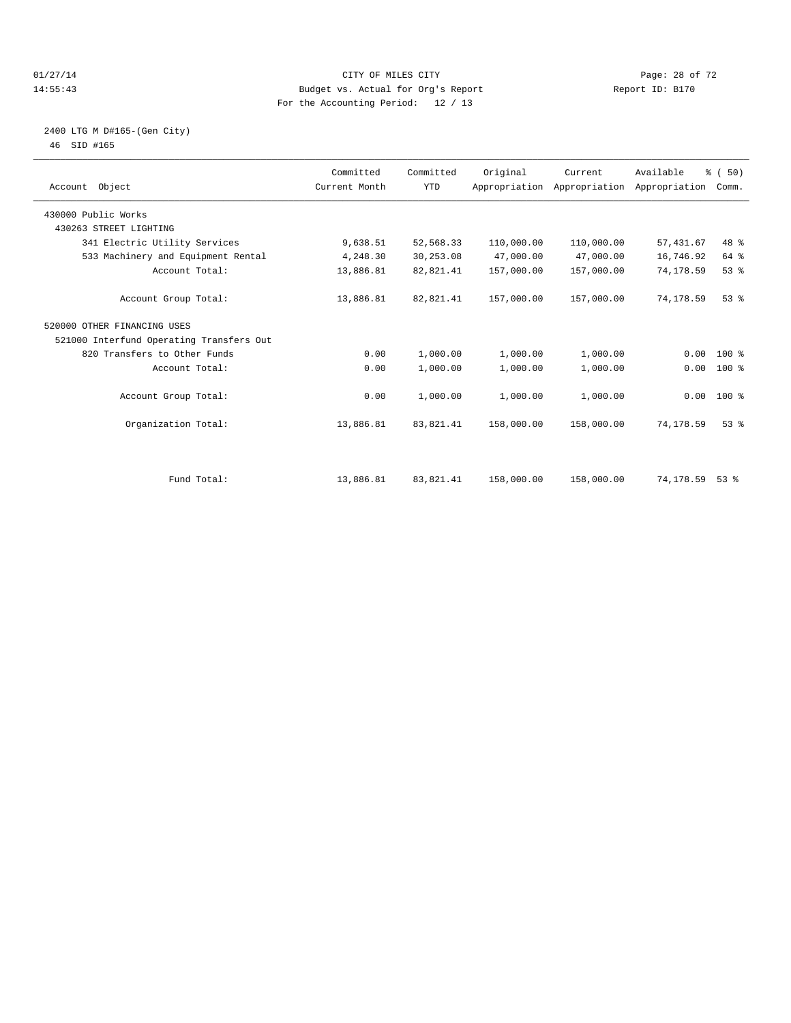#### $CITY$  of  $CITY$  and  $CITY$  of  $CITY$  and  $CITY$  and  $CITY$  is the page: 28 of 72 14:55:43 Budget vs. Actual for Org's Report Report ID: B170 For the Accounting Period: 12 / 13

#### 2400 LTG M D#165-(Gen City) 46 SID #165

| Account Object                           | Committed<br>Current Month | Committed<br><b>YTD</b> | Original   | Current<br>Appropriation Appropriation Appropriation | Available  | % (50)<br>Comm. |  |
|------------------------------------------|----------------------------|-------------------------|------------|------------------------------------------------------|------------|-----------------|--|
| 430000 Public Works                      |                            |                         |            |                                                      |            |                 |  |
| 430263 STREET LIGHTING                   |                            |                         |            |                                                      |            |                 |  |
| 341 Electric Utility Services            | 9,638.51                   | 52,568.33               | 110,000.00 | 110,000.00                                           | 57, 431.67 | $48*$           |  |
| 533 Machinery and Equipment Rental       | 4,248.30                   | 30,253.08               | 47,000.00  | 47,000.00                                            | 16,746.92  | 64 %            |  |
| Account Total:                           | 13,886.81                  | 82,821.41               | 157,000.00 | 157,000.00                                           | 74,178.59  | 53%             |  |
| Account Group Total:                     | 13,886.81                  | 82,821.41               | 157,000.00 | 157,000.00                                           | 74,178.59  | 53%             |  |
| 520000 OTHER FINANCING USES              |                            |                         |            |                                                      |            |                 |  |
| 521000 Interfund Operating Transfers Out |                            |                         |            |                                                      |            |                 |  |
| 820 Transfers to Other Funds             | 0.00                       | 1,000.00                | 1,000.00   | 1,000.00                                             | 0.00       | $100*$          |  |
| Account Total:                           | 0.00                       | 1,000.00                | 1,000.00   | 1,000.00                                             | 0.00       | $100*$          |  |
| Account Group Total:                     | 0.00                       | 1,000.00                | 1,000.00   | 1,000.00                                             |            | $0.00$ 100 %    |  |
| Organization Total:                      | 13,886.81                  | 83,821.41               | 158,000.00 | 158,000.00                                           | 74,178.59  | 53 <sup>8</sup> |  |
|                                          |                            |                         |            |                                                      |            |                 |  |
| Fund Total:                              | 13,886.81                  | 83,821.41               | 158,000.00 | 158,000.00                                           | 74,178.59  | $53$ $%$        |  |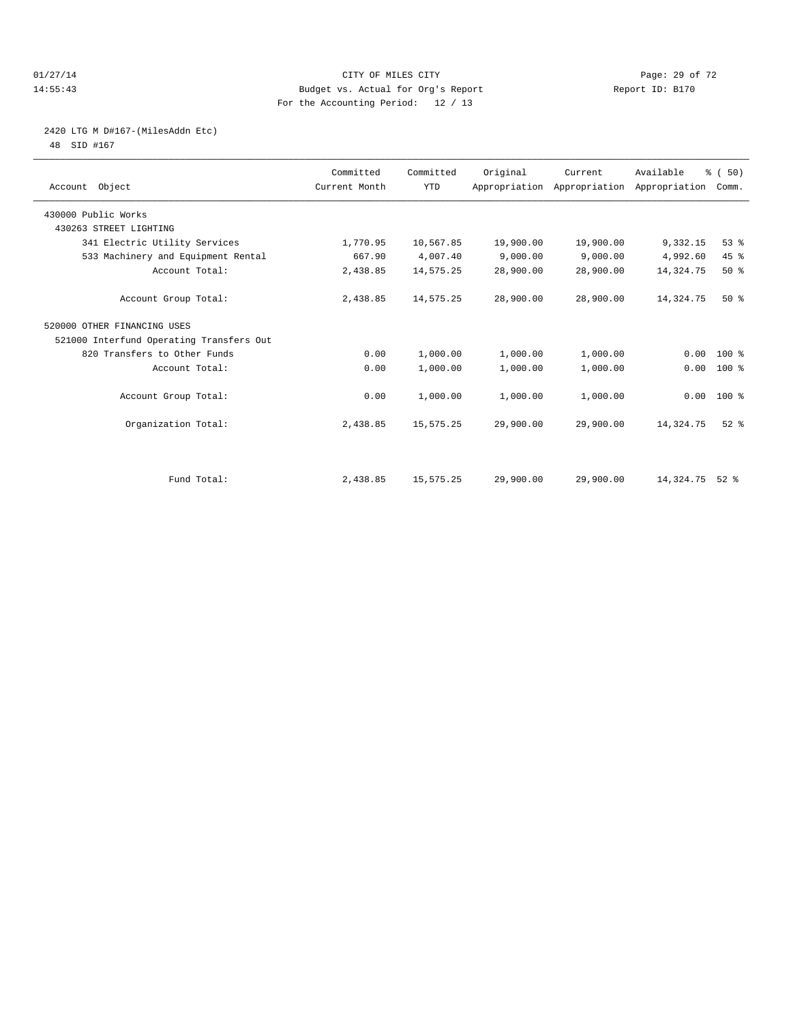#### $O1/27/14$  Page: 29 of 72 14:55:43 Budget vs. Actual for Org's Report Report ID: B170 For the Accounting Period: 12 / 13

# 2420 LTG M D#167-(MilesAddn Etc)

48 SID #167

| Account Object                           | Committed<br>Current Month | Committed<br><b>YTD</b> | Original  | Current<br>Appropriation Appropriation Appropriation | Available   | % (50)<br>Comm. |  |
|------------------------------------------|----------------------------|-------------------------|-----------|------------------------------------------------------|-------------|-----------------|--|
| 430000 Public Works                      |                            |                         |           |                                                      |             |                 |  |
| 430263 STREET LIGHTING                   |                            |                         |           |                                                      |             |                 |  |
| 341 Electric Utility Services            | 1,770.95                   | 10,567.85               | 19,900.00 | 19,900.00                                            | 9,332.15    | 53%             |  |
| 533 Machinery and Equipment Rental       | 667.90                     | 4,007.40                | 9,000.00  | 9,000.00                                             | 4,992.60    | 45 %            |  |
| Account Total:                           | 2,438.85                   | 14,575.25               | 28,900.00 | 28,900.00                                            | 14, 324. 75 | $50*$           |  |
| Account Group Total:                     | 2,438.85                   | 14,575.25               | 28,900.00 | 28,900.00                                            | 14,324.75   | $50*$           |  |
| 520000 OTHER FINANCING USES              |                            |                         |           |                                                      |             |                 |  |
| 521000 Interfund Operating Transfers Out |                            |                         |           |                                                      |             |                 |  |
| 820 Transfers to Other Funds             | 0.00                       | 1,000.00                | 1,000.00  | 1,000.00                                             | 0.00        | $100*$          |  |
| Account Total:                           | 0.00                       | 1,000.00                | 1,000.00  | 1,000.00                                             | 0.00        | 100 %           |  |
| Account Group Total:                     | 0.00                       | 1,000.00                | 1,000.00  | 1,000.00                                             |             | $0.00$ 100 %    |  |
| Organization Total:                      | 2,438.85                   | 15,575.25               | 29,900.00 | 29,900.00                                            | 14,324.75   | $52$ $%$        |  |
|                                          |                            |                         |           |                                                      |             |                 |  |
| Fund Total:                              | 2,438.85                   | 15,575.25               | 29,900.00 | 29,900.00                                            | 14,324.75   | $52$ $%$        |  |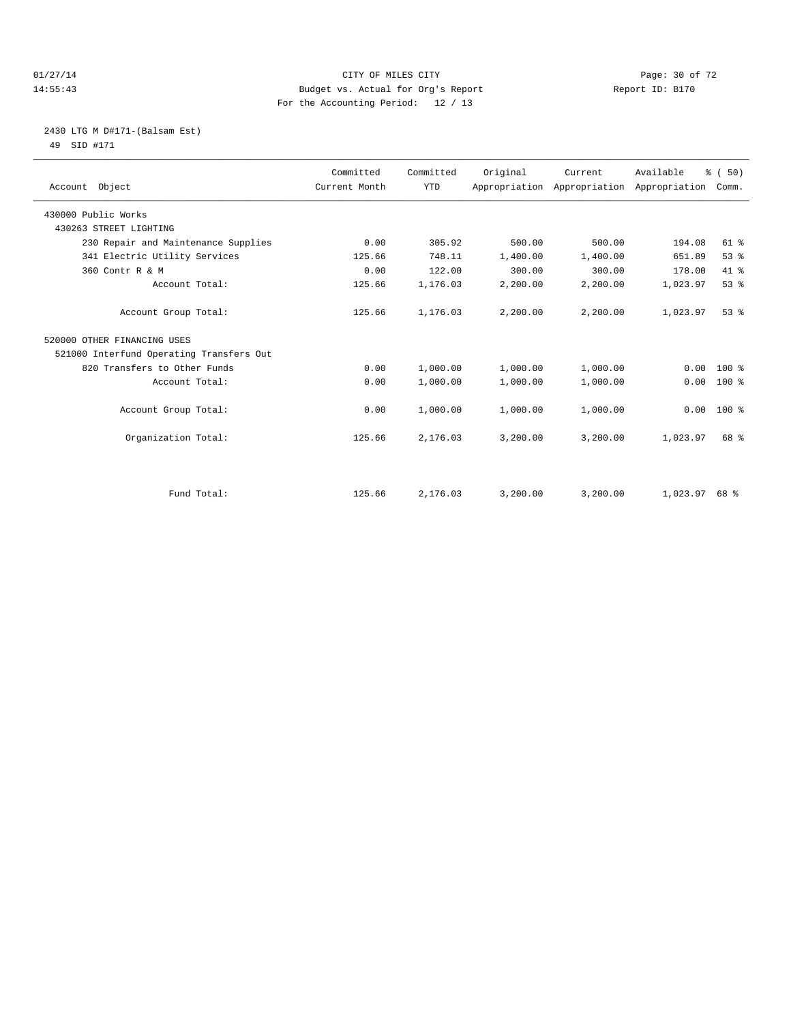#### $CITY$  of  $CITY$  and  $CITY$  of  $T2$   $Page: 30$  of  $72$ 14:55:43 Budget vs. Actual for Org's Report Report ID: B170 For the Accounting Period: 12 / 13

# 2430 LTG M D#171-(Balsam Est) 49 SID #171

| Account Object                           | Committed<br>Current Month | Committed<br><b>YTD</b> | Original | Current<br>Appropriation Appropriation Appropriation | Available | % (50)<br>Comm. |
|------------------------------------------|----------------------------|-------------------------|----------|------------------------------------------------------|-----------|-----------------|
| 430000 Public Works                      |                            |                         |          |                                                      |           |                 |
| 430263 STREET LIGHTING                   |                            |                         |          |                                                      |           |                 |
| 230 Repair and Maintenance Supplies      | 0.00                       | 305.92                  | 500.00   | 500.00                                               | 194.08    | $61$ %          |
| 341 Electric Utility Services            | 125.66                     | 748.11                  | 1,400.00 | 1,400.00                                             | 651.89    | 53%             |
| 360 Contr R & M                          | 0.00                       | 122.00                  | 300.00   | 300.00                                               | 178.00    | 41.8            |
| Account Total:                           | 125.66                     | 1,176.03                | 2,200.00 | 2,200.00                                             | 1,023.97  | 53%             |
| Account Group Total:                     | 125.66                     | 1,176.03                | 2,200.00 | 2,200.00                                             | 1,023.97  | 53 <sup>8</sup> |
| 520000 OTHER FINANCING USES              |                            |                         |          |                                                      |           |                 |
| 521000 Interfund Operating Transfers Out |                            |                         |          |                                                      |           |                 |
| 820 Transfers to Other Funds             | 0.00                       | 1,000.00                | 1,000.00 | 1,000.00                                             | 0.00      | $100*$          |
| Account Total:                           | 0.00                       | 1,000.00                | 1,000.00 | 1,000.00                                             | 0.00      | $100*$          |
| Account Group Total:                     | 0.00                       | 1,000.00                | 1,000.00 | 1,000.00                                             | 0.00      | $100*$          |
| Organization Total:                      | 125.66                     | 2,176.03                | 3,200.00 | 3,200.00                                             | 1,023.97  | 68 %            |
|                                          |                            |                         |          |                                                      |           |                 |
| Fund Total:                              | 125.66                     | 2,176.03                | 3,200.00 | 3,200.00                                             | 1,023.97  | 68 %            |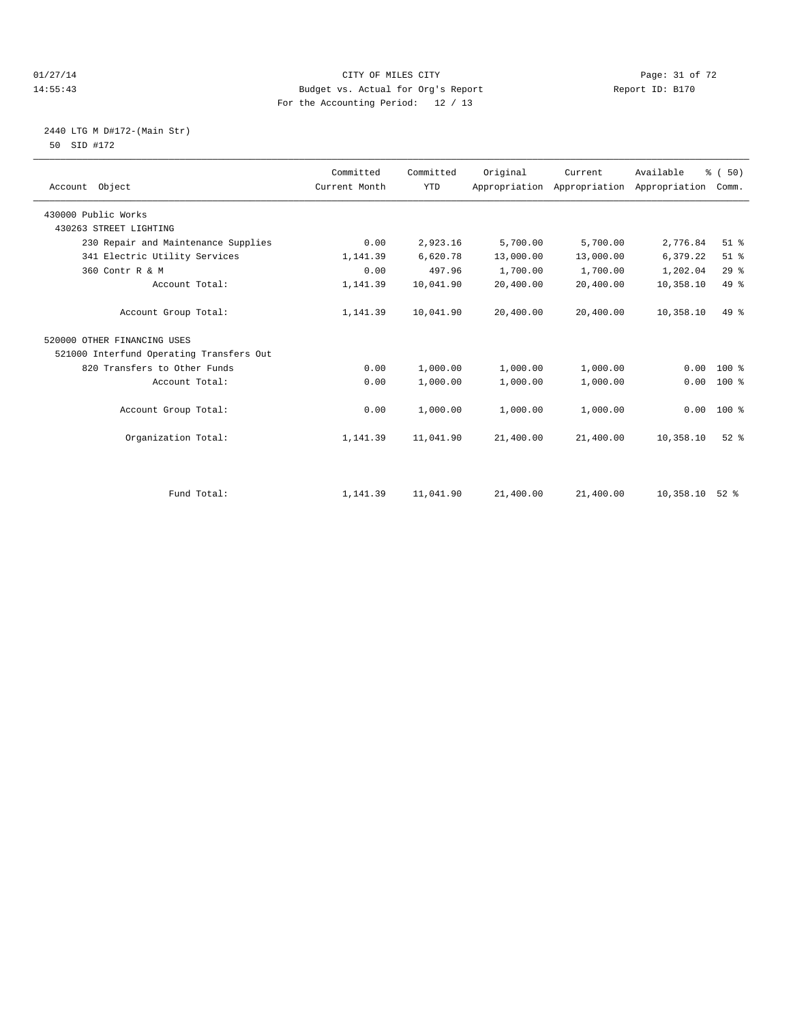#### $CITY$  of  $CITY$  and  $CITY$  of  $T2$   $Page: 31 of 72$ 14:55:43 Budget vs. Actual for Org's Report Report ID: B170 For the Accounting Period: 12 / 13

# 2440 LTG M D#172-(Main Str) 50 SID #172

| Account Object                           | Committed<br>Current Month | Committed<br><b>YTD</b> | Original  | Current<br>Appropriation Appropriation | Available<br>Appropriation | % (50)<br>Comm. |
|------------------------------------------|----------------------------|-------------------------|-----------|----------------------------------------|----------------------------|-----------------|
| 430000 Public Works                      |                            |                         |           |                                        |                            |                 |
| 430263 STREET LIGHTING                   |                            |                         |           |                                        |                            |                 |
| 230 Repair and Maintenance Supplies      | 0.00                       | 2,923.16                | 5,700.00  | 5,700.00                               | 2,776.84                   | $51$ %          |
| 341 Electric Utility Services            | 1,141.39                   | 6,620.78                | 13,000.00 | 13,000.00                              | 6,379.22                   | $51$ %          |
| 360 Contr R & M                          | 0.00                       | 497.96                  | 1,700.00  | 1,700.00                               | 1,202.04                   | 29%             |
| Account Total:                           | 1,141.39                   | 10,041.90               | 20,400.00 | 20,400.00                              | 10,358.10                  | 49 %            |
| Account Group Total:                     | 1,141.39                   | 10,041.90               | 20,400.00 | 20,400.00                              | 10,358.10                  | 49 %            |
| 520000 OTHER FINANCING USES              |                            |                         |           |                                        |                            |                 |
| 521000 Interfund Operating Transfers Out |                            |                         |           |                                        |                            |                 |
| 820 Transfers to Other Funds             | 0.00                       | 1,000.00                | 1,000.00  | 1,000.00                               | 0.00                       | $100*$          |
| Account Total:                           | 0.00                       | 1,000.00                | 1,000.00  | 1,000.00                               | 0.00                       | $100*$          |
| Account Group Total:                     | 0.00                       | 1,000.00                | 1,000.00  | 1,000.00                               | 0.00                       | $100*$          |
| Organization Total:                      | 1,141.39                   | 11,041.90               | 21,400.00 | 21,400.00                              | 10,358.10                  | $52$ $%$        |
|                                          |                            |                         |           |                                        |                            |                 |
| Fund Total:                              | 1,141.39                   | 11,041.90               | 21,400.00 | 21,400.00                              | 10,358.10                  | $52$ $%$        |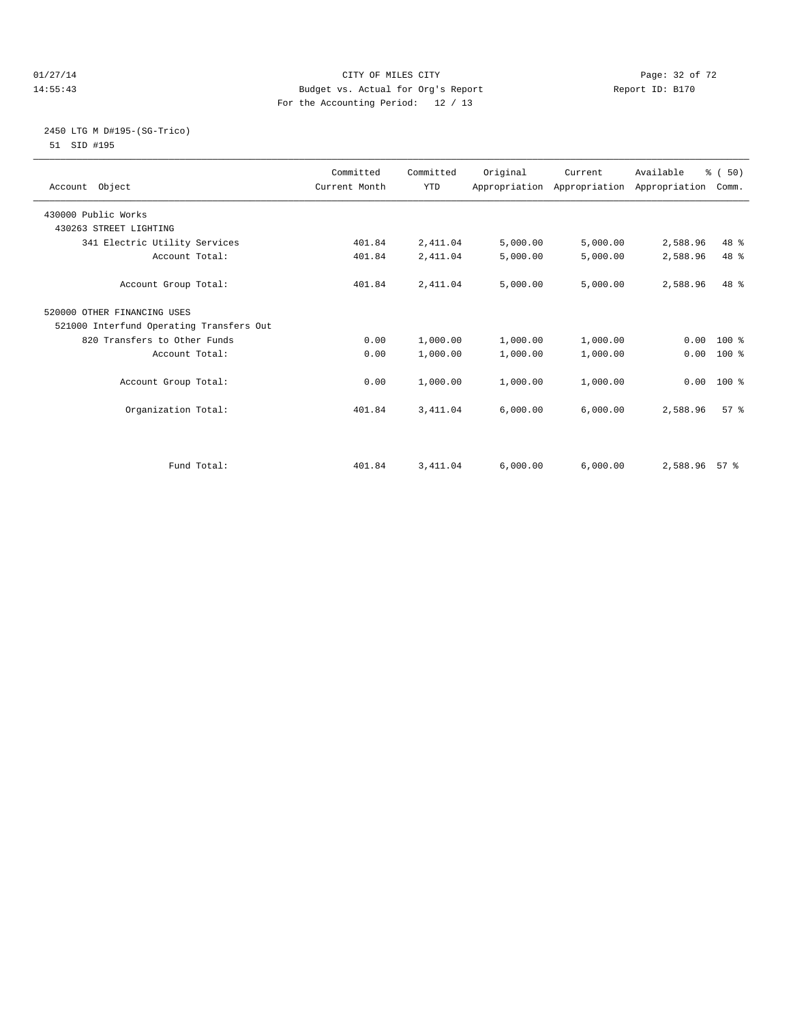#### $CITY$  of  $CITY$  and  $CITY$  of  $T2$   $Page: 32 of 72$ 14:55:43 Budget vs. Actual for Org's Report Report ID: B170 For the Accounting Period: 12 / 13

#### 2450 LTG M D#195-(SG-Trico) 51 SID #195

| Account Object                           | Committed<br>Current Month | Committed<br><b>YTD</b> | Original | Current  | Available<br>Appropriation Appropriation Appropriation | % (50)<br>Comm. |  |
|------------------------------------------|----------------------------|-------------------------|----------|----------|--------------------------------------------------------|-----------------|--|
| 430000 Public Works                      |                            |                         |          |          |                                                        |                 |  |
| 430263 STREET LIGHTING                   |                            |                         |          |          |                                                        |                 |  |
| 341 Electric Utility Services            | 401.84                     | 2,411.04                | 5,000.00 | 5,000.00 | 2,588.96                                               | 48 %            |  |
| Account Total:                           | 401.84                     | 2,411.04                | 5,000.00 | 5,000.00 | 2,588.96                                               | 48 %            |  |
| Account Group Total:                     | 401.84                     | 2,411.04                | 5,000.00 | 5,000.00 | 2,588.96                                               | $48*$           |  |
| 520000 OTHER FINANCING USES              |                            |                         |          |          |                                                        |                 |  |
| 521000 Interfund Operating Transfers Out |                            |                         |          |          |                                                        |                 |  |
| 820 Transfers to Other Funds             | 0.00                       | 1,000.00                | 1,000.00 | 1,000.00 |                                                        | $0.00$ 100 %    |  |
| Account Total:                           | 0.00                       | 1,000.00                | 1,000.00 | 1,000.00 | 0.00                                                   | 100 %           |  |
| Account Group Total:                     | 0.00                       | 1,000.00                | 1,000.00 | 1,000.00 | 0.00                                                   | $100*$          |  |
| Organization Total:                      | 401.84                     | 3, 411.04               | 6,000.00 | 6,000.00 | 2,588.96                                               | 57 <sup>8</sup> |  |
| Fund Total:                              | 401.84                     | 3,411.04                | 6.000.00 | 6,000.00 | 2,588.96 57 %                                          |                 |  |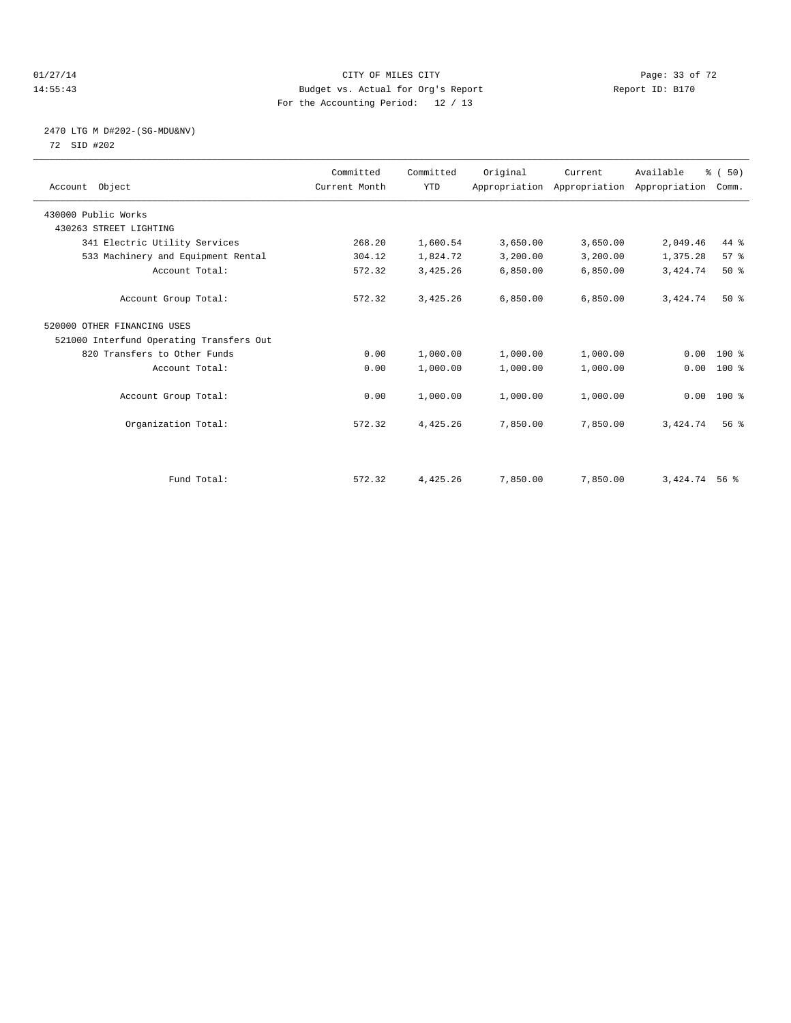#### $CITY$  of  $CITY$  and  $CITY$  of  $CITY$  and  $CITY$  and  $PQ = 33$  of  $72$ 14:55:43 Budget vs. Actual for Org's Report Report ID: B170 For the Accounting Period: 12 / 13

# 2470 LTG M D#202-(SG-MDU&NV) 72 SID #202

| Account Object                           | Committed<br>Current Month | Committed<br><b>YTD</b> | Original | Current<br>Appropriation Appropriation Appropriation | Available       | % (50)<br>Comm. |  |
|------------------------------------------|----------------------------|-------------------------|----------|------------------------------------------------------|-----------------|-----------------|--|
| 430000 Public Works                      |                            |                         |          |                                                      |                 |                 |  |
| 430263 STREET LIGHTING                   |                            |                         |          |                                                      |                 |                 |  |
| 341 Electric Utility Services            | 268.20                     | 1,600.54                | 3,650.00 | 3,650.00                                             | 2,049.46        | 44 %            |  |
| 533 Machinery and Equipment Rental       | 304.12                     | 1,824.72                | 3,200.00 | 3,200.00                                             | 1,375.28        | 57%             |  |
| Account Total:                           | 572.32                     | 3,425.26                | 6,850.00 | 6,850.00                                             | 3,424.74        | $50*$           |  |
| Account Group Total:                     | 572.32                     | 3,425.26                | 6.850.00 | 6,850.00                                             | 3,424.74        | $50*$           |  |
| 520000 OTHER FINANCING USES              |                            |                         |          |                                                      |                 |                 |  |
| 521000 Interfund Operating Transfers Out |                            |                         |          |                                                      |                 |                 |  |
| 820 Transfers to Other Funds             | 0.00                       | 1,000.00                | 1,000.00 | 1,000.00                                             | 0.00            | 100 %           |  |
| Account Total:                           | 0.00                       | 1,000.00                | 1,000.00 | 1,000.00                                             | 0.00            | 100 %           |  |
| Account Group Total:                     | 0.00                       | 1,000.00                | 1,000.00 | 1,000.00                                             |                 | $0.00$ 100 %    |  |
| Organization Total:                      | 572.32                     | 4,425.26                | 7,850.00 | 7,850.00                                             | 3,424.74        | 56 <sup>8</sup> |  |
|                                          |                            |                         |          |                                                      |                 |                 |  |
| Fund Total:                              | 572.32                     | 4,425.26                | 7,850.00 | 7,850.00                                             | 3, 424. 74 56 % |                 |  |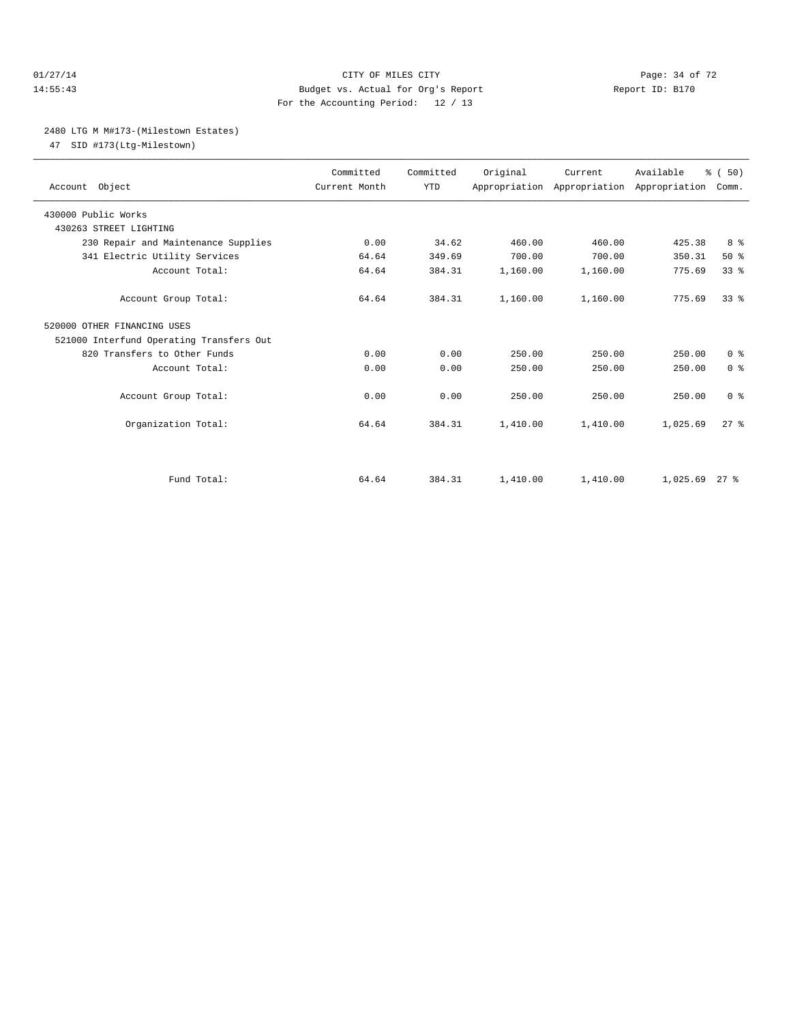#### $O1/27/14$  Page: 34 of 72 14:55:43 Budget vs. Actual for Org's Report Report ID: B170 For the Accounting Period: 12 / 13

#### 2480 LTG M M#173-(Milestown Estates)

47 SID #173(Ltg-Milestown)

| Account Object                           | Committed<br>Current Month | Committed<br><b>YTD</b> | Original | Current<br>Appropriation Appropriation Appropriation | Available       | % (50)<br>Comm. |  |
|------------------------------------------|----------------------------|-------------------------|----------|------------------------------------------------------|-----------------|-----------------|--|
| 430000 Public Works                      |                            |                         |          |                                                      |                 |                 |  |
| 430263 STREET LIGHTING                   |                            |                         |          |                                                      |                 |                 |  |
| 230 Repair and Maintenance Supplies      | 0.00                       | 34.62                   | 460.00   | 460.00                                               | 425.38          | 8 %             |  |
| 341 Electric Utility Services            | 64.64                      | 349.69                  | 700.00   | 700.00                                               | 350.31          | 50%             |  |
| Account Total:                           | 64.64                      | 384.31                  | 1,160.00 | 1,160.00                                             | 775.69          | 33 <sup>8</sup> |  |
| Account Group Total:                     | 64.64                      | 384.31                  | 1,160.00 | 1,160.00                                             | 775.69          | 33 <sup>8</sup> |  |
| 520000 OTHER FINANCING USES              |                            |                         |          |                                                      |                 |                 |  |
| 521000 Interfund Operating Transfers Out |                            |                         |          |                                                      |                 |                 |  |
| 820 Transfers to Other Funds             | 0.00                       | 0.00                    | 250.00   | 250.00                                               | 250.00          | 0 <sup>8</sup>  |  |
| Account Total:                           | 0.00                       | 0.00                    | 250.00   | 250.00                                               | 250.00          | 0 <sup>8</sup>  |  |
| Account Group Total:                     | 0.00                       | 0.00                    | 250.00   | 250.00                                               | 250.00          | 0 <sup>8</sup>  |  |
| Organization Total:                      | 64.64                      | 384.31                  | 1,410.00 | 1,410.00                                             | 1,025.69        | $27$ $%$        |  |
|                                          |                            |                         |          |                                                      |                 |                 |  |
| Fund Total:                              | 64.64                      | 384.31                  | 1,410.00 | 1,410.00                                             | $1,025.69$ 27 % |                 |  |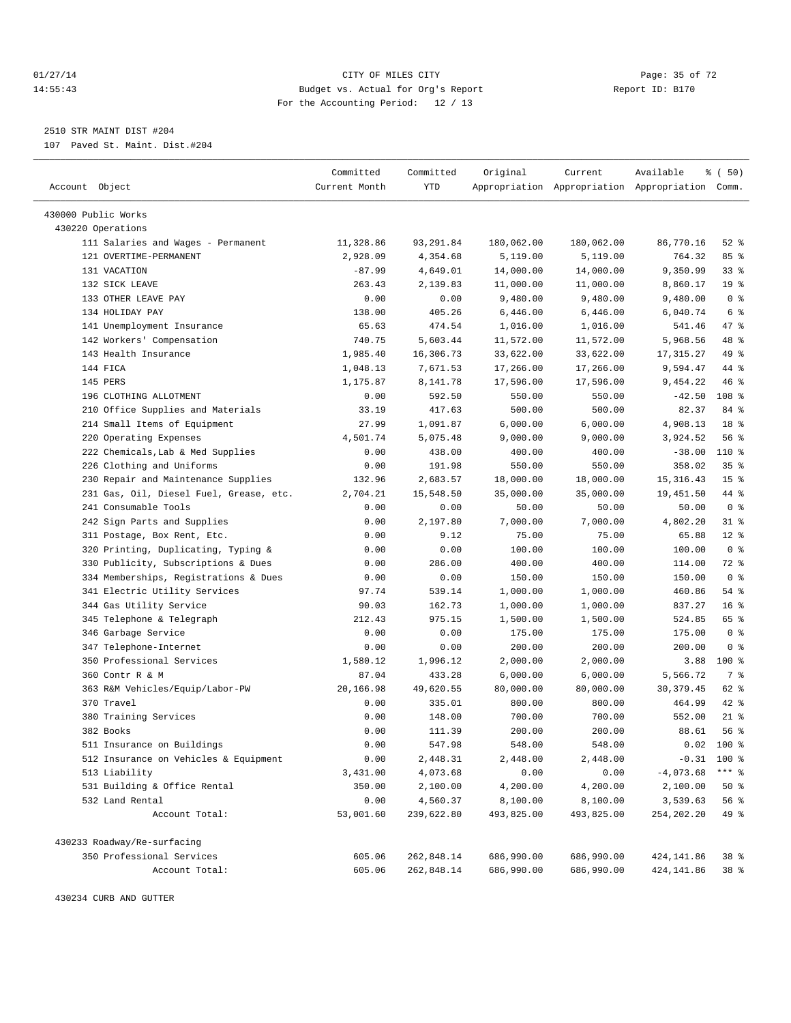#### $O1/27/14$  Page: 35 of 72 14:55:43 Budget vs. Actual for Org's Report Report ID: B170 For the Accounting Period: 12 / 13

————————————————————————————————————————————————————————————————————————————————————————————————————————————————————————————————————

2510 STR MAINT DIST #204

107 Paved St. Maint. Dist.#204

|                                         | Committed     | Committed  | Original   | Current                | Available                                       | % (50)                            |  |
|-----------------------------------------|---------------|------------|------------|------------------------|-------------------------------------------------|-----------------------------------|--|
| Account Object                          | Current Month | YTD        |            |                        | Appropriation Appropriation Appropriation Comm. |                                   |  |
|                                         |               |            |            |                        |                                                 |                                   |  |
| 430000 Public Works                     |               |            |            |                        |                                                 |                                   |  |
| 430220 Operations                       |               |            |            |                        |                                                 |                                   |  |
| 111 Salaries and Wages - Permanent      | 11,328.86     | 93, 291.84 | 180,062.00 | 180,062.00             | 86,770.16                                       | $52$ $%$                          |  |
| 121 OVERTIME-PERMANENT                  | 2,928.09      | 4,354.68   | 5,119.00   | 5,119.00               | 764.32                                          | 85%                               |  |
| 131 VACATION                            | $-87.99$      | 4,649.01   | 14,000.00  | 14,000.00              | 9,350.99                                        | $33$ $%$                          |  |
| 132 SICK LEAVE<br>133 OTHER LEAVE PAY   | 263.43        | 2,139.83   | 11,000.00  | 11,000.00              | 8,860.17                                        | 19 <sup>°</sup><br>0 <sup>8</sup> |  |
|                                         | 0.00          | 0.00       | 9,480.00   | 9,480.00               | 9,480.00                                        |                                   |  |
| 134 HOLIDAY PAY                         | 138.00        | 405.26     | 6,446.00   | 6,446.00               | 6,040.74                                        | 6 %                               |  |
| 141 Unemployment Insurance              | 65.63         | 474.54     | 1,016.00   | 1,016.00               | 541.46                                          | 47 %<br>48 %                      |  |
| 142 Workers' Compensation               | 740.75        | 5,603.44   | 11,572.00  | 11,572.00<br>33,622.00 | 5,968.56                                        | 49 %                              |  |
| 143 Health Insurance                    | 1,985.40      | 16,306.73  | 33,622.00  |                        | 17, 315.27                                      |                                   |  |
| 144 FICA                                | 1,048.13      | 7,671.53   | 17,266.00  | 17,266.00              | 9,594.47                                        | 44 %                              |  |
| 145 PERS                                | 1,175.87      | 8,141.78   | 17,596.00  | 17,596.00              | 9,454.22                                        | 46 %                              |  |
| 196 CLOTHING ALLOTMENT                  | 0.00          | 592.50     | 550.00     | 550.00                 | $-42.50$                                        | 108 %                             |  |
| 210 Office Supplies and Materials       | 33.19         | 417.63     | 500.00     | 500.00                 | 82.37                                           | 84 %                              |  |
| 214 Small Items of Equipment            | 27.99         | 1,091.87   | 6,000.00   | 6,000.00               | 4,908.13                                        | 18 %                              |  |
| 220 Operating Expenses                  | 4,501.74      | 5,075.48   | 9,000.00   | 9,000.00               | 3,924.52                                        | 56%                               |  |
| 222 Chemicals, Lab & Med Supplies       | 0.00          | 438.00     | 400.00     | 400.00                 | $-38.00$                                        | 110 %                             |  |
| 226 Clothing and Uniforms               | 0.00          | 191.98     | 550.00     | 550.00                 | 358.02                                          | 35 <sup>8</sup>                   |  |
| 230 Repair and Maintenance Supplies     | 132.96        | 2,683.57   | 18,000.00  | 18,000.00              | 15, 316. 43                                     | 15 <sup>°</sup>                   |  |
| 231 Gas, Oil, Diesel Fuel, Grease, etc. | 2,704.21      | 15,548.50  | 35,000.00  | 35,000.00              | 19,451.50                                       | 44 %                              |  |
| 241 Consumable Tools                    | 0.00          | 0.00       | 50.00      | 50.00                  | 50.00                                           | 0 <sup>8</sup>                    |  |
| 242 Sign Parts and Supplies             | 0.00          | 2,197.80   | 7,000.00   | 7,000.00               | 4,802.20                                        | $31$ %                            |  |
| 311 Postage, Box Rent, Etc.             | 0.00          | 9.12       | 75.00      | 75.00                  | 65.88                                           | $12*$                             |  |
| 320 Printing, Duplicating, Typing &     | 0.00          | 0.00       | 100.00     | 100.00                 | 100.00                                          | 0 <sup>8</sup>                    |  |
| 330 Publicity, Subscriptions & Dues     | 0.00          | 286.00     | 400.00     | 400.00                 | 114.00                                          | 72 %                              |  |
| 334 Memberships, Registrations & Dues   | 0.00          | 0.00       | 150.00     | 150.00                 | 150.00                                          | 0 <sup>8</sup>                    |  |
| 341 Electric Utility Services           | 97.74         | 539.14     | 1,000.00   | 1,000.00               | 460.86                                          | 54 %                              |  |
| 344 Gas Utility Service                 | 90.03         | 162.73     | 1,000.00   | 1,000.00               | 837.27                                          | 16 <sup>°</sup>                   |  |
| 345 Telephone & Telegraph               | 212.43        | 975.15     | 1,500.00   | 1,500.00               | 524.85                                          | 65 %                              |  |
| 346 Garbage Service                     | 0.00          | 0.00       | 175.00     | 175.00                 | 175.00                                          | 0 <sup>8</sup>                    |  |
| 347 Telephone-Internet                  | 0.00          | 0.00       | 200.00     | 200.00                 | 200.00                                          | 0 <sup>8</sup>                    |  |
| 350 Professional Services               | 1,580.12      | 1,996.12   | 2,000.00   | 2,000.00               | 3.88                                            | $100$ %                           |  |
| 360 Contr R & M                         | 87.04         | 433.28     | 6,000.00   | 6,000.00               | 5,566.72                                        | 7 %                               |  |
| 363 R&M Vehicles/Equip/Labor-PW         | 20,166.98     | 49,620.55  | 80,000.00  | 80,000.00              | 30, 379.45                                      | 62 %                              |  |
| 370 Travel                              | 0.00          | 335.01     | 800.00     | 800.00                 | 464.99                                          | $42$ %                            |  |
| 380 Training Services                   | 0.00          | 148.00     | 700.00     | 700.00                 | 552.00                                          | $21$ %                            |  |
| 382 Books                               | 0.00          | 111.39     | 200.00     | 200.00                 | 88.61                                           | 56%                               |  |
| 511 Insurance on Buildings              | 0.00          | 547.98     | 548.00     | 548.00                 | 0.02                                            | 100 %                             |  |
| 512 Insurance on Vehicles & Equipment   | 0.00          | 2,448.31   | 2,448.00   | 2,448.00               |                                                 | $-0.31$ 100 %                     |  |
| 513 Liability                           | 3,431.00      | 4,073.68   | 0.00       | 0.00                   | $-4,073.68$                                     | $***$ $_{8}$                      |  |
| 531 Building & Office Rental            | 350.00        | 2,100.00   | 4,200.00   | 4,200.00               | 2,100.00                                        | $50*$                             |  |
| 532 Land Rental                         | 0.00          | 4,560.37   | 8,100.00   | 8,100.00               | 3,539.63                                        | 56 %                              |  |
| Account Total:                          | 53,001.60     | 239,622.80 | 493,825.00 | 493,825.00             | 254,202.20                                      | 49 %                              |  |
| 430233 Roadway/Re-surfacing             |               |            |            |                        |                                                 |                                   |  |
| 350 Professional Services               | 605.06        | 262,848.14 | 686,990.00 | 686,990.00             | 424,141.86                                      | 38 <sup>8</sup>                   |  |
| Account Total:                          | 605.06        | 262,848.14 | 686,990.00 | 686,990.00             | 424, 141.86                                     | 38 %                              |  |
|                                         |               |            |            |                        |                                                 |                                   |  |

430234 CURB AND GUTTER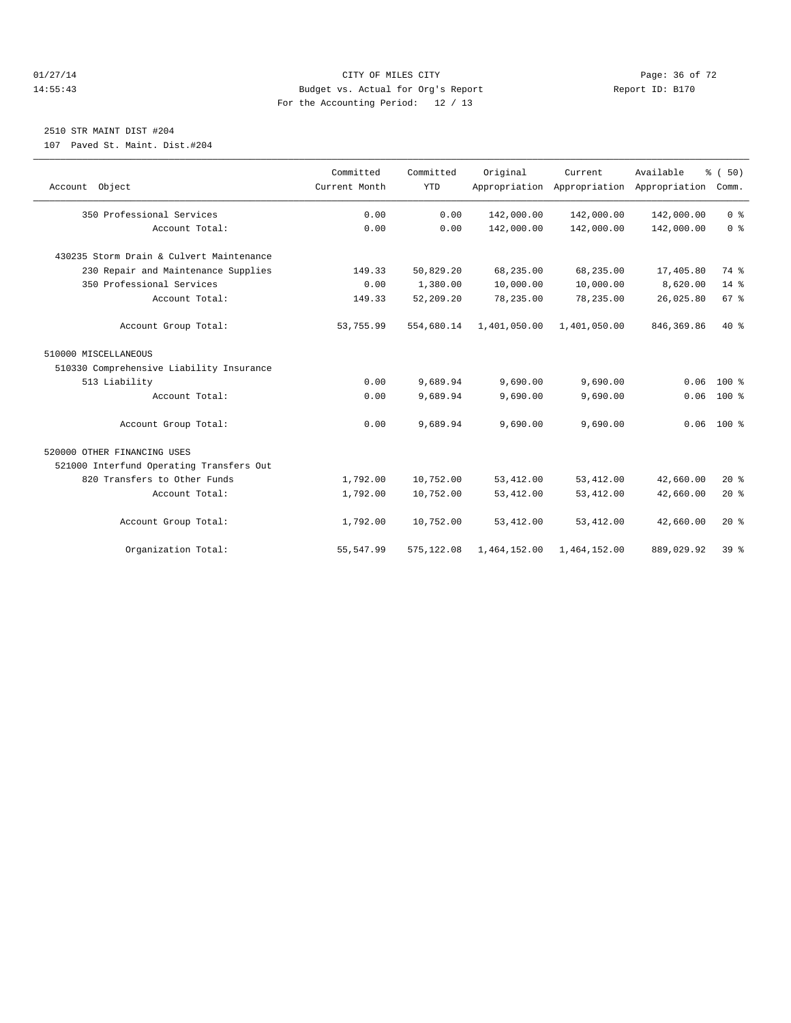#### $CITY$  of  $CITY$  and  $CITY$  of  $MLES$  city  $CITY$  and  $P49$   $P49$   $P49$   $P49$   $P59$   $P69$   $P72$ 14:55:43 Budget vs. Actual for Org's Report Report ID: B170 For the Accounting Period: 12 / 13

# 2510 STR MAINT DIST #204

107 Paved St. Maint. Dist.#204

| Account Object                           | Committed<br>Current Month | Committed<br><b>YTD</b> | Original     | Current.<br>Appropriation Appropriation Appropriation | Available   | % (50)<br>Comm. |
|------------------------------------------|----------------------------|-------------------------|--------------|-------------------------------------------------------|-------------|-----------------|
| 350 Professional Services                | 0.00                       | 0.00                    | 142,000.00   | 142,000.00                                            | 142,000.00  | 0 <sup>8</sup>  |
| Account Total:                           | 0.00                       | 0.00                    | 142,000.00   | 142,000.00                                            | 142,000.00  | 0 <sup>8</sup>  |
| 430235 Storm Drain & Culvert Maintenance |                            |                         |              |                                                       |             |                 |
| 230 Repair and Maintenance Supplies      | 149.33                     | 50,829.20               | 68,235.00    | 68,235.00                                             | 17,405.80   | 74 %            |
| 350 Professional Services                | 0.00                       | 1,380.00                | 10,000.00    | 10,000.00                                             | 8,620.00    | $14*$           |
| Account Total:                           | 149.33                     | 52,209.20               | 78,235.00    | 78,235.00                                             | 26,025.80   | 67 <sup>8</sup> |
| Account Group Total:                     | 53,755.99                  | 554,680.14              | 1,401,050.00 | 1,401,050.00                                          | 846, 369.86 | $40*$           |
| 510000 MISCELLANEOUS                     |                            |                         |              |                                                       |             |                 |
| 510330 Comprehensive Liability Insurance |                            |                         |              |                                                       |             |                 |
| 513 Liability                            | 0.00                       | 9,689.94                | 9,690.00     | 9,690.00                                              | 0.06        | $100*$          |
| Account Total:                           | 0.00                       | 9,689.94                | 9,690.00     | 9,690.00                                              | 0.06        | $100*$          |
| Account Group Total:                     | 0.00                       | 9,689.94                | 9,690.00     | 9,690.00                                              |             | $0.06$ 100 %    |
| 520000 OTHER FINANCING USES              |                            |                         |              |                                                       |             |                 |
| 521000 Interfund Operating Transfers Out |                            |                         |              |                                                       |             |                 |
| 820 Transfers to Other Funds             | 1,792.00                   | 10,752.00               | 53, 412.00   | 53, 412.00                                            | 42,660.00   | $20*$           |
| Account Total:                           | 1,792.00                   | 10,752.00               | 53, 412.00   | 53, 412.00                                            | 42,660.00   | 20%             |
| Account Group Total:                     | 1,792.00                   | 10,752.00               | 53, 412.00   | 53, 412.00                                            | 42,660.00   | $20*$           |
| Organization Total:                      | 55, 547.99                 | 575, 122.08             | 1,464,152.00 | 1,464,152.00                                          | 889,029.92  | 39 <sup>8</sup> |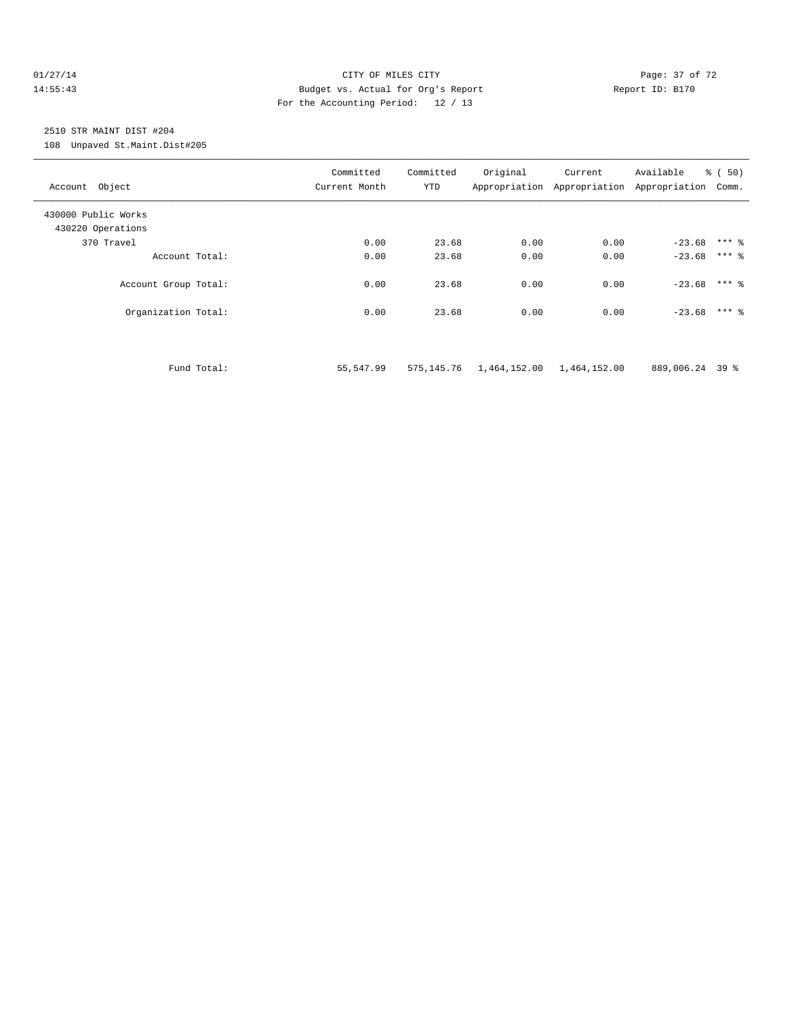#### $O1/27/14$  Page: 37 of 72 14:55:43 Budget vs. Actual for Org's Report Report ID: B170 For the Accounting Period: 12 / 13

# 2510 STR MAINT DIST #204

108 Unpaved St.Maint.Dist#205

| Account Object                           |             | Committed<br>Current Month | Committed<br><b>YTD</b> | Original                  | Current<br>Appropriation Appropriation Appropriation | Available       | % (50)<br>Comm. |
|------------------------------------------|-------------|----------------------------|-------------------------|---------------------------|------------------------------------------------------|-----------------|-----------------|
| 430000 Public Works<br>430220 Operations |             |                            |                         |                           |                                                      |                 |                 |
| 370 Travel                               |             | 0.00                       | 23.68                   | 0.00                      | 0.00                                                 | $-23.68$        | $***$ %         |
| Account Total:                           |             | 0.00                       | 23.68                   | 0.00                      | 0.00                                                 | $-23.68$        | $***$ 2         |
| Account Group Total:                     |             | 0.00                       | 23.68                   | 0.00                      | 0.00                                                 | $-23.68$ *** &  |                 |
| Organization Total:                      |             | 0.00                       | 23.68                   | 0.00                      | 0.00                                                 | $-23.68$ *** &  |                 |
|                                          | Fund Total: | 55,547.99                  | 575,145.76              | 1,464,152.00 1,464,152.00 |                                                      | 889,006.24 39 % |                 |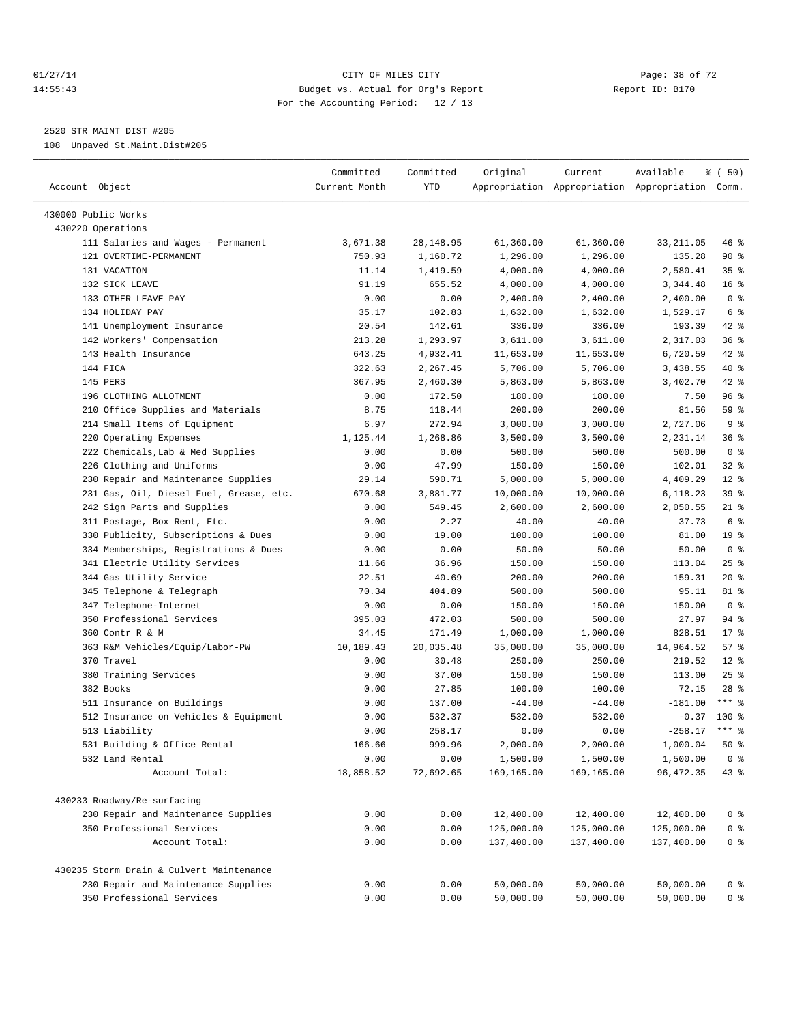#### $O1/27/14$  Page: 38 of 72 14:55:43 Budget vs. Actual for Org's Report Report ID: B170 For the Accounting Period: 12 / 13

————————————————————————————————————————————————————————————————————————————————————————————————————————————————————————————————————

2520 STR MAINT DIST #205

108 Unpaved St.Maint.Dist#205

| Account Object                           | Committed<br>Current Month | Committed<br>YTD | Original   | Current    | Available<br>Appropriation Appropriation Appropriation Comm. | % (50)          |
|------------------------------------------|----------------------------|------------------|------------|------------|--------------------------------------------------------------|-----------------|
| 430000 Public Works                      |                            |                  |            |            |                                                              |                 |
| 430220 Operations                        |                            |                  |            |            |                                                              |                 |
| 111 Salaries and Wages - Permanent       | 3,671.38                   | 28, 148.95       | 61,360.00  | 61,360.00  | 33, 211.05                                                   | 46 %            |
| 121 OVERTIME-PERMANENT                   | 750.93                     | 1,160.72         | 1,296.00   | 1,296.00   | 135.28                                                       | 90%             |
| 131 VACATION                             | 11.14                      | 1,419.59         | 4,000.00   | 4,000.00   | 2,580.41                                                     | 35%             |
| 132 SICK LEAVE                           | 91.19                      | 655.52           | 4,000.00   | 4,000.00   | 3,344.48                                                     | 16 <sup>°</sup> |
| 133 OTHER LEAVE PAY                      | 0.00                       | 0.00             | 2,400.00   | 2,400.00   | 2,400.00                                                     | 0 <sup>8</sup>  |
| 134 HOLIDAY PAY                          | 35.17                      | 102.83           | 1,632.00   | 1,632.00   | 1,529.17                                                     | 6 <sup>°</sup>  |
| 141 Unemployment Insurance               | 20.54                      | 142.61           | 336.00     | 336.00     | 193.39                                                       | 42 %            |
| 142 Workers' Compensation                | 213.28                     | 1,293.97         | 3,611.00   | 3,611.00   | 2,317.03                                                     | 36 %            |
| 143 Health Insurance                     | 643.25                     | 4,932.41         | 11,653.00  | 11,653.00  | 6,720.59                                                     | 42 %            |
| 144 FICA                                 | 322.63                     | 2,267.45         | 5,706.00   | 5,706.00   | 3,438.55                                                     | 40 %            |
| 145 PERS                                 | 367.95                     | 2,460.30         | 5,863.00   | 5,863.00   | 3,402.70                                                     | 42 %            |
| 196 CLOTHING ALLOTMENT                   | 0.00                       | 172.50           | 180.00     | 180.00     | 7.50                                                         | 96%             |
| 210 Office Supplies and Materials        | 8.75                       | 118.44           | 200.00     | 200.00     | 81.56                                                        | 59 %            |
| 214 Small Items of Equipment             | 6.97                       | 272.94           | 3,000.00   | 3,000.00   | 2,727.06                                                     | 9 <sup>°</sup>  |
| 220 Operating Expenses                   | 1,125.44                   | 1,268.86         | 3,500.00   | 3,500.00   | 2,231.14                                                     | 36%             |
| 222 Chemicals, Lab & Med Supplies        | 0.00                       | 0.00             | 500.00     | 500.00     | 500.00                                                       | 0 <sup>8</sup>  |
| 226 Clothing and Uniforms                | 0.00                       | 47.99            | 150.00     | 150.00     | 102.01                                                       | $32$ $%$        |
| 230 Repair and Maintenance Supplies      | 29.14                      | 590.71           | 5,000.00   | 5,000.00   | 4,409.29                                                     | $12*$           |
| 231 Gas, Oil, Diesel Fuel, Grease, etc.  | 670.68                     | 3,881.77         | 10,000.00  | 10,000.00  | 6,118.23                                                     | 39 %            |
| 242 Sign Parts and Supplies              | 0.00                       | 549.45           | 2,600.00   | 2,600.00   | 2,050.55                                                     | $21$ %          |
| 311 Postage, Box Rent, Etc.              | 0.00                       | 2.27             | 40.00      | 40.00      | 37.73                                                        | 6 %             |
| 330 Publicity, Subscriptions & Dues      | 0.00                       | 19.00            | 100.00     | 100.00     | 81.00                                                        | 19 <sup>°</sup> |
| 334 Memberships, Registrations & Dues    | 0.00                       | 0.00             | 50.00      | 50.00      | 50.00                                                        | 0 <sup>8</sup>  |
| 341 Electric Utility Services            | 11.66                      | 36.96            | 150.00     | 150.00     | 113.04                                                       | 25%             |
| 344 Gas Utility Service                  | 22.51                      | 40.69            | 200.00     | 200.00     | 159.31                                                       | $20*$           |
| 345 Telephone & Telegraph                | 70.34                      | 404.89           | 500.00     | 500.00     | 95.11                                                        | 81 %            |
| 347 Telephone-Internet                   | 0.00                       | 0.00             | 150.00     | 150.00     | 150.00                                                       | 0 <sup>8</sup>  |
| 350 Professional Services                | 395.03                     | 472.03           | 500.00     | 500.00     | 27.97                                                        | 94 %            |
| 360 Contr R & M                          | 34.45                      | 171.49           | 1,000.00   | 1,000.00   | 828.51                                                       | $17$ %          |
| 363 R&M Vehicles/Equip/Labor-PW          | 10,189.43                  | 20,035.48        | 35,000.00  | 35,000.00  | 14,964.52                                                    | 57%             |
| 370 Travel                               | 0.00                       | 30.48            | 250.00     | 250.00     | 219.52                                                       | $12*$           |
| 380 Training Services                    | 0.00                       | 37.00            | 150.00     | 150.00     | 113.00                                                       | $25$ %          |
| 382 Books                                | 0.00                       | 27.85            | 100.00     | 100.00     | 72.15                                                        | $28$ %          |
| 511 Insurance on Buildings               | 0.00                       | 137.00           | $-44.00$   | $-44.00$   | $-181.00$                                                    | $***$ $-$       |
| 512 Insurance on Vehicles & Equipment    | 0.00                       | 532.37           | 532.00     | 532.00     | $-0.37$                                                      | $100$ %         |
| 513 Liability                            | 0.00                       | 258.17           | 0.00       | 0.00       | $-258.17$                                                    | $***$ 2         |
| 531 Building & Office Rental             | 166.66                     | 999.96           | 2,000.00   | 2,000.00   | 1,000.04                                                     | 50%             |
| 532 Land Rental                          | 0.00                       | 0.00             | 1,500.00   | 1,500.00   | 1,500.00                                                     | 0 <sup>8</sup>  |
| Account Total:                           | 18,858.52                  | 72,692.65        | 169,165.00 | 169,165.00 | 96, 472.35                                                   | 43 %            |
| 430233 Roadway/Re-surfacing              |                            |                  |            |            |                                                              |                 |
| 230 Repair and Maintenance Supplies      | 0.00                       | 0.00             | 12,400.00  | 12,400.00  | 12,400.00                                                    | $0$ %           |
| 350 Professional Services                | 0.00                       | 0.00             | 125,000.00 | 125,000.00 | 125,000.00                                                   | 0 <sup>8</sup>  |
| Account Total:                           | 0.00                       | 0.00             | 137,400.00 | 137,400.00 | 137,400.00                                                   | 0 <sup>8</sup>  |
| 430235 Storm Drain & Culvert Maintenance |                            |                  |            |            |                                                              |                 |
| 230 Repair and Maintenance Supplies      | 0.00                       | 0.00             | 50,000.00  | 50,000.00  | 50,000.00                                                    | 0 <sup>8</sup>  |
| 350 Professional Services                | 0.00                       | 0.00             | 50,000.00  | 50,000.00  | 50,000.00                                                    | 0 <sup>8</sup>  |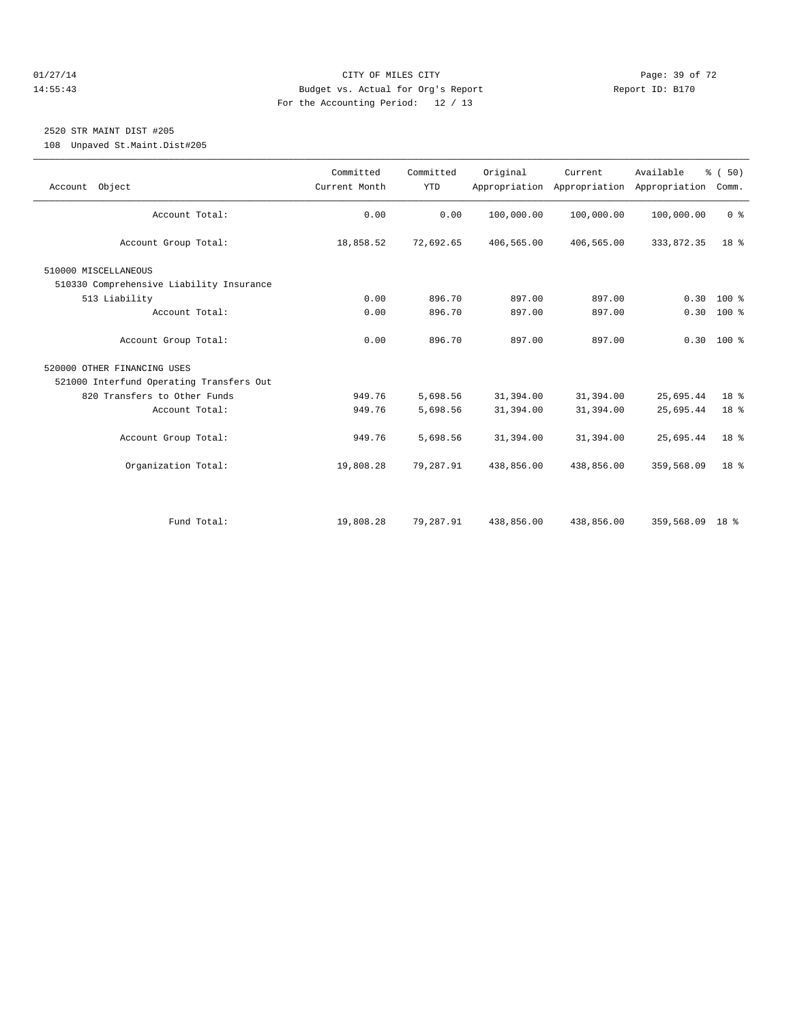#### $O1/27/14$  Page: 39 of 72 14:55:43 Budget vs. Actual for Org's Report Report ID: B170 For the Accounting Period: 12 / 13

# 2520 STR MAINT DIST #205

108 Unpaved St.Maint.Dist#205

| Account Object                           | Committed<br>Current Month | Committed<br><b>YTD</b> | Original   | Current<br>Appropriation Appropriation | Available<br>Appropriation | % (50)<br>Comm. |  |
|------------------------------------------|----------------------------|-------------------------|------------|----------------------------------------|----------------------------|-----------------|--|
| Account Total:                           | 0.00                       | 0.00                    | 100,000.00 | 100,000.00                             | 100,000.00                 | 0 <sup>8</sup>  |  |
|                                          |                            |                         |            |                                        |                            |                 |  |
| Account Group Total:                     | 18,858.52                  | 72,692.65               | 406,565.00 | 406,565.00                             | 333,872.35                 | 18 <sup>8</sup> |  |
| 510000 MISCELLANEOUS                     |                            |                         |            |                                        |                            |                 |  |
| 510330 Comprehensive Liability Insurance |                            |                         |            |                                        |                            |                 |  |
| 513 Liability                            | 0.00                       | 896.70                  | 897.00     | 897.00                                 | 0.30                       | $100*$          |  |
| Account Total:                           | 0.00                       | 896.70                  | 897.00     | 897.00                                 |                            | $0.30 100$ %    |  |
| Account Group Total:                     | 0.00                       | 896.70                  | 897.00     | 897.00                                 |                            | $0.30$ 100 %    |  |
| 520000 OTHER FINANCING USES              |                            |                         |            |                                        |                            |                 |  |
| 521000 Interfund Operating Transfers Out |                            |                         |            |                                        |                            |                 |  |
| 820 Transfers to Other Funds             | 949.76                     | 5,698.56                | 31,394.00  | 31,394.00                              | 25,695.44                  | 18 %            |  |
| Account Total:                           | 949.76                     | 5,698.56                | 31,394.00  | 31,394.00                              | 25,695.44                  | 18 %            |  |
| Account Group Total:                     | 949.76                     | 5,698.56                | 31,394.00  | 31,394.00                              | 25,695.44                  | 18 <sup>8</sup> |  |
| Organization Total:                      | 19,808.28                  | 79,287.91               | 438,856.00 | 438,856.00                             | 359,568.09                 | 18 <sup>8</sup> |  |
|                                          |                            |                         |            |                                        |                            |                 |  |
| Fund Total:                              | 19,808.28                  | 79,287.91               | 438,856.00 | 438,856.00                             | 359,568.09 18 %            |                 |  |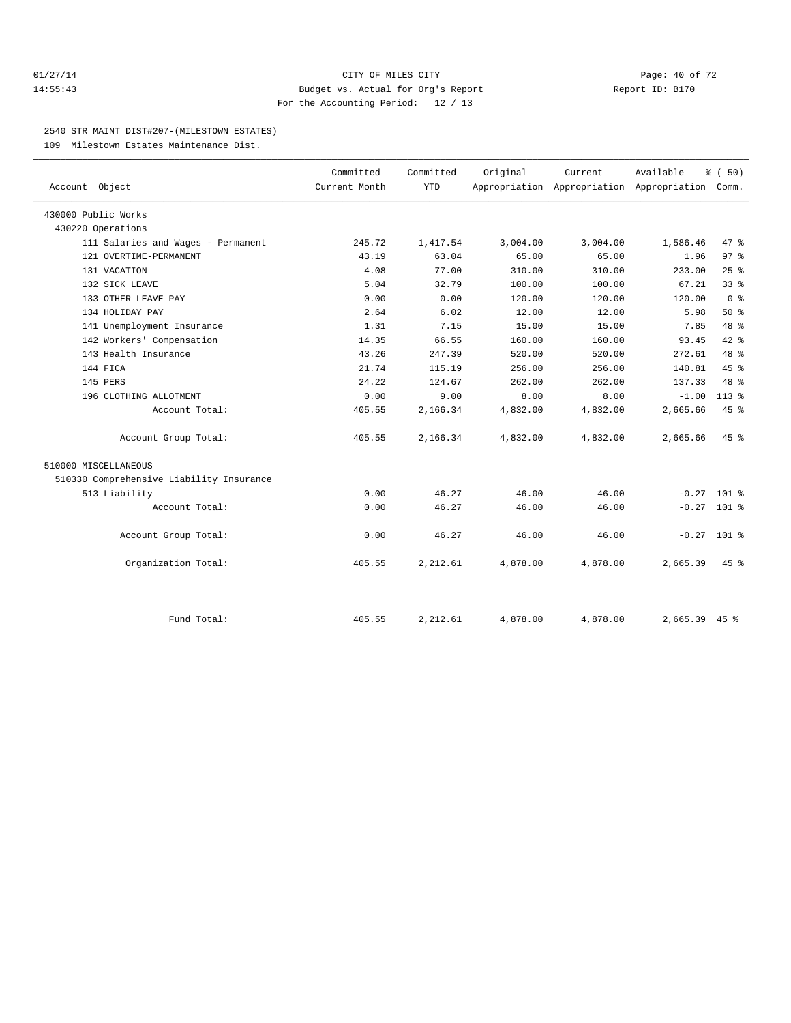#### $O1/27/14$  Page: 40 of 72 14:55:43 Budget vs. Actual for Org's Report Report ID: B170 For the Accounting Period: 12 / 13

#### 2540 STR MAINT DIST#207-(MILESTOWN ESTATES)

109 Milestown Estates Maintenance Dist.

|                                          | Committed     | Committed | Original | Current  | Available                                       | % (50)          |  |
|------------------------------------------|---------------|-----------|----------|----------|-------------------------------------------------|-----------------|--|
| Account Object                           | Current Month | YTD       |          |          | Appropriation Appropriation Appropriation Comm. |                 |  |
| 430000 Public Works                      |               |           |          |          |                                                 |                 |  |
| 430220 Operations                        |               |           |          |          |                                                 |                 |  |
| 111 Salaries and Wages - Permanent       | 245.72        | 1,417.54  | 3,004.00 | 3,004.00 | 1,586.46                                        | 47.8            |  |
| 121 OVERTIME-PERMANENT                   | 43.19         | 63.04     | 65.00    | 65.00    | 1.96                                            | 97 <sub>8</sub> |  |
| 131 VACATION                             | 4.08          | 77.00     | 310.00   | 310.00   | 233.00                                          | 25%             |  |
| 132 SICK LEAVE                           | 5.04          | 32.79     | 100.00   | 100.00   | 67.21                                           | 33 <sup>8</sup> |  |
| 133 OTHER LEAVE PAY                      | 0.00          | 0.00      | 120.00   | 120.00   | 120.00                                          | 0 <sup>8</sup>  |  |
| 134 HOLIDAY PAY                          | 2.64          | 6.02      | 12.00    | 12.00    | 5.98                                            | $50*$           |  |
| 141 Unemployment Insurance               | 1.31          | 7.15      | 15.00    | 15.00    | 7.85                                            | 48 %            |  |
| 142 Workers' Compensation                | 14.35         | 66.55     | 160.00   | 160.00   | 93.45                                           | $42*$           |  |
| 143 Health Insurance                     | 43.26         | 247.39    | 520.00   | 520.00   | 272.61                                          | 48 %            |  |
| 144 FICA                                 | 21.74         | 115.19    | 256.00   | 256.00   | 140.81                                          | 45%             |  |
| 145 PERS                                 | 24.22         | 124.67    | 262.00   | 262.00   | 137.33                                          | 48 %            |  |
| 196 CLOTHING ALLOTMENT                   | 0.00          | 9.00      | 8.00     | 8.00     | $-1.00$                                         | $113*$          |  |
| Account Total:                           | 405.55        | 2,166.34  | 4,832.00 | 4,832.00 | 2,665.66                                        | 45 %            |  |
| Account Group Total:                     | 405.55        | 2,166.34  | 4,832.00 | 4,832.00 | 2,665.66                                        | $45*$           |  |
| 510000 MISCELLANEOUS                     |               |           |          |          |                                                 |                 |  |
| 510330 Comprehensive Liability Insurance |               |           |          |          |                                                 |                 |  |
| 513 Liability                            | 0.00          | 46.27     | 46.00    | 46.00    | $-0.27$ 101 %                                   |                 |  |
| Account Total:                           | 0.00          | 46.27     | 46.00    | 46.00    | $-0.27$ 101 %                                   |                 |  |
| Account Group Total:                     | 0.00          | 46.27     | 46.00    | 46.00    | $-0.27$ 101 %                                   |                 |  |
| Organization Total:                      | 405.55        | 2,212.61  | 4,878.00 | 4,878.00 | 2,665.39                                        | $45*$           |  |
|                                          |               |           |          |          |                                                 |                 |  |
| Fund Total:                              | 405.55        | 2,212.61  | 4,878.00 | 4,878.00 | $2,665.39$ 45 %                                 |                 |  |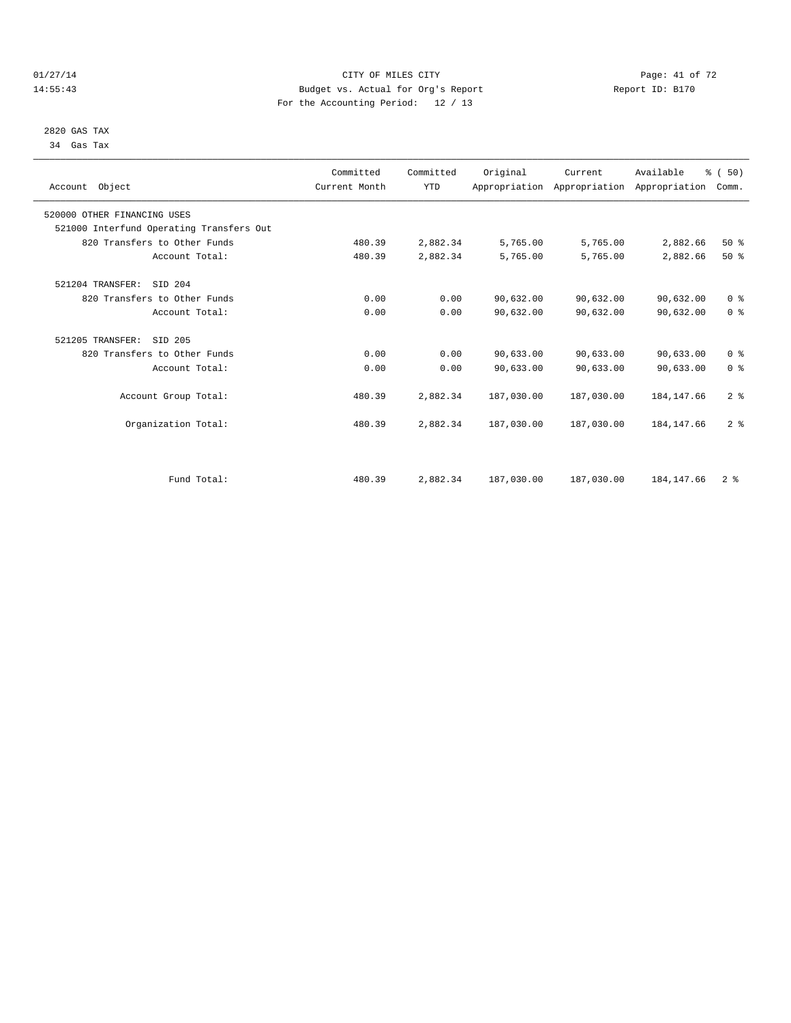#### $O1/27/14$  Page: 41 of 72 14:55:43 Budget vs. Actual for Org's Report Report ID: B170 For the Accounting Period: 12 / 13

 2820 GAS TAX 34 Gas Tax

| Account Object                           | Committed<br>Current Month | Committed<br><b>YTD</b> | Original   | Current<br>Appropriation Appropriation Appropriation | Available   | % (50)<br>Comm. |  |
|------------------------------------------|----------------------------|-------------------------|------------|------------------------------------------------------|-------------|-----------------|--|
| 520000 OTHER FINANCING USES              |                            |                         |            |                                                      |             |                 |  |
| 521000 Interfund Operating Transfers Out |                            |                         |            |                                                      |             |                 |  |
| 820 Transfers to Other Funds             | 480.39                     | 2,882.34                | 5,765.00   | 5,765.00                                             | 2,882.66    | $50*$           |  |
| Account Total:                           | 480.39                     | 2,882.34                | 5,765.00   | 5,765.00                                             | 2,882.66    | $50*$           |  |
| SID 204<br>521204 TRANSFER:              |                            |                         |            |                                                      |             |                 |  |
| 820 Transfers to Other Funds             | 0.00                       | 0.00                    | 90,632.00  | 90,632.00                                            | 90,632.00   | 0 <sup>8</sup>  |  |
| Account Total:                           | 0.00                       | 0.00                    | 90,632.00  | 90,632.00                                            | 90,632.00   | 0 <sup>8</sup>  |  |
| 521205 TRANSFER:<br>SID 205              |                            |                         |            |                                                      |             |                 |  |
| 820 Transfers to Other Funds             | 0.00                       | 0.00                    | 90,633.00  | 90,633.00                                            | 90,633.00   | 0 <sup>8</sup>  |  |
| Account Total:                           | 0.00                       | 0.00                    | 90,633.00  | 90,633.00                                            | 90,633.00   | 0 <sup>8</sup>  |  |
| Account Group Total:                     | 480.39                     | 2,882.34                | 187,030.00 | 187,030.00                                           | 184, 147.66 | 2 <sup>8</sup>  |  |
| Organization Total:                      | 480.39                     | 2,882.34                | 187,030.00 | 187,030.00                                           | 184, 147.66 | 2 <sup>8</sup>  |  |
|                                          |                            |                         |            |                                                      |             |                 |  |
| Fund Total:                              | 480.39                     | 2,882.34                | 187,030.00 | 187,030.00                                           | 184, 147.66 | 2 <sup>8</sup>  |  |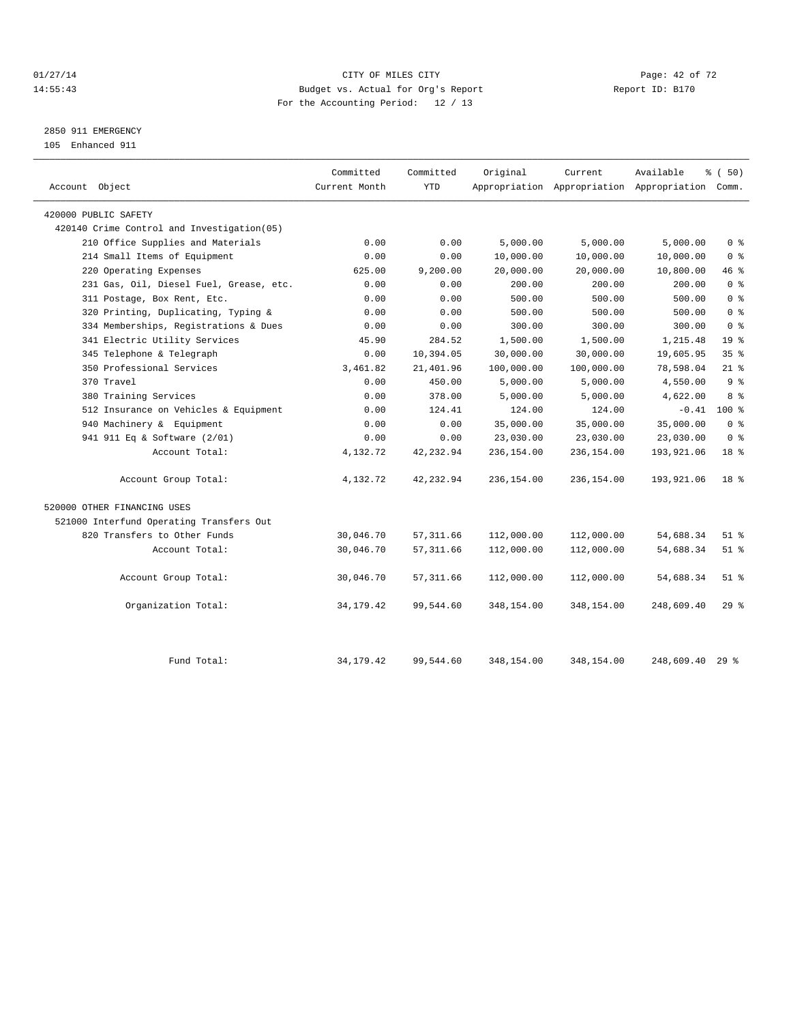#### $CITY$  of  $CITY$  and  $CITY$  of  $A2$  of  $A2$  of  $72$ 14:55:43 Budget vs. Actual for Org's Report Report ID: B170 For the Accounting Period: 12 / 13

# 2850 911 EMERGENCY

105 Enhanced 911

| Account Object                             | Committed<br>Current Month | Committed<br><b>YTD</b> | Original   | Current    | Available<br>Appropriation Appropriation Appropriation Comm. | % (50)          |
|--------------------------------------------|----------------------------|-------------------------|------------|------------|--------------------------------------------------------------|-----------------|
| 420000 PUBLIC SAFETY                       |                            |                         |            |            |                                                              |                 |
| 420140 Crime Control and Investigation(05) |                            |                         |            |            |                                                              |                 |
| 210 Office Supplies and Materials          | 0.00                       | 0.00                    | 5,000.00   | 5,000.00   | 5,000.00                                                     | 0 <sup>8</sup>  |
| 214 Small Items of Equipment               | 0.00                       | 0.00                    | 10,000.00  | 10,000.00  | 10,000.00                                                    | 0 <sup>8</sup>  |
| 220 Operating Expenses                     | 625.00                     | 9,200.00                | 20,000.00  | 20,000.00  | 10,800.00                                                    | 46 %            |
| 231 Gas, Oil, Diesel Fuel, Grease, etc.    | 0.00                       | 0.00                    | 200.00     | 200.00     | 200.00                                                       | 0 <sup>8</sup>  |
| 311 Postage, Box Rent, Etc.                | 0.00                       | 0.00                    | 500.00     | 500.00     | 500.00                                                       | 0 <sup>8</sup>  |
| 320 Printing, Duplicating, Typing &        | 0.00                       | 0.00                    | 500.00     | 500.00     | 500.00                                                       | 0 <sup>8</sup>  |
| 334 Memberships, Registrations & Dues      | 0.00                       | 0.00                    | 300.00     | 300.00     | 300.00                                                       | 0 <sup>8</sup>  |
| 341 Electric Utility Services              | 45.90                      | 284.52                  | 1,500.00   | 1,500.00   | 1,215.48                                                     | 19 <sup>8</sup> |
| 345 Telephone & Telegraph                  | 0.00                       | 10,394.05               | 30,000.00  | 30,000.00  | 19,605.95                                                    | 35 <sup>8</sup> |
| 350 Professional Services                  | 3,461.82                   | 21,401.96               | 100,000.00 | 100,000.00 | 78,598.04                                                    | $21$ %          |
| 370 Travel                                 | 0.00                       | 450.00                  | 5,000.00   | 5,000.00   | 4,550.00                                                     | 9 <sup>8</sup>  |
| 380 Training Services                      | 0.00                       | 378.00                  | 5,000.00   | 5,000.00   | 4,622.00                                                     | 8 %             |
| 512 Insurance on Vehicles & Equipment      | 0.00                       | 124.41                  | 124.00     | 124.00     | $-0.41$                                                      | 100 %           |
| 940 Machinery & Equipment                  | 0.00                       | 0.00                    | 35,000.00  | 35,000.00  | 35,000.00                                                    | 0 <sup>8</sup>  |
| 941 911 Eq & Software (2/01)               | 0.00                       | 0.00                    | 23,030.00  | 23,030.00  | 23,030.00                                                    | 0 <sup>8</sup>  |
| Account Total:                             | 4,132.72                   | 42, 232.94              | 236,154.00 | 236,154.00 | 193,921.06                                                   | 18 %            |
| Account Group Total:                       | 4,132.72                   | 42,232.94               | 236,154.00 | 236,154.00 | 193,921.06                                                   | 18 <sup>8</sup> |
| 520000 OTHER FINANCING USES                |                            |                         |            |            |                                                              |                 |
| 521000 Interfund Operating Transfers Out   |                            |                         |            |            |                                                              |                 |
| 820 Transfers to Other Funds               | 30,046.70                  | 57, 311.66              | 112,000.00 | 112,000.00 | 54,688.34                                                    | $51$ $%$        |
| Account Total:                             | 30,046.70                  | 57, 311.66              | 112,000.00 | 112,000.00 | 54,688.34                                                    | $51$ %          |
| Account Group Total:                       | 30,046.70                  | 57, 311.66              | 112,000.00 | 112,000.00 | 54,688.34                                                    | $51$ %          |
| Organization Total:                        | 34, 179. 42                | 99,544.60               | 348,154.00 | 348,154.00 | 248,609.40                                                   | 29%             |
| Fund Total:                                | 34, 179. 42                | 99,544.60               | 348,154.00 | 348,154.00 | 248,609.40                                                   | $29$ %          |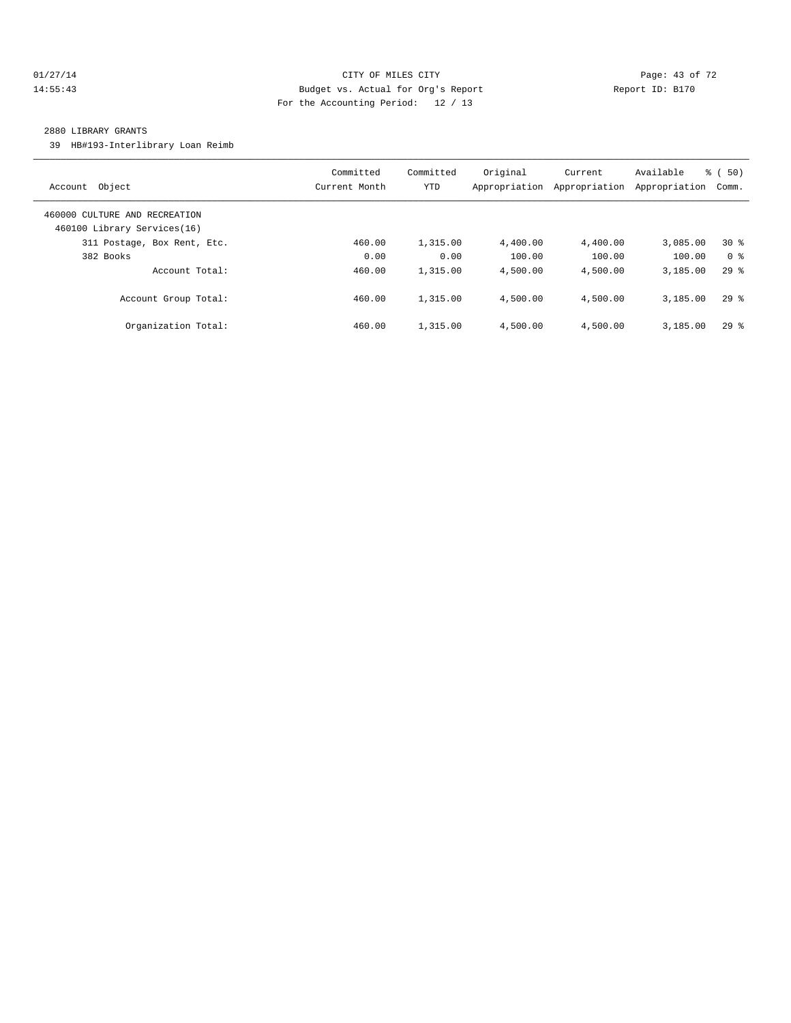#### $O1/27/14$  Page: 43 of 72 14:55:43 Budget vs. Actual for Org's Report Report ID: B170 For the Accounting Period: 12 / 13

#### 2880 LIBRARY GRANTS

39 HB#193-Interlibrary Loan Reimb

| Account Object                                               | Committed<br>Current Month | Committed<br><b>YTD</b> | Original<br>Appropriation | Current<br>Appropriation | Available<br>Appropriation | $\frac{1}{6}$ (50)<br>Comm. |
|--------------------------------------------------------------|----------------------------|-------------------------|---------------------------|--------------------------|----------------------------|-----------------------------|
| 460000 CULTURE AND RECREATION<br>460100 Library Services(16) |                            |                         |                           |                          |                            |                             |
| 311 Postage, Box Rent, Etc.                                  | 460.00                     | 1,315.00                | 4,400.00                  | 4,400.00                 | 3,085.00                   | $30*$                       |
| 382 Books                                                    | 0.00                       | 0.00                    | 100.00                    | 100.00                   | 100.00                     | 0 <sup>8</sup>              |
| Account Total:                                               | 460.00                     | 1,315.00                | 4,500.00                  | 4,500.00                 | 3,185.00                   | $29*$                       |
| Account Group Total:                                         | 460.00                     | 1,315.00                | 4,500.00                  | 4,500.00                 | 3,185.00                   | 298                         |
| Organization Total:                                          | 460.00                     | 1,315.00                | 4,500.00                  | 4,500.00                 | 3,185.00                   | 298                         |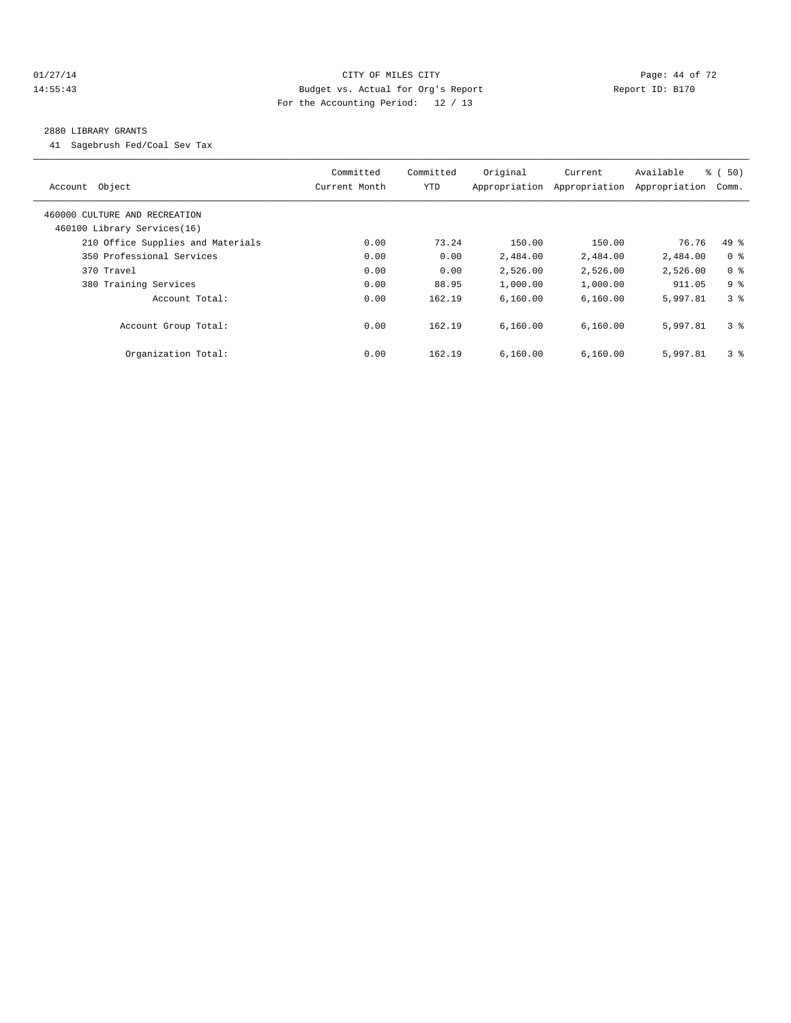#### $O1/27/14$  Page: 44 of 72 14:55:43 Budget vs. Actual for Org's Report Report ID: B170 For the Accounting Period: 12 / 13

#### 2880 LIBRARY GRANTS

41 Sagebrush Fed/Coal Sev Tax

| Account Object                                               | Committed<br>Current Month | Committed<br>YTD | Original<br>Appropriation | Current<br>Appropriation | Available<br>Appropriation | $\frac{1}{6}$ (50)<br>Comm. |
|--------------------------------------------------------------|----------------------------|------------------|---------------------------|--------------------------|----------------------------|-----------------------------|
| 460000 CULTURE AND RECREATION<br>460100 Library Services(16) |                            |                  |                           |                          |                            |                             |
| 210 Office Supplies and Materials                            | 0.00                       | 73.24            | 150.00                    | 150.00                   | 76.76                      | $49*$                       |
| 350 Professional Services                                    | 0.00                       | 0.00             | 2,484.00                  | 2,484.00                 | 2,484.00                   | 0 <sup>8</sup>              |
| 370 Travel                                                   | 0.00                       | 0.00             | 2,526.00                  | 2,526.00                 | 2,526.00                   | 0 <sup>8</sup>              |
| 380 Training Services                                        | 0.00                       | 88.95            | 1,000.00                  | 1,000.00                 | 911.05                     | 9 <sup>8</sup>              |
| Account Total:                                               | 0.00                       | 162.19           | 6.160.00                  | 6,160.00                 | 5,997.81                   | 3 <sup>8</sup>              |
| Account Group Total:                                         | 0.00                       | 162.19           | 6.160.00                  | 6.160.00                 | 5,997.81                   | 3 <sup>8</sup>              |
| Organization Total:                                          | 0.00                       | 162.19           | 6.160.00                  | 6.160.00                 | 5,997.81                   | 3 <sup>8</sup>              |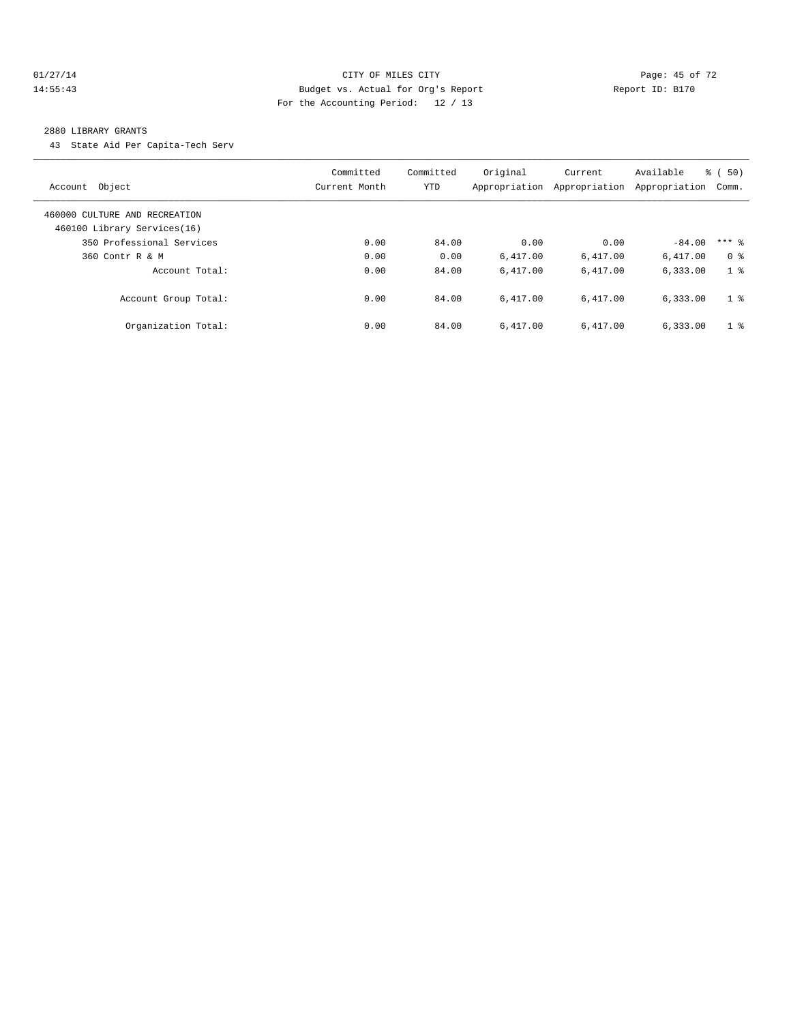#### $O1/27/14$  Page: 45 of 72 14:55:43 Budget vs. Actual for Org's Report Report ID: B170 For the Accounting Period: 12 / 13

#### 2880 LIBRARY GRANTS

43 State Aid Per Capita-Tech Serv

| Account Object                                               | Committed<br>Current Month | Committed<br><b>YTD</b> | Original<br>Appropriation | Current<br>Appropriation | Available<br>Appropriation | $\frac{1}{6}$ (50)<br>Comm. |
|--------------------------------------------------------------|----------------------------|-------------------------|---------------------------|--------------------------|----------------------------|-----------------------------|
| 460000 CULTURE AND RECREATION<br>460100 Library Services(16) |                            |                         |                           |                          |                            |                             |
| 350 Professional Services                                    | 0.00                       | 84.00                   | 0.00                      | 0.00                     | $-84.00$                   | $***$ 2                     |
| 360 Contr R & M                                              | 0.00                       | 0.00                    | 6.417.00                  | 6,417.00                 | 6,417.00                   | 0 <sup>8</sup>              |
| Account Total:                                               | 0.00                       | 84.00                   | 6.417.00                  | 6.417.00                 | 6,333.00                   | 1 <sup>8</sup>              |
| Account Group Total:                                         | 0.00                       | 84.00                   | 6.417.00                  | 6.417.00                 | 6,333.00                   | 1 <sup>8</sup>              |
| Organization Total:                                          | 0.00                       | 84.00                   | 6.417.00                  | 6.417.00                 | 6,333.00                   | 1 <sup>8</sup>              |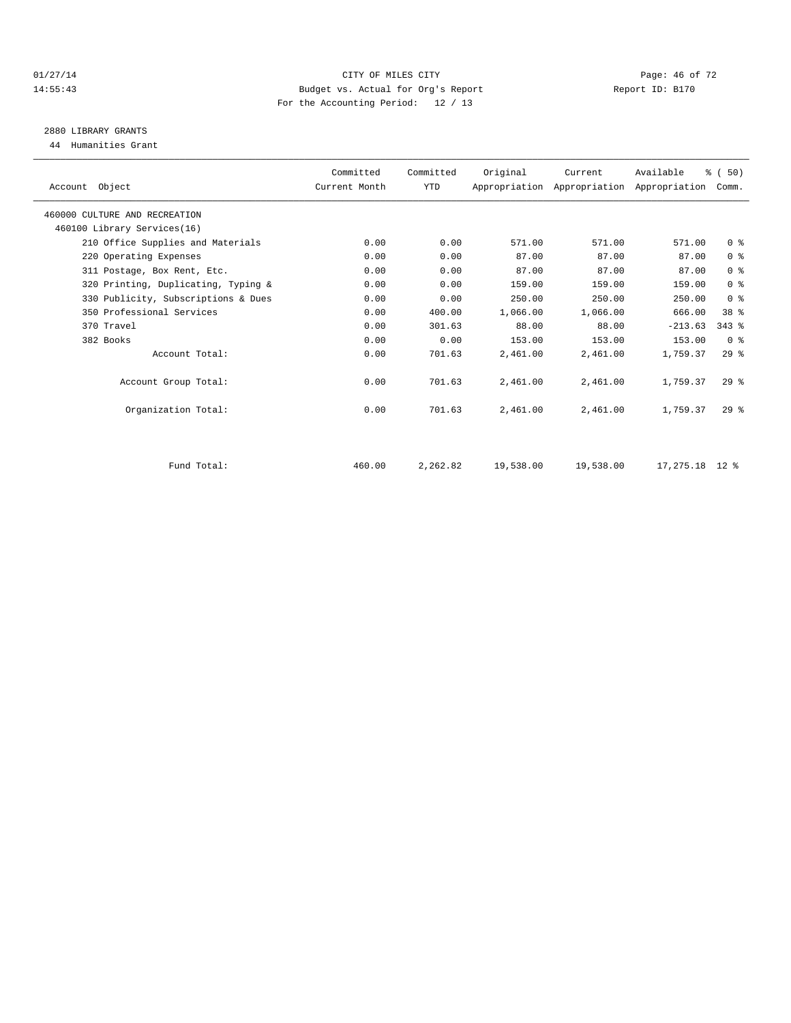#### $CITY$  OF MILES CITY CHANNEL CITY CHANNEL CITY Page: 46 of 72 14:55:43 Budget vs. Actual for Org's Report Report ID: B170 For the Accounting Period: 12 / 13

# 2880 LIBRARY GRANTS

44 Humanities Grant

| Account Object                      | Committed<br>Current Month | Committed<br><b>YTD</b> | Original  | Current   | Available<br>Appropriation Appropriation Appropriation | % (50)<br>Comm. |  |
|-------------------------------------|----------------------------|-------------------------|-----------|-----------|--------------------------------------------------------|-----------------|--|
| 460000 CULTURE AND RECREATION       |                            |                         |           |           |                                                        |                 |  |
| 460100 Library Services(16)         |                            |                         |           |           |                                                        |                 |  |
| 210 Office Supplies and Materials   | 0.00                       | 0.00                    | 571.00    | 571.00    | 571.00                                                 | 0 <sup>8</sup>  |  |
| 220 Operating Expenses              | 0.00                       | 0.00                    | 87.00     | 87.00     | 87.00                                                  | 0 <sup>8</sup>  |  |
| 311 Postage, Box Rent, Etc.         | 0.00                       | 0.00                    | 87.00     | 87.00     | 87.00                                                  | 0 <sup>8</sup>  |  |
| 320 Printing, Duplicating, Typing & | 0.00                       | 0.00                    | 159.00    | 159.00    | 159.00                                                 | 0 <sup>8</sup>  |  |
| 330 Publicity, Subscriptions & Dues | 0.00                       | 0.00                    | 250.00    | 250.00    | 250.00                                                 | 0 <sup>8</sup>  |  |
| 350 Professional Services           | 0.00                       | 400.00                  | 1,066.00  | 1,066.00  | 666.00                                                 | 38 <sup>8</sup> |  |
| 370 Travel                          | 0.00                       | 301.63                  | 88.00     | 88.00     | $-213.63$                                              | $343$ $%$       |  |
| 382 Books                           | 0.00                       | 0.00                    | 153.00    | 153.00    | 153.00                                                 | 0 <sup>8</sup>  |  |
| Account Total:                      | 0.00                       | 701.63                  | 2,461.00  | 2,461.00  | 1,759.37                                               | $29*$           |  |
| Account Group Total:                | 0.00                       | 701.63                  | 2,461.00  | 2,461.00  | 1,759.37                                               | $29*$           |  |
| Organization Total:                 | 0.00                       | 701.63                  | 2,461.00  | 2,461.00  | 1,759.37                                               | $29*$           |  |
| Fund Total:                         | 460.00                     | 2,262.82                | 19,538.00 | 19,538.00 | $17,275.18$ 12 %                                       |                 |  |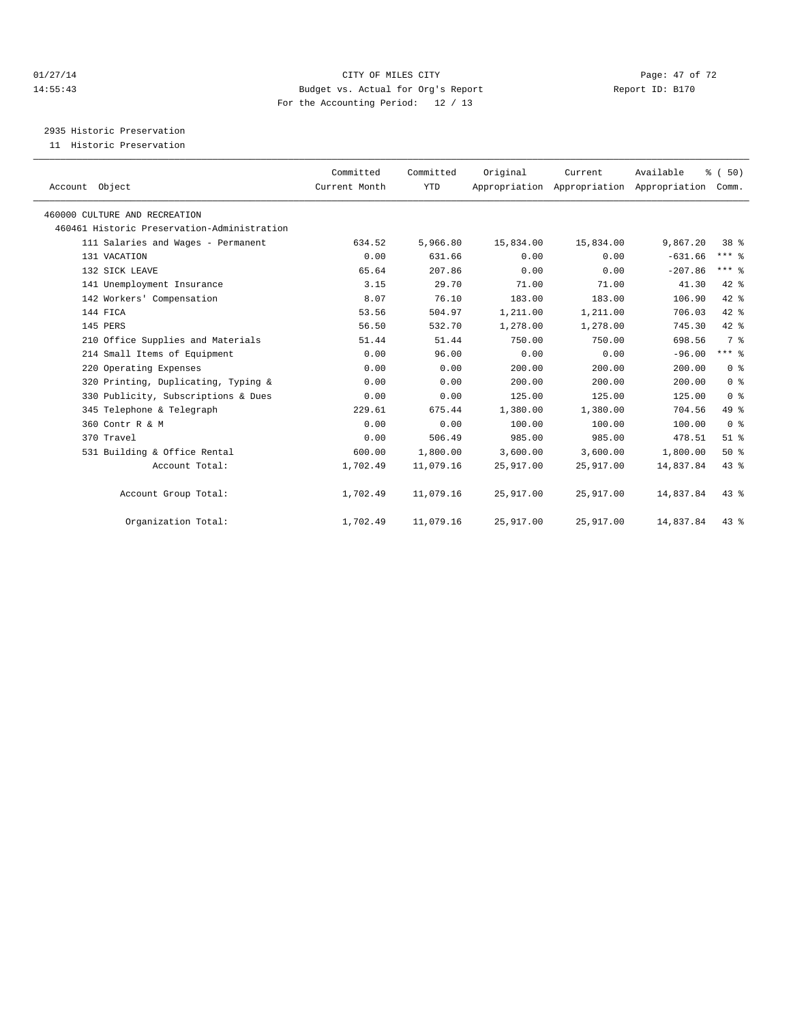#### $CITY$  OF MILES CITY CHANNEL CITY CHANNEL CITY Page: 47 of 72 14:55:43 Budget vs. Actual for Org's Report Report ID: B170 For the Accounting Period: 12 / 13

2935 Historic Preservation

11 Historic Preservation

| Account Object                              | Committed<br>Current Month | Committed<br><b>YTD</b> | Original  | Current<br>Appropriation Appropriation Appropriation | Available | % (50)<br>Comm. |  |
|---------------------------------------------|----------------------------|-------------------------|-----------|------------------------------------------------------|-----------|-----------------|--|
| 460000 CULTURE AND RECREATION               |                            |                         |           |                                                      |           |                 |  |
| 460461 Historic Preservation-Administration |                            |                         |           |                                                      |           |                 |  |
| 111 Salaries and Wages - Permanent          | 634.52                     | 5,966.80                | 15,834.00 | 15,834.00                                            | 9,867.20  | $38*$           |  |
| 131 VACATION                                | 0.00                       | 631.66                  | 0.00      | 0.00                                                 | $-631.66$ | $***$ $-$       |  |
| 132 SICK LEAVE                              | 65.64                      | 207.86                  | 0.00      | 0.00                                                 | $-207.86$ | $***$ 2         |  |
| 141 Unemployment Insurance                  | 3.15                       | 29.70                   | 71.00     | 71.00                                                | 41.30     | 42 %            |  |
| 142 Workers' Compensation                   | 8.07                       | 76.10                   | 183.00    | 183.00                                               | 106.90    | 42 %            |  |
| 144 FICA                                    | 53.56                      | 504.97                  | 1,211.00  | 1,211.00                                             | 706.03    | $42$ $%$        |  |
| 145 PERS                                    | 56.50                      | 532.70                  | 1,278.00  | 1,278.00                                             | 745.30    | 42 %            |  |
| 210 Office Supplies and Materials           | 51.44                      | 51.44                   | 750.00    | 750.00                                               | 698.56    | 7 <sup>°</sup>  |  |
| 214 Small Items of Equipment                | 0.00                       | 96.00                   | 0.00      | 0.00                                                 | $-96.00$  | $***$ $-$       |  |
| 220 Operating Expenses                      | 0.00                       | 0.00                    | 200.00    | 200.00                                               | 200.00    | 0 <sup>8</sup>  |  |
| 320 Printing, Duplicating, Typing &         | 0.00                       | 0.00                    | 200.00    | 200.00                                               | 200.00    | 0 <sup>8</sup>  |  |
| 330 Publicity, Subscriptions & Dues         | 0.00                       | 0.00                    | 125.00    | 125.00                                               | 125.00    | 0 <sup>8</sup>  |  |
| 345 Telephone & Telegraph                   | 229.61                     | 675.44                  | 1,380.00  | 1,380.00                                             | 704.56    | 49.8            |  |
| 360 Contr R & M                             | 0.00                       | 0.00                    | 100.00    | 100.00                                               | 100.00    | 0 <sup>8</sup>  |  |
| 370 Travel                                  | 0.00                       | 506.49                  | 985.00    | 985.00                                               | 478.51    | $51$ %          |  |
| 531 Building & Office Rental                | 600.00                     | 1,800.00                | 3,600.00  | 3,600.00                                             | 1,800.00  | 50%             |  |
| Account Total:                              | 1,702.49                   | 11,079.16               | 25,917.00 | 25,917.00                                            | 14,837.84 | 43 %            |  |
| Account Group Total:                        | 1,702.49                   | 11,079.16               | 25,917.00 | 25,917.00                                            | 14,837.84 | $43$ %          |  |
| Organization Total:                         | 1,702.49                   | 11,079.16               | 25,917.00 | 25,917.00                                            | 14,837.84 | $43$ %          |  |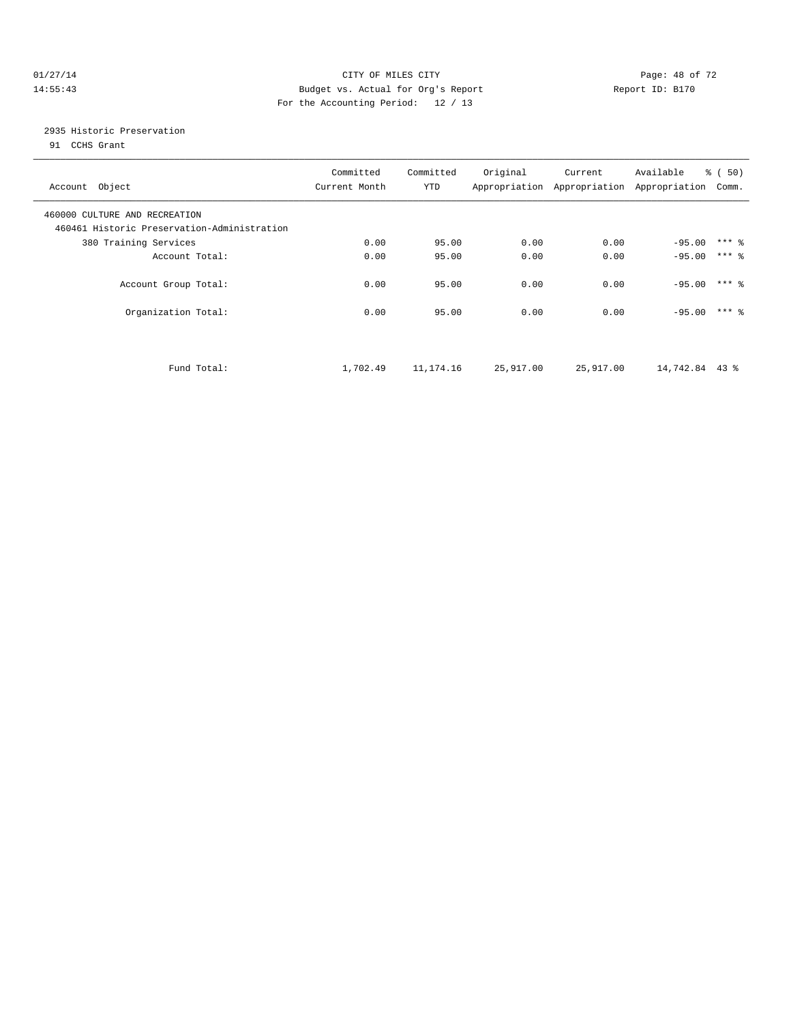#### $CITY$  OF MILES CITY CHANNEL CITY CHANNEL CITY Page: 48 of 72 14:55:43 Budget vs. Actual for Org's Report Report ID: B170 For the Accounting Period: 12 / 13

### 2935 Historic Preservation

91 CCHS Grant

| Account Object                                                               | Committed<br>Current Month | Committed<br>YTD | Original  | Current   | Available<br>Appropriation Appropriation Appropriation | % (50)<br>Comm.     |
|------------------------------------------------------------------------------|----------------------------|------------------|-----------|-----------|--------------------------------------------------------|---------------------|
| 460000 CULTURE AND RECREATION<br>460461 Historic Preservation-Administration |                            |                  |           |           |                                                        |                     |
| 380 Training Services                                                        | 0.00                       | 95.00            | 0.00      | 0.00      | $-95.00$                                               | $***$ $\frac{6}{5}$ |
| Account Total:                                                               | 0.00                       | 95.00            | 0.00      | 0.00      | $-95.00$                                               | $***$ 2             |
| Account Group Total:                                                         | 0.00                       | 95.00            | 0.00      | 0.00      | $-95.00$                                               | $***$ 2             |
| Organization Total:                                                          | 0.00                       | 95.00            | 0.00      | 0.00      | $-95.00$                                               | $***$ 2             |
| Fund Total:                                                                  | 1,702.49                   | 11,174.16        | 25,917.00 | 25,917.00 | 14,742.84 43 %                                         |                     |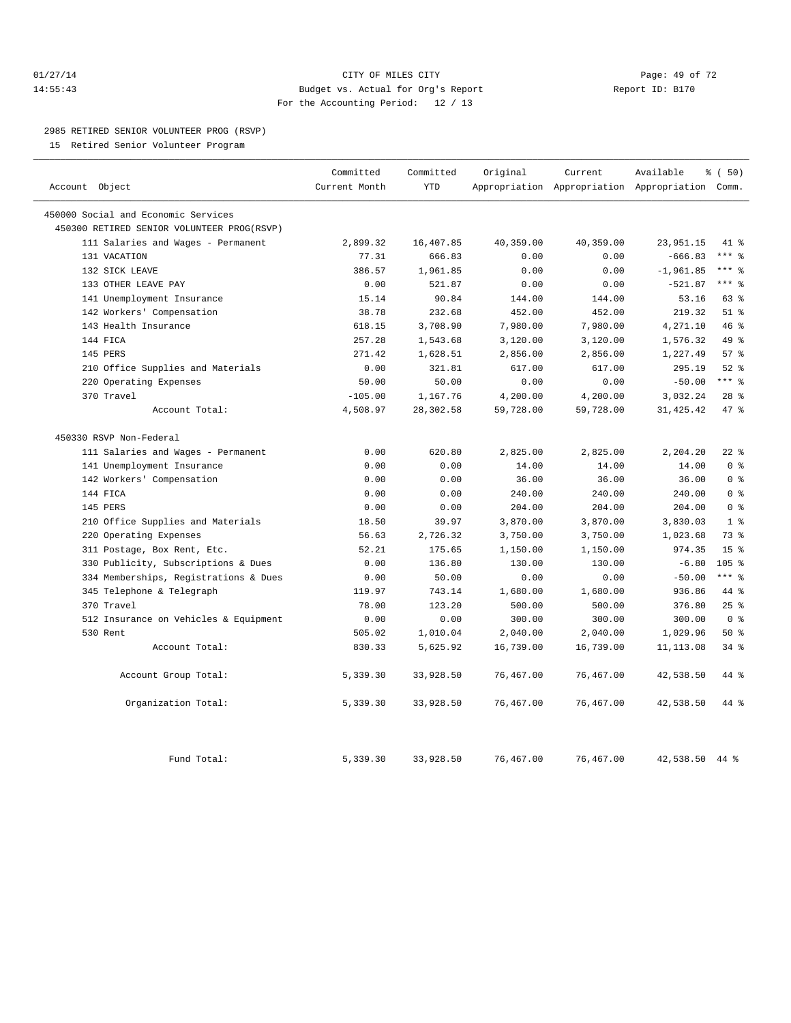#### $O1/27/14$  Page: 49 of 72 14:55:43 Budget vs. Actual for Org's Report Report ID: B170 For the Accounting Period: 12 / 13

#### 2985 RETIRED SENIOR VOLUNTEER PROG (RSVP)

15 Retired Senior Volunteer Program

|                |                                            | Committed     | Committed  | Original  | Current   | Available                                 | % ( 50)         |
|----------------|--------------------------------------------|---------------|------------|-----------|-----------|-------------------------------------------|-----------------|
| Account Object |                                            | Current Month | <b>YTD</b> |           |           | Appropriation Appropriation Appropriation | Comm.           |
|                | 450000 Social and Economic Services        |               |            |           |           |                                           |                 |
|                | 450300 RETIRED SENIOR VOLUNTEER PROG(RSVP) |               |            |           |           |                                           |                 |
|                | 111 Salaries and Wages - Permanent         | 2,899.32      | 16,407.85  | 40,359.00 | 40,359.00 | 23,951.15                                 | 41 %            |
|                | 131 VACATION                               | 77.31         | 666.83     | 0.00      | 0.00      | $-666.83$                                 | $***$ 8         |
|                | 132 SICK LEAVE                             | 386.57        | 1,961.85   | 0.00      | 0.00      | $-1,961.85$                               | $***$ $-$       |
|                | 133 OTHER LEAVE PAY                        | 0.00          | 521.87     | 0.00      | 0.00      | $-521.87$                                 | $***$ $_{8}$    |
|                | 141 Unemployment Insurance                 | 15.14         | 90.84      | 144.00    | 144.00    | 53.16                                     | 63 %            |
|                | 142 Workers' Compensation                  | 38.78         | 232.68     | 452.00    | 452.00    | 219.32                                    | $51$ %          |
|                | 143 Health Insurance                       | 618.15        | 3,708.90   | 7,980.00  | 7,980.00  | 4,271.10                                  | 46 %            |
|                | 144 FICA                                   | 257.28        | 1,543.68   | 3,120.00  | 3,120.00  | 1,576.32                                  | 49 %            |
|                | 145 PERS                                   | 271.42        | 1,628.51   | 2,856.00  | 2,856.00  | 1,227.49                                  | 57%             |
|                | 210 Office Supplies and Materials          | 0.00          | 321.81     | 617.00    | 617.00    | 295.19                                    | $52$ $%$        |
|                | 220 Operating Expenses                     | 50.00         | 50.00      | 0.00      | 0.00      | $-50.00$                                  | $***$ $_{8}$    |
|                | 370 Travel                                 | $-105.00$     | 1,167.76   | 4,200.00  | 4,200.00  | 3,032.24                                  | $28$ %          |
|                | Account Total:                             | 4,508.97      | 28,302.58  | 59,728.00 | 59,728.00 | 31, 425. 42                               | 47 %            |
|                | 450330 RSVP Non-Federal                    |               |            |           |           |                                           |                 |
|                | 111 Salaries and Wages - Permanent         | 0.00          | 620.80     | 2,825.00  | 2,825.00  | 2,204.20                                  | $22$ %          |
|                | 141 Unemployment Insurance                 | 0.00          | 0.00       | 14.00     | 14.00     | 14.00                                     | 0 <sup>8</sup>  |
|                | 142 Workers' Compensation                  | 0.00          | 0.00       | 36.00     | 36.00     | 36.00                                     | 0 <sup>8</sup>  |
|                | 144 FICA                                   | 0.00          | 0.00       | 240.00    | 240.00    | 240.00                                    | 0 <sup>8</sup>  |
|                | 145 PERS                                   | 0.00          | 0.00       | 204.00    | 204.00    | 204.00                                    | 0 <sup>8</sup>  |
|                | 210 Office Supplies and Materials          | 18.50         | 39.97      | 3,870.00  | 3,870.00  | 3,830.03                                  | 1 <sup>8</sup>  |
| 220            | Operating Expenses                         | 56.63         | 2,726.32   | 3,750.00  | 3,750.00  | 1,023.68                                  | 73.8            |
|                | 311 Postage, Box Rent, Etc.                | 52.21         | 175.65     | 1,150.00  | 1,150.00  | 974.35                                    | 15 <sup>°</sup> |
|                | 330 Publicity, Subscriptions & Dues        | 0.00          | 136.80     | 130.00    | 130.00    | $-6.80$                                   | $105$ %         |
|                | 334 Memberships, Registrations & Dues      | 0.00          | 50.00      | 0.00      | 0.00      | $-50.00$                                  | $***$ $=$       |
|                | 345 Telephone & Telegraph                  | 119.97        | 743.14     | 1,680.00  | 1,680.00  | 936.86                                    | 44 %            |
|                | 370 Travel                                 | 78.00         | 123.20     | 500.00    | 500.00    | 376.80                                    | 25%             |
|                | 512 Insurance on Vehicles & Equipment      | 0.00          | 0.00       | 300.00    | 300.00    | 300.00                                    | 0 <sup>8</sup>  |
|                | 530 Rent                                   | 505.02        | 1,010.04   | 2,040.00  | 2,040.00  | 1,029.96                                  | 50%             |
|                | Account Total:                             | 830.33        | 5,625.92   | 16,739.00 | 16,739.00 | 11, 113.08                                | 34%             |
|                | Account Group Total:                       | 5,339.30      | 33,928.50  | 76,467.00 | 76,467.00 | 42,538.50                                 | 44 %            |
|                | Organization Total:                        | 5,339.30      | 33,928.50  | 76,467.00 | 76,467.00 | 42,538.50                                 | 44 %            |
|                | Fund Total:                                | 5,339.30      | 33,928.50  | 76,467.00 | 76,467.00 | 42,538.50                                 | 44 %            |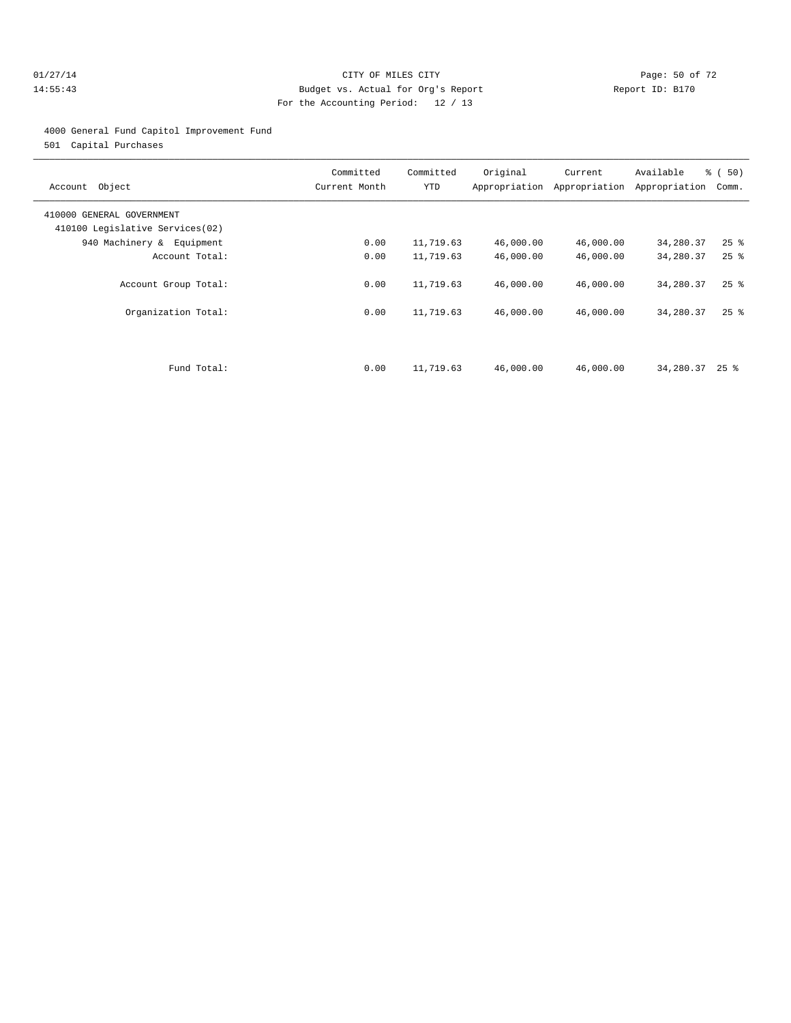#### $O1/27/14$  Page: 50 of 72 14:55:43 Budget vs. Actual for Org's Report Report ID: B170 For the Accounting Period: 12 / 13

#### 4000 General Fund Capitol Improvement Fund

501 Capital Purchases

| Account Object                                               | Committed<br>Current Month | Committed<br>YTD | Original  | Current<br>Appropriation Appropriation | Available<br>Appropriation | $\frac{1}{6}$ (50)<br>Comm. |
|--------------------------------------------------------------|----------------------------|------------------|-----------|----------------------------------------|----------------------------|-----------------------------|
| 410000 GENERAL GOVERNMENT<br>410100 Legislative Services(02) |                            |                  |           |                                        |                            |                             |
| 940 Machinery & Equipment                                    | 0.00                       | 11,719.63        | 46,000.00 | 46,000.00                              | 34,280.37                  | $25$ $\frac{6}{5}$          |
| Account Total:                                               | 0.00                       | 11,719.63        | 46,000.00 | 46,000.00                              | 34,280.37                  | $25$ $\frac{6}{5}$          |
| Account Group Total:                                         | 0.00                       | 11,719.63        | 46,000.00 | 46,000.00                              | 34,280.37                  | $25$ $\frac{6}{5}$          |
| Organization Total:                                          | 0.00                       | 11,719.63        | 46,000.00 | 46,000.00                              | 34,280.37                  | $25$ $%$                    |
| Fund Total:                                                  | 0.00                       | 11,719.63        | 46,000.00 | 46,000.00                              | 34,280.37                  | $25$ %                      |
|                                                              |                            |                  |           |                                        |                            |                             |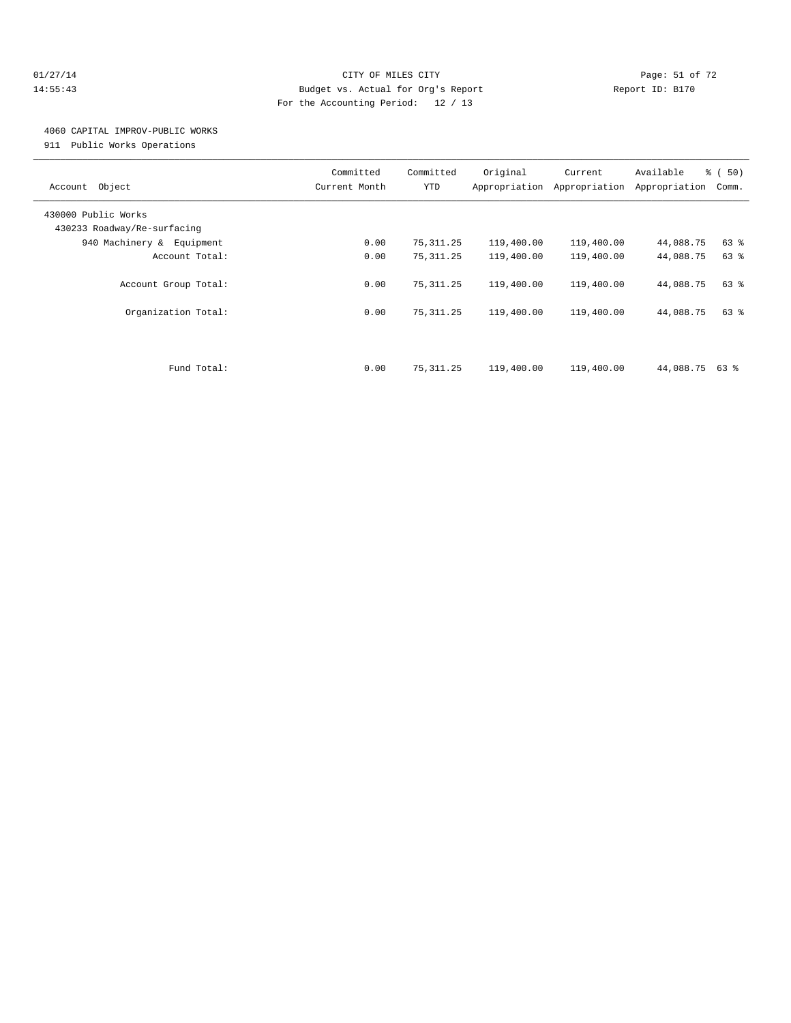#### 01/27/14 Page: 51 of 72 14:55:43 Budget vs. Actual for Org's Report Report ID: B170 For the Accounting Period: 12 / 13

## 4060 CAPITAL IMPROV-PUBLIC WORKS

911 Public Works Operations

| Object<br>Account                                  | Committed<br>Current Month | Committed<br>YTD | Original<br>Appropriation | Current<br>Appropriation | Available<br>Appropriation | % (50)<br>Comm. |
|----------------------------------------------------|----------------------------|------------------|---------------------------|--------------------------|----------------------------|-----------------|
| 430000 Public Works<br>430233 Roadway/Re-surfacing |                            |                  |                           |                          |                            |                 |
| 940 Machinery & Equipment                          | 0.00                       | 75, 311.25       | 119,400.00                | 119,400.00               | 44,088.75                  | 63 %            |
| Account Total:                                     | 0.00                       | 75, 311.25       | 119,400.00                | 119,400.00               | 44,088.75                  | 63 %            |
| Account Group Total:                               | 0.00<br>0.00               | 75, 311.25       | 119,400.00                | 119,400.00               | 44,088.75                  | 63 %            |
| Organization Total:                                |                            | 75, 311.25       | 119,400.00                | 119,400.00               | 44,088.75                  | 63 %            |
| Fund Total:                                        | 0.00                       | 75, 311.25       | 119,400.00                | 119,400.00               | 44,088.75 63 %             |                 |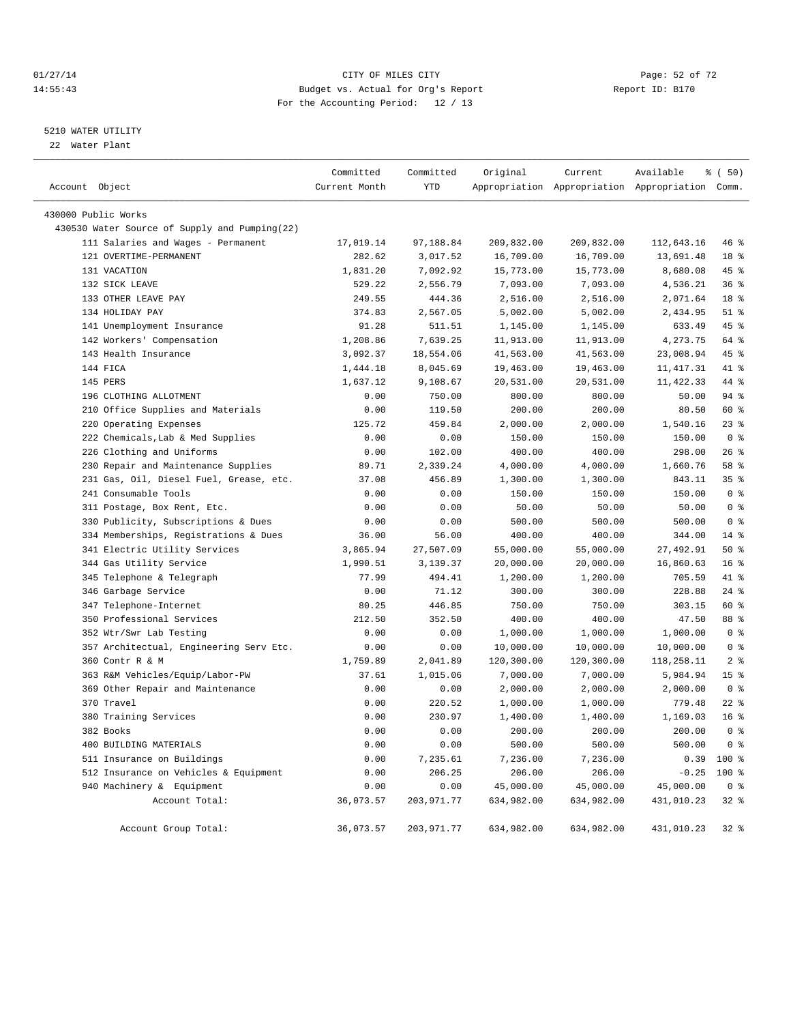#### $CITY$  of  $CITY$  and  $CITY$  of  $CITY$  and  $CITY$  and  $CITY$  is the page: 52 of 72 14:55:43 Budget vs. Actual for Org's Report Report ID: B170 For the Accounting Period: 12 / 13

————————————————————————————————————————————————————————————————————————————————————————————————————————————————————————————————————

#### 5210 WATER UTILITY

22 Water Plant

|                                               | Committed     | Committed   | Original   | Current    | Available                                       | % ( 50)         |
|-----------------------------------------------|---------------|-------------|------------|------------|-------------------------------------------------|-----------------|
| Account Object                                | Current Month | <b>YTD</b>  |            |            | Appropriation Appropriation Appropriation Comm. |                 |
| 430000 Public Works                           |               |             |            |            |                                                 |                 |
| 430530 Water Source of Supply and Pumping(22) |               |             |            |            |                                                 |                 |
| 111 Salaries and Wages - Permanent            | 17,019.14     | 97,188.84   | 209,832.00 | 209,832.00 | 112,643.16                                      | 46 %            |
| 121 OVERTIME-PERMANENT                        | 282.62        | 3,017.52    | 16,709.00  | 16,709.00  | 13,691.48                                       | 18 %            |
| 131 VACATION                                  | 1,831.20      | 7,092.92    | 15,773.00  | 15,773.00  | 8,680.08                                        | 45 %            |
| 132 SICK LEAVE                                | 529.22        | 2,556.79    | 7,093.00   | 7,093.00   | 4,536.21                                        | 36%             |
| 133 OTHER LEAVE PAY                           | 249.55        | 444.36      | 2,516.00   | 2,516.00   | 2,071.64                                        | 18 <sup>8</sup> |
| 134 HOLIDAY PAY                               | 374.83        | 2,567.05    | 5,002.00   | 5,002.00   | 2,434.95                                        | $51$ $%$        |
| 141 Unemployment Insurance                    | 91.28         | 511.51      | 1,145.00   | 1,145.00   | 633.49                                          | 45 %            |
| 142 Workers' Compensation                     | 1,208.86      | 7,639.25    | 11,913.00  | 11,913.00  | 4,273.75                                        | 64 %            |
| 143 Health Insurance                          | 3,092.37      | 18,554.06   | 41,563.00  | 41,563.00  | 23,008.94                                       | 45 %            |
| 144 FICA                                      | 1,444.18      | 8,045.69    | 19,463.00  | 19,463.00  | 11, 417.31                                      | 41 %            |
| 145 PERS                                      | 1,637.12      | 9,108.67    | 20,531.00  | 20,531.00  | 11,422.33                                       | 44 %            |
| 196 CLOTHING ALLOTMENT                        | 0.00          | 750.00      | 800.00     | 800.00     | 50.00                                           | $94$ %          |
| 210 Office Supplies and Materials             | 0.00          | 119.50      | 200.00     | 200.00     | 80.50                                           | 60 %            |
| 220 Operating Expenses                        | 125.72        | 459.84      | 2,000.00   | 2,000.00   | 1,540.16                                        | 23%             |
| 222 Chemicals, Lab & Med Supplies             | 0.00          | 0.00        | 150.00     | 150.00     | 150.00                                          | 0 <sup>8</sup>  |
| 226 Clothing and Uniforms                     | 0.00          | 102.00      | 400.00     | 400.00     | 298.00                                          | 26%             |
| 230 Repair and Maintenance Supplies           | 89.71         | 2,339.24    | 4,000.00   | 4,000.00   | 1,660.76                                        | 58 %            |
| 231 Gas, Oil, Diesel Fuel, Grease, etc.       | 37.08         | 456.89      | 1,300.00   | 1,300.00   | 843.11                                          | 35%             |
| 241 Consumable Tools                          | 0.00          | 0.00        | 150.00     | 150.00     | 150.00                                          | 0 <sup>8</sup>  |
| 311 Postage, Box Rent, Etc.                   | 0.00          | 0.00        | 50.00      | 50.00      | 50.00                                           | 0 <sup>8</sup>  |
| 330 Publicity, Subscriptions & Dues           | 0.00          | 0.00        | 500.00     | 500.00     | 500.00                                          | 0 <sup>8</sup>  |
| 334 Memberships, Registrations & Dues         | 36.00         | 56.00       | 400.00     | 400.00     | 344.00                                          | 14 %            |
| 341 Electric Utility Services                 | 3,865.94      | 27,507.09   | 55,000.00  | 55,000.00  | 27, 492.91                                      | 50%             |
| 344 Gas Utility Service                       | 1,990.51      | 3,139.37    | 20,000.00  | 20,000.00  | 16,860.63                                       | 16 <sup>°</sup> |
| 345 Telephone & Telegraph                     | 77.99         | 494.41      | 1,200.00   | 1,200.00   | 705.59                                          | 41 %            |
| 346 Garbage Service                           | 0.00          | 71.12       | 300.00     | 300.00     | 228.88                                          | $24$ %          |
| 347 Telephone-Internet                        | 80.25         | 446.85      | 750.00     | 750.00     | 303.15                                          | 60 %            |
| 350 Professional Services                     | 212.50        | 352.50      | 400.00     | 400.00     | 47.50                                           | 88 %            |
| 352 Wtr/Swr Lab Testing                       | 0.00          | 0.00        | 1,000.00   | 1,000.00   | 1,000.00                                        | 0 <sup>8</sup>  |
| 357 Architectual, Engineering Serv Etc.       | 0.00          | 0.00        | 10,000.00  | 10,000.00  | 10,000.00                                       | 0 <sup>8</sup>  |
| 360 Contr R & M                               | 1,759.89      | 2,041.89    | 120,300.00 | 120,300.00 | 118,258.11                                      | 2 <sup>8</sup>  |
| 363 R&M Vehicles/Equip/Labor-PW               | 37.61         | 1,015.06    | 7,000.00   | 7,000.00   | 5,984.94                                        | 15 <sup>°</sup> |
| 369 Other Repair and Maintenance              | 0.00          | 0.00        | 2,000.00   | 2,000.00   | 2,000.00                                        | 0 <sup>8</sup>  |
| 370 Travel                                    | 0.00          | 220.52      | 1,000.00   | 1,000.00   | 779.48                                          | $22$ $%$        |
| 380 Training Services                         | 0.00          | 230.97      | 1,400.00   | 1,400.00   | 1,169.03                                        | 16 <sup>°</sup> |
| 382 Books                                     | 0.00          | 0.00        | 200.00     | 200.00     | 200.00                                          | 0 <sup>8</sup>  |
| 400 BUILDING MATERIALS                        | 0.00          | 0.00        | 500.00     | 500.00     | 500.00                                          | 0 <sup>8</sup>  |
| 511 Insurance on Buildings                    | 0.00          | 7,235.61    | 7,236.00   | 7,236.00   | 0.39                                            | $100*$          |
| 512 Insurance on Vehicles & Equipment         | 0.00          | 206.25      | 206.00     | 206.00     | $-0.25$                                         | $100*$          |
| 940 Machinery & Equipment                     | 0.00          | 0.00        | 45,000.00  | 45,000.00  | 45,000.00                                       | 0 <sup>8</sup>  |
| Account Total:                                | 36,073.57     | 203, 971.77 | 634,982.00 | 634,982.00 | 431,010.23                                      | 32%             |
| Account Group Total:                          | 36,073.57     | 203,971.77  | 634,982.00 | 634,982.00 | 431,010.23                                      | 32%             |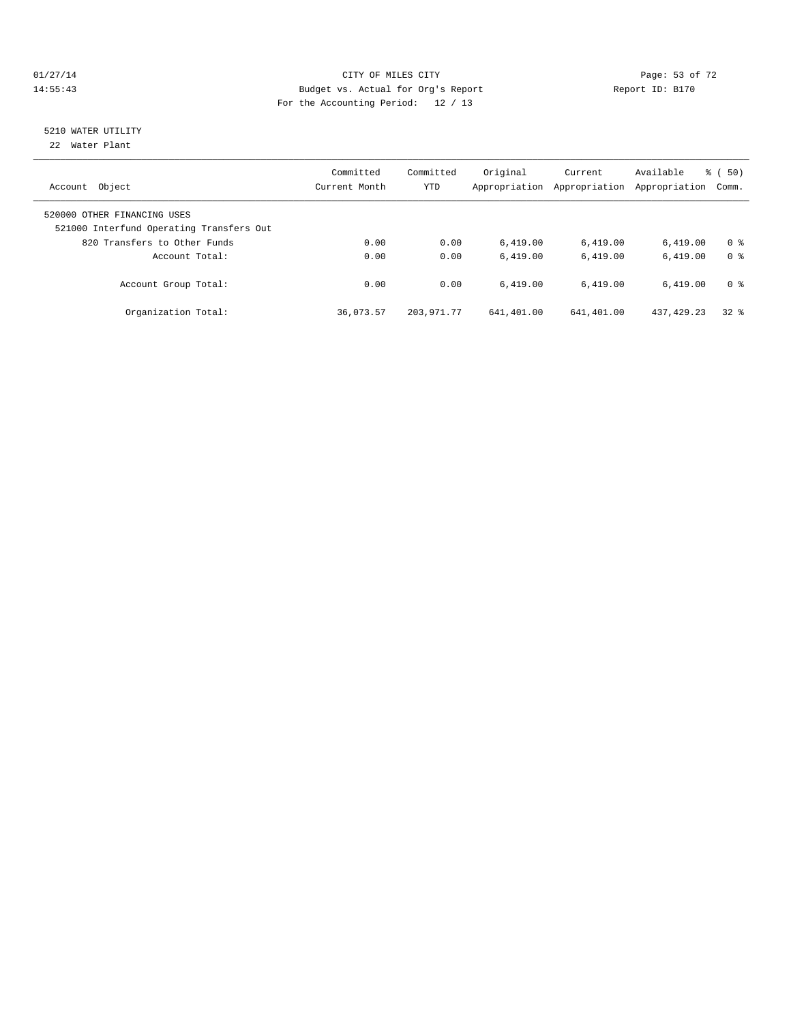#### 01/27/14 Page: 53 of 72 14:55:43 Budget vs. Actual for Org's Report Report ID: B170 For the Accounting Period: 12 / 13

# 5210 WATER UTILITY

22 Water Plant

| Object<br>Account                                                       | Committed<br>Current Month | Committed<br><b>YTD</b> | Original<br>Appropriation | Current<br>Appropriation | Available<br>Appropriation | $\frac{1}{6}$ (50)<br>Comm. |
|-------------------------------------------------------------------------|----------------------------|-------------------------|---------------------------|--------------------------|----------------------------|-----------------------------|
| 520000 OTHER FINANCING USES<br>521000 Interfund Operating Transfers Out |                            |                         |                           |                          |                            |                             |
| 820 Transfers to Other Funds                                            | 0.00                       | 0.00                    | 6.419.00                  | 6,419.00                 | 6.419.00                   | 0 <sup>8</sup>              |
| Account Total:                                                          | 0.00                       | 0.00                    | 6.419.00                  | 6.419.00                 | 6.419.00                   | 0 <sup>8</sup>              |
| Account Group Total:                                                    | 0.00                       | 0.00                    | 6.419.00                  | 6.419.00                 | 6.419.00                   | 0 <sup>8</sup>              |
| Organization Total:                                                     | 36,073.57                  | 203, 971, 77            | 641,401.00                | 641,401.00               | 437, 429, 23               | 328                         |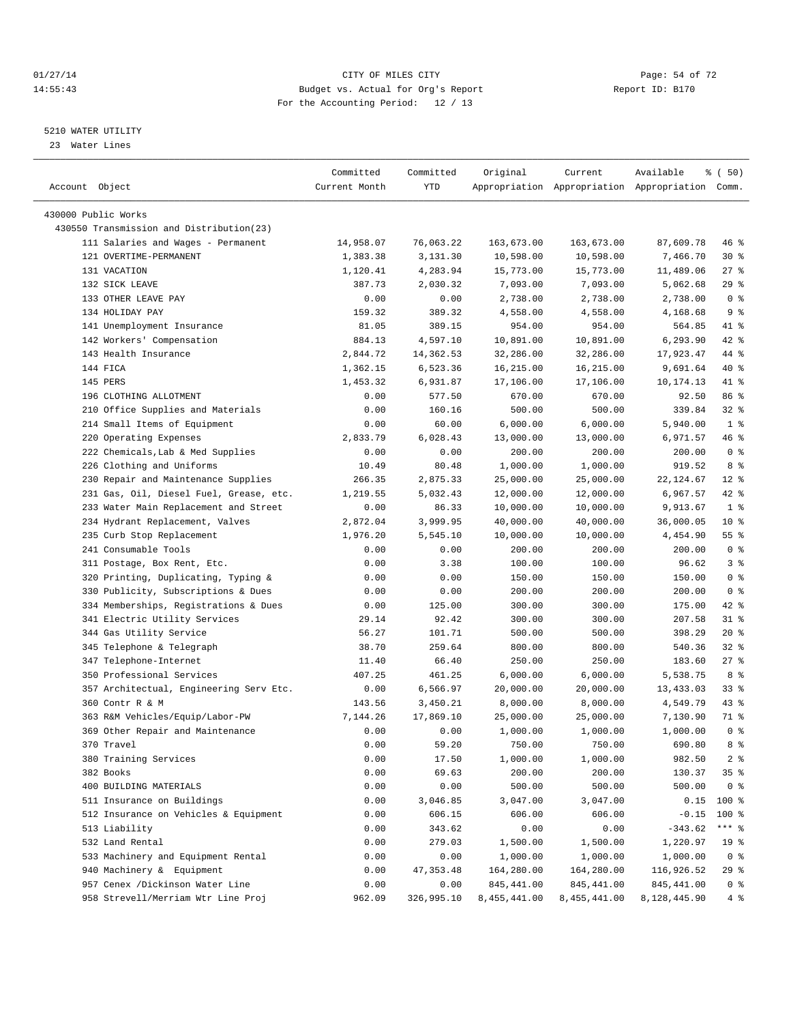#### $CITY$  of  $CITY$  and  $CITY$  of  $T2$   $Page: 54$  of  $72$ 14:55:43 Budget vs. Actual for Org's Report Report ID: B170 For the Accounting Period: 12 / 13

————————————————————————————————————————————————————————————————————————————————————————————————————————————————————————————————————

#### 5210 WATER UTILITY

23 Water Lines

|                                          | Committed     | Committed  | Original     | Current      | Available                                       | % (50)            |
|------------------------------------------|---------------|------------|--------------|--------------|-------------------------------------------------|-------------------|
| Account Object                           | Current Month | YTD        |              |              | Appropriation Appropriation Appropriation Comm. |                   |
| 430000 Public Works                      |               |            |              |              |                                                 |                   |
| 430550 Transmission and Distribution(23) |               |            |              |              |                                                 |                   |
| 111 Salaries and Wages - Permanent       | 14,958.07     | 76,063.22  | 163,673.00   | 163,673.00   | 87,609.78                                       | 46 %              |
| 121 OVERTIME-PERMANENT                   | 1,383.38      | 3,131.30   | 10,598.00    | 10,598.00    | 7,466.70                                        | $30*$             |
| 131 VACATION                             | 1,120.41      | 4,283.94   | 15,773.00    | 15,773.00    | 11,489.06                                       | $27$ %            |
| 132 SICK LEAVE                           | 387.73        | 2,030.32   | 7,093.00     | 7,093.00     | 5,062.68                                        | 29%               |
| 133 OTHER LEAVE PAY                      | 0.00          | 0.00       | 2,738.00     | 2,738.00     | 2,738.00                                        | 0 <sup>8</sup>    |
| 134 HOLIDAY PAY                          | 159.32        | 389.32     | 4,558.00     | 4,558.00     | 4,168.68                                        | 9 <sub>8</sub>    |
| 141 Unemployment Insurance               | 81.05         | 389.15     | 954.00       | 954.00       | 564.85                                          | 41 %              |
| 142 Workers' Compensation                | 884.13        | 4,597.10   | 10,891.00    | 10,891.00    | 6,293.90                                        | 42 %              |
| 143 Health Insurance                     | 2,844.72      | 14,362.53  | 32,286.00    | 32,286.00    | 17,923.47                                       | 44 %              |
| 144 FICA                                 | 1,362.15      | 6,523.36   | 16,215.00    | 16,215.00    | 9,691.64                                        | 40 %              |
| 145 PERS                                 | 1,453.32      | 6,931.87   | 17,106.00    | 17,106.00    | 10,174.13                                       | 41 %              |
| 196 CLOTHING ALLOTMENT                   | 0.00          | 577.50     | 670.00       | 670.00       | 92.50                                           | 86 %              |
| 210 Office Supplies and Materials        | 0.00          | 160.16     | 500.00       | 500.00       | 339.84                                          | $32$ $%$          |
| 214 Small Items of Equipment             | 0.00          | 60.00      | 6,000.00     | 6,000.00     | 5,940.00                                        | 1 <sup>8</sup>    |
| 220 Operating Expenses                   | 2,833.79      | 6,028.43   | 13,000.00    | 13,000.00    | 6,971.57                                        | 46 %              |
| 222 Chemicals, Lab & Med Supplies        | 0.00          | 0.00       | 200.00       | 200.00       | 200.00                                          | 0 <sup>8</sup>    |
| 226 Clothing and Uniforms                | 10.49         | 80.48      | 1,000.00     | 1,000.00     | 919.52                                          | 8 %               |
| 230 Repair and Maintenance Supplies      | 266.35        | 2,875.33   | 25,000.00    | 25,000.00    | 22,124.67                                       | $12$ %            |
| 231 Gas, Oil, Diesel Fuel, Grease, etc.  | 1,219.55      | 5,032.43   | 12,000.00    | 12,000.00    | 6,967.57                                        | 42 %              |
| 233 Water Main Replacement and Street    | 0.00          | 86.33      | 10,000.00    | 10,000.00    | 9,913.67                                        | 1 <sup>8</sup>    |
| 234 Hydrant Replacement, Valves          | 2,872.04      | 3,999.95   | 40,000.00    | 40,000.00    | 36,000.05                                       | 10 <sup>°</sup>   |
| 235 Curb Stop Replacement                | 1,976.20      | 5,545.10   | 10,000.00    | 10,000.00    | 4,454.90                                        | $55$ $%$          |
| 241 Consumable Tools                     | 0.00          | 0.00       | 200.00       | 200.00       | 200.00                                          | 0 <sup>8</sup>    |
| 311 Postage, Box Rent, Etc.              | 0.00          | 3.38       | 100.00       | 100.00       | 96.62                                           | 3%                |
| 320 Printing, Duplicating, Typing &      | 0.00          | 0.00       | 150.00       | 150.00       | 150.00                                          | 0 <sup>8</sup>    |
| 330 Publicity, Subscriptions & Dues      | 0.00          | 0.00       | 200.00       | 200.00       | 200.00                                          | 0 <sup>8</sup>    |
| 334 Memberships, Registrations & Dues    | 0.00          | 125.00     | 300.00       | 300.00       | 175.00                                          | 42 %              |
| 341 Electric Utility Services            | 29.14         | 92.42      | 300.00       | 300.00       | 207.58                                          | 31 %              |
| 344 Gas Utility Service                  | 56.27         | 101.71     | 500.00       | 500.00       | 398.29                                          | $20*$             |
| 345 Telephone & Telegraph                | 38.70         | 259.64     | 800.00       | 800.00       | 540.36                                          | $32$ $%$          |
| 347 Telephone-Internet                   | 11.40         | 66.40      | 250.00       | 250.00       | 183.60                                          | $27$ %            |
| 350 Professional Services                | 407.25        | 461.25     | 6,000.00     | 6,000.00     | 5,538.75                                        | 8 %               |
| 357 Architectual, Engineering Serv Etc.  | 0.00          | 6,566.97   | 20,000.00    | 20,000.00    | 13,433.03                                       | 338               |
| 360 Contr R & M                          | 143.56        | 3,450.21   | 8,000.00     | 8,000.00     | 4,549.79                                        | 43 %              |
| 363 R&M Vehicles/Equip/Labor-PW          | 7,144.26      | 17,869.10  | 25,000.00    | 25,000.00    | 7,130.90                                        | 71 %              |
| 369 Other Repair and Maintenance         | 0.00          | 0.00       | 1,000.00     | 1,000.00     | 1,000.00                                        | 0 <sup>8</sup>    |
| 370 Travel                               | 0.00          | 59.20      | 750.00       | 750.00       | 690.80                                          | 8 %               |
| 380 Training Services                    | 0.00          | 17.50      | 1,000.00     | 1,000.00     | 982.50                                          | $2$ $\frac{6}{9}$ |
| 382 Books                                | 0.00          | 69.63      | 200.00       | 200.00       | 130.37                                          | 35%               |
| 400 BUILDING MATERIALS                   | 0.00          | 0.00       | 500.00       | 500.00       | 500.00                                          | 0 <sup>8</sup>    |
| 511 Insurance on Buildings               | 0.00          | 3,046.85   | 3,047.00     | 3,047.00     | 0.15                                            | $100$ %           |
| 512 Insurance on Vehicles & Equipment    | 0.00          | 606.15     | 606.00       | 606.00       | $-0.15$                                         | $100*$            |
| 513 Liability                            | 0.00          | 343.62     | 0.00         | 0.00         | $-343.62$                                       | *** 응             |
| 532 Land Rental                          | 0.00          | 279.03     | 1,500.00     | 1,500.00     | 1,220.97                                        | 19 <sup>°</sup>   |
| 533 Machinery and Equipment Rental       | 0.00          | 0.00       | 1,000.00     | 1,000.00     | 1,000.00                                        | 0 <sup>8</sup>    |
| 940 Machinery & Equipment                | 0.00          | 47, 353.48 | 164,280.00   | 164,280.00   | 116,926.52                                      | 29 %              |
| 957 Cenex /Dickinson Water Line          | 0.00          | 0.00       | 845,441.00   | 845,441.00   | 845, 441.00                                     | 0 <sup>8</sup>    |
| 958 Strevell/Merriam Wtr Line Proj       | 962.09        | 326,995.10 | 8,455,441.00 | 8,455,441.00 | 8,128,445.90                                    | 4%                |
|                                          |               |            |              |              |                                                 |                   |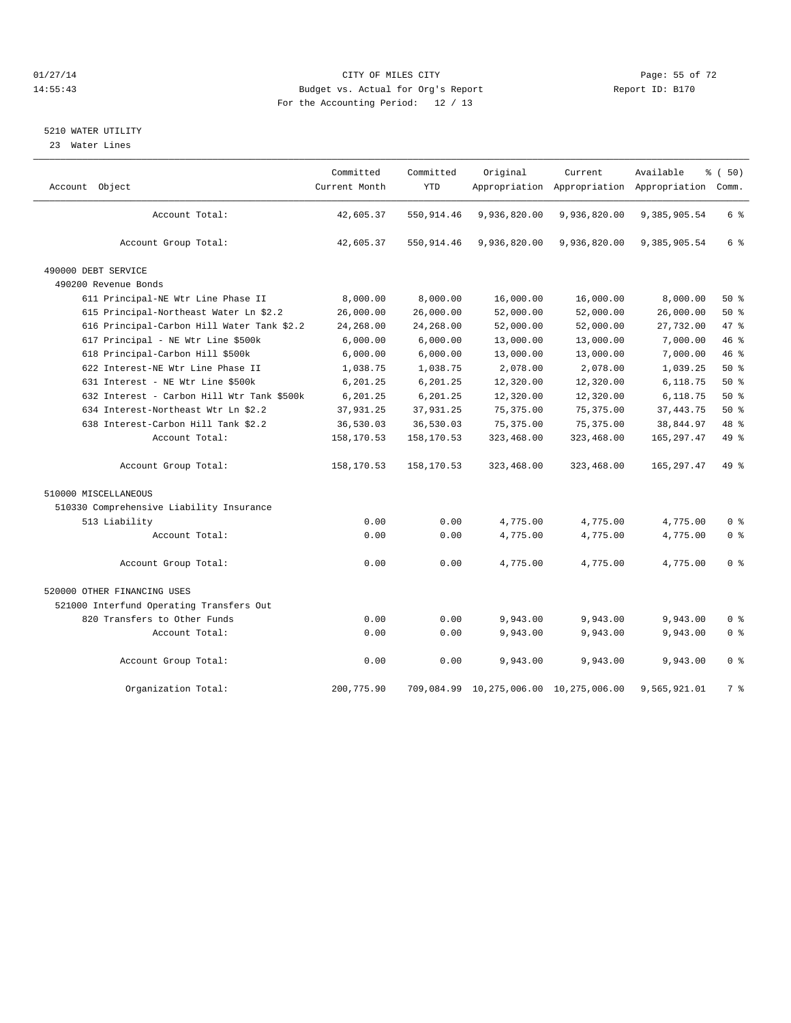#### $O1/27/14$  Page: 55 of 72 14:55:43 Budget vs. Actual for Org's Report Report ID: B170 For the Accounting Period: 12 / 13

#### 5210 WATER UTILITY

23 Water Lines

| Account Object                             | Committed<br>Current Month | Committed<br><b>YTD</b> | Original                               | Current      | Available<br>Appropriation Appropriation Appropriation Comm. | <sub>ර</sub> ි (50) |  |
|--------------------------------------------|----------------------------|-------------------------|----------------------------------------|--------------|--------------------------------------------------------------|---------------------|--|
| Account Total:                             | 42,605.37                  | 550,914.46              | 9,936,820.00                           | 9,936,820.00 | 9,385,905.54                                                 | 6 %                 |  |
| Account Group Total:                       | 42,605.37                  | 550,914.46              | 9,936,820.00                           | 9,936,820.00 | 9,385,905.54                                                 | 6 %                 |  |
| 490000 DEBT SERVICE                        |                            |                         |                                        |              |                                                              |                     |  |
| 490200 Revenue Bonds                       |                            |                         |                                        |              |                                                              |                     |  |
| 611 Principal-NE Wtr Line Phase II         | 8,000.00                   | 8,000.00                | 16,000.00                              | 16,000.00    | 8,000.00                                                     | $50*$               |  |
| 615 Principal-Northeast Water Ln \$2.2     | 26,000.00                  | 26,000.00               | 52,000.00                              | 52,000.00    | 26,000.00                                                    | 50%                 |  |
| 616 Principal-Carbon Hill Water Tank \$2.2 | 24,268.00                  | 24,268.00               | 52,000.00                              | 52,000.00    | 27,732.00                                                    | 47.8                |  |
| 617 Principal - NE Wtr Line \$500k         | 6,000.00                   | 6,000.00                | 13,000.00                              | 13,000.00    | 7,000.00                                                     | 46%                 |  |
| 618 Principal-Carbon Hill \$500k           | 6,000.00                   | 6,000.00                | 13,000.00                              | 13,000.00    | 7,000.00                                                     | 46%                 |  |
| 622 Interest-NE Wtr Line Phase II          | 1,038.75                   | 1,038.75                | 2,078.00                               | 2,078.00     | 1,039.25                                                     | 50%                 |  |
| 631 Interest - NE Wtr Line \$500k          | 6,201.25                   | 6,201.25                | 12,320.00                              | 12,320.00    | 6,118.75                                                     | $50*$               |  |
| 632 Interest - Carbon Hill Wtr Tank \$500k | 6,201.25                   | 6,201.25                | 12,320.00                              | 12,320.00    | 6,118.75                                                     | 50%                 |  |
| 634 Interest-Northeast Wtr Ln \$2.2        | 37,931.25                  | 37,931.25               | 75,375.00                              | 75,375.00    | 37, 443.75                                                   | 50%                 |  |
| 638 Interest-Carbon Hill Tank \$2.2        | 36,530.03                  | 36,530.03               | 75, 375.00                             | 75, 375.00   | 38,844.97                                                    | 48 %                |  |
| Account Total:                             | 158,170.53                 | 158,170.53              | 323,468.00                             | 323,468.00   | 165, 297.47                                                  | 49 %                |  |
| Account Group Total:                       | 158,170.53                 | 158,170.53              | 323,468.00                             | 323,468.00   | 165,297.47                                                   | $49*$               |  |
| 510000 MISCELLANEOUS                       |                            |                         |                                        |              |                                                              |                     |  |
| 510330 Comprehensive Liability Insurance   |                            |                         |                                        |              |                                                              |                     |  |
| 513 Liability                              | 0.00                       | 0.00                    | 4,775.00                               | 4,775.00     | 4,775.00                                                     | 0 <sup>8</sup>      |  |
| Account Total:                             | 0.00                       | 0.00                    | 4,775.00                               | 4,775.00     | 4,775.00                                                     | 0 <sup>8</sup>      |  |
| Account Group Total:                       | 0.00                       | 0.00                    | 4,775.00                               | 4,775.00     | 4,775.00                                                     | 0 <sup>8</sup>      |  |
| 520000 OTHER FINANCING USES                |                            |                         |                                        |              |                                                              |                     |  |
| 521000 Interfund Operating Transfers Out   |                            |                         |                                        |              |                                                              |                     |  |
| 820 Transfers to Other Funds               | 0.00                       | 0.00                    | 9,943.00                               | 9,943.00     | 9,943.00                                                     | 0 <sup>8</sup>      |  |
| Account Total:                             | 0.00                       | 0.00                    | 9,943.00                               | 9,943.00     | 9,943.00                                                     | 0 <sup>8</sup>      |  |
| Account Group Total:                       | 0.00                       | 0.00                    | 9,943.00                               | 9,943.00     | 9,943.00                                                     | 0 <sup>8</sup>      |  |
| Organization Total:                        | 200,775.90                 |                         | 709,084.99 10,275,006.00 10,275,006.00 |              | 9,565,921.01                                                 | 7 %                 |  |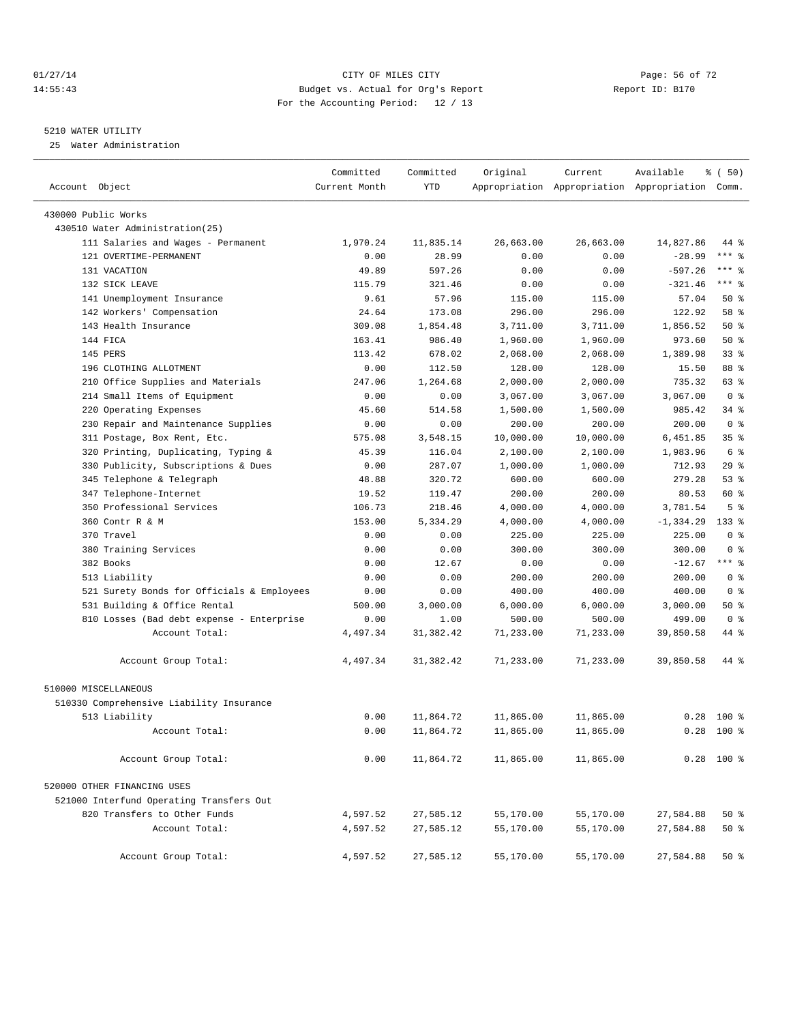#### $CITY$  OF MILES CITY CHANNEL CITY CHANNEL CITY Page: 56 of 72 14:55:43 Budget vs. Actual for Org's Report Report ID: B170 For the Accounting Period: 12 / 13

————————————————————————————————————————————————————————————————————————————————————————————————————————————————————————————————————

#### 5210 WATER UTILITY

25 Water Administration

|                                            | Committed     | Committed  | Original  | Current                                         | Available    | % (50)          |
|--------------------------------------------|---------------|------------|-----------|-------------------------------------------------|--------------|-----------------|
| Account Object                             | Current Month | <b>YTD</b> |           | Appropriation Appropriation Appropriation Comm. |              |                 |
| 430000 Public Works                        |               |            |           |                                                 |              |                 |
| 430510 Water Administration(25)            |               |            |           |                                                 |              |                 |
| 111 Salaries and Wages - Permanent         | 1,970.24      | 11,835.14  | 26,663.00 | 26,663.00                                       | 14,827.86    | 44 %            |
| 121 OVERTIME-PERMANENT                     | 0.00          | 28.99      | 0.00      | 0.00                                            | $-28.99$     | $***$ $-$       |
| 131 VACATION                               | 49.89         | 597.26     | 0.00      | 0.00                                            | $-597.26$    | *** %           |
| 132 SICK LEAVE                             | 115.79        | 321.46     | 0.00      | 0.00                                            | $-321.46$    | $***$ $=$       |
| 141 Unemployment Insurance                 | 9.61          | 57.96      | 115.00    | 115.00                                          | 57.04        | 50%             |
| 142 Workers' Compensation                  | 24.64         | 173.08     | 296.00    | 296.00                                          | 122.92       | 58 %            |
| 143 Health Insurance                       | 309.08        | 1,854.48   | 3,711.00  | 3,711.00                                        | 1,856.52     | 50%             |
| 144 FICA                                   | 163.41        | 986.40     | 1,960.00  | 1,960.00                                        | 973.60       | 50%             |
| 145 PERS                                   | 113.42        | 678.02     | 2,068.00  | 2,068.00                                        | 1,389.98     | 33%             |
| 196 CLOTHING ALLOTMENT                     | 0.00          | 112.50     | 128.00    | 128.00                                          | 15.50        | 88 %            |
| 210 Office Supplies and Materials          | 247.06        | 1,264.68   | 2,000.00  | 2,000.00                                        | 735.32       | 63 %            |
| 214 Small Items of Equipment               | 0.00          | 0.00       | 3,067.00  | 3,067.00                                        | 3,067.00     | 0 <sup>8</sup>  |
| 220 Operating Expenses                     | 45.60         | 514.58     | 1,500.00  | 1,500.00                                        | 985.42       | 34 %            |
| 230 Repair and Maintenance Supplies        | 0.00          | 0.00       | 200.00    | 200.00                                          | 200.00       | 0 <sup>8</sup>  |
| 311 Postage, Box Rent, Etc.                | 575.08        | 3,548.15   | 10,000.00 | 10,000.00                                       | 6,451.85     | 35 <sup>8</sup> |
| 320 Printing, Duplicating, Typing &        | 45.39         | 116.04     | 2,100.00  | 2,100.00                                        | 1,983.96     | 6 %             |
| 330 Publicity, Subscriptions & Dues        | 0.00          | 287.07     | 1,000.00  | 1,000.00                                        | 712.93       | 29%             |
| 345 Telephone & Telegraph                  | 48.88         | 320.72     | 600.00    | 600.00                                          | 279.28       | 53%             |
| 347 Telephone-Internet                     | 19.52         | 119.47     | 200.00    | 200.00                                          | 80.53        | 60 %            |
| 350 Professional Services                  | 106.73        | 218.46     | 4,000.00  | 4,000.00                                        | 3,781.54     | 5 <sup>°</sup>  |
| 360 Contr R & M                            | 153.00        | 5,334.29   | 4,000.00  | 4,000.00                                        | $-1, 334.29$ | $133*$          |
| 370 Travel                                 | 0.00          | 0.00       | 225.00    | 225.00                                          | 225.00       | 0 <sup>8</sup>  |
| 380 Training Services                      | 0.00          | 0.00       | 300.00    | 300.00                                          | 300.00       | 0 <sup>8</sup>  |
| 382 Books                                  | 0.00          | 12.67      | 0.00      | 0.00                                            | $-12.67$     | $***$ $%$       |
| 513 Liability                              | 0.00          | 0.00       | 200.00    | 200.00                                          | 200.00       | 0 <sup>8</sup>  |
| 521 Surety Bonds for Officials & Employees | 0.00          | 0.00       | 400.00    | 400.00                                          | 400.00       | 0 <sup>8</sup>  |
| 531 Building & Office Rental               | 500.00        | 3,000.00   | 6,000.00  | 6,000.00                                        | 3,000.00     | 50%             |
| 810 Losses (Bad debt expense - Enterprise  | 0.00          | 1.00       | 500.00    | 500.00                                          | 499.00       | 0 <sup>8</sup>  |
| Account Total:                             | 4,497.34      | 31, 382.42 | 71,233.00 | 71,233.00                                       | 39,850.58    | 44 %            |
| Account Group Total:                       | 4,497.34      | 31, 382.42 | 71,233.00 | 71,233.00                                       | 39,850.58    | 44 %            |
| 510000 MISCELLANEOUS                       |               |            |           |                                                 |              |                 |
| 510330 Comprehensive Liability Insurance   |               |            |           |                                                 |              |                 |
| 513 Liability                              | 0.00          | 11,864.72  | 11,865.00 | 11,865.00                                       | 0.28         | $100*$          |
| Account Total:                             | 0.00          | 11,864.72  | 11,865.00 | 11,865.00                                       | 0.28         | $100*$          |
| Account Group Total:                       | 0.00          | 11,864.72  | 11,865.00 | 11,865.00                                       |              | $0.28$ 100 %    |
| 520000 OTHER FINANCING USES                |               |            |           |                                                 |              |                 |
| 521000 Interfund Operating Transfers Out   |               |            |           |                                                 |              |                 |
| 820 Transfers to Other Funds               | 4,597.52      | 27,585.12  | 55,170.00 | 55,170.00                                       | 27,584.88    | 50%             |
| Account Total:                             | 4,597.52      | 27,585.12  | 55,170.00 | 55,170.00                                       | 27,584.88    | 50%             |
| Account Group Total:                       | 4,597.52      | 27,585.12  | 55,170.00 | 55,170.00                                       | 27,584.88    | 50%             |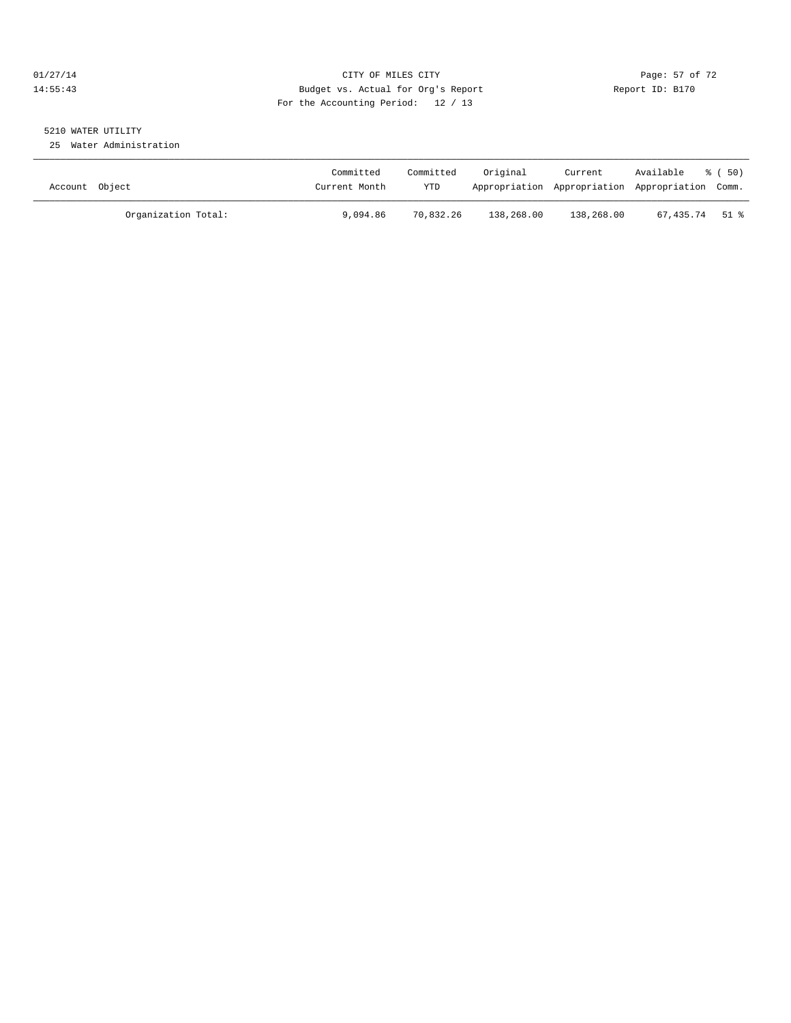#### $CITY$  OF MILES CITY CHANNEL CITY CHANNEL CITY Page: 57 of 72 14:55:43 Budget vs. Actual for Org's Report Report ID: B170 For the Accounting Period: 12 / 13

# 5210 WATER UTILITY

25 Water Administration

| Account Object      | Committed<br>Current Month | Committed<br><b>YTD</b> | Original   | Current    | Available<br>Appropriation Appropriation Appropriation Comm. | ී ( 50 ) |
|---------------------|----------------------------|-------------------------|------------|------------|--------------------------------------------------------------|----------|
| Organization Total: | 9,094.86                   | 70,832.26               | 138,268.00 | 138,268.00 | 67,435.74 51 %                                               |          |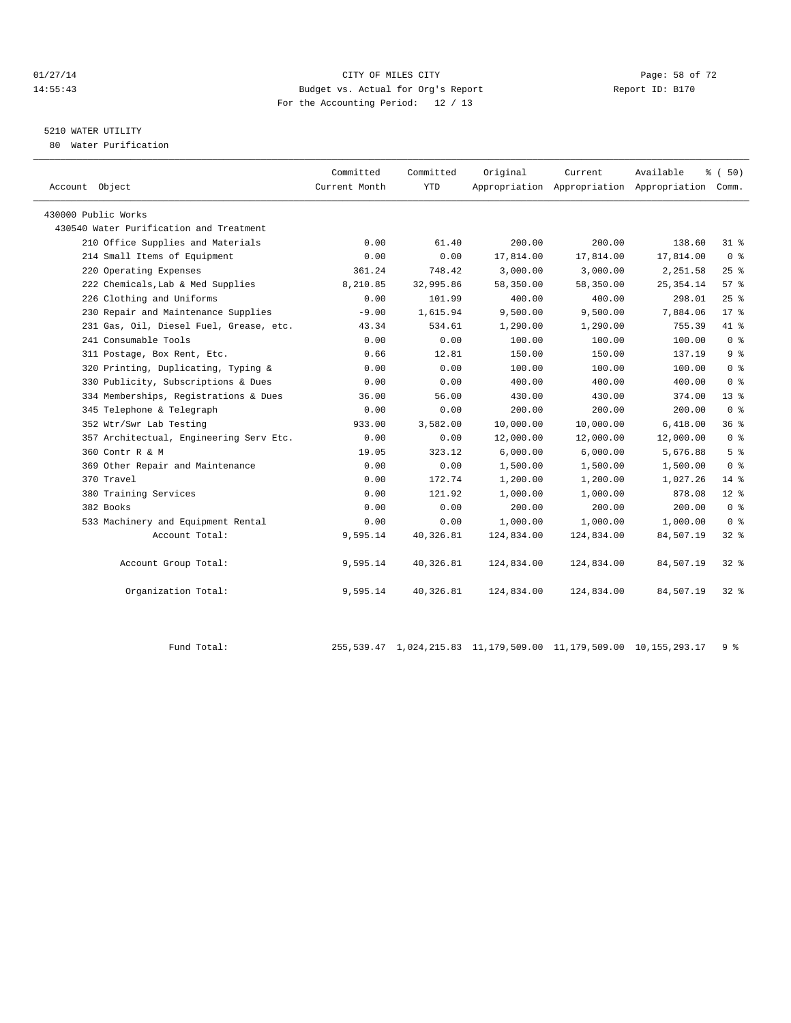#### $CITY$  of  $CITY$  and  $CITY$  of  $MLES$  city  $CITY$  and  $P49$   $P49$   $P49$   $P49$   $P58$  of  $72$ 14:55:43 Budget vs. Actual for Org's Report Report ID: B170 For the Accounting Period: 12 / 13

## 5210 WATER UTILITY

80 Water Purification

|                                         | Committed     | Committed  | Original   | Current    | Available                                       | % (50)          |
|-----------------------------------------|---------------|------------|------------|------------|-------------------------------------------------|-----------------|
| Account Object                          | Current Month | <b>YTD</b> |            |            | Appropriation Appropriation Appropriation Comm. |                 |
| 430000 Public Works                     |               |            |            |            |                                                 |                 |
| 430540 Water Purification and Treatment |               |            |            |            |                                                 |                 |
| 210 Office Supplies and Materials       | 0.00          | 61.40      | 200.00     | 200.00     | 138.60                                          | $31$ $%$        |
| 214 Small Items of Equipment            | 0.00          | 0.00       | 17,814.00  | 17,814.00  | 17,814.00                                       | 0 <sup>8</sup>  |
| 220 Operating Expenses                  | 361.24        | 748.42     | 3,000.00   | 3,000.00   | 2,251.58                                        | 25%             |
| 222 Chemicals, Lab & Med Supplies       | 8,210.85      | 32,995.86  | 58,350.00  | 58,350.00  | 25, 354.14                                      | 57%             |
| 226 Clothing and Uniforms               | 0.00          | 101.99     | 400.00     | 400.00     | 298.01                                          | 25%             |
| 230 Repair and Maintenance Supplies     | $-9.00$       | 1,615.94   | 9,500.00   | 9,500.00   | 7,884.06                                        | 17.8            |
| 231 Gas, Oil, Diesel Fuel, Grease, etc. | 43.34         | 534.61     | 1,290.00   | 1,290.00   | 755.39                                          | 41 %            |
| 241 Consumable Tools                    | 0.00          | 0.00       | 100.00     | 100.00     | 100.00                                          | 0 <sup>8</sup>  |
| 311 Postage, Box Rent, Etc.             | 0.66          | 12.81      | 150.00     | 150.00     | 137.19                                          | 9 <sup>°</sup>  |
| 320 Printing, Duplicating, Typing &     | 0.00          | 0.00       | 100.00     | 100.00     | 100.00                                          | 0 <sup>8</sup>  |
| 330 Publicity, Subscriptions & Dues     | 0.00          | 0.00       | 400.00     | 400.00     | 400.00                                          | 0 <sup>8</sup>  |
| 334 Memberships, Registrations & Dues   | 36.00         | 56.00      | 430.00     | 430.00     | 374.00                                          | 13 <sup>8</sup> |
| 345 Telephone & Telegraph               | 0.00          | 0.00       | 200.00     | 200.00     | 200.00                                          | 0 <sup>8</sup>  |
| 352 Wtr/Swr Lab Testing                 | 933.00        | 3,582.00   | 10,000.00  | 10,000.00  | 6,418.00                                        | 36%             |
| 357 Architectual, Engineering Serv Etc. | 0.00          | 0.00       | 12,000.00  | 12,000.00  | 12,000.00                                       | 0 <sup>8</sup>  |
| 360 Contr R & M                         | 19.05         | 323.12     | 6,000.00   | 6,000.00   | 5,676.88                                        | 5 <sup>8</sup>  |
| 369 Other Repair and Maintenance        | 0.00          | 0.00       | 1,500.00   | 1,500.00   | 1,500.00                                        | 0 <sup>8</sup>  |
| 370 Travel                              | 0.00          | 172.74     | 1,200.00   | 1,200.00   | 1,027.26                                        | $14$ %          |
| 380 Training Services                   | 0.00          | 121.92     | 1,000.00   | 1,000.00   | 878.08                                          | $12$ %          |
| 382 Books                               | 0.00          | 0.00       | 200.00     | 200.00     | 200.00                                          | 0 <sup>8</sup>  |
| 533 Machinery and Equipment Rental      | 0.00          | 0.00       | 1,000.00   | 1,000.00   | 1,000.00                                        | 0 <sup>8</sup>  |
| Account Total:                          | 9,595.14      | 40,326.81  | 124,834.00 | 124,834.00 | 84,507.19                                       | 328             |
| Account Group Total:                    | 9,595.14      | 40,326.81  | 124,834.00 | 124,834.00 | 84,507.19                                       | $32$ $%$        |
| Organization Total:                     | 9,595.14      | 40,326.81  | 124,834.00 | 124,834.00 | 84,507.19                                       | $32*$           |

Fund Total: 255,539.47 1,024,215.83 11,179,509.00 11,179,509.00 10,155,293.17 9 %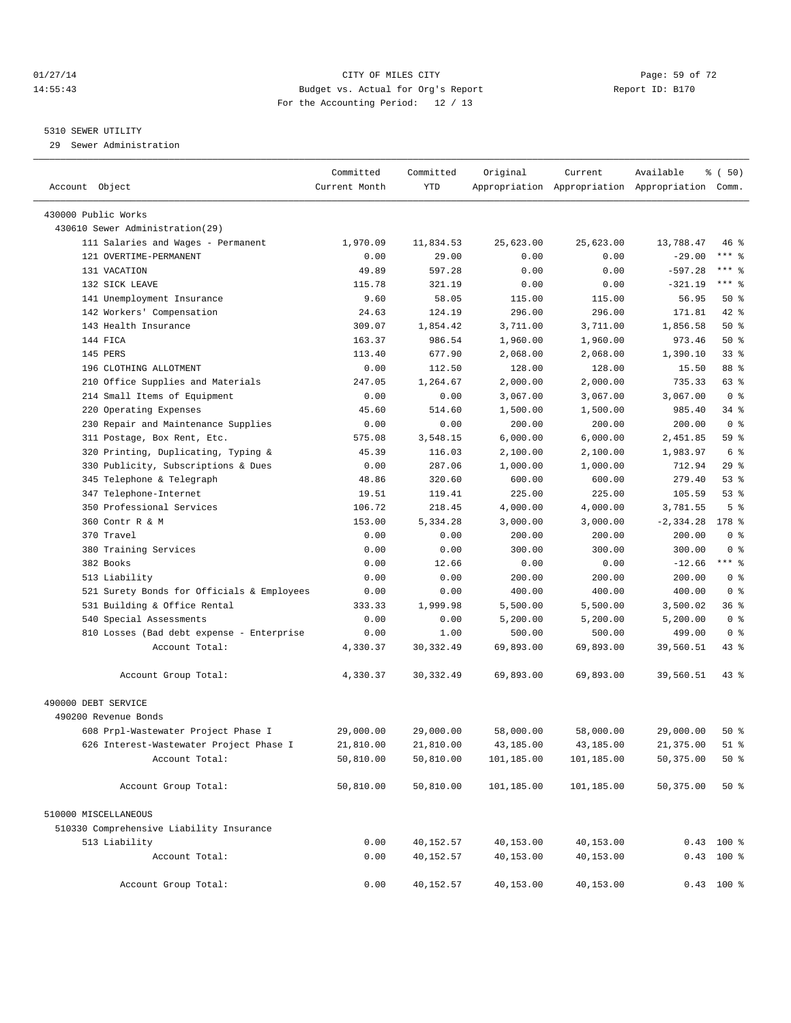#### $CITY$  of  $CITY$  and  $CITY$  of  $T2$   $Page: 59$  of  $72$ 14:55:43 Budget vs. Actual for Org's Report Report ID: B170 For the Accounting Period: 12 / 13

————————————————————————————————————————————————————————————————————————————————————————————————————————————————————————————————————

#### 5310 SEWER UTILITY

29 Sewer Administration

|                                            | Committed     | Committed  | Original   | Current    | Available                                       | $\frac{1}{6}$ (50) |  |
|--------------------------------------------|---------------|------------|------------|------------|-------------------------------------------------|--------------------|--|
| Account Object                             | Current Month | YTD        |            |            | Appropriation Appropriation Appropriation Comm. |                    |  |
| 430000 Public Works                        |               |            |            |            |                                                 |                    |  |
| 430610 Sewer Administration(29)            |               |            |            |            |                                                 |                    |  |
| 111 Salaries and Wages - Permanent         | 1,970.09      | 11,834.53  | 25,623.00  | 25,623.00  | 13,788.47                                       | 46 %               |  |
| 121 OVERTIME-PERMANENT                     |               | 29.00      | 0.00       | 0.00       |                                                 | $***$ $-$          |  |
|                                            | 0.00          |            |            |            | $-29.00$                                        | *** 응              |  |
| 131 VACATION                               | 49.89         | 597.28     | 0.00       | 0.00       | $-597.28$                                       | $***$ $-$          |  |
| 132 SICK LEAVE                             | 115.78        | 321.19     | 0.00       | 0.00       | $-321.19$                                       |                    |  |
| 141 Unemployment Insurance                 | 9.60          | 58.05      | 115.00     | 115.00     | 56.95                                           | 50%                |  |
| 142 Workers' Compensation                  | 24.63         | 124.19     | 296.00     | 296.00     | 171.81                                          | 42 %               |  |
| 143 Health Insurance                       | 309.07        | 1,854.42   | 3,711.00   | 3,711.00   | 1,856.58                                        | 50%                |  |
| 144 FICA                                   | 163.37        | 986.54     | 1,960.00   | 1,960.00   | 973.46                                          | 50%                |  |
| 145 PERS                                   | 113.40        | 677.90     | 2,068.00   | 2,068.00   | 1,390.10                                        | $33$ $%$           |  |
| 196 CLOTHING ALLOTMENT                     | 0.00          | 112.50     | 128.00     | 128.00     | 15.50                                           | 88 %               |  |
| 210 Office Supplies and Materials          | 247.05        | 1,264.67   | 2,000.00   | 2,000.00   | 735.33                                          | 63 %               |  |
| 214 Small Items of Equipment               | 0.00          | 0.00       | 3,067.00   | 3,067.00   | 3,067.00                                        | 0 <sup>8</sup>     |  |
| 220 Operating Expenses                     | 45.60         | 514.60     | 1,500.00   | 1,500.00   | 985.40                                          | 34 %               |  |
| 230 Repair and Maintenance Supplies        | 0.00          | 0.00       | 200.00     | 200.00     | 200.00                                          | 0 <sup>8</sup>     |  |
| 311 Postage, Box Rent, Etc.                | 575.08        | 3,548.15   | 6,000.00   | 6,000.00   | 2,451.85                                        | 59 %               |  |
| 320 Printing, Duplicating, Typing &        | 45.39         | 116.03     | 2,100.00   | 2,100.00   | 1,983.97                                        | 6 %                |  |
| 330 Publicity, Subscriptions & Dues        | 0.00          | 287.06     | 1,000.00   | 1,000.00   | 712.94                                          | 29%                |  |
| 345 Telephone & Telegraph                  | 48.86         | 320.60     | 600.00     | 600.00     | 279.40                                          | 53%                |  |
| 347 Telephone-Internet                     | 19.51         | 119.41     | 225.00     | 225.00     | 105.59                                          | 53%                |  |
| 350 Professional Services                  | 106.72        | 218.45     | 4,000.00   | 4,000.00   | 3,781.55                                        | 5 <sup>°</sup>     |  |
| 360 Contr R & M                            | 153.00        | 5,334.28   | 3,000.00   | 3,000.00   | $-2, 334.28$                                    | $178$ %            |  |
| 370 Travel                                 | 0.00          | 0.00       | 200.00     | 200.00     | 200.00                                          | 0 <sup>8</sup>     |  |
| 380 Training Services                      | 0.00          | 0.00       | 300.00     | 300.00     | 300.00                                          | 0 <sup>8</sup>     |  |
| 382 Books                                  | 0.00          | 12.66      | 0.00       | 0.00       | $-12.66$                                        | $***$ $-$          |  |
| 513 Liability                              | 0.00          | 0.00       | 200.00     | 200.00     | 200.00                                          | 0 <sup>8</sup>     |  |
| 521 Surety Bonds for Officials & Employees | 0.00          | 0.00       | 400.00     | 400.00     | 400.00                                          | 0 <sup>8</sup>     |  |
| 531 Building & Office Rental               | 333.33        | 1,999.98   | 5,500.00   | 5,500.00   | 3,500.02                                        | 36 %               |  |
| 540 Special Assessments                    | 0.00          | 0.00       | 5,200.00   | 5,200.00   | 5,200.00                                        | 0 <sup>8</sup>     |  |
| 810 Losses (Bad debt expense - Enterprise  | 0.00          | 1.00       | 500.00     | 500.00     | 499.00                                          | 0 <sup>8</sup>     |  |
| Account Total:                             | 4,330.37      | 30, 332.49 | 69,893.00  | 69,893.00  | 39,560.51                                       | $43$ %             |  |
| Account Group Total:                       | 4,330.37      | 30, 332.49 | 69,893.00  | 69,893.00  | 39,560.51                                       | $43$ $%$           |  |
|                                            |               |            |            |            |                                                 |                    |  |
| 490000 DEBT SERVICE                        |               |            |            |            |                                                 |                    |  |
| 490200 Revenue Bonds                       |               |            |            |            |                                                 |                    |  |
| 608 Prpl-Wastewater Project Phase I        | 29,000.00     | 29,000.00  | 58,000.00  | 58,000.00  | 29,000.00                                       | $50*$              |  |
| 626 Interest-Wastewater Project Phase I    | 21,810.00     | 21,810.00  | 43,185.00  | 43,185.00  | 21,375.00                                       | $51$ %             |  |
| Account Total:                             | 50,810.00     | 50,810.00  | 101,185.00 | 101,185.00 | 50,375.00                                       | $50*$              |  |
| Account Group Total:                       | 50,810.00     | 50,810.00  | 101,185.00 | 101,185.00 | 50,375.00                                       | 50%                |  |
| 510000 MISCELLANEOUS                       |               |            |            |            |                                                 |                    |  |
| 510330 Comprehensive Liability Insurance   |               |            |            |            |                                                 |                    |  |
| 513 Liability                              | 0.00          | 40,152.57  | 40,153.00  | 40,153.00  |                                                 | $0.43$ 100 %       |  |
| Account Total:                             | 0.00          | 40,152.57  | 40,153.00  | 40,153.00  |                                                 | 0.43 100 %         |  |
|                                            |               |            |            |            |                                                 |                    |  |
| Account Group Total:                       | 0.00          | 40,152.57  | 40,153.00  | 40,153.00  |                                                 | $0.43$ 100 %       |  |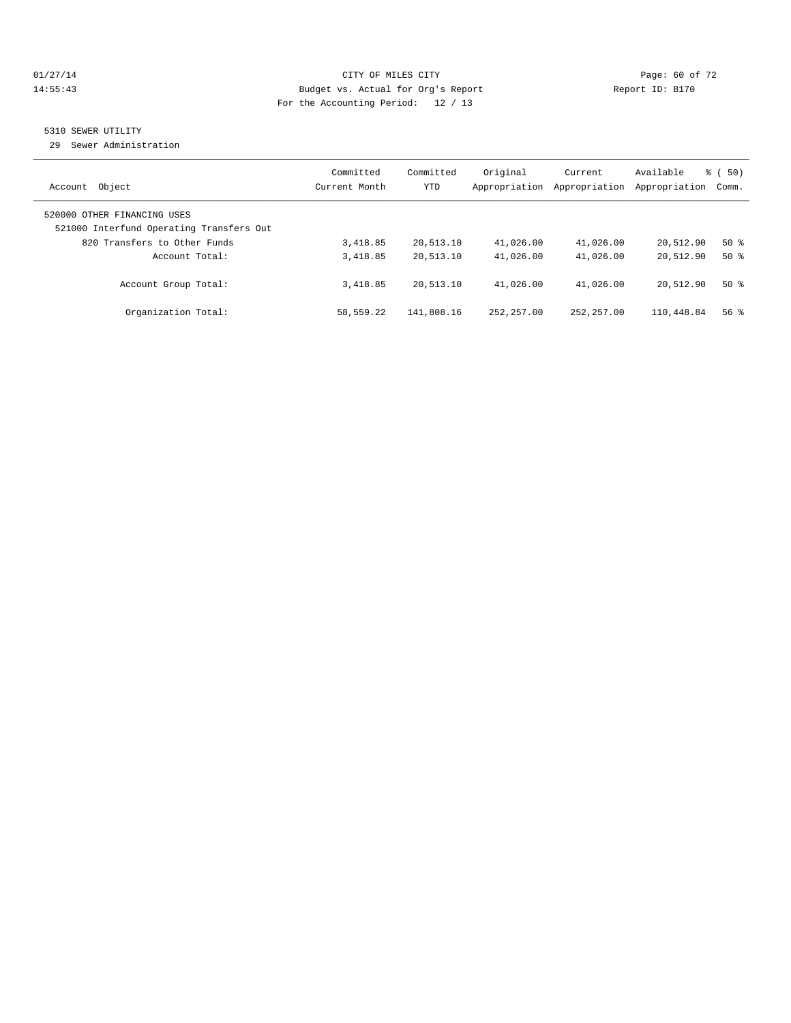#### $CITY$  OF MILES CITY CHANNEL CITY CHANNEL CITY Page: 60 of 72 14:55:43 Budget vs. Actual for Org's Report Report ID: B170 For the Accounting Period: 12 / 13

## 5310 SEWER UTILITY

29 Sewer Administration

| Object<br>Account                                                                                       | Committed<br>Current Month | Committed<br><b>YTD</b> | Original<br>Appropriation | Current<br>Appropriation | Available<br>Appropriation | $\frac{1}{6}$ (50)<br>Comm. |
|---------------------------------------------------------------------------------------------------------|----------------------------|-------------------------|---------------------------|--------------------------|----------------------------|-----------------------------|
| 520000 OTHER FINANCING USES<br>521000 Interfund Operating Transfers Out<br>820 Transfers to Other Funds | 3,418.85                   | 20,513.10               | 41,026.00                 | 41,026.00                | 20,512.90                  | $50*$                       |
| Account Total:                                                                                          | 3,418.85                   | 20,513.10               | 41,026.00                 | 41,026.00                | 20,512.90                  | $50*$                       |
| Account Group Total:                                                                                    | 3,418.85                   | 20,513.10               | 41,026.00                 | 41,026.00                | 20,512.90                  | $50*$                       |
| Organization Total:                                                                                     | 58,559.22                  | 141,808.16              | 252, 257, 00              | 252, 257, 00             | 110,448.84                 | 56 <sup>8</sup>             |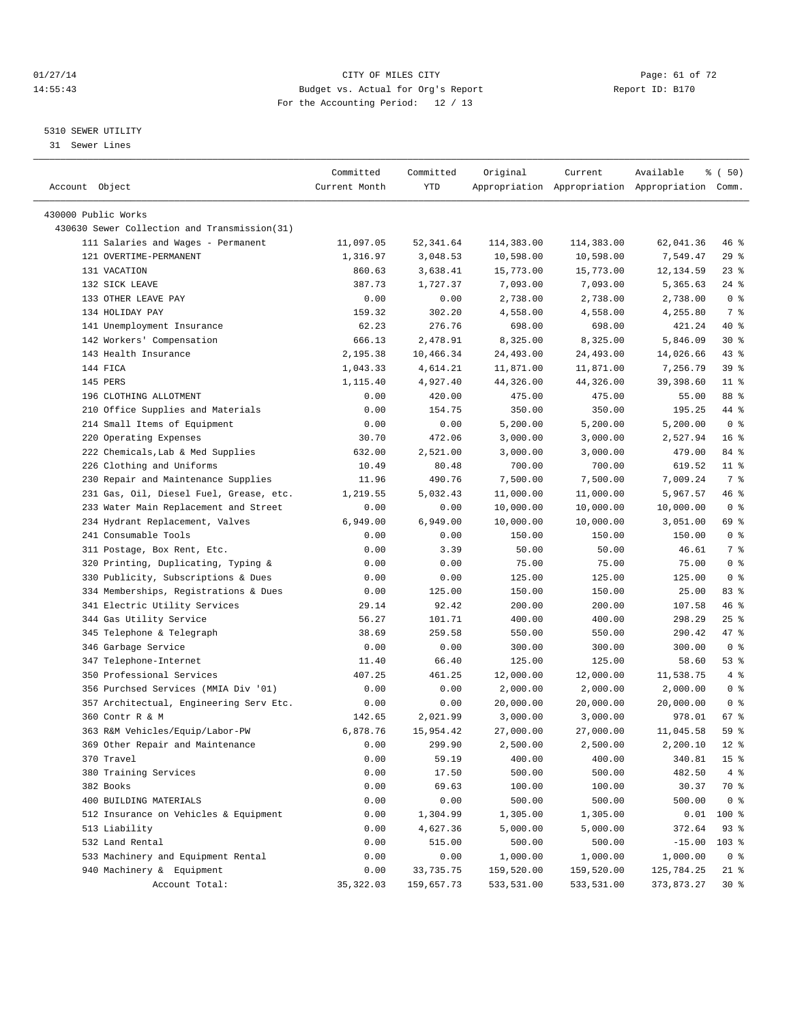#### $01/27/14$  Page: 61 of 72 14:55:43 Budget vs. Actual for Org's Report Report ID: B170 For the Accounting Period: 12 / 13

————————————————————————————————————————————————————————————————————————————————————————————————————————————————————————————————————

#### 5310 SEWER UTILITY

31 Sewer Lines

| Account Object                               | Committed<br>Current Month | Committed<br>YTD | Original   | Current    | Available<br>Appropriation Appropriation Appropriation Comm. | १ ( 50)         |
|----------------------------------------------|----------------------------|------------------|------------|------------|--------------------------------------------------------------|-----------------|
|                                              |                            |                  |            |            |                                                              |                 |
| 430000 Public Works                          |                            |                  |            |            |                                                              |                 |
| 430630 Sewer Collection and Transmission(31) |                            |                  |            |            |                                                              |                 |
| 111 Salaries and Wages - Permanent           | 11,097.05                  | 52,341.64        | 114,383.00 | 114,383.00 | 62,041.36                                                    | 46 %            |
| 121 OVERTIME-PERMANENT                       | 1,316.97                   | 3,048.53         | 10,598.00  | 10,598.00  | 7,549.47                                                     | 29%             |
| 131 VACATION                                 | 860.63                     | 3,638.41         | 15,773.00  | 15,773.00  | 12,134.59                                                    | $23$ $%$        |
| 132 SICK LEAVE                               | 387.73                     | 1,727.37         | 7,093.00   | 7,093.00   | 5,365.63                                                     | $24$ %          |
| 133 OTHER LEAVE PAY                          | 0.00                       | 0.00             | 2,738.00   | 2,738.00   | 2,738.00                                                     | 0 <sup>8</sup>  |
| 134 HOLIDAY PAY                              | 159.32                     | 302.20           | 4,558.00   | 4,558.00   | 4,255.80                                                     | 7 %             |
| 141 Unemployment Insurance                   | 62.23                      | 276.76           | 698.00     | 698.00     | 421.24                                                       | 40 %            |
| 142 Workers' Compensation                    | 666.13                     | 2,478.91         | 8,325.00   | 8,325.00   | 5,846.09                                                     | $30*$           |
| 143 Health Insurance                         | 2,195.38                   | 10,466.34        | 24,493.00  | 24,493.00  | 14,026.66                                                    | $43$ $%$        |
| 144 FICA                                     | 1,043.33                   | 4,614.21         | 11,871.00  | 11,871.00  | 7,256.79                                                     | 39 %            |
| 145 PERS                                     | 1,115.40                   | 4,927.40         | 44,326.00  | 44,326.00  | 39,398.60                                                    | $11*$           |
| 196 CLOTHING ALLOTMENT                       | 0.00                       | 420.00           | 475.00     | 475.00     | 55.00                                                        | 88 %            |
| 210 Office Supplies and Materials            | 0.00                       | 154.75           | 350.00     | 350.00     | 195.25                                                       | 44 %            |
| 214 Small Items of Equipment                 | 0.00                       | 0.00             | 5,200.00   | 5,200.00   | 5,200.00                                                     | 0 <sup>8</sup>  |
| 220 Operating Expenses                       | 30.70                      | 472.06           | 3,000.00   | 3,000.00   | 2,527.94                                                     | 16 <sup>°</sup> |
| 222 Chemicals, Lab & Med Supplies            | 632.00                     | 2,521.00         | 3,000.00   | 3,000.00   | 479.00                                                       | 84 %            |
| 226 Clothing and Uniforms                    | 10.49                      | 80.48            | 700.00     | 700.00     | 619.52                                                       | $11$ %          |
| 230 Repair and Maintenance Supplies          | 11.96                      | 490.76           | 7,500.00   | 7,500.00   | 7,009.24                                                     | 7 %             |
| 231 Gas, Oil, Diesel Fuel, Grease, etc.      | 1,219.55                   | 5,032.43         | 11,000.00  | 11,000.00  | 5,967.57                                                     | 46 %            |
| 233 Water Main Replacement and Street        | 0.00                       | 0.00             | 10,000.00  | 10,000.00  | 10,000.00                                                    | 0 <sup>8</sup>  |
| 234 Hydrant Replacement, Valves              | 6,949.00                   | 6,949.00         | 10,000.00  | 10,000.00  | 3,051.00                                                     | 69 %            |
| 241 Consumable Tools                         | 0.00                       | 0.00             | 150.00     | 150.00     | 150.00                                                       | 0 <sup>8</sup>  |
| 311 Postage, Box Rent, Etc.                  | 0.00                       | 3.39             | 50.00      | 50.00      | 46.61                                                        | 7 %             |
| 320 Printing, Duplicating, Typing &          | 0.00                       | 0.00             | 75.00      | 75.00      | 75.00                                                        | 0 <sup>8</sup>  |
| 330 Publicity, Subscriptions & Dues          | 0.00                       | 0.00             | 125.00     | 125.00     | 125.00                                                       | 0 <sup>8</sup>  |
| 334 Memberships, Registrations & Dues        | 0.00                       | 125.00           | 150.00     | 150.00     | 25.00                                                        | 83 %            |
| 341 Electric Utility Services                | 29.14                      | 92.42            | 200.00     | 200.00     | 107.58                                                       | 46 %            |
| 344 Gas Utility Service                      | 56.27                      | 101.71           | 400.00     | 400.00     | 298.29                                                       | $25$ $%$        |
| 345 Telephone & Telegraph                    | 38.69                      | 259.58           | 550.00     | 550.00     | 290.42                                                       | 47 %            |
| 346 Garbage Service                          | 0.00                       | 0.00             | 300.00     | 300.00     | 300.00                                                       | 0 <sup>8</sup>  |
| 347 Telephone-Internet                       | 11.40                      | 66.40            | 125.00     | 125.00     | 58.60                                                        | 53%             |
| 350 Professional Services                    | 407.25                     | 461.25           | 12,000.00  | 12,000.00  | 11,538.75                                                    | 4%              |
| 356 Purchsed Services (MMIA Div '01)         | 0.00                       | 0.00             | 2,000.00   | 2,000.00   | 2,000.00                                                     | 0 <sup>8</sup>  |
| 357 Architectual, Engineering Serv Etc.      | 0.00                       | 0.00             | 20,000.00  | 20,000.00  | 20,000.00                                                    | 0 <sup>8</sup>  |
| 360 Contr R & M                              | 142.65                     | 2,021.99         | 3,000.00   | 3,000.00   | 978.01                                                       | 67 %            |
| 363 R&M Vehicles/Equip/Labor-PW              | 6,878.76                   | 15,954.42        | 27,000.00  | 27,000.00  | 11,045.58                                                    | 59 %            |
| 369 Other Repair and Maintenance             | 0.00                       | 299.90           | 2,500.00   | 2,500.00   | 2,200.10                                                     | $12*$           |
| 370 Travel                                   | 0.00                       | 59.19            | 400.00     | 400.00     | 340.81                                                       | 15 <sup>°</sup> |
| 380 Training Services                        | 0.00                       | 17.50            | 500.00     | 500.00     | 482.50                                                       | 4%              |
| 382 Books                                    | 0.00                       | 69.63            | 100.00     | 100.00     | 30.37                                                        | 70 %            |
| 400 BUILDING MATERIALS                       | 0.00                       | 0.00             | 500.00     | 500.00     | 500.00                                                       | 0 <sup>8</sup>  |
| 512 Insurance on Vehicles & Equipment        | 0.00                       | 1,304.99         | 1,305.00   | 1,305.00   | 0.01                                                         | $100*$          |
| 513 Liability                                | 0.00                       | 4,627.36         | 5,000.00   | 5,000.00   | 372.64                                                       | 93%             |
| 532 Land Rental                              | 0.00                       | 515.00           | 500.00     | 500.00     | $-15.00$                                                     | $103$ %         |
| 533 Machinery and Equipment Rental           | 0.00                       | 0.00             | 1,000.00   | 1,000.00   | 1,000.00                                                     | 0 <sup>8</sup>  |
| 940 Machinery & Equipment                    | 0.00                       | 33,735.75        | 159,520.00 | 159,520.00 | 125,784.25                                                   | 21 %            |
| Account Total:                               | 35, 322.03                 | 159,657.73       | 533,531.00 | 533,531.00 | 373,873.27                                                   | $30*$           |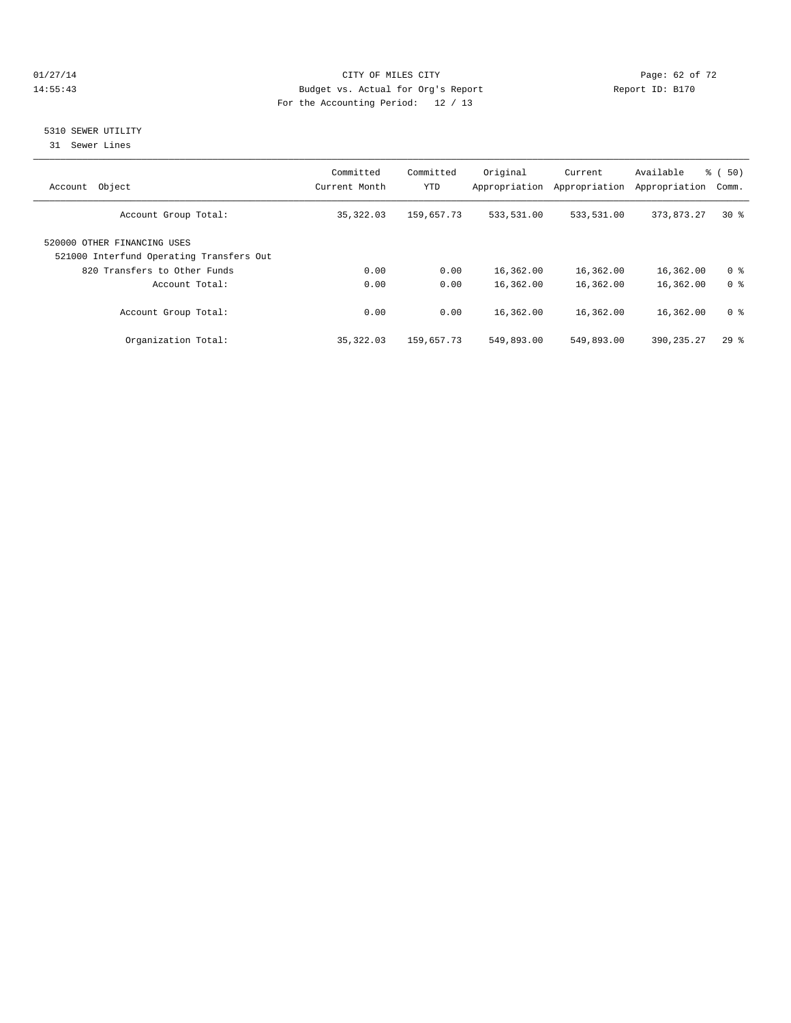#### $CITY$  of  $CITY$  and  $CITY$  of  $CITY$  and  $CITY$  and  $CITY$  is the page: 62 of 72 14:55:43 Budget vs. Actual for Org's Report Report ID: B170 For the Accounting Period: 12 / 13

### 5310 SEWER UTILITY

31 Sewer Lines

| Object<br>Account                                                       | Committed<br>Current Month | Committed<br><b>YTD</b> | Original<br>Appropriation | Current<br>Appropriation | Available<br>Appropriation | <b>%</b> (<br>50)<br>Comm. |
|-------------------------------------------------------------------------|----------------------------|-------------------------|---------------------------|--------------------------|----------------------------|----------------------------|
| Account Group Total:                                                    | 35,322.03                  | 159,657.73              | 533,531.00                | 533,531.00               | 373,873.27                 | $30*$                      |
| 520000 OTHER FINANCING USES<br>521000 Interfund Operating Transfers Out |                            |                         |                           |                          |                            |                            |
| 820 Transfers to Other Funds                                            | 0.00                       | 0.00                    | 16,362.00                 | 16,362.00                | 16,362.00                  | 0 <sup>8</sup>             |
| Account Total:                                                          | 0.00                       | 0.00                    | 16,362.00                 | 16,362.00                | 16,362.00                  | 0 <sup>8</sup>             |
| Account Group Total:                                                    | 0.00                       | 0.00                    | 16,362.00                 | 16,362.00                | 16,362.00                  | 0 <sup>8</sup>             |
| Organization Total:                                                     | 35, 322.03                 | 159,657.73              | 549,893.00                | 549,893.00               | 390, 235. 27               | 298                        |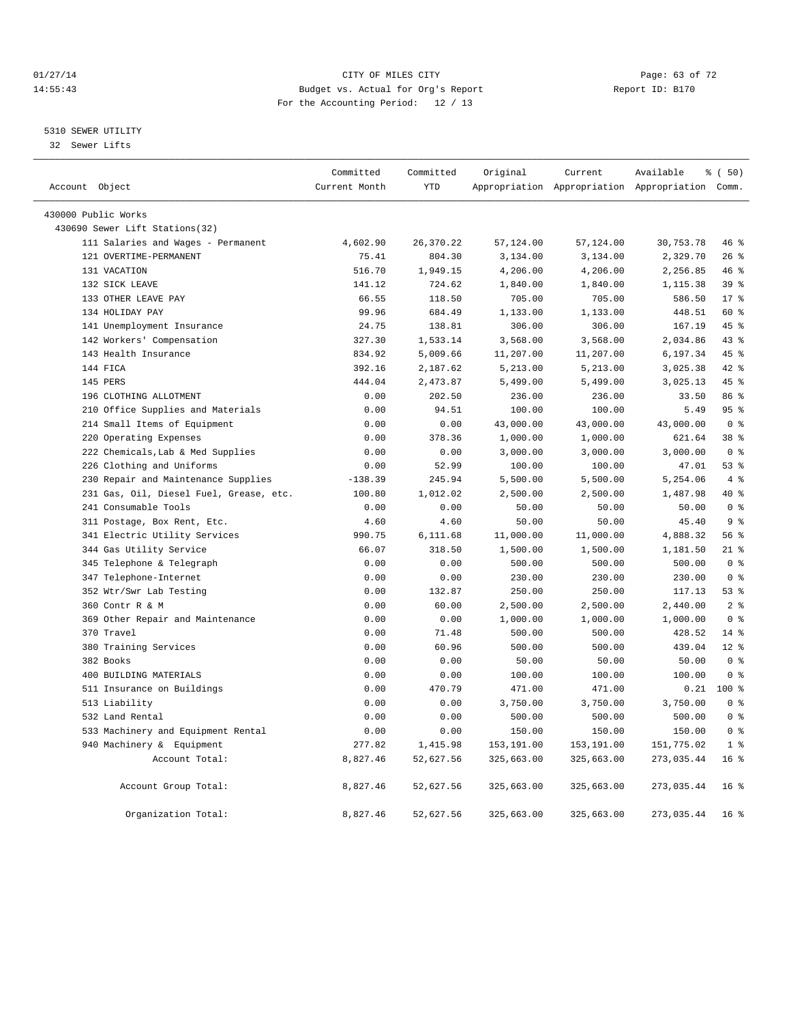#### $O1/27/14$  Page: 63 of 72 14:55:43 Budget vs. Actual for Org's Report Report ID: B170 For the Accounting Period: 12 / 13

#### 5310 SEWER UTILITY

32 Sewer Lifts

|                                         | Committed     | Committed  | Original   | Current    | Available                                       | % (50)          |
|-----------------------------------------|---------------|------------|------------|------------|-------------------------------------------------|-----------------|
| Account Object                          | Current Month | <b>YTD</b> |            |            | Appropriation Appropriation Appropriation Comm. |                 |
| 430000 Public Works                     |               |            |            |            |                                                 |                 |
| 430690 Sewer Lift Stations(32)          |               |            |            |            |                                                 |                 |
| 111 Salaries and Wages - Permanent      | 4,602.90      | 26,370.22  | 57,124.00  | 57,124.00  | 30,753.78                                       | 46 %            |
| 121 OVERTIME-PERMANENT                  | 75.41         | 804.30     | 3,134.00   | 3,134.00   | 2,329.70                                        | 26%             |
| 131 VACATION                            | 516.70        | 1,949.15   | 4,206.00   | 4,206.00   | 2,256.85                                        | 46%             |
| 132 SICK LEAVE                          | 141.12        | 724.62     | 1,840.00   | 1,840.00   | 1,115.38                                        | 39 <sup>8</sup> |
| 133 OTHER LEAVE PAY                     | 66.55         | 118.50     | 705.00     | 705.00     | 586.50                                          | $17*$           |
| 134 HOLIDAY PAY                         | 99.96         | 684.49     | 1,133.00   | 1,133.00   | 448.51                                          | 60 %            |
| 141 Unemployment Insurance              | 24.75         | 138.81     | 306.00     | 306.00     | 167.19                                          | 45 %            |
| 142 Workers' Compensation               | 327.30        | 1,533.14   | 3,568.00   | 3,568.00   | 2,034.86                                        | 43 %            |
| 143 Health Insurance                    | 834.92        | 5,009.66   | 11,207.00  | 11,207.00  | 6,197.34                                        | 45%             |
| 144 FICA                                | 392.16        | 2,187.62   | 5,213.00   | 5,213.00   | 3,025.38                                        | 42.8            |
| 145 PERS                                | 444.04        | 2,473.87   | 5,499.00   | 5,499.00   | 3,025.13                                        | 45%             |
| 196 CLOTHING ALLOTMENT                  | 0.00          | 202.50     | 236.00     | 236.00     | 33.50                                           | 86 %            |
| 210 Office Supplies and Materials       | 0.00          | 94.51      | 100.00     | 100.00     | 5.49                                            | 95%             |
| 214 Small Items of Equipment            | 0.00          | 0.00       | 43,000.00  | 43,000.00  | 43,000.00                                       | 0 <sup>8</sup>  |
| 220 Operating Expenses                  | 0.00          | 378.36     | 1,000.00   | 1,000.00   | 621.64                                          | 38 %            |
| 222 Chemicals, Lab & Med Supplies       | 0.00          | 0.00       | 3,000.00   | 3,000.00   | 3,000.00                                        | 0 <sup>8</sup>  |
| 226 Clothing and Uniforms               | 0.00          | 52.99      | 100.00     | 100.00     | 47.01                                           | 53%             |
| 230 Repair and Maintenance Supplies     | $-138.39$     | 245.94     | 5,500.00   | 5,500.00   | 5,254.06                                        | $4\degree$      |
| 231 Gas, Oil, Diesel Fuel, Grease, etc. | 100.80        | 1,012.02   | 2,500.00   | 2,500.00   | 1,487.98                                        | 40 %            |
| 241 Consumable Tools                    | 0.00          | 0.00       | 50.00      | 50.00      | 50.00                                           | 0 <sup>8</sup>  |
| 311 Postage, Box Rent, Etc.             | 4.60          | 4.60       | 50.00      | 50.00      | 45.40                                           | 9 <sup>°</sup>  |
| 341 Electric Utility Services           | 990.75        | 6,111.68   | 11,000.00  | 11,000.00  | 4,888.32                                        | 56%             |
| 344 Gas Utility Service                 | 66.07         | 318.50     | 1,500.00   | 1,500.00   | 1,181.50                                        | $21$ %          |
| 345 Telephone & Telegraph               | 0.00          | 0.00       | 500.00     | 500.00     | 500.00                                          | 0 <sup>8</sup>  |
| 347 Telephone-Internet                  | 0.00          | 0.00       | 230.00     | 230.00     | 230.00                                          | 0 <sup>8</sup>  |
| 352 Wtr/Swr Lab Testing                 | 0.00          | 132.87     | 250.00     | 250.00     | 117.13                                          | 53%             |
| 360 Contr R & M                         | 0.00          | 60.00      | 2,500.00   | 2,500.00   | 2,440.00                                        | 2 <sup>8</sup>  |
| 369 Other Repair and Maintenance        | 0.00          | 0.00       | 1,000.00   | 1,000.00   | 1,000.00                                        | 0 <sup>8</sup>  |
| 370 Travel                              | 0.00          | 71.48      | 500.00     | 500.00     | 428.52                                          | 14.8            |
| 380 Training Services                   | 0.00          | 60.96      | 500.00     | 500.00     | 439.04                                          | $12*$           |
| 382 Books                               | 0.00          | 0.00       | 50.00      | 50.00      | 50.00                                           | 0 <sup>8</sup>  |
| 400 BUILDING MATERIALS                  | 0.00          | 0.00       | 100.00     | 100.00     | 100.00                                          | 0 <sup>8</sup>  |
| 511 Insurance on Buildings              | 0.00          | 470.79     | 471.00     | 471.00     | 0.21                                            | $100*$          |
| 513 Liability                           | 0.00          | 0.00       | 3,750.00   | 3,750.00   | 3,750.00                                        | 0 <sup>8</sup>  |
| 532 Land Rental                         | 0.00          | 0.00       | 500.00     | 500.00     | 500.00                                          | 0 <sup>8</sup>  |
| 533 Machinery and Equipment Rental      | 0.00          | 0.00       | 150.00     | 150.00     | 150.00                                          | 0 <sup>8</sup>  |
| 940 Machinery & Equipment               | 277.82        | 1,415.98   | 153,191.00 | 153,191.00 | 151,775.02                                      | 1 <sup>8</sup>  |
| Account Total:                          | 8,827.46      | 52,627.56  | 325,663.00 | 325,663.00 | 273,035.44                                      | 16 <sup>°</sup> |
|                                         |               |            |            |            |                                                 |                 |
| Account Group Total:                    | 8,827.46      | 52,627.56  | 325,663.00 | 325,663.00 | 273,035.44                                      | 16 <sup>°</sup> |
| Organization Total:                     | 8,827.46      | 52,627.56  | 325,663.00 | 325,663.00 | 273,035.44                                      | 16 <sup>°</sup> |
|                                         |               |            |            |            |                                                 |                 |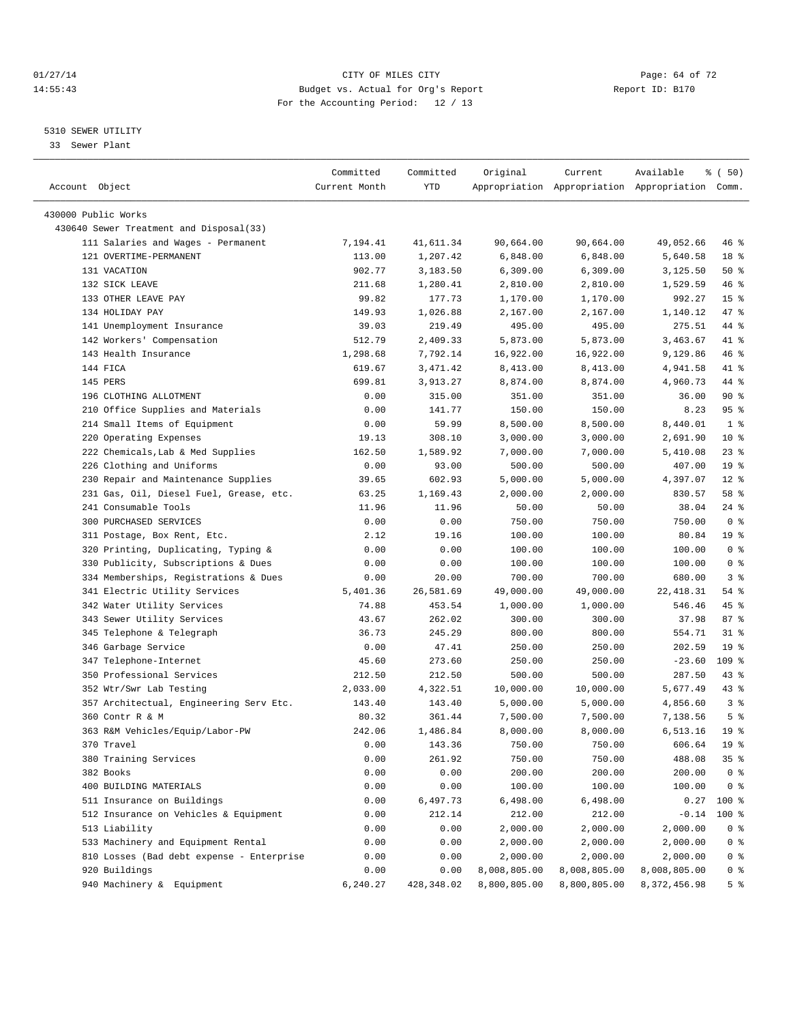#### $O1/27/14$  Page: 64 of 72 14:55:43 Budget vs. Actual for Org's Report Report ID: B170 For the Accounting Period: 12 / 13

————————————————————————————————————————————————————————————————————————————————————————————————————————————————————————————————————

#### 5310 SEWER UTILITY

33 Sewer Plant

|                                           | Committed       | Committed          | Original     | Current              | Available                                       | १ ( 50)         |
|-------------------------------------------|-----------------|--------------------|--------------|----------------------|-------------------------------------------------|-----------------|
| Account Object                            | Current Month   | YTD                |              |                      | Appropriation Appropriation Appropriation Comm. |                 |
| 430000 Public Works                       |                 |                    |              |                      |                                                 |                 |
| 430640 Sewer Treatment and Disposal(33)   |                 |                    |              |                      |                                                 |                 |
| 111 Salaries and Wages - Permanent        | 7,194.41        | 41,611.34          | 90,664.00    | 90,664.00            | 49,052.66                                       | 46 %            |
| 121 OVERTIME-PERMANENT                    | 113.00          | 1,207.42           |              | 6,848.00             | 5,640.58                                        | 18 <sup>8</sup> |
| 131 VACATION                              | 902.77          |                    | 6,848.00     | 6,309.00             |                                                 | 50%             |
|                                           |                 | 3,183.50           | 6,309.00     |                      | 3,125.50                                        | 46 %            |
| 132 SICK LEAVE<br>133 OTHER LEAVE PAY     | 211.68<br>99.82 | 1,280.41<br>177.73 | 2,810.00     | 2,810.00<br>1,170.00 | 1,529.59<br>992.27                              | 15 <sup>8</sup> |
| 134 HOLIDAY PAY                           | 149.93          |                    | 1,170.00     |                      |                                                 | 47 %            |
| 141 Unemployment Insurance                |                 | 1,026.88           | 2,167.00     | 2,167.00             | 1,140.12                                        |                 |
|                                           | 39.03           | 219.49             | 495.00       | 495.00               | 275.51                                          | 44 %<br>41 %    |
| 142 Workers' Compensation                 | 512.79          | 2,409.33           | 5,873.00     | 5,873.00             | 3,463.67                                        |                 |
| 143 Health Insurance                      | 1,298.68        | 7,792.14           | 16,922.00    | 16,922.00            | 9,129.86                                        | 46 %            |
| 144 FICA                                  | 619.67          | 3,471.42           | 8,413.00     | 8,413.00             | 4,941.58                                        | 41 %            |
| 145 PERS                                  | 699.81          | 3,913.27           | 8,874.00     | 8,874.00             | 4,960.73                                        | 44 %            |
| 196 CLOTHING ALLOTMENT                    | 0.00            | 315.00             | 351.00       | 351.00               | 36.00                                           | 90%             |
| 210 Office Supplies and Materials         | 0.00            | 141.77             | 150.00       | 150.00               | 8.23                                            | 95%             |
| 214 Small Items of Equipment              | 0.00            | 59.99              | 8,500.00     | 8,500.00             | 8,440.01                                        | 1 <sup>°</sup>  |
| 220 Operating Expenses                    | 19.13           | 308.10             | 3,000.00     | 3,000.00             | 2,691.90                                        | $10*$           |
| 222 Chemicals, Lab & Med Supplies         | 162.50          | 1,589.92           | 7,000.00     | 7,000.00             | 5,410.08                                        | $23$ $%$        |
| 226 Clothing and Uniforms                 | 0.00            | 93.00              | 500.00       | 500.00               | 407.00                                          | 19 <sup>°</sup> |
| 230 Repair and Maintenance Supplies       | 39.65           | 602.93             | 5,000.00     | 5,000.00             | 4,397.07                                        | $12*$           |
| 231 Gas, Oil, Diesel Fuel, Grease, etc.   | 63.25           | 1,169.43           | 2,000.00     | 2,000.00             | 830.57                                          | 58 %            |
| 241 Consumable Tools                      | 11.96           | 11.96              | 50.00        | 50.00                | 38.04                                           | $24$ %          |
| 300 PURCHASED SERVICES                    | 0.00            | 0.00               | 750.00       | 750.00               | 750.00                                          | 0 <sup>8</sup>  |
| 311 Postage, Box Rent, Etc.               | 2.12            | 19.16              | 100.00       | 100.00               | 80.84                                           | 19 <sup>°</sup> |
| 320 Printing, Duplicating, Typing &       | 0.00            | 0.00               | 100.00       | 100.00               | 100.00                                          | 0 <sup>8</sup>  |
| 330 Publicity, Subscriptions & Dues       | 0.00            | 0.00               | 100.00       | 100.00               | 100.00                                          | 0 <sup>8</sup>  |
| 334 Memberships, Registrations & Dues     | 0.00            | 20.00              | 700.00       | 700.00               | 680.00                                          | 3 <sup>8</sup>  |
| 341 Electric Utility Services             | 5,401.36        | 26,581.69          | 49,000.00    | 49,000.00            | 22, 418.31                                      | 54 %            |
| 342 Water Utility Services                | 74.88           | 453.54             | 1,000.00     | 1,000.00             | 546.46                                          | 45 %            |
| 343 Sewer Utility Services                | 43.67           | 262.02             | 300.00       | 300.00               | 37.98                                           | 87%             |
| 345 Telephone & Telegraph                 | 36.73           | 245.29             | 800.00       | 800.00               | 554.71                                          | $31$ $%$        |
| 346 Garbage Service                       | 0.00            | 47.41              | 250.00       | 250.00               | 202.59                                          | 19 <sup>°</sup> |
| 347 Telephone-Internet                    | 45.60           | 273.60             | 250.00       | 250.00               | $-23.60$                                        | 109 %           |
| 350 Professional Services                 | 212.50          | 212.50             | 500.00       | 500.00               | 287.50                                          | $43$ %          |
| 352 Wtr/Swr Lab Testing                   | 2,033.00        | 4,322.51           | 10,000.00    | 10,000.00            | 5,677.49                                        | $43$ %          |
| 357 Architectual, Engineering Serv Etc.   | 143.40          | 143.40             | 5,000.00     | 5,000.00             | 4,856.60                                        | 3 <sup>8</sup>  |
| 360 Contr R & M                           | 80.32           | 361.44             | 7,500.00     | 7,500.00             | 7,138.56                                        | 5 <sup>°</sup>  |
| 363 R&M Vehicles/Equip/Labor-PW           | 242.06          | 1,486.84           | 8,000.00     | 8,000.00             | 6,513.16                                        | 19 <sup>°</sup> |
| 370 Travel                                | 0.00            | 143.36             | 750.00       | 750.00               | 606.64                                          | 19 <sup>°</sup> |
| 380 Training Services                     | 0.00            | 261.92             | 750.00       | 750.00               | 488.08                                          | 35%             |
| 382 Books                                 | 0.00            | 0.00               | 200.00       | 200.00               | 200.00                                          | 0 <sup>8</sup>  |
| 400 BUILDING MATERIALS                    | 0.00            | 0.00               | 100.00       | 100.00               | 100.00                                          | 0 <sup>8</sup>  |
| 511 Insurance on Buildings                | 0.00            | 6,497.73           | 6,498.00     | 6,498.00             | 0.27                                            | 100 %           |
| 512 Insurance on Vehicles & Equipment     | 0.00            | 212.14             | 212.00       | 212.00               | $-0.14$                                         | 100 %           |
| 513 Liability                             | 0.00            | 0.00               | 2,000.00     | 2,000.00             | 2,000.00                                        | 0 <sup>8</sup>  |
| 533 Machinery and Equipment Rental        | 0.00            | 0.00               | 2,000.00     | 2,000.00             | 2,000.00                                        | 0 <sup>8</sup>  |
| 810 Losses (Bad debt expense - Enterprise | 0.00            | 0.00               | 2,000.00     | 2,000.00             | 2,000.00                                        | $0$ %           |
| 920 Buildings                             | 0.00            | 0.00               | 8,008,805.00 | 8,008,805.00         | 8,008,805.00                                    | $0$ %           |
| 940 Machinery & Equipment                 | 6,240.27        | 428,348.02         | 8,800,805.00 | 8,800,805.00         | 8,372,456.98                                    | 5 <sup>°</sup>  |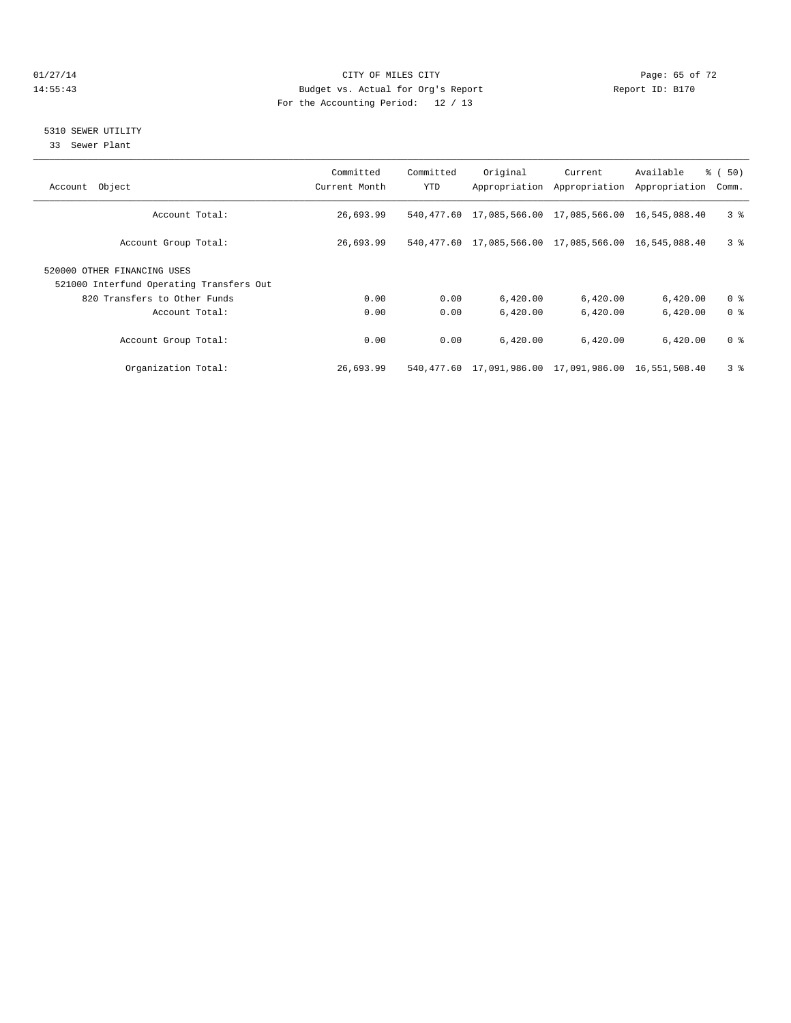#### $O1/27/14$  Page: 65 of 72 14:55:43 Budget vs. Actual for Org's Report Report ID: B170 For the Accounting Period: 12 / 13

#### 5310 SEWER UTILITY

33 Sewer Plant

| Account Object                                                          | Committed<br>Current Month | Committed<br><b>YTD</b> | Original                                             | Current<br>Appropriation Appropriation | Available<br>Appropriation | 8 ( 50)<br>Comm. |
|-------------------------------------------------------------------------|----------------------------|-------------------------|------------------------------------------------------|----------------------------------------|----------------------------|------------------|
| Account Total:                                                          | 26,693.99                  |                         | 540,477.60 17,085,566.00 17,085,566.00 16,545,088.40 |                                        |                            | 3 <sup>8</sup>   |
| Account Group Total:                                                    | 26,693.99                  |                         | 540,477.60 17,085,566.00 17,085,566.00 16,545,088.40 |                                        |                            | 3 <sup>8</sup>   |
| 520000 OTHER FINANCING USES<br>521000 Interfund Operating Transfers Out |                            |                         |                                                      |                                        |                            |                  |
| 820 Transfers to Other Funds                                            | 0.00                       | 0.00                    | 6,420.00                                             | 6,420.00                               | 6,420.00                   | 0 <sup>8</sup>   |
| Account Total:                                                          | 0.00                       | 0.00                    | 6.420.00                                             | 6.420.00                               | 6,420.00                   | 0 <sup>8</sup>   |
| Account Group Total:                                                    | 0.00                       | 0.00                    | 6.420.00                                             | 6,420.00                               | 6,420.00                   | 0 <sup>8</sup>   |
| Organization Total:                                                     | 26,693.99                  |                         | 540,477.60 17,091,986.00 17,091,986.00 16,551,508.40 |                                        |                            | 3 <sup>8</sup>   |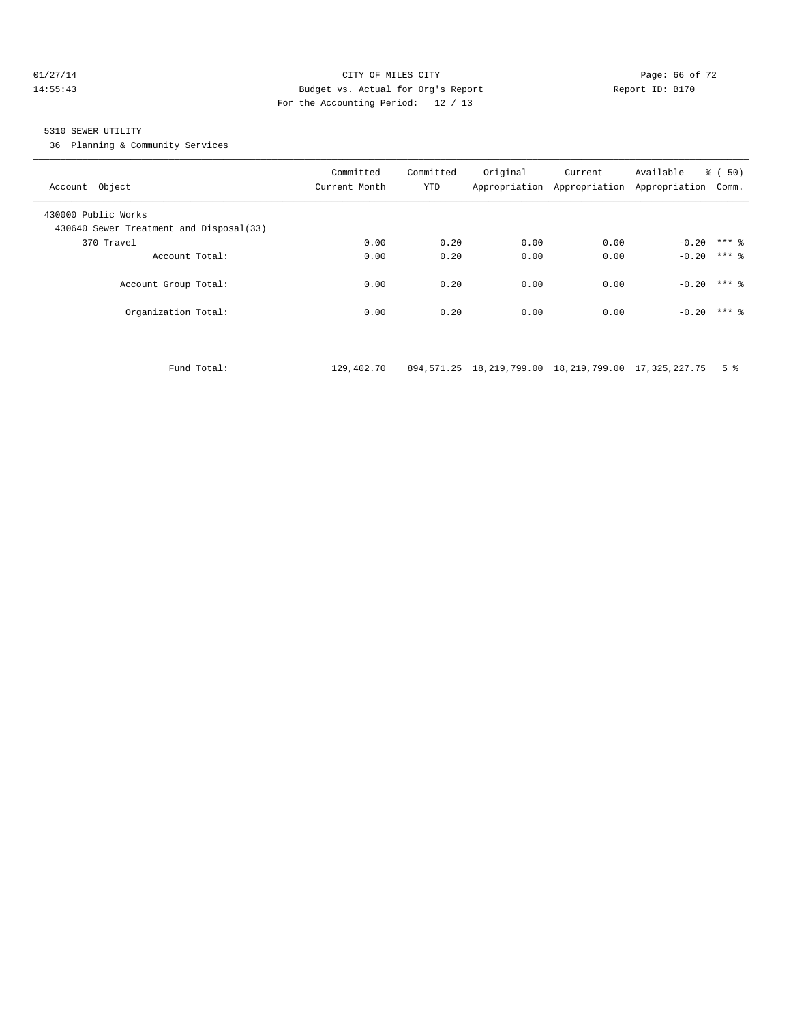#### $O1/27/14$  Page: 66 of 72 14:55:43 Budget vs. Actual for Org's Report Report ID: B170 For the Accounting Period: 12 / 13

#### 5310 SEWER UTILITY

36 Planning & Community Services

| Account Object                                                 | Committed<br>Current Month | Committed<br>YTD | Original | Current<br>Appropriation Appropriation Appropriation | Available | $\frac{1}{6}$ (50)<br>Comm. |
|----------------------------------------------------------------|----------------------------|------------------|----------|------------------------------------------------------|-----------|-----------------------------|
| 430000 Public Works<br>430640 Sewer Treatment and Disposal(33) |                            |                  |          |                                                      |           |                             |
| 370 Travel                                                     | 0.00                       | 0.20             | 0.00     | 0.00                                                 | $-0.20$   | $***$ 2                     |
| Account Total:                                                 | 0.00                       | 0.20             | 0.00     | 0.00                                                 | $-0.20$   | $***$ 2                     |
| Account Group Total:                                           | 0.00                       | 0.20             | 0.00     | 0.00                                                 | $-0.20$   | $***$ 2                     |
| Organization Total:                                            | 0.00                       | 0.20             | 0.00     | 0.00                                                 | $-0.20$   | $***$ 2                     |
|                                                                |                            |                  |          |                                                      |           |                             |

Fund Total: 129,402.70 894,571.25 18,219,799.00 18,219,799.00 17,325,227.75 5 %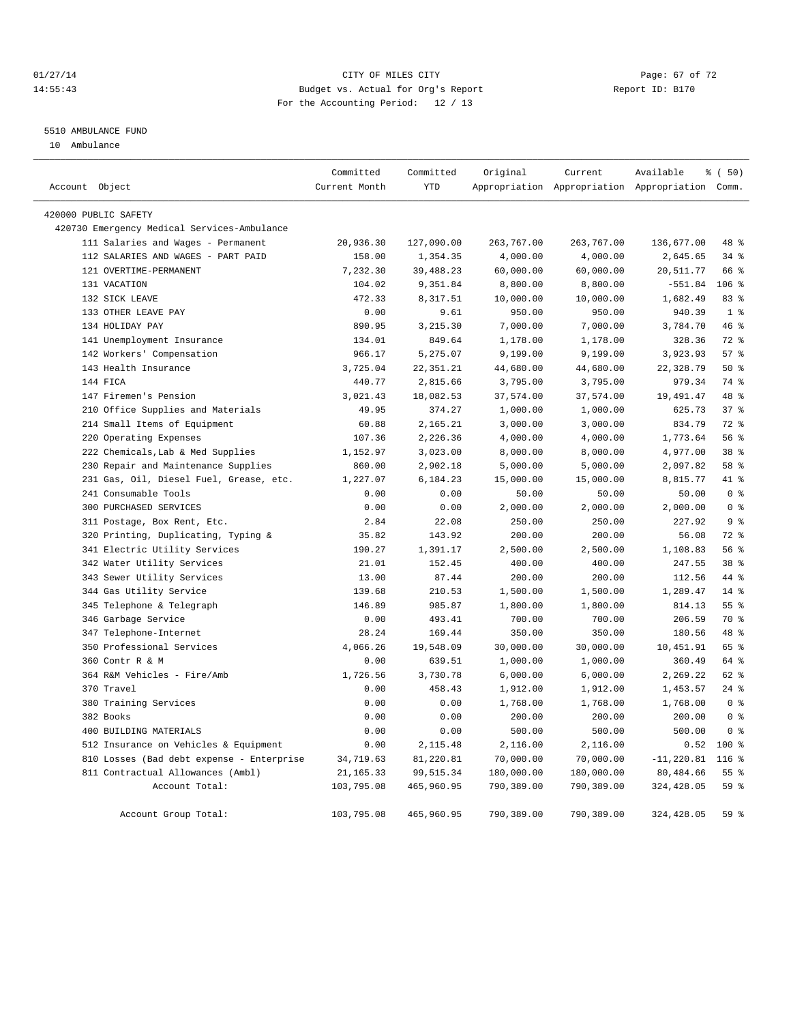#### $O1/27/14$  Page: 67 of 72 14:55:43 Budget vs. Actual for Org's Report Report ID: B170 For the Accounting Period: 12 / 13

#### 5510 AMBULANCE FUND

10 Ambulance

| Account Object                              | Committed<br>Current Month | Committed<br><b>YTD</b> | Original   | Current    | Available<br>Appropriation Appropriation Appropriation Comm. | % (50)          |
|---------------------------------------------|----------------------------|-------------------------|------------|------------|--------------------------------------------------------------|-----------------|
|                                             |                            |                         |            |            |                                                              |                 |
| 420000 PUBLIC SAFETY                        |                            |                         |            |            |                                                              |                 |
| 420730 Emergency Medical Services-Ambulance |                            |                         |            |            |                                                              |                 |
| 111 Salaries and Wages - Permanent          | 20,936.30                  | 127,090.00              | 263,767.00 | 263,767.00 | 136,677.00                                                   | 48 %            |
| 112 SALARIES AND WAGES - PART PAID          | 158.00                     | 1,354.35                | 4,000.00   | 4,000.00   | 2,645.65                                                     | 34%             |
| 121 OVERTIME-PERMANENT                      | 7,232.30                   | 39,488.23               | 60,000.00  | 60,000.00  | 20,511.77                                                    | 66 %            |
| 131 VACATION                                | 104.02                     | 9,351.84                | 8,800.00   | 8,800.00   | $-551.84$                                                    | 106 %           |
| 132 SICK LEAVE                              | 472.33                     | 8,317.51                | 10,000.00  | 10,000.00  | 1,682.49                                                     | 83%             |
| 133 OTHER LEAVE PAY                         | 0.00                       | 9.61                    | 950.00     | 950.00     | 940.39                                                       | 1 <sup>°</sup>  |
| 134 HOLIDAY PAY                             | 890.95                     | 3,215.30                | 7,000.00   | 7,000.00   | 3,784.70                                                     | 46%             |
| 141 Unemployment Insurance                  | 134.01                     | 849.64                  | 1,178.00   | 1,178.00   | 328.36                                                       | 72 %            |
| 142 Workers' Compensation                   | 966.17                     | 5,275.07                | 9,199.00   | 9,199.00   | 3,923.93                                                     | 57%             |
| 143 Health Insurance                        | 3,725.04                   | 22, 351.21              | 44,680.00  | 44,680.00  | 22,328.79                                                    | $50*$           |
| 144 FICA                                    | 440.77                     | 2,815.66                | 3,795.00   | 3,795.00   | 979.34                                                       | 74 %            |
| 147 Firemen's Pension                       | 3,021.43                   | 18,082.53               | 37,574.00  | 37,574.00  | 19,491.47                                                    | 48 %            |
| 210 Office Supplies and Materials           | 49.95                      | 374.27                  | 1,000.00   | 1,000.00   | 625.73                                                       | 37%             |
| 214 Small Items of Equipment                | 60.88                      | 2,165.21                | 3,000.00   | 3,000.00   | 834.79                                                       | 72.8            |
| 220 Operating Expenses                      | 107.36                     | 2,226.36                | 4,000.00   | 4,000.00   | 1,773.64                                                     | 56 %            |
| 222 Chemicals, Lab & Med Supplies           | 1,152.97                   | 3,023.00                | 8,000.00   | 8,000.00   | 4,977.00                                                     | 38 %            |
| 230 Repair and Maintenance Supplies         | 860.00                     | 2,902.18                | 5,000.00   | 5,000.00   | 2,097.82                                                     | 58 %            |
| 231 Gas, Oil, Diesel Fuel, Grease, etc.     | 1,227.07                   | 6,184.23                | 15,000.00  | 15,000.00  | 8,815.77                                                     | 41 %            |
| 241 Consumable Tools                        | 0.00                       | 0.00                    | 50.00      | 50.00      | 50.00                                                        | 0 <sup>°</sup>  |
| 300 PURCHASED SERVICES                      | 0.00                       | 0.00                    | 2,000.00   | 2,000.00   | 2,000.00                                                     | 0 <sup>8</sup>  |
| 311 Postage, Box Rent, Etc.                 | 2.84                       | 22.08                   | 250.00     | 250.00     | 227.92                                                       | 9 <sub>8</sub>  |
| 320 Printing, Duplicating, Typing &         | 35.82                      | 143.92                  | 200.00     | 200.00     | 56.08                                                        | $72$ $%$        |
| 341 Electric Utility Services               | 190.27                     | 1,391.17                | 2,500.00   | 2,500.00   | 1,108.83                                                     | 56%             |
| 342 Water Utility Services                  | 21.01                      | 152.45                  | 400.00     | 400.00     | 247.55                                                       | 38 <sup>8</sup> |
| 343 Sewer Utility Services                  | 13.00                      | 87.44                   | 200.00     | 200.00     | 112.56                                                       | 44 %            |
| 344 Gas Utility Service                     | 139.68                     | 210.53                  | 1,500.00   | 1,500.00   | 1,289.47                                                     | $14*$           |
| 345 Telephone & Telegraph                   | 146.89                     | 985.87                  | 1,800.00   | 1,800.00   | 814.13                                                       | 55%             |
| 346 Garbage Service                         | 0.00                       | 493.41                  | 700.00     | 700.00     | 206.59                                                       | 70 %            |
| 347 Telephone-Internet                      | 28.24                      | 169.44                  | 350.00     | 350.00     | 180.56                                                       | 48 %            |
| 350 Professional Services                   | 4,066.26                   | 19,548.09               | 30,000.00  | 30,000.00  | 10,451.91                                                    | 65 %            |
| 360 Contr R & M                             | 0.00                       | 639.51                  | 1,000.00   | 1,000.00   | 360.49                                                       | 64 %            |
| 364 R&M Vehicles - Fire/Amb                 | 1,726.56                   | 3,730.78                | 6,000.00   | 6,000.00   | 2,269.22                                                     | 62 %            |
| 370 Travel                                  | 0.00                       | 458.43                  | 1,912.00   | 1,912.00   | 1,453.57                                                     | $24$ %          |
| 380 Training Services                       | 0.00                       | 0.00                    | 1,768.00   | 1,768.00   | 1,768.00                                                     | 0 <sup>8</sup>  |
| 382 Books                                   | 0.00                       | 0.00                    | 200.00     | 200.00     | 200.00                                                       | 0 <sup>8</sup>  |
| 400 BUILDING MATERIALS                      | 0.00                       | 0.00                    | 500.00     | 500.00     | 500.00                                                       | 0 <sup>8</sup>  |
| 512 Insurance on Vehicles & Equipment       | 0.00                       | 2,115.48                | 2,116.00   | 2,116.00   | 0.52                                                         | $100*$          |
| 810 Losses (Bad debt expense - Enterprise   | 34,719.63                  | 81,220.81               | 70,000.00  | 70,000.00  | $-11, 220.81$                                                | $116$ %         |
| 811 Contractual Allowances (Ambl)           | 21, 165. 33                | 99, 515.34              | 180,000.00 | 180,000.00 | 80,484.66                                                    | 55%             |
| Account Total:                              | 103,795.08                 | 465,960.95              | 790,389.00 | 790,389.00 | 324,428.05                                                   | 59 %            |
|                                             |                            |                         |            |            |                                                              |                 |
| Account Group Total:                        | 103,795.08                 | 465,960.95              | 790,389.00 | 790,389.00 | 324,428.05                                                   | 59 %            |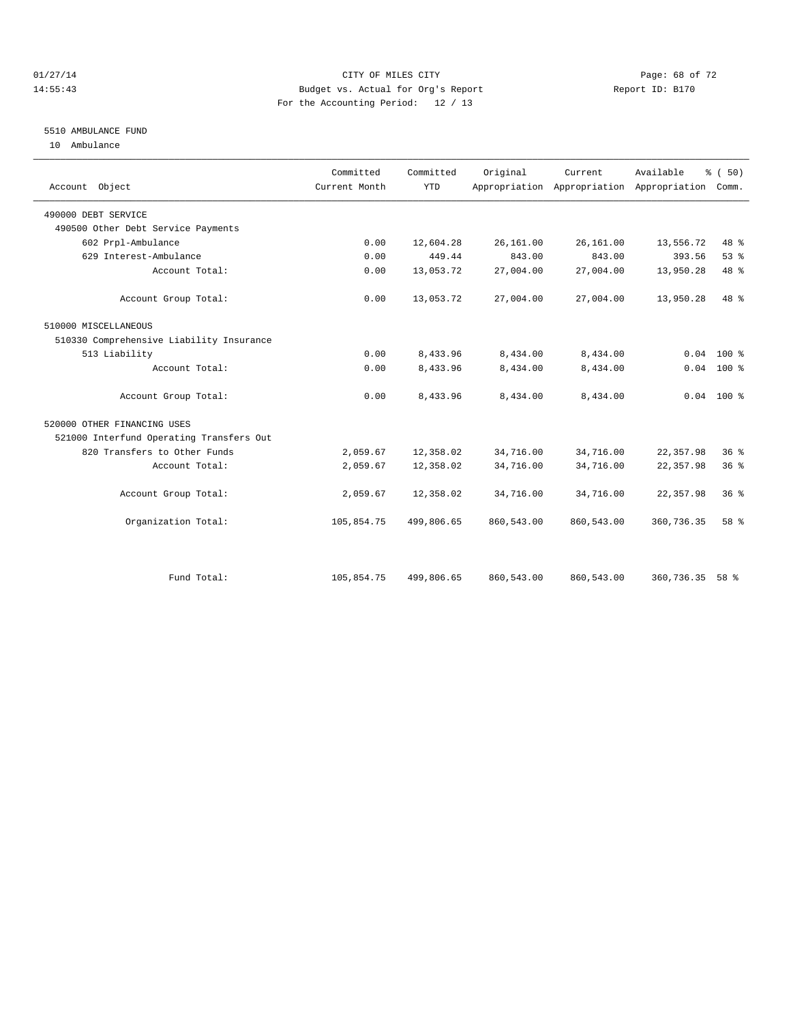#### $O1/27/14$  Page: 68 of 72 14:55:43 Budget vs. Actual for Org's Report Report ID: B170 For the Accounting Period: 12 / 13

#### 5510 AMBULANCE FUND

10 Ambulance

| Account Object                           | Committed<br>Current Month | Committed<br><b>YTD</b> | Original   | Current    | Available<br>Appropriation Appropriation Appropriation | % (50)<br>Comm. |
|------------------------------------------|----------------------------|-------------------------|------------|------------|--------------------------------------------------------|-----------------|
| 490000 DEBT SERVICE                      |                            |                         |            |            |                                                        |                 |
| 490500 Other Debt Service Payments       |                            |                         |            |            |                                                        |                 |
| 602 Prpl-Ambulance                       | 0.00                       | 12,604.28               | 26,161.00  | 26,161.00  | 13,556.72                                              | 48 %            |
| 629 Interest-Ambulance                   | 0.00                       | 449.44                  | 843.00     | 843.00     | 393.56                                                 | 53%             |
| Account Total:                           | 0.00                       | 13,053.72               | 27,004.00  | 27,004.00  | 13,950.28                                              | 48 %            |
| Account Group Total:                     | 0.00                       | 13,053.72               | 27,004.00  | 27,004.00  | 13,950.28                                              | 48 %            |
| 510000 MISCELLANEOUS                     |                            |                         |            |            |                                                        |                 |
| 510330 Comprehensive Liability Insurance |                            |                         |            |            |                                                        |                 |
| 513 Liability                            | 0.00                       | 8,433.96                | 8,434.00   | 8,434.00   | 0.04                                                   | $100*$          |
| Account Total:                           | 0.00                       | 8,433.96                | 8,434.00   | 8,434.00   |                                                        | $0.04$ 100 %    |
| Account Group Total:                     | 0.00                       | 8,433.96                | 8,434.00   | 8,434.00   |                                                        | $0.04$ 100 %    |
| 520000 OTHER FINANCING USES              |                            |                         |            |            |                                                        |                 |
| 521000 Interfund Operating Transfers Out |                            |                         |            |            |                                                        |                 |
| 820 Transfers to Other Funds             | 2,059.67                   | 12,358.02               | 34,716.00  | 34,716.00  | 22, 357.98                                             | 36 <sup>8</sup> |
| Account Total:                           | 2,059.67                   | 12,358.02               | 34,716.00  | 34,716.00  | 22, 357.98                                             | 36 <sup>8</sup> |
| Account Group Total:                     | 2,059.67                   | 12,358.02               | 34,716.00  | 34,716.00  | 22, 357.98                                             | $36*$           |
| Organization Total:                      | 105,854.75                 | 499,806.65              | 860,543.00 | 860,543.00 | 360,736.35                                             | 58 %            |
|                                          |                            |                         |            |            |                                                        |                 |
| Fund Total:                              | 105,854.75                 | 499,806.65              | 860,543.00 | 860,543.00 | 360,736.35                                             | 58 %            |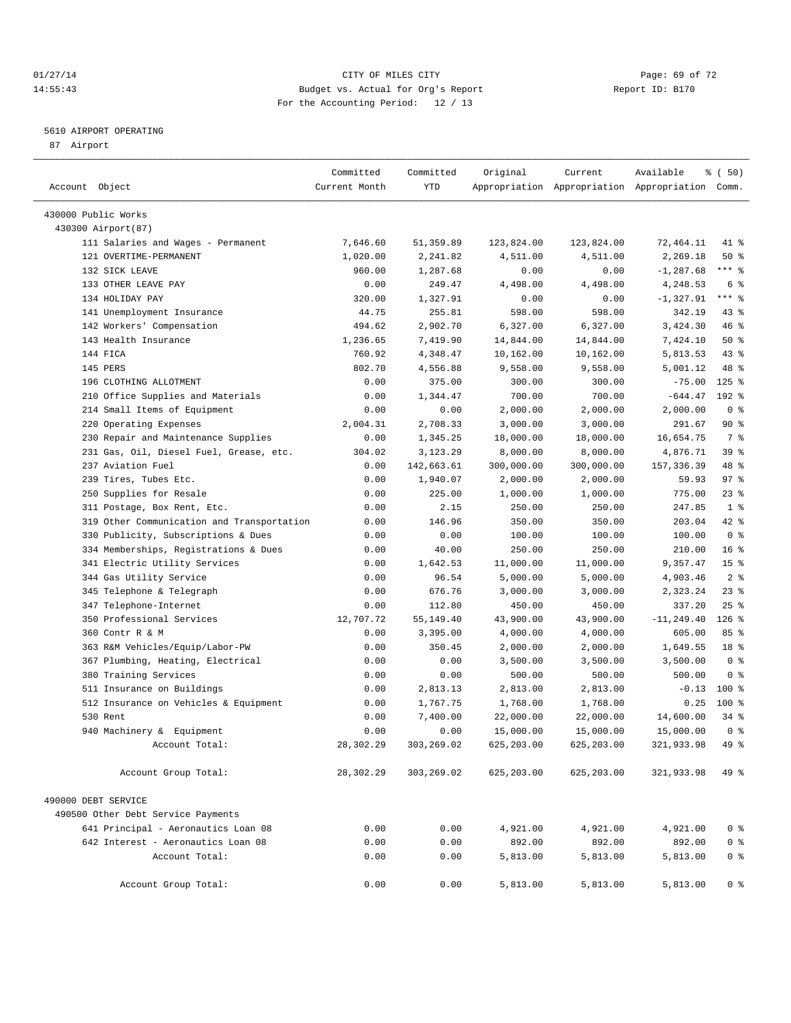#### $O1/27/14$  Page: 69 of 72 14:55:43 Budget vs. Actual for Org's Report Report ID: B170 For the Accounting Period: 12 / 13

————————————————————————————————————————————————————————————————————————————————————————————————————————————————————————————————————

#### 5610 AIRPORT OPERATING

87 Airport

| Account Object                             | Committed<br>Current Month | Committed<br>YTD | Original   | Current     | Available<br>Appropriation Appropriation Appropriation Comm. | % (50)          |  |
|--------------------------------------------|----------------------------|------------------|------------|-------------|--------------------------------------------------------------|-----------------|--|
|                                            |                            |                  |            |             |                                                              |                 |  |
| 430000 Public Works                        |                            |                  |            |             |                                                              |                 |  |
| 430300 Airport(87)                         |                            |                  |            |             |                                                              |                 |  |
| 111 Salaries and Wages - Permanent         | 7,646.60                   | 51,359.89        | 123,824.00 | 123,824.00  | 72,464.11                                                    | 41 %            |  |
| 121 OVERTIME-PERMANENT                     | 1,020.00                   | 2,241.82         | 4,511.00   | 4,511.00    | 2,269.18                                                     | 50%             |  |
| 132 SICK LEAVE                             | 960.00                     | 1,287.68         | 0.00       | 0.00        | $-1, 287.68$                                                 | $***$ $%$       |  |
| 133 OTHER LEAVE PAY                        | 0.00                       | 249.47           | 4,498.00   | 4,498.00    | 4,248.53                                                     | 6 %             |  |
| 134 HOLIDAY PAY                            | 320.00                     | 1,327.91         | 0.00       | 0.00        | $-1, 327.91$                                                 | $***$ $-$       |  |
| 141 Unemployment Insurance                 | 44.75                      | 255.81           | 598.00     | 598.00      | 342.19                                                       | 43 %            |  |
| 142 Workers' Compensation                  | 494.62                     | 2,902.70         | 6,327.00   | 6,327.00    | 3,424.30                                                     | 46 %            |  |
| 143 Health Insurance                       | 1,236.65                   | 7,419.90         | 14,844.00  | 14,844.00   | 7,424.10                                                     | 50%             |  |
| 144 FICA                                   | 760.92                     | 4,348.47         | 10,162.00  | 10,162.00   | 5,813.53                                                     | $43$ $%$        |  |
| 145 PERS                                   | 802.70                     | 4,556.88         | 9,558.00   | 9,558.00    | 5,001.12                                                     | 48 %            |  |
| 196 CLOTHING ALLOTMENT                     | 0.00                       | 375.00           | 300.00     | 300.00      | $-75.00$                                                     | $125$ %         |  |
| 210 Office Supplies and Materials          | 0.00                       | 1,344.47         | 700.00     | 700.00      | $-644.47$                                                    | 192 %           |  |
| 214 Small Items of Equipment               | 0.00                       | 0.00             | 2,000.00   | 2,000.00    | 2,000.00                                                     | 0 <sup>8</sup>  |  |
| 220 Operating Expenses                     | 2,004.31                   | 2,708.33         | 3,000.00   | 3,000.00    | 291.67                                                       | 90%             |  |
| 230 Repair and Maintenance Supplies        | 0.00                       | 1,345.25         | 18,000.00  | 18,000.00   | 16,654.75                                                    | 7 %             |  |
| 231 Gas, Oil, Diesel Fuel, Grease, etc.    | 304.02                     | 3,123.29         | 8,000.00   | 8,000.00    | 4,876.71                                                     | 39 %            |  |
| 237 Aviation Fuel                          | 0.00                       | 142,663.61       | 300,000.00 | 300,000.00  | 157, 336.39                                                  | 48 %            |  |
| 239 Tires, Tubes Etc.                      | 0.00                       | 1,940.07         | 2,000.00   | 2,000.00    | 59.93                                                        | 97%             |  |
| Supplies for Resale<br>250                 | 0.00                       | 225.00           | 1,000.00   | 1,000.00    | 775.00                                                       | $23$ $%$        |  |
| 311 Postage, Box Rent, Etc.                | 0.00                       | 2.15             | 250.00     | 250.00      | 247.85                                                       | 1 <sup>8</sup>  |  |
| 319 Other Communication and Transportation | 0.00                       | 146.96           | 350.00     | 350.00      | 203.04                                                       | 42 %            |  |
| 330 Publicity, Subscriptions & Dues        | 0.00                       | 0.00             | 100.00     | 100.00      | 100.00                                                       | 0 <sup>8</sup>  |  |
| 334 Memberships, Registrations & Dues      | 0.00                       | 40.00            | 250.00     | 250.00      | 210.00                                                       | $16*$           |  |
| 341 Electric Utility Services              | 0.00                       | 1,642.53         | 11,000.00  | 11,000.00   | 9,357.47                                                     | 15 <sup>°</sup> |  |
| 344 Gas Utility Service                    | 0.00                       | 96.54            | 5,000.00   | 5,000.00    | 4,903.46                                                     | 2 <sub>8</sub>  |  |
| 345 Telephone & Telegraph                  | 0.00                       | 676.76           | 3,000.00   | 3,000.00    | 2,323.24                                                     | $23$ $%$        |  |
| 347 Telephone-Internet                     | 0.00                       | 112.80           | 450.00     | 450.00      | 337.20                                                       | $25$ $%$        |  |
| 350 Professional Services                  | 12,707.72                  | 55,149.40        | 43,900.00  | 43,900.00   | $-11, 249.40$                                                | $126$ %         |  |
| 360 Contr R & M                            | 0.00                       | 3,395.00         | 4,000.00   | 4,000.00    | 605.00                                                       | 85%             |  |
| 363 R&M Vehicles/Equip/Labor-PW            | 0.00                       | 350.45           | 2,000.00   | 2,000.00    | 1,649.55                                                     | 18 <sup>°</sup> |  |
| 367 Plumbing, Heating, Electrical          | 0.00                       | 0.00             | 3,500.00   | 3,500.00    | 3,500.00                                                     | 0 <sup>8</sup>  |  |
| 380 Training Services                      | 0.00                       | 0.00             | 500.00     | 500.00      | 500.00                                                       | 0 <sup>8</sup>  |  |
| 511 Insurance on Buildings                 | 0.00                       | 2,813.13         | 2,813.00   | 2,813.00    | $-0.13$                                                      | 100 %           |  |
| 512 Insurance on Vehicles & Equipment      | 0.00                       | 1,767.75         | 1,768.00   | 1,768.00    | 0.25                                                         | $100*$          |  |
| 530 Rent                                   | 0.00                       | 7,400.00         | 22,000.00  | 22,000.00   | 14,600.00                                                    | $34$ $%$        |  |
| 940 Machinery & Equipment                  | 0.00                       | 0.00             | 15,000.00  | 15,000.00   | 15,000.00                                                    | 0 <sup>8</sup>  |  |
| Account Total:                             | 28,302.29                  | 303,269.02       | 625,203.00 | 625,203.00  | 321,933.98                                                   | 49 %            |  |
| Account Group Total:                       | 28,302.29                  | 303,269.02       | 625,203.00 | 625, 203.00 | 321,933.98                                                   | $49*$           |  |
| 490000 DEBT SERVICE                        |                            |                  |            |             |                                                              |                 |  |
| 490500 Other Debt Service Payments         |                            |                  |            |             |                                                              |                 |  |
| 641 Principal - Aeronautics Loan 08        | 0.00                       | 0.00             | 4,921.00   | 4,921.00    | 4,921.00                                                     | 0 <sup>8</sup>  |  |
| 642 Interest - Aeronautics Loan 08         | 0.00                       | 0.00             | 892.00     | 892.00      | 892.00                                                       | 0 <sup>8</sup>  |  |
| Account Total:                             | 0.00                       | 0.00             | 5,813.00   | 5,813.00    | 5,813.00                                                     | 0 <sup>8</sup>  |  |
| Account Group Total:                       | 0.00                       | 0.00             | 5,813.00   | 5,813.00    | 5,813.00                                                     | 0 <sup>8</sup>  |  |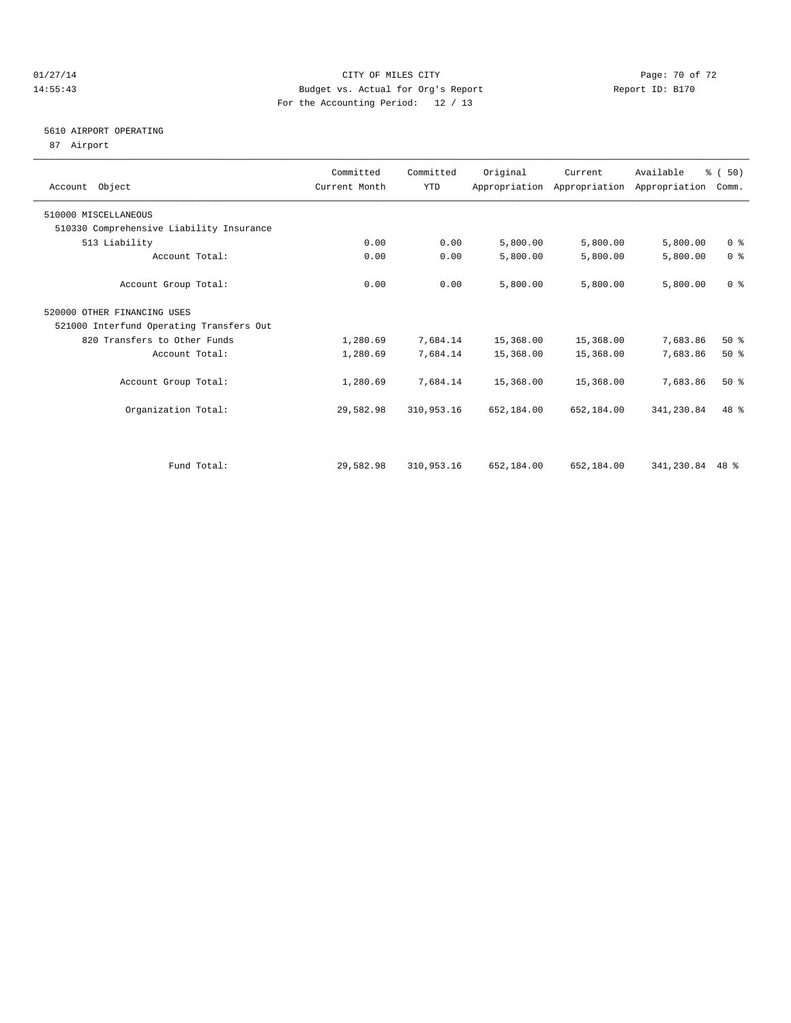#### $O1/27/14$  Page: 70 of 72 14:55:43 Budget vs. Actual for Org's Report Report ID: B170 For the Accounting Period: 12 / 13

### 5610 AIRPORT OPERATING

87 Airport

| Account Object                           | Committed<br>Current Month | Committed<br><b>YTD</b> | Original   | Current    | Available<br>Appropriation Appropriation Appropriation | % (50)<br>Comm. |  |
|------------------------------------------|----------------------------|-------------------------|------------|------------|--------------------------------------------------------|-----------------|--|
| 510000 MISCELLANEOUS                     |                            |                         |            |            |                                                        |                 |  |
| 510330 Comprehensive Liability Insurance |                            |                         |            |            |                                                        |                 |  |
| 513 Liability                            | 0.00                       | 0.00                    | 5,800.00   | 5,800.00   | 5,800.00                                               | 0 <sup>8</sup>  |  |
| Account Total:                           | 0.00                       | 0.00                    | 5,800.00   | 5,800.00   | 5,800.00                                               | 0 <sup>8</sup>  |  |
| Account Group Total:                     | 0.00                       | 0.00                    | 5,800.00   | 5,800.00   | 5,800.00                                               | 0 <sup>8</sup>  |  |
| 520000 OTHER FINANCING USES              |                            |                         |            |            |                                                        |                 |  |
| 521000 Interfund Operating Transfers Out |                            |                         |            |            |                                                        |                 |  |
| 820 Transfers to Other Funds             | 1,280.69                   | 7,684.14                | 15,368.00  | 15,368.00  | 7,683.86                                               | $50*$           |  |
| Account Total:                           | 1,280.69                   | 7,684.14                | 15,368.00  | 15,368.00  | 7,683.86                                               | 50%             |  |
| Account Group Total:                     | 1,280.69                   | 7,684.14                | 15,368.00  | 15,368.00  | 7,683.86                                               | $50*$           |  |
| Organization Total:                      | 29,582.98                  | 310,953.16              | 652,184.00 | 652,184.00 | 341,230.84                                             | $48*$           |  |
|                                          |                            |                         |            |            |                                                        |                 |  |
| Fund Total:                              | 29,582.98                  | 310,953.16              | 652,184.00 | 652,184.00 | 341,230.84 48 %                                        |                 |  |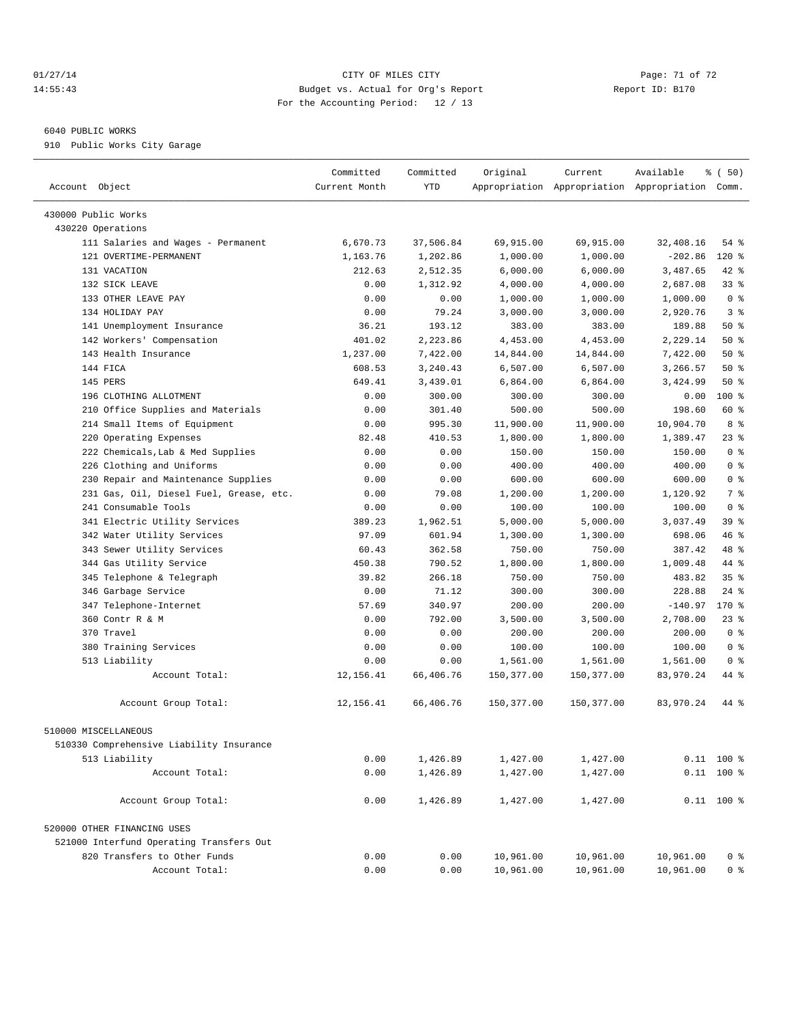#### $CITY$  of  $TY$  of  $TY$  of  $TZ$  and  $CITY$  and  $CITY$  is the page: 71 of 72 14:55:43 Budget vs. Actual for Org's Report Report ID: B170 For the Accounting Period: 12 / 13

————————————————————————————————————————————————————————————————————————————————————————————————————————————————————————————————————

#### 6040 PUBLIC WORKS

910 Public Works City Garage

|                                          | Committed     | Committed | Original   | Current    | Available                                       | % ( 50)               |  |
|------------------------------------------|---------------|-----------|------------|------------|-------------------------------------------------|-----------------------|--|
| Account Object                           | Current Month | YTD       |            |            | Appropriation Appropriation Appropriation Comm. |                       |  |
|                                          |               |           |            |            |                                                 |                       |  |
| 430000 Public Works                      |               |           |            |            |                                                 |                       |  |
| 430220 Operations                        | 6,670.73      | 37,506.84 |            | 69,915.00  | 32,408.16                                       | 54 %                  |  |
| 111 Salaries and Wages - Permanent       |               |           | 69,915.00  |            |                                                 |                       |  |
| 121 OVERTIME-PERMANENT                   | 1,163.76      | 1,202.86  | 1,000.00   | 1,000.00   | $-202.86$                                       | 120 %                 |  |
| 131 VACATION                             | 212.63        | 2,512.35  | 6,000.00   | 6,000.00   | 3,487.65                                        | 42 %                  |  |
| 132 SICK LEAVE<br>133 OTHER LEAVE PAY    | 0.00          | 1,312.92  | 4,000.00   | 4,000.00   | 2,687.08                                        | 33%<br>0 <sup>8</sup> |  |
|                                          | 0.00          | 0.00      | 1,000.00   | 1,000.00   | 1,000.00                                        | 3 <sup>8</sup>        |  |
| 134 HOLIDAY PAY                          | 0.00          | 79.24     | 3,000.00   | 3,000.00   | 2,920.76                                        |                       |  |
| 141 Unemployment Insurance               | 36.21         | 193.12    | 383.00     | 383.00     | 189.88                                          | $50*$                 |  |
| 142 Workers' Compensation                | 401.02        | 2,223.86  | 4,453.00   | 4,453.00   | 2,229.14                                        | 50%                   |  |
| 143 Health Insurance                     | 1,237.00      | 7,422.00  | 14,844.00  | 14,844.00  | 7,422.00                                        | 50%                   |  |
| 144 FICA                                 | 608.53        | 3,240.43  | 6,507.00   | 6,507.00   | 3,266.57                                        | 50%                   |  |
| 145 PERS                                 | 649.41        | 3,439.01  | 6,864.00   | 6,864.00   | 3,424.99                                        | 50%                   |  |
| 196 CLOTHING ALLOTMENT                   | 0.00          | 300.00    | 300.00     | 300.00     | 0.00                                            | 100 %                 |  |
| 210 Office Supplies and Materials        | 0.00          | 301.40    | 500.00     | 500.00     | 198.60                                          | 60 %                  |  |
| 214 Small Items of Equipment             | 0.00          | 995.30    | 11,900.00  | 11,900.00  | 10,904.70                                       | 8 %                   |  |
| 220 Operating Expenses                   | 82.48         | 410.53    | 1,800.00   | 1,800.00   | 1,389.47                                        | $23$ %                |  |
| 222 Chemicals, Lab & Med Supplies        | 0.00          | 0.00      | 150.00     | 150.00     | 150.00                                          | 0 <sup>8</sup>        |  |
| 226 Clothing and Uniforms                | 0.00          | 0.00      | 400.00     | 400.00     | 400.00                                          | 0 <sup>8</sup>        |  |
| 230 Repair and Maintenance Supplies      | 0.00          | 0.00      | 600.00     | 600.00     | 600.00                                          | 0 <sup>8</sup>        |  |
| 231 Gas, Oil, Diesel Fuel, Grease, etc.  | 0.00          | 79.08     | 1,200.00   | 1,200.00   | 1,120.92                                        | 7 %                   |  |
| 241 Consumable Tools                     | 0.00          | 0.00      | 100.00     | 100.00     | 100.00                                          | 0 <sup>8</sup>        |  |
| 341 Electric Utility Services            | 389.23        | 1,962.51  | 5,000.00   | 5,000.00   | 3,037.49                                        | 39 %                  |  |
| 342 Water Utility Services               | 97.09         | 601.94    | 1,300.00   | 1,300.00   | 698.06                                          | 46 %                  |  |
| 343 Sewer Utility Services               | 60.43         | 362.58    | 750.00     | 750.00     | 387.42                                          | 48 %                  |  |
| 344 Gas Utility Service                  | 450.38        | 790.52    | 1,800.00   | 1,800.00   | 1,009.48                                        | 44 %                  |  |
| 345 Telephone & Telegraph                | 39.82         | 266.18    | 750.00     | 750.00     | 483.82                                          | 35%                   |  |
| 346 Garbage Service                      | 0.00          | 71.12     | 300.00     | 300.00     | 228.88                                          | $24$ %                |  |
| 347 Telephone-Internet                   | 57.69         | 340.97    | 200.00     | 200.00     | $-140.97$                                       | 170 %                 |  |
| 360 Contr R & M                          | 0.00          | 792.00    | 3,500.00   | 3,500.00   | 2,708.00                                        | 23%                   |  |
| 370 Travel                               | 0.00          | 0.00      | 200.00     | 200.00     | 200.00                                          | 0 <sup>8</sup>        |  |
| 380 Training Services                    | 0.00          | 0.00      | 100.00     | 100.00     | 100.00                                          | 0 <sup>8</sup>        |  |
| 513 Liability                            | 0.00          | 0.00      | 1,561.00   | 1,561.00   | 1,561.00                                        | 0 <sup>8</sup>        |  |
| Account Total:                           | 12, 156.41    | 66,406.76 | 150,377.00 | 150,377.00 | 83,970.24                                       | 44 %                  |  |
| Account Group Total:                     | 12,156.41     | 66,406.76 | 150,377.00 | 150,377.00 | 83,970.24                                       | 44 %                  |  |
| 510000 MISCELLANEOUS                     |               |           |            |            |                                                 |                       |  |
| 510330 Comprehensive Liability Insurance |               |           |            |            |                                                 |                       |  |
| 513 Liability                            | 0.00          | 1,426.89  | 1,427.00   | 1,427.00   |                                                 | $0.11$ 100 %          |  |
| Account Total:                           | 0.00          | 1,426.89  | 1,427.00   | 1,427.00   |                                                 | $0.11$ 100 %          |  |
|                                          |               |           |            |            |                                                 |                       |  |
| Account Group Total:                     | 0.00          | 1,426.89  | 1,427.00   | 1,427.00   |                                                 | $0.11$ 100 %          |  |
| 520000 OTHER FINANCING USES              |               |           |            |            |                                                 |                       |  |
| 521000 Interfund Operating Transfers Out |               |           |            |            |                                                 |                       |  |
| 820 Transfers to Other Funds             | 0.00          | 0.00      | 10,961.00  | 10,961.00  | 10,961.00                                       | 0 <sup>8</sup>        |  |
| Account Total:                           | 0.00          | 0.00      | 10,961.00  | 10,961.00  | 10,961.00                                       | 0 <sup>8</sup>        |  |